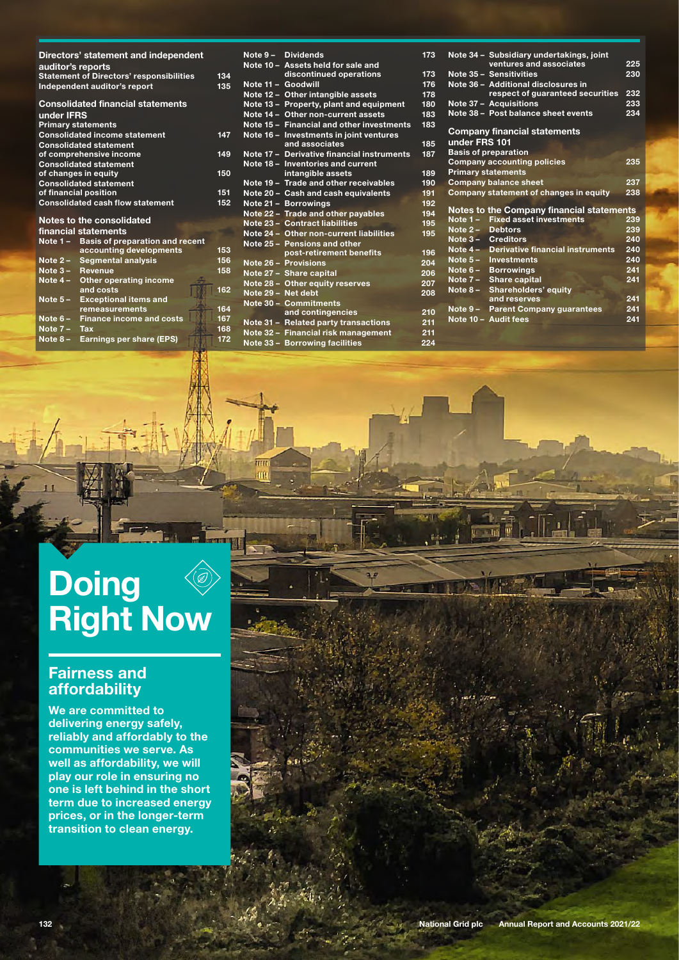| auditor's reports         | Directors' statement and independent            |     | No<br>No                 |
|---------------------------|-------------------------------------------------|-----|--------------------------|
|                           | <b>Statement of Directors' responsibilities</b> | 134 |                          |
|                           | Independent auditor's report                    | 135 | No                       |
|                           |                                                 |     | <b>No</b>                |
|                           | <b>Consolidated financial statements</b>        |     | No                       |
|                           |                                                 |     | No                       |
| under IFRS                |                                                 |     |                          |
| <b>Primary statements</b> |                                                 |     | No                       |
|                           | <b>Consolidated income statement</b>            | 147 | No                       |
|                           | <b>Consolidated statement</b>                   |     |                          |
|                           | of comprehensive income                         | 149 | No                       |
|                           | <b>Consolidated statement</b>                   |     | No                       |
|                           | of changes in equity                            | 150 |                          |
|                           | <b>Consolidated statement</b>                   |     | No                       |
| of financial position     |                                                 | 151 | No                       |
|                           | <b>Consolidated cash flow statement</b>         | 152 | No                       |
|                           |                                                 |     | No                       |
|                           | <b>Notes to the consolidated</b>                |     | <b>No</b>                |
|                           | financial statements                            |     | No                       |
| Note 1 –                  | <b>Basis of preparation and recent</b>          |     |                          |
|                           | accounting developments                         | 153 | No                       |
| Note $2 -$                | <b>Segmental analysis</b>                       | 156 |                          |
| Note $3 -$                | <b>Revenue</b>                                  | 158 | <b>No</b>                |
|                           |                                                 |     | No                       |
| Note $4-$                 | <b>Other operating income</b>                   |     | No                       |
|                           | and costs                                       | 162 | No                       |
| Note $5-$                 | <b>Exceptional items and</b>                    |     | No                       |
|                           | remeasurements                                  | 164 |                          |
| Note $6-$                 | <b>Finance income and costs</b>                 | 167 | <b>No</b>                |
| Note $7 -$                | <b>Tax</b>                                      | 168 | No                       |
| Note $8-$                 | <b>Earnings per share (EPS)</b>                 | 172 | $\overline{\mathsf{No}}$ |
|                           |                                                 |     |                          |

|                    | Note 9 - Dividends                         | 173 |
|--------------------|--------------------------------------------|-----|
|                    | Note 10 - Assets held for sale and         |     |
|                    | discontinued operations                    | 173 |
| Note 11 - Goodwill |                                            | 176 |
|                    | Note 12 - Other intangible assets          | 178 |
|                    | Note 13 - Property, plant and equipment    | 180 |
|                    | Note 14 - Other non-current assets         | 183 |
|                    | Note 15 - Financial and other investments  | 183 |
|                    | Note 16 - Investments in joint ventures    |     |
|                    | and associates                             | 185 |
|                    | Note 17 - Derivative financial instruments | 187 |
|                    | Note 18 - Inventories and current          |     |
|                    | intangible assets                          | 189 |
|                    | Note 19 - Trade and other receivables      | 190 |
|                    | Note 20 - Cash and cash equivalents        | 191 |
|                    | Note 21 - Borrowings                       | 192 |
|                    | Note 22 - Trade and other payables         | 194 |
|                    | Note 23 - Contract liabilities             | 195 |
|                    | Note 24 - Other non-current liabilities    | 195 |
|                    | Note 25 - Pensions and other               |     |
|                    | post-retirement benefits                   | 196 |
|                    | Note 26 - Provisions                       | 204 |
|                    | Note 27 - Share capital                    | 206 |
|                    | Note 28 - Other equity reserves            | 207 |
| Note 29 - Net debt |                                            | 208 |
|                    | Note 30 - Commitments                      |     |
|                    | and contingencies                          | 210 |
|                    | Note 31 - Related party transactions       | 211 |
|                    | Note 32 - Financial risk management        | 211 |
|                    | Note 33 - Borrowing facilities             | 224 |

**TITT** 

| Note 34 - Subsidiary undertakings, joint                                                  |     |
|-------------------------------------------------------------------------------------------|-----|
| ventures and associates                                                                   | 225 |
| Note 35 - Sensitivities                                                                   | 230 |
| Note 36 - Additional disclosures in                                                       |     |
| respect of guaranteed securities                                                          | 232 |
| <b>Note 37 - Acquisitions</b>                                                             | 233 |
| Note 38 - Post balance sheet events                                                       | 234 |
|                                                                                           |     |
| <b>Company financial statements</b>                                                       |     |
| under FRS 101                                                                             |     |
| <b>Basis of preparation</b>                                                               |     |
| <b>Company accounting policies</b>                                                        | 235 |
| <b>Primary statements</b>                                                                 |     |
| <b>Company balance sheet</b>                                                              | 237 |
| Company statement of changes in equity                                                    | 238 |
|                                                                                           |     |
| Notes to the Company financial statements<br><b>Fixed asset investments</b><br>Note $1 -$ | 239 |
|                                                                                           |     |
| Note 2 - Debtors                                                                          | 239 |
| Note 3 - Creditors                                                                        | 240 |
| <b>Derivative financial instruments</b><br>Note $4-$                                      | 240 |
| Note 5 - Investments                                                                      | 240 |
| <b>Borrowings</b><br>Note $6-$                                                            | 241 |
| Note $7-$<br><b>Share capital</b>                                                         | 241 |
| Shareholders' equity<br>Note $8-$                                                         |     |
| and reserves                                                                              | 241 |
| Note 9 - Parent Company guarantees                                                        | 241 |
| Note 10 - Audit fees                                                                      | 241 |
|                                                                                           |     |
|                                                                                           |     |

# **Doing** Right Now

## Fairness and affordability

We are committed to delivering energy safely, reliably and affordably to the communities we serve. As well as affordability, we will play our role in ensuring no one is left behind in the short term due to increased energy prices, or in the longer-term transition to clean energy.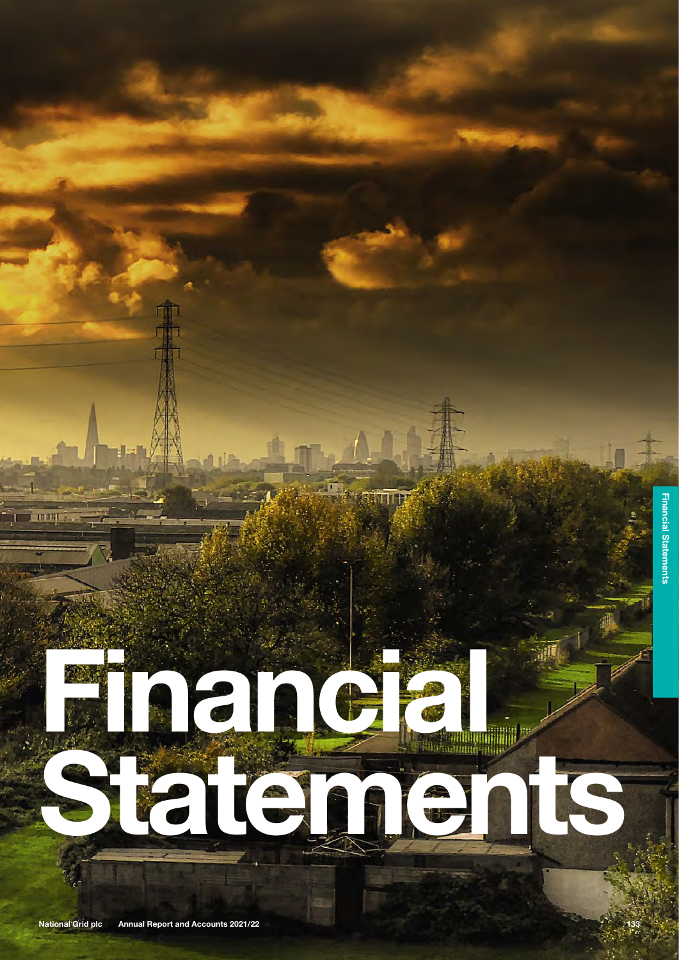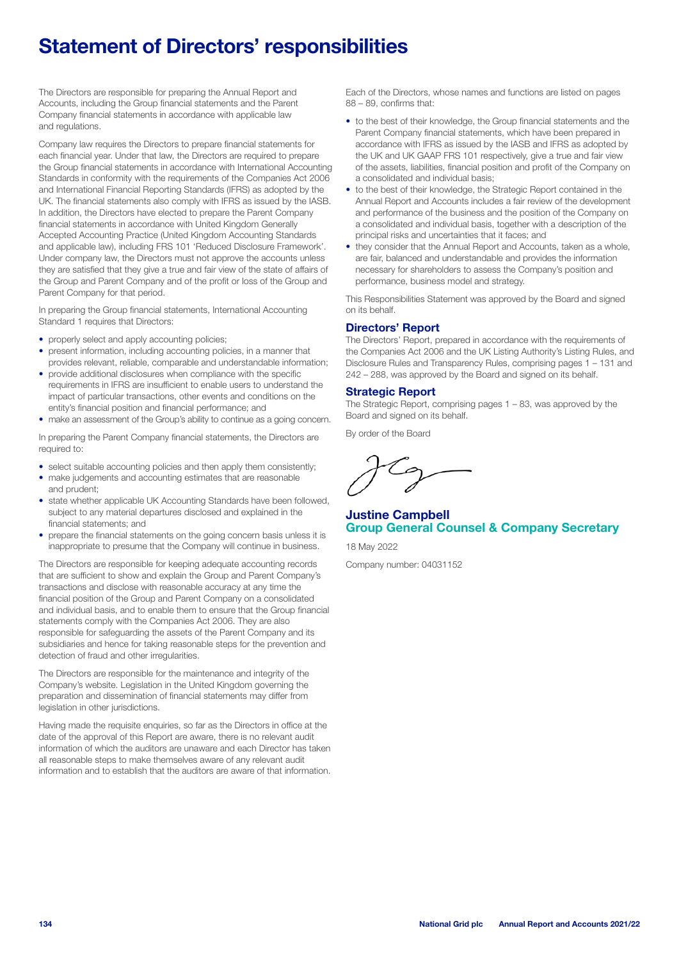## Statement of Directors' responsibilities

The Directors are responsible for preparing the Annual Report and Accounts, including the Group financial statements and the Parent Company financial statements in accordance with applicable law and regulations.

Company law requires the Directors to prepare financial statements for each financial year. Under that law, the Directors are required to prepare the Group financial statements in accordance with International Accounting Standards in conformity with the requirements of the Companies Act 2006 and International Financial Reporting Standards (IFRS) as adopted by the UK. The financial statements also comply with IFRS as issued by the IASB. In addition, the Directors have elected to prepare the Parent Company financial statements in accordance with United Kingdom Generally Accepted Accounting Practice (United Kingdom Accounting Standards and applicable law), including FRS 101 'Reduced Disclosure Framework'. Under company law, the Directors must not approve the accounts unless they are satisfied that they give a true and fair view of the state of affairs of the Group and Parent Company and of the profit or loss of the Group and Parent Company for that period.

In preparing the Group financial statements, International Accounting Standard 1 requires that Directors:

• properly select and apply accounting policies;

required to:

- present information, including accounting policies, in a manner that provides relevant, reliable, comparable and understandable information;
- provide additional disclosures when compliance with the specific requirements in IFRS are insufficient to enable users to understand the impact of particular transactions, other events and conditions on the entity's financial position and financial performance; and
- make an assessment of the Group's ability to continue as a going concern. In preparing the Parent Company financial statements, the Directors are
- select suitable accounting policies and then apply them consistently;
- make judgements and accounting estimates that are reasonable and prudent;
- state whether applicable UK Accounting Standards have been followed, subject to any material departures disclosed and explained in the financial statements; and
- prepare the financial statements on the going concern basis unless it is inappropriate to presume that the Company will continue in business.

The Directors are responsible for keeping adequate accounting records that are sufficient to show and explain the Group and Parent Company's transactions and disclose with reasonable accuracy at any time the financial position of the Group and Parent Company on a consolidated and individual basis, and to enable them to ensure that the Group financial statements comply with the Companies Act 2006. They are also responsible for safeguarding the assets of the Parent Company and its subsidiaries and hence for taking reasonable steps for the prevention and detection of fraud and other irregularities.

The Directors are responsible for the maintenance and integrity of the Company's website. Legislation in the United Kingdom governing the preparation and dissemination of financial statements may differ from legislation in other jurisdictions.

Having made the requisite enquiries, so far as the Directors in office at the date of the approval of this Report are aware, there is no relevant audit information of which the auditors are unaware and each Director has taken all reasonable steps to make themselves aware of any relevant audit information and to establish that the auditors are aware of that information.

Each of the Directors, whose names and functions are listed on pages 88 – 89, confirms that:

- to the best of their knowledge, the Group financial statements and the Parent Company financial statements, which have been prepared in accordance with IFRS as issued by the IASB and IFRS as adopted by the UK and UK GAAP FRS 101 respectively, give a true and fair view of the assets, liabilities, financial position and profit of the Company on a consolidated and individual basis;
- to the best of their knowledge, the Strategic Report contained in the Annual Report and Accounts includes a fair review of the development and performance of the business and the position of the Company on a consolidated and individual basis, together with a description of the principal risks and uncertainties that it faces; and
- they consider that the Annual Report and Accounts, taken as a whole, are fair, balanced and understandable and provides the information necessary for shareholders to assess the Company's position and performance, business model and strategy.

This Responsibilities Statement was approved by the Board and signed on its behalf.

## Directors' Report

The Directors' Report, prepared in accordance with the requirements of the Companies Act 2006 and the UK Listing Authority's Listing Rules, and Disclosure Rules and Transparency Rules, comprising pages 1 – 131 and 242 – 288, was approved by the Board and signed on its behalf.

### Strategic Report

The Strategic Report, comprising pages 1 – 83, was approved by the Board and signed on its behalf.

By order of the Board

Justine Campbell Group General Counsel & Company Secretary

18 May 2022

Company number: 04031152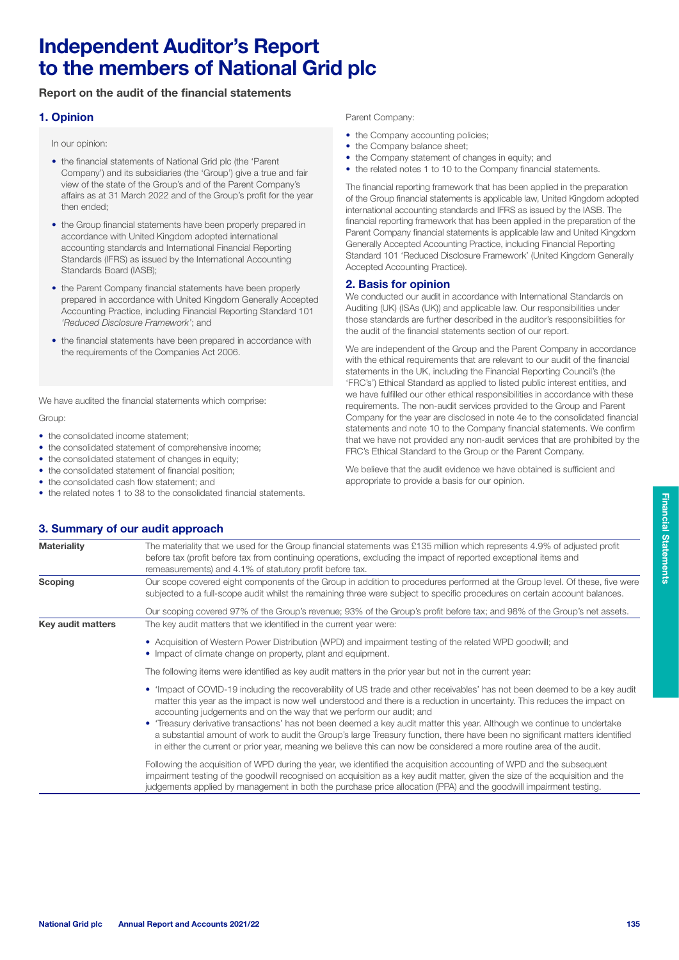## Independent Auditor's Report to the members of National Grid plc

## Report on the audit of the financial statements

## 1. Opinion

In our opinion:

- the financial statements of National Grid plc (the 'Parent Company') and its subsidiaries (the 'Group') give a true and fair view of the state of the Group's and of the Parent Company's affairs as at 31 March 2022 and of the Group's profit for the year then ended;
- the Group financial statements have been properly prepared in accordance with United Kingdom adopted international accounting standards and International Financial Reporting Standards (IFRS) as issued by the International Accounting Standards Board (IASB);
- the Parent Company financial statements have been properly prepared in accordance with United Kingdom Generally Accepted Accounting Practice, including Financial Reporting Standard 101 *'Reduced Disclosure Framework'*; and
- the financial statements have been prepared in accordance with the requirements of the Companies Act 2006.

We have audited the financial statements which comprise:

#### Group:

- the consolidated income statement;
- the consolidated statement of comprehensive income;
- the consolidated statement of changes in equity;
- the consolidated statement of financial position;
- the consolidated cash flow statement; and

3. Summary of our audit approach

• the related notes 1 to 38 to the consolidated financial statements.

#### Parent Company:

- the Company accounting policies;
- the Company balance sheet;
- the Company statement of changes in equity; and
- the related notes 1 to 10 to the Company financial statements.

The financial reporting framework that has been applied in the preparation of the Group financial statements is applicable law, United Kingdom adopted international accounting standards and IFRS as issued by the IASB. The financial reporting framework that has been applied in the preparation of the Parent Company financial statements is applicable law and United Kingdom Generally Accepted Accounting Practice, including Financial Reporting Standard 101 'Reduced Disclosure Framework' (United Kingdom Generally Accepted Accounting Practice).

### 2. Basis for opinion

We conducted our audit in accordance with International Standards on Auditing (UK) (ISAs (UK)) and applicable law. Our responsibilities under those standards are further described in the auditor's responsibilities for the audit of the financial statements section of our report.

We are independent of the Group and the Parent Company in accordance with the ethical requirements that are relevant to our audit of the financial statements in the UK, including the Financial Reporting Council's (the 'FRC's') Ethical Standard as applied to listed public interest entities, and we have fulfilled our other ethical responsibilities in accordance with these requirements. The non-audit services provided to the Group and Parent Company for the year are disclosed in note 4e to the consolidated financial statements and note 10 to the Company financial statements. We confirm that we have not provided any non-audit services that are prohibited by the FRC's Ethical Standard to the Group or the Parent Company.

We believe that the audit evidence we have obtained is sufficient and appropriate to provide a basis for our opinion.

Financial Statements

| The materiality that we used for the Group financial statements was £135 million which represents 4.9% of adjusted profit<br>before tax (profit before tax from continuing operations, excluding the impact of reported exceptional items and<br>remeasurements) and 4.1% of statutory profit before tax.                                                                                                                                                                                                                                                                                                                                                                                                          |  |  |  |
|--------------------------------------------------------------------------------------------------------------------------------------------------------------------------------------------------------------------------------------------------------------------------------------------------------------------------------------------------------------------------------------------------------------------------------------------------------------------------------------------------------------------------------------------------------------------------------------------------------------------------------------------------------------------------------------------------------------------|--|--|--|
| Our scope covered eight components of the Group in addition to procedures performed at the Group level. Of these, five were<br>subjected to a full-scope audit whilst the remaining three were subject to specific procedures on certain account balances.                                                                                                                                                                                                                                                                                                                                                                                                                                                         |  |  |  |
| Our scoping covered 97% of the Group's revenue; 93% of the Group's profit before tax; and 98% of the Group's net assets.                                                                                                                                                                                                                                                                                                                                                                                                                                                                                                                                                                                           |  |  |  |
| The key audit matters that we identified in the current year were:                                                                                                                                                                                                                                                                                                                                                                                                                                                                                                                                                                                                                                                 |  |  |  |
| • Acquisition of Western Power Distribution (WPD) and impairment testing of the related WPD goodwill; and<br>• Impact of climate change on property, plant and equipment.                                                                                                                                                                                                                                                                                                                                                                                                                                                                                                                                          |  |  |  |
| The following items were identified as key audit matters in the prior year but not in the current year:                                                                                                                                                                                                                                                                                                                                                                                                                                                                                                                                                                                                            |  |  |  |
| • 'Impact of COVID-19 including the recoverability of US trade and other receivables' has not been deemed to be a key audit<br>matter this year as the impact is now well understood and there is a reduction in uncertainty. This reduces the impact on<br>accounting judgements and on the way that we perform our audit; and<br>• Treasury derivative transactions' has not been deemed a key audit matter this year. Although we continue to undertake<br>a substantial amount of work to audit the Group's large Treasury function, there have been no significant matters identified<br>in either the current or prior year, meaning we believe this can now be considered a more routine area of the audit. |  |  |  |
| Following the acquisition of WPD during the year, we identified the acquisition accounting of WPD and the subsequent<br>impairment testing of the goodwill recognised on acquisition as a key audit matter, given the size of the acquisition and the<br>judgements applied by management in both the purchase price allocation (PPA) and the goodwill impairment testing.                                                                                                                                                                                                                                                                                                                                         |  |  |  |
|                                                                                                                                                                                                                                                                                                                                                                                                                                                                                                                                                                                                                                                                                                                    |  |  |  |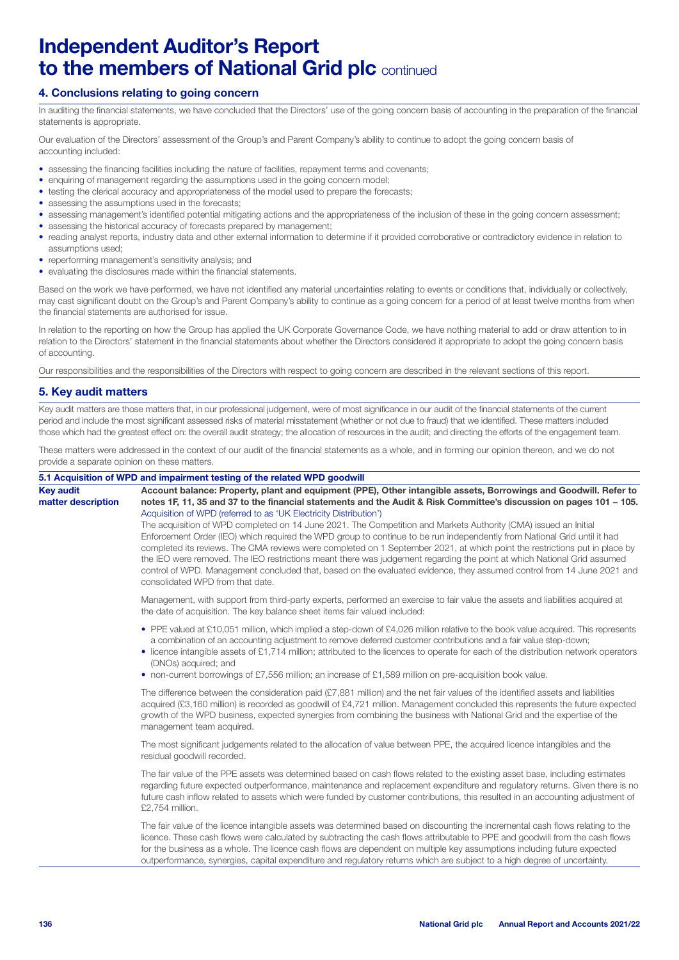## Independent Auditor's Report to the members of National Grid plc continued

## 4. Conclusions relating to going concern

In auditing the financial statements, we have concluded that the Directors' use of the going concern basis of accounting in the preparation of the financial statements is appropriate.

Our evaluation of the Directors' assessment of the Group's and Parent Company's ability to continue to adopt the going concern basis of accounting included:

- assessing the financing facilities including the nature of facilities, repayment terms and covenants;
- enquiring of management regarding the assumptions used in the going concern model;
- testing the clerical accuracy and appropriateness of the model used to prepare the forecasts;
- assessing the assumptions used in the forecasts:
- assessing management's identified potential mitigating actions and the appropriateness of the inclusion of these in the going concern assessment;
- assessing the historical accuracy of forecasts prepared by management;
- reading analyst reports, industry data and other external information to determine if it provided corroborative or contradictory evidence in relation to assumptions used;
- reperforming management's sensitivity analysis; and
- evaluating the disclosures made within the financial statements.

Based on the work we have performed, we have not identified any material uncertainties relating to events or conditions that, individually or collectively, may cast significant doubt on the Group's and Parent Company's ability to continue as a going concern for a period of at least twelve months from when the financial statements are authorised for issue.

In relation to the reporting on how the Group has applied the UK Corporate Governance Code, we have nothing material to add or draw attention to in relation to the Directors' statement in the financial statements about whether the Directors considered it appropriate to adopt the going concern basis of accounting.

Our responsibilities and the responsibilities of the Directors with respect to going concern are described in the relevant sections of this report.

## 5. Key audit matters

Key audit matters are those matters that, in our professional judgement, were of most significance in our audit of the financial statements of the current period and include the most significant assessed risks of material misstatement (whether or not due to fraud) that we identified. These matters included those which had the greatest effect on: the overall audit strategy; the allocation of resources in the audit; and directing the efforts of the engagement team.

These matters were addressed in the context of our audit of the financial statements as a whole, and in forming our opinion thereon, and we do not provide a separate opinion on these matters.

| 5.1 Acquisition of WPD and impairment testing of the related WPD goodwill |                                                                                                                                                                                                                                                                                                                                                                                                                                                                                                                                                                                                                                                                                                                                                                                                                                                                                                                                                                                    |  |  |  |
|---------------------------------------------------------------------------|------------------------------------------------------------------------------------------------------------------------------------------------------------------------------------------------------------------------------------------------------------------------------------------------------------------------------------------------------------------------------------------------------------------------------------------------------------------------------------------------------------------------------------------------------------------------------------------------------------------------------------------------------------------------------------------------------------------------------------------------------------------------------------------------------------------------------------------------------------------------------------------------------------------------------------------------------------------------------------|--|--|--|
| <b>Key audit</b><br>matter description                                    | Account balance: Property, plant and equipment (PPE), Other intangible assets, Borrowings and Goodwill. Refer to<br>notes 1F, 11, 35 and 37 to the financial statements and the Audit & Risk Committee's discussion on pages 101 - 105.<br>Acquisition of WPD (referred to as 'UK Electricity Distribution')<br>The acquisition of WPD completed on 14 June 2021. The Competition and Markets Authority (CMA) issued an Initial<br>Enforcement Order (IEO) which required the WPD group to continue to be run independently from National Grid until it had<br>completed its reviews. The CMA reviews were completed on 1 September 2021, at which point the restrictions put in place by<br>the IEO were removed. The IEO restrictions meant there was judgement regarding the point at which National Grid assumed<br>control of WPD. Management concluded that, based on the evaluated evidence, they assumed control from 14 June 2021 and<br>consolidated WPD from that date. |  |  |  |
|                                                                           | Management, with support from third-party experts, performed an exercise to fair value the assets and liabilities acquired at<br>the date of acquisition. The key balance sheet items fair valued included:                                                                                                                                                                                                                                                                                                                                                                                                                                                                                                                                                                                                                                                                                                                                                                        |  |  |  |
|                                                                           | • PPE valued at £10,051 million, which implied a step-down of £4,026 million relative to the book value acquired. This represents<br>a combination of an accounting adjustment to remove deferred customer contributions and a fair value step-down;<br>• licence intangible assets of £1,714 million; attributed to the licences to operate for each of the distribution network operators<br>(DNOs) acquired; and<br>• non-current borrowings of £7,556 million; an increase of £1,589 million on pre-acquisition book value.                                                                                                                                                                                                                                                                                                                                                                                                                                                    |  |  |  |
|                                                                           | The difference between the consideration paid (£7,881 million) and the net fair values of the identified assets and liabilities<br>acquired (£3,160 million) is recorded as goodwill of £4,721 million. Management concluded this represents the future expected<br>growth of the WPD business, expected synergies from combining the business with National Grid and the expertise of the<br>management team acquired.                                                                                                                                                                                                                                                                                                                                                                                                                                                                                                                                                            |  |  |  |
|                                                                           | The most significant judgements related to the allocation of value between PPE, the acquired licence intangibles and the<br>residual goodwill recorded.                                                                                                                                                                                                                                                                                                                                                                                                                                                                                                                                                                                                                                                                                                                                                                                                                            |  |  |  |
|                                                                           | The fair value of the PPE assets was determined based on cash flows related to the existing asset base, including estimates<br>regarding future expected outperformance, maintenance and replacement expenditure and regulatory returns. Given there is no<br>future cash inflow related to assets which were funded by customer contributions, this resulted in an accounting adjustment of<br>£2,754 million.                                                                                                                                                                                                                                                                                                                                                                                                                                                                                                                                                                    |  |  |  |
|                                                                           | The fair value of the licence intangible assets was determined based on discounting the incremental cash flows relating to the<br>licence. These cash flows were calculated by subtracting the cash flows attributable to PPE and goodwill from the cash flows<br>for the business as a whole. The licence cash flows are dependent on multiple key assumptions including future expected                                                                                                                                                                                                                                                                                                                                                                                                                                                                                                                                                                                          |  |  |  |

outperformance, synergies, capital expenditure and regulatory returns which are subject to a high degree of uncertainty.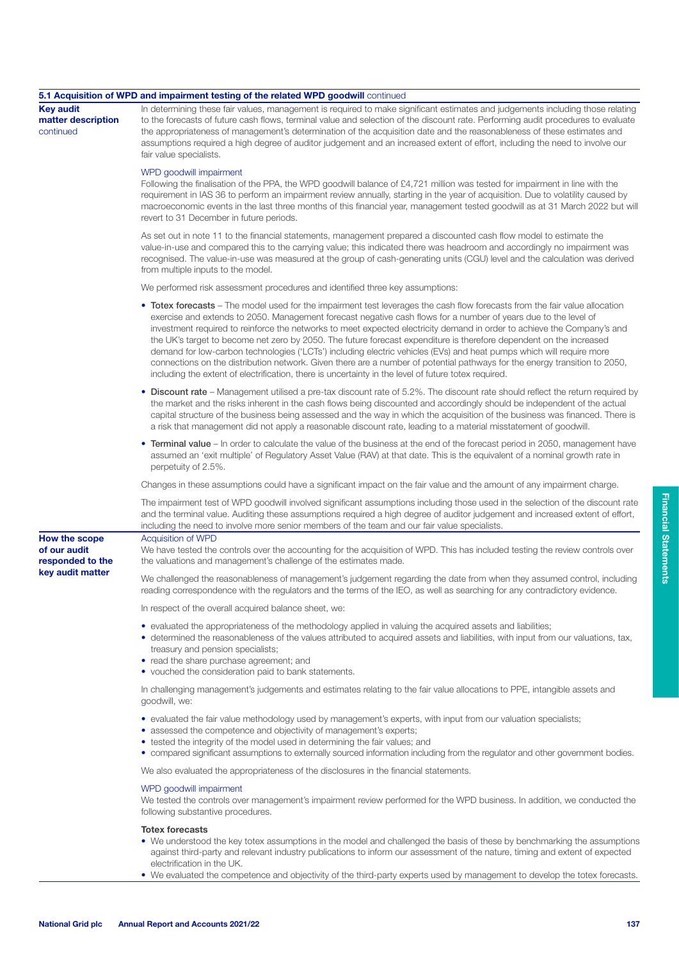#### 5.1 Acquisition of WPD and impairment testing of the related WPD goodwill continued

Key audit matter description continued

In determining these fair values, management is required to make significant estimates and judgements including those relating to the forecasts of future cash flows, terminal value and selection of the discount rate. Performing audit procedures to evaluate the appropriateness of management's determination of the acquisition date and the reasonableness of these estimates and assumptions required a high degree of auditor judgement and an increased extent of effort, including the need to involve our fair value specialists.

#### WPD goodwill impairment

Following the finalisation of the PPA, the WPD goodwill balance of £4,721 million was tested for impairment in line with the requirement in IAS 36 to perform an impairment review annually, starting in the year of acquisition. Due to volatility caused by macroeconomic events in the last three months of this financial year, management tested goodwill as at 31 March 2022 but will revert to 31 December in future periods.

As set out in note 11 to the financial statements, management prepared a discounted cash flow model to estimate the value-in-use and compared this to the carrying value; this indicated there was headroom and accordingly no impairment was recognised. The value-in-use was measured at the group of cash-generating units (CGU) level and the calculation was derived from multiple inputs to the model.

We performed risk assessment procedures and identified three key assumptions:

- Totex forecasts The model used for the impairment test leverages the cash flow forecasts from the fair value allocation exercise and extends to 2050. Management forecast negative cash flows for a number of years due to the level of investment required to reinforce the networks to meet expected electricity demand in order to achieve the Company's and the UK's target to become net zero by 2050. The future forecast expenditure is therefore dependent on the increased demand for low-carbon technologies ('LCTs') including electric vehicles (EVs) and heat pumps which will require more connections on the distribution network. Given there are a number of potential pathways for the energy transition to 2050, including the extent of electrification, there is uncertainty in the level of future totex required.
- Discount rate Management utilised a pre-tax discount rate of 5.2%. The discount rate should reflect the return required by the market and the risks inherent in the cash flows being discounted and accordingly should be independent of the actual capital structure of the business being assessed and the way in which the acquisition of the business was financed. There is a risk that management did not apply a reasonable discount rate, leading to a material misstatement of goodwill.
- Terminal value In order to calculate the value of the business at the end of the forecast period in 2050, management have assumed an 'exit multiple' of Regulatory Asset Value (RAV) at that date. This is the equivalent of a nominal growth rate in perpetuity of 2.5%.

Changes in these assumptions could have a significant impact on the fair value and the amount of any impairment charge.

The impairment test of WPD goodwill involved significant assumptions including those used in the selection of the discount rate and the terminal value. Auditing these assumptions required a high degree of auditor judgement and increased extent of effort, including the need to involve more senior members of the team and our fair value specialists.

How the scope of our audit responded to the key audit matter

**Financial Statements** Financial Statements

#### Acquisition of WPD

We have tested the controls over the accounting for the acquisition of WPD. This has included testing the review controls over the valuations and management's challenge of the estimates made.

We challenged the reasonableness of management's judgement regarding the date from when they assumed control, including reading correspondence with the regulators and the terms of the IEO, as well as searching for any contradictory evidence.

In respect of the overall acquired balance sheet, we:

- evaluated the appropriateness of the methodology applied in valuing the acquired assets and liabilities;
- determined the reasonableness of the values attributed to acquired assets and liabilities, with input from our valuations, tax, treasury and pension specialists;
- read the share purchase agreement; and
- vouched the consideration paid to bank statements.

In challenging management's judgements and estimates relating to the fair value allocations to PPE, intangible assets and goodwill, we:

- evaluated the fair value methodology used by management's experts, with input from our valuation specialists;
- assessed the competence and objectivity of management's experts;
- tested the integrity of the model used in determining the fair values; and
- compared significant assumptions to externally sourced information including from the regulator and other government bodies.

We also evaluated the appropriateness of the disclosures in the financial statements.

#### WPD goodwill impairment

We tested the controls over management's impairment review performed for the WPD business. In addition, we conducted the following substantive procedures.

#### Totex forecasts

- We understood the key totex assumptions in the model and challenged the basis of these by benchmarking the assumptions against third-party and relevant industry publications to inform our assessment of the nature, timing and extent of expected electrification in the UK.
- We evaluated the competence and objectivity of the third-party experts used by management to develop the totex forecasts.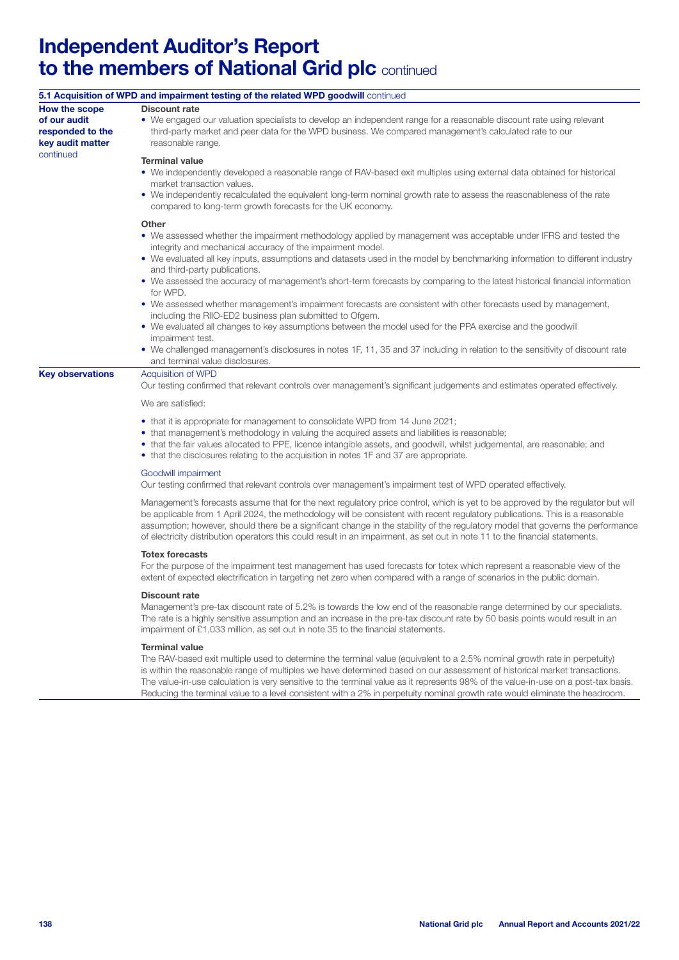## Independent Auditor's Report to the members of National Grid plc continued

|                                                                              | 5.1 Acquisition of WPD and impairment testing of the related WPD goodwill continued                                                                                                                                                                                                                                                                                                                                                                                                                                                                                                                                                                                                                                                                                                                                |  |  |  |  |
|------------------------------------------------------------------------------|--------------------------------------------------------------------------------------------------------------------------------------------------------------------------------------------------------------------------------------------------------------------------------------------------------------------------------------------------------------------------------------------------------------------------------------------------------------------------------------------------------------------------------------------------------------------------------------------------------------------------------------------------------------------------------------------------------------------------------------------------------------------------------------------------------------------|--|--|--|--|
| <b>How the scope</b><br>of our audit<br>responded to the<br>key audit matter | <b>Discount rate</b><br>• We engaged our valuation specialists to develop an independent range for a reasonable discount rate using relevant<br>third-party market and peer data for the WPD business. We compared management's calculated rate to our<br>reasonable range.                                                                                                                                                                                                                                                                                                                                                                                                                                                                                                                                        |  |  |  |  |
| continued                                                                    | <b>Terminal value</b><br>• We independently developed a reasonable range of RAV-based exit multiples using external data obtained for historical<br>market transaction values.<br>• We independently recalculated the equivalent long-term nominal growth rate to assess the reasonableness of the rate<br>compared to long-term growth forecasts for the UK economy.                                                                                                                                                                                                                                                                                                                                                                                                                                              |  |  |  |  |
|                                                                              | Other<br>• We assessed whether the impairment methodology applied by management was acceptable under IFRS and tested the<br>integrity and mechanical accuracy of the impairment model.<br>• We evaluated all key inputs, assumptions and datasets used in the model by benchmarking information to different industry<br>and third-party publications.<br>• We assessed the accuracy of management's short-term forecasts by comparing to the latest historical financial information<br>for WPD.<br>• We assessed whether management's impairment forecasts are consistent with other forecasts used by management,<br>including the RIIO-ED2 business plan submitted to Ofgem.<br>• We evaluated all changes to key assumptions between the model used for the PPA exercise and the goodwill<br>impairment test. |  |  |  |  |
| <b>Key observations</b>                                                      | • We challenged management's disclosures in notes 1F, 11, 35 and 37 including in relation to the sensitivity of discount rate<br>and terminal value disclosures.<br>Acquisition of WPD                                                                                                                                                                                                                                                                                                                                                                                                                                                                                                                                                                                                                             |  |  |  |  |
|                                                                              | Our testing confirmed that relevant controls over management's significant judgements and estimates operated effectively.<br>We are satisfied:                                                                                                                                                                                                                                                                                                                                                                                                                                                                                                                                                                                                                                                                     |  |  |  |  |
|                                                                              | • that it is appropriate for management to consolidate WPD from 14 June 2021;<br>• that management's methodology in valuing the acquired assets and liabilities is reasonable;<br>• that the fair values allocated to PPE, licence intangible assets, and goodwill, whilst judgemental, are reasonable; and<br>• that the disclosures relating to the acquisition in notes 1F and 37 are appropriate.                                                                                                                                                                                                                                                                                                                                                                                                              |  |  |  |  |

#### Goodwill impairment

Our testing confirmed that relevant controls over management's impairment test of WPD operated effectively.

Management's forecasts assume that for the next regulatory price control, which is yet to be approved by the regulator but will be applicable from 1 April 2024, the methodology will be consistent with recent regulatory publications. This is a reasonable assumption; however, should there be a significant change in the stability of the regulatory model that governs the performance of electricity distribution operators this could result in an impairment, as set out in note 11 to the financial statements.

#### Totex forecasts

For the purpose of the impairment test management has used forecasts for totex which represent a reasonable view of the extent of expected electrification in targeting net zero when compared with a range of scenarios in the public domain.

#### Discount rate

Management's pre-tax discount rate of 5.2% is towards the low end of the reasonable range determined by our specialists. The rate is a highly sensitive assumption and an increase in the pre-tax discount rate by 50 basis points would result in an impairment of £1,033 million, as set out in note 35 to the financial statements.

#### Terminal value

The RAV-based exit multiple used to determine the terminal value (equivalent to a 2.5% nominal growth rate in perpetuity) is within the reasonable range of multiples we have determined based on our assessment of historical market transactions. The value-in-use calculation is very sensitive to the terminal value as it represents 98% of the value-in-use on a post-tax basis. Reducing the terminal value to a level consistent with a 2% in perpetuity nominal growth rate would eliminate the headroom.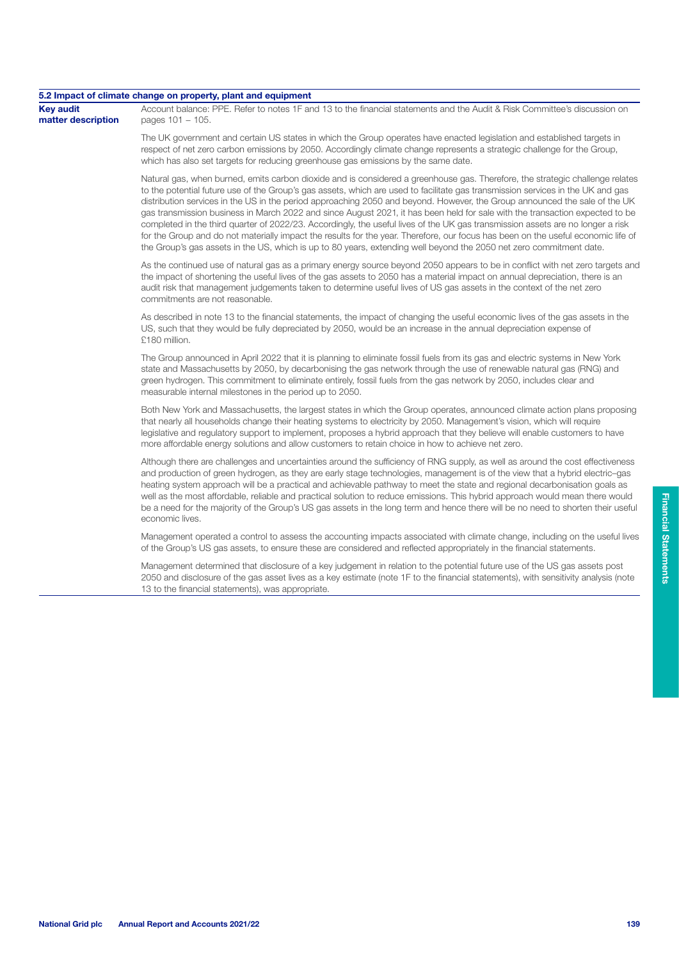#### 5.2 Impact of climate change on property, plant and equipment

Key audit matter description

Account balance: PPE. Refer to notes 1F and 13 to the financial statements and the Audit & Risk Committee's discussion on pages 101 − 105.

The UK government and certain US states in which the Group operates have enacted legislation and established targets in respect of net zero carbon emissions by 2050. Accordingly climate change represents a strategic challenge for the Group, which has also set targets for reducing greenhouse gas emissions by the same date.

Natural gas, when burned, emits carbon dioxide and is considered a greenhouse gas. Therefore, the strategic challenge relates to the potential future use of the Group's gas assets, which are used to facilitate gas transmission services in the UK and gas distribution services in the US in the period approaching 2050 and beyond. However, the Group announced the sale of the UK gas transmission business in March 2022 and since August 2021, it has been held for sale with the transaction expected to be completed in the third quarter of 2022/23. Accordingly, the useful lives of the UK gas transmission assets are no longer a risk for the Group and do not materially impact the results for the year. Therefore, our focus has been on the useful economic life of the Group's gas assets in the US, which is up to 80 years, extending well beyond the 2050 net zero commitment date.

As the continued use of natural gas as a primary energy source beyond 2050 appears to be in conflict with net zero targets and the impact of shortening the useful lives of the gas assets to 2050 has a material impact on annual depreciation, there is an audit risk that management judgements taken to determine useful lives of US gas assets in the context of the net zero commitments are not reasonable.

As described in note 13 to the financial statements, the impact of changing the useful economic lives of the gas assets in the US, such that they would be fully depreciated by 2050, would be an increase in the annual depreciation expense of £180 million.

The Group announced in April 2022 that it is planning to eliminate fossil fuels from its gas and electric systems in New York state and Massachusetts by 2050, by decarbonising the gas network through the use of renewable natural gas (RNG) and green hydrogen. This commitment to eliminate entirely, fossil fuels from the gas network by 2050, includes clear and measurable internal milestones in the period up to 2050.

Both New York and Massachusetts, the largest states in which the Group operates, announced climate action plans proposing that nearly all households change their heating systems to electricity by 2050. Management's vision, which will require legislative and regulatory support to implement, proposes a hybrid approach that they believe will enable customers to have more affordable energy solutions and allow customers to retain choice in how to achieve net zero.

Although there are challenges and uncertainties around the sufficiency of RNG supply, as well as around the cost effectiveness and production of green hydrogen, as they are early stage technologies, management is of the view that a hybrid electric–gas heating system approach will be a practical and achievable pathway to meet the state and regional decarbonisation goals as well as the most affordable, reliable and practical solution to reduce emissions. This hybrid approach would mean there would be a need for the majority of the Group's US gas assets in the long term and hence there will be no need to shorten their useful economic lives.

Management operated a control to assess the accounting impacts associated with climate change, including on the useful lives of the Group's US gas assets, to ensure these are considered and reflected appropriately in the financial statements.

Management determined that disclosure of a key judgement in relation to the potential future use of the US gas assets post 2050 and disclosure of the gas asset lives as a key estimate (note 1F to the financial statements), with sensitivity analysis (note 13 to the financial statements), was appropriate.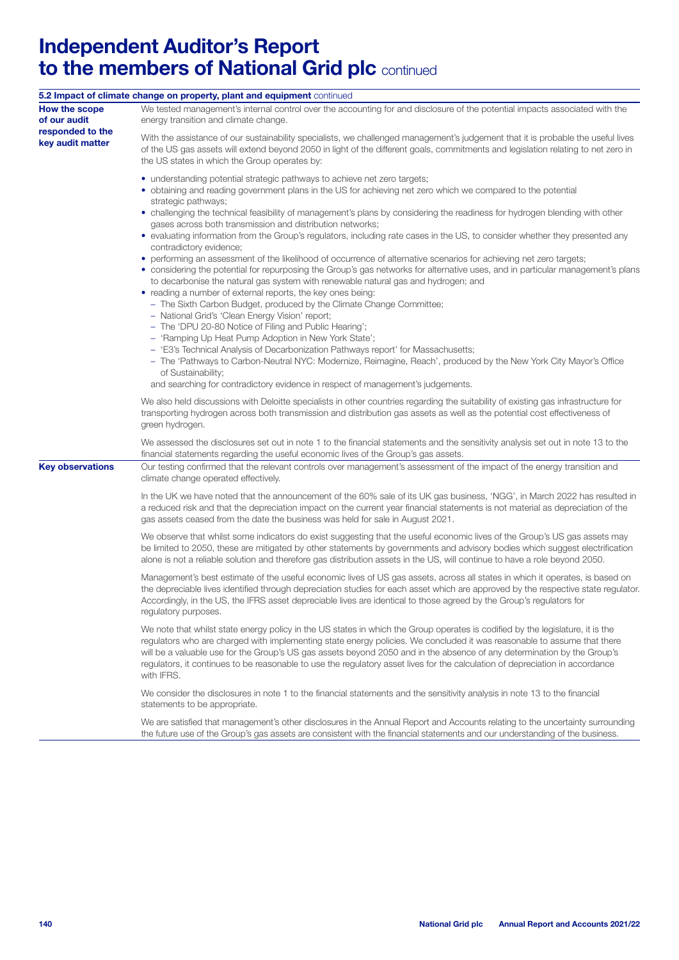## Independent Auditor's Report to the members of National Grid plc continued

|                                      | 5.2 Impact of climate change on property, plant and equipment continued                                                                                                                                                                                                                                                                                                                                                                                                                                                                                                                                                                                                                                                                                                                                                                                                                                                                                                                                                                                                                                                                                                                                                                                                                                                                                                                                                                                                                                                                                |  |  |  |  |
|--------------------------------------|--------------------------------------------------------------------------------------------------------------------------------------------------------------------------------------------------------------------------------------------------------------------------------------------------------------------------------------------------------------------------------------------------------------------------------------------------------------------------------------------------------------------------------------------------------------------------------------------------------------------------------------------------------------------------------------------------------------------------------------------------------------------------------------------------------------------------------------------------------------------------------------------------------------------------------------------------------------------------------------------------------------------------------------------------------------------------------------------------------------------------------------------------------------------------------------------------------------------------------------------------------------------------------------------------------------------------------------------------------------------------------------------------------------------------------------------------------------------------------------------------------------------------------------------------------|--|--|--|--|
| How the scope<br>of our audit        | We tested management's internal control over the accounting for and disclosure of the potential impacts associated with the<br>energy transition and climate change.                                                                                                                                                                                                                                                                                                                                                                                                                                                                                                                                                                                                                                                                                                                                                                                                                                                                                                                                                                                                                                                                                                                                                                                                                                                                                                                                                                                   |  |  |  |  |
| responded to the<br>key audit matter | With the assistance of our sustainability specialists, we challenged management's judgement that it is probable the useful lives<br>of the US gas assets will extend beyond 2050 in light of the different goals, commitments and legislation relating to net zero in<br>the US states in which the Group operates by:                                                                                                                                                                                                                                                                                                                                                                                                                                                                                                                                                                                                                                                                                                                                                                                                                                                                                                                                                                                                                                                                                                                                                                                                                                 |  |  |  |  |
|                                      | • understanding potential strategic pathways to achieve net zero targets;<br>• obtaining and reading government plans in the US for achieving net zero which we compared to the potential<br>strategic pathways;<br>• challenging the technical feasibility of management's plans by considering the readiness for hydrogen blending with other<br>gases across both transmission and distribution networks;<br>• evaluating information from the Group's regulators, including rate cases in the US, to consider whether they presented any<br>contradictory evidence;<br>• performing an assessment of the likelihood of occurrence of alternative scenarios for achieving net zero targets;<br>• considering the potential for repurposing the Group's gas networks for alternative uses, and in particular management's plans<br>to decarbonise the natural gas system with renewable natural gas and hydrogen; and<br>• reading a number of external reports, the key ones being:<br>- The Sixth Carbon Budget, produced by the Climate Change Committee;<br>- National Grid's 'Clean Energy Vision' report;<br>- The 'DPU 20-80 Notice of Filing and Public Hearing';<br>- 'Ramping Up Heat Pump Adoption in New York State';<br>- 'E3's Technical Analysis of Decarbonization Pathways report' for Massachusetts;<br>- The 'Pathways to Carbon-Neutral NYC: Modernize, Reimagine, Reach', produced by the New York City Mayor's Office<br>of Sustainability;<br>and searching for contradictory evidence in respect of management's judgements. |  |  |  |  |
|                                      | We also held discussions with Deloitte specialists in other countries regarding the suitability of existing gas infrastructure for<br>transporting hydrogen across both transmission and distribution gas assets as well as the potential cost effectiveness of<br>green hydrogen.                                                                                                                                                                                                                                                                                                                                                                                                                                                                                                                                                                                                                                                                                                                                                                                                                                                                                                                                                                                                                                                                                                                                                                                                                                                                     |  |  |  |  |
|                                      | We assessed the disclosures set out in note 1 to the financial statements and the sensitivity analysis set out in note 13 to the<br>financial statements regarding the useful economic lives of the Group's gas assets.                                                                                                                                                                                                                                                                                                                                                                                                                                                                                                                                                                                                                                                                                                                                                                                                                                                                                                                                                                                                                                                                                                                                                                                                                                                                                                                                |  |  |  |  |
| <b>Key observations</b>              | Our testing confirmed that the relevant controls over management's assessment of the impact of the energy transition and<br>climate change operated effectively.                                                                                                                                                                                                                                                                                                                                                                                                                                                                                                                                                                                                                                                                                                                                                                                                                                                                                                                                                                                                                                                                                                                                                                                                                                                                                                                                                                                       |  |  |  |  |
|                                      | In the UK we have noted that the announcement of the 60% sale of its UK gas business, 'NGG', in March 2022 has resulted in<br>a reduced risk and that the depreciation impact on the current year financial statements is not material as depreciation of the<br>gas assets ceased from the date the business was held for sale in August 2021.                                                                                                                                                                                                                                                                                                                                                                                                                                                                                                                                                                                                                                                                                                                                                                                                                                                                                                                                                                                                                                                                                                                                                                                                        |  |  |  |  |
|                                      | We observe that whilst some indicators do exist suggesting that the useful economic lives of the Group's US gas assets may<br>be limited to 2050, these are mitigated by other statements by governments and advisory bodies which suggest electrification<br>alone is not a reliable solution and therefore gas distribution assets in the US, will continue to have a role beyond 2050.                                                                                                                                                                                                                                                                                                                                                                                                                                                                                                                                                                                                                                                                                                                                                                                                                                                                                                                                                                                                                                                                                                                                                              |  |  |  |  |
|                                      | Management's best estimate of the useful economic lives of US gas assets, across all states in which it operates, is based on<br>the depreciable lives identified through depreciation studies for each asset which are approved by the respective state regulator.<br>Accordingly, in the US, the IFRS asset depreciable lives are identical to those agreed by the Group's regulators for<br>regulatory purposes.                                                                                                                                                                                                                                                                                                                                                                                                                                                                                                                                                                                                                                                                                                                                                                                                                                                                                                                                                                                                                                                                                                                                    |  |  |  |  |
|                                      | We note that whilst state energy policy in the US states in which the Group operates is codified by the legislature, it is the<br>regulators who are charged with implementing state energy policies. We concluded it was reasonable to assume that there<br>will be a valuable use for the Group's US gas assets beyond 2050 and in the absence of any determination by the Group's<br>regulators, it continues to be reasonable to use the regulatory asset lives for the calculation of depreciation in accordance<br>with IFRS.                                                                                                                                                                                                                                                                                                                                                                                                                                                                                                                                                                                                                                                                                                                                                                                                                                                                                                                                                                                                                    |  |  |  |  |
|                                      | We consider the disclosures in note 1 to the financial statements and the sensitivity analysis in note 13 to the financial<br>statements to be appropriate.                                                                                                                                                                                                                                                                                                                                                                                                                                                                                                                                                                                                                                                                                                                                                                                                                                                                                                                                                                                                                                                                                                                                                                                                                                                                                                                                                                                            |  |  |  |  |
|                                      | We are satisfied that management's other disclosures in the Annual Report and Accounts relating to the uncertainty surrounding<br>the future use of the Group's gas assets are consistent with the financial statements and our understanding of the business.                                                                                                                                                                                                                                                                                                                                                                                                                                                                                                                                                                                                                                                                                                                                                                                                                                                                                                                                                                                                                                                                                                                                                                                                                                                                                         |  |  |  |  |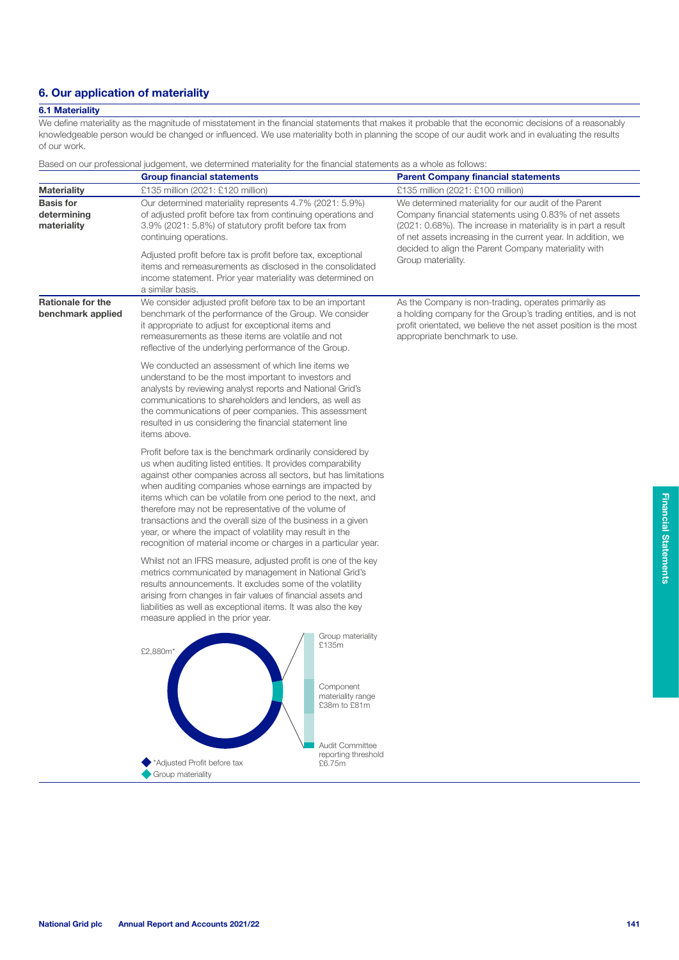## 6. Our application of materiality

## 6.1 Materiality

We define materiality as the magnitude of misstatement in the financial statements that makes it probable that the economic decisions of a reasonably knowledgeable person would be changed or influenced. We use materiality both in planning the scope of our audit work and in evaluating the results of our work.

Based on our professional judgement, we determined materiality for the financial statements as a whole as follows:

|                                                | <b>Group financial statements</b>                                                                                                                                                                                                                                                                                                                                                                                                                                                                                                                                               | <b>Parent Company financial statements</b>                                                                                                                                                                                                         |
|------------------------------------------------|---------------------------------------------------------------------------------------------------------------------------------------------------------------------------------------------------------------------------------------------------------------------------------------------------------------------------------------------------------------------------------------------------------------------------------------------------------------------------------------------------------------------------------------------------------------------------------|----------------------------------------------------------------------------------------------------------------------------------------------------------------------------------------------------------------------------------------------------|
| <b>Materiality</b>                             | £135 million (2021: £120 million)                                                                                                                                                                                                                                                                                                                                                                                                                                                                                                                                               | £135 million (2021: £100 million)                                                                                                                                                                                                                  |
| <b>Basis for</b><br>determining<br>materiality | Our determined materiality represents 4.7% (2021: 5.9%)<br>of adjusted profit before tax from continuing operations and<br>3.9% (2021: 5.8%) of statutory profit before tax from<br>continuing operations.                                                                                                                                                                                                                                                                                                                                                                      | We determined materiality for our audit of the Parent<br>Company financial statements using 0.83% of net assets<br>(2021: 0.68%). The increase in materiality is in part a result<br>of net assets increasing in the current year. In addition, we |
|                                                | Adjusted profit before tax is profit before tax, exceptional<br>items and remeasurements as disclosed in the consolidated<br>income statement. Prior year materiality was determined on<br>a similar basis.                                                                                                                                                                                                                                                                                                                                                                     | decided to align the Parent Company materiality with<br>Group materiality.                                                                                                                                                                         |
| <b>Rationale for the</b><br>benchmark applied  | We consider adjusted profit before tax to be an important<br>benchmark of the performance of the Group. We consider<br>it appropriate to adjust for exceptional items and<br>remeasurements as these items are volatile and not<br>reflective of the underlying performance of the Group.                                                                                                                                                                                                                                                                                       | As the Company is non-trading, operates primarily as<br>a holding company for the Group's trading entities, and is not<br>profit orientated, we believe the net asset position is the most<br>appropriate benchmark to use.                        |
|                                                | We conducted an assessment of which line items we<br>understand to be the most important to investors and<br>analysts by reviewing analyst reports and National Grid's<br>communications to shareholders and lenders, as well as<br>the communications of peer companies. This assessment<br>resulted in us considering the financial statement line<br>items above.                                                                                                                                                                                                            |                                                                                                                                                                                                                                                    |
|                                                | Profit before tax is the benchmark ordinarily considered by<br>us when auditing listed entities. It provides comparability<br>against other companies across all sectors, but has limitations<br>when auditing companies whose earnings are impacted by<br>items which can be volatile from one period to the next, and<br>therefore may not be representative of the volume of<br>transactions and the overall size of the business in a given<br>year, or where the impact of volatility may result in the<br>recognition of material income or charges in a particular year. |                                                                                                                                                                                                                                                    |
|                                                | Whilst not an IFRS measure, adjusted profit is one of the key<br>metrics communicated by management in National Grid's<br>results announcements. It excludes some of the volatility<br>arising from changes in fair values of financial assets and<br>liabilities as well as exceptional items. It was also the key<br>measure applied in the prior year.                                                                                                                                                                                                                       |                                                                                                                                                                                                                                                    |
|                                                | Group materiality<br>£135m<br>£2,880m*                                                                                                                                                                                                                                                                                                                                                                                                                                                                                                                                          |                                                                                                                                                                                                                                                    |
|                                                | Component<br>materiality range<br>£38m to £81m                                                                                                                                                                                                                                                                                                                                                                                                                                                                                                                                  |                                                                                                                                                                                                                                                    |
|                                                | Audit Committee<br>reporting threshold<br>*Adjusted Profit before tax<br>£6.75m<br>Group materiality                                                                                                                                                                                                                                                                                                                                                                                                                                                                            |                                                                                                                                                                                                                                                    |

Financial Statements

**Financial Statements**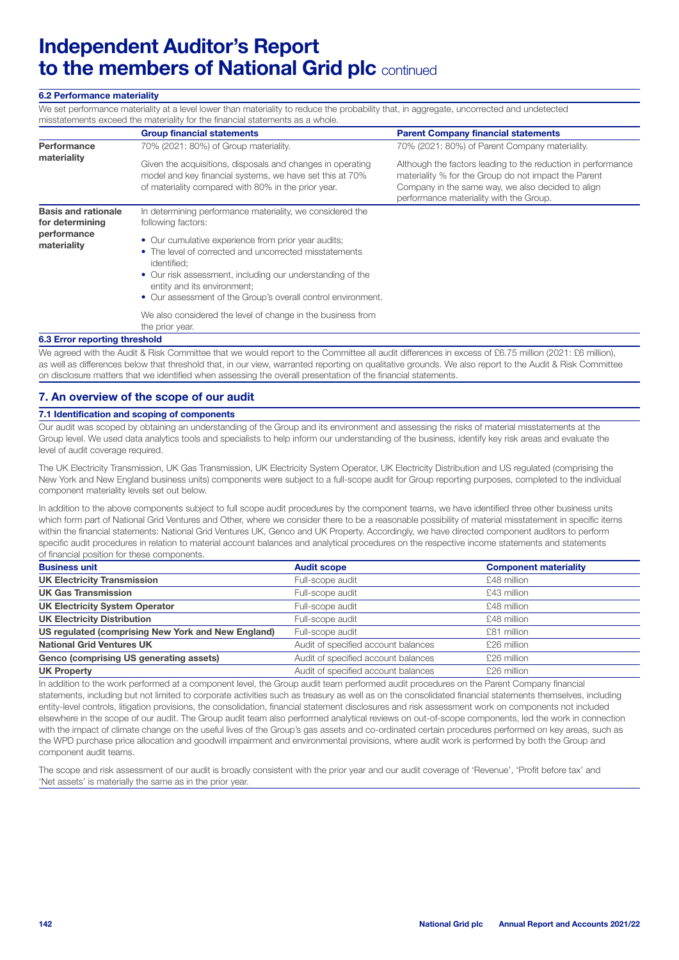## Independent Auditor's Report to the members of National Grid plc continued

#### 6.2 Performance materiality

We set performance materiality at a level lower than materiality to reduce the probability that, in aggregate, uncorrected and undetected misstatements exceed the materiality for the financial statements as a whole.

|                                               | <b>Group financial statements</b>                                                                                                                                                                                                                                                        | <b>Parent Company financial statements</b>                                                                                                                                                                           |
|-----------------------------------------------|------------------------------------------------------------------------------------------------------------------------------------------------------------------------------------------------------------------------------------------------------------------------------------------|----------------------------------------------------------------------------------------------------------------------------------------------------------------------------------------------------------------------|
| Performance                                   | 70% (2021: 80%) of Group materiality.                                                                                                                                                                                                                                                    | 70% (2021: 80%) of Parent Company materiality.                                                                                                                                                                       |
| materiality                                   | Given the acquisitions, disposals and changes in operating<br>model and key financial systems, we have set this at 70%<br>of materiality compared with 80% in the prior year.                                                                                                            | Although the factors leading to the reduction in performance<br>materiality % for the Group do not impact the Parent<br>Company in the same way, we also decided to align<br>performance materiality with the Group. |
| <b>Basis and rationale</b><br>for determining | In determining performance materiality, we considered the<br>following factors:                                                                                                                                                                                                          |                                                                                                                                                                                                                      |
| performance<br>materiality                    | • Our cumulative experience from prior year audits;<br>• The level of corrected and uncorrected misstatements<br>identified:<br>• Our risk assessment, including our understanding of the<br>entity and its environment;<br>• Our assessment of the Group's overall control environment. |                                                                                                                                                                                                                      |
| 6.3 Error reporting threshold                 | We also considered the level of change in the business from<br>the prior year.                                                                                                                                                                                                           |                                                                                                                                                                                                                      |

We agreed with the Audit & Risk Committee that we would report to the Committee all audit differences in excess of £6.75 million (2021: £6 million), as well as differences below that threshold that, in our view, warranted reporting on qualitative grounds. We also report to the Audit & Risk Committee on disclosure matters that we identified when assessing the overall presentation of the financial statements.

### 7. An overview of the scope of our audit

#### 7.1 Identification and scoping of components

Our audit was scoped by obtaining an understanding of the Group and its environment and assessing the risks of material misstatements at the Group level. We used data analytics tools and specialists to help inform our understanding of the business, identify key risk areas and evaluate the level of audit coverage required.

The UK Electricity Transmission, UK Gas Transmission, UK Electricity System Operator, UK Electricity Distribution and US regulated (comprising the New York and New England business units) components were subject to a full-scope audit for Group reporting purposes, completed to the individual component materiality levels set out below.

In addition to the above components subject to full scope audit procedures by the component teams, we have identified three other business units which form part of National Grid Ventures and Other, where we consider there to be a reasonable possibility of material misstatement in specific items within the financial statements: National Grid Ventures UK, Genco and UK Property. Accordingly, we have directed component auditors to perform specific audit procedures in relation to material account balances and analytical procedures on the respective income statements and statements of financial position for these components.

| <b>Business unit</b>                               | <b>Audit scope</b>                  | <b>Component materiality</b> |
|----------------------------------------------------|-------------------------------------|------------------------------|
| <b>UK Electricity Transmission</b>                 | Full-scope audit                    | £48 million                  |
| <b>UK Gas Transmission</b>                         | Full-scope audit                    | £43 million                  |
| <b>UK Electricity System Operator</b>              | Full-scope audit                    | £48 million                  |
| <b>UK Electricity Distribution</b>                 | Full-scope audit                    | £48 million                  |
| US regulated (comprising New York and New England) | Full-scope audit                    | £81 million                  |
| <b>National Grid Ventures UK</b>                   | Audit of specified account balances | £26 million                  |
| Genco (comprising US generating assets)            | Audit of specified account balances | £26 million                  |
| <b>UK Property</b>                                 | Audit of specified account balances | £26 million                  |

In addition to the work performed at a component level, the Group audit team performed audit procedures on the Parent Company financial statements, including but not limited to corporate activities such as treasury as well as on the consolidated financial statements themselves, including entity-level controls, litigation provisions, the consolidation, financial statement disclosures and risk assessment work on components not included elsewhere in the scope of our audit. The Group audit team also performed analytical reviews on out-of-scope components, led the work in connection with the impact of climate change on the useful lives of the Group's gas assets and co-ordinated certain procedures performed on key areas, such as the WPD purchase price allocation and goodwill impairment and environmental provisions, where audit work is performed by both the Group and component audit teams.

The scope and risk assessment of our audit is broadly consistent with the prior year and our audit coverage of 'Revenue', 'Profit before tax' and 'Net assets' is materially the same as in the prior year.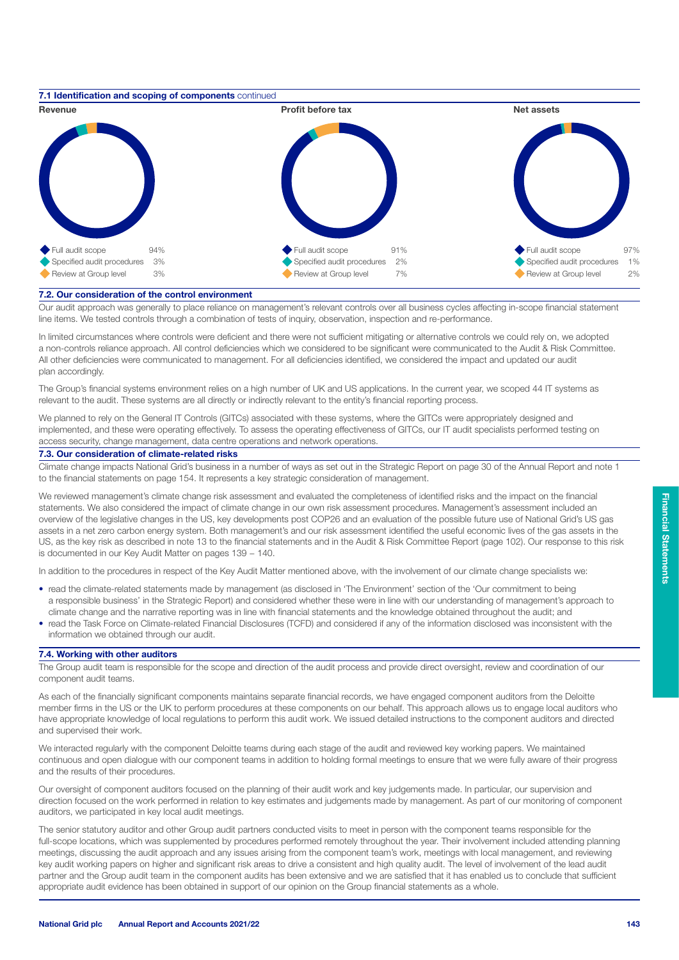

#### 7.2. Our consideration of the control environment

Our audit approach was generally to place reliance on management's relevant controls over all business cycles affecting in-scope financial statement line items. We tested controls through a combination of tests of inquiry, observation, inspection and re-performance.

In limited circumstances where controls were deficient and there were not sufficient mitigating or alternative controls we could rely on, we adopted a non-controls reliance approach. All control deficiencies which we considered to be significant were communicated to the Audit & Risk Committee. All other deficiencies were communicated to management. For all deficiencies identified, we considered the impact and updated our audit plan accordingly.

The Group's financial systems environment relies on a high number of UK and US applications. In the current year, we scoped 44 IT systems as relevant to the audit. These systems are all directly or indirectly relevant to the entity's financial reporting process.

We planned to rely on the General IT Controls (GITCs) associated with these systems, where the GITCs were appropriately designed and implemented, and these were operating effectively. To assess the operating effectiveness of GITCs, our IT audit specialists performed testing on access security, change management, data centre operations and network operations.

#### 7.3. Our consideration of climate-related risks

Climate change impacts National Grid's business in a number of ways as set out in the Strategic Report on page 30 of the Annual Report and note 1 to the financial statements on page 154. It represents a key strategic consideration of management.

We reviewed management's climate change risk assessment and evaluated the completeness of identified risks and the impact on the financial statements. We also considered the impact of climate change in our own risk assessment procedures. Management's assessment included an overview of the legislative changes in the US, key developments post COP26 and an evaluation of the possible future use of National Grid's US gas assets in a net zero carbon energy system. Both management's and our risk assessment identified the useful economic lives of the gas assets in the US, as the key risk as described in note 13 to the financial statements and in the Audit & Risk Committee Report (page 102). Our response to this risk is documented in our Key Audit Matter on pages 139 − 140.

In addition to the procedures in respect of the Key Audit Matter mentioned above, with the involvement of our climate change specialists we:

- read the climate-related statements made by management (as disclosed in 'The Environment' section of the 'Our commitment to being a responsible business' in the Strategic Report) and considered whether these were in line with our understanding of management's approach to climate change and the narrative reporting was in line with financial statements and the knowledge obtained throughout the audit; and
- read the Task Force on Climate-related Financial Disclosures (TCFD) and considered if any of the information disclosed was inconsistent with the information we obtained through our audit.

#### 7.4. Working with other auditors

The Group audit team is responsible for the scope and direction of the audit process and provide direct oversight, review and coordination of our component audit teams.

As each of the financially significant components maintains separate financial records, we have engaged component auditors from the Deloitte member firms in the US or the UK to perform procedures at these components on our behalf. This approach allows us to engage local auditors who have appropriate knowledge of local regulations to perform this audit work. We issued detailed instructions to the component auditors and directed and supervised their work.

We interacted regularly with the component Deloitte teams during each stage of the audit and reviewed key working papers. We maintained continuous and open dialogue with our component teams in addition to holding formal meetings to ensure that we were fully aware of their progress and the results of their procedures.

Our oversight of component auditors focused on the planning of their audit work and key judgements made. In particular, our supervision and direction focused on the work performed in relation to key estimates and judgements made by management. As part of our monitoring of component auditors, we participated in key local audit meetings.

The senior statutory auditor and other Group audit partners conducted visits to meet in person with the component teams responsible for the full-scope locations, which was supplemented by procedures performed remotely throughout the year. Their involvement included attending planning meetings, discussing the audit approach and any issues arising from the component team's work, meetings with local management, and reviewing key audit working papers on higher and significant risk areas to drive a consistent and high quality audit. The level of involvement of the lead audit partner and the Group audit team in the component audits has been extensive and we are satisfied that it has enabled us to conclude that sufficient appropriate audit evidence has been obtained in support of our opinion on the Group financial statements as a whole.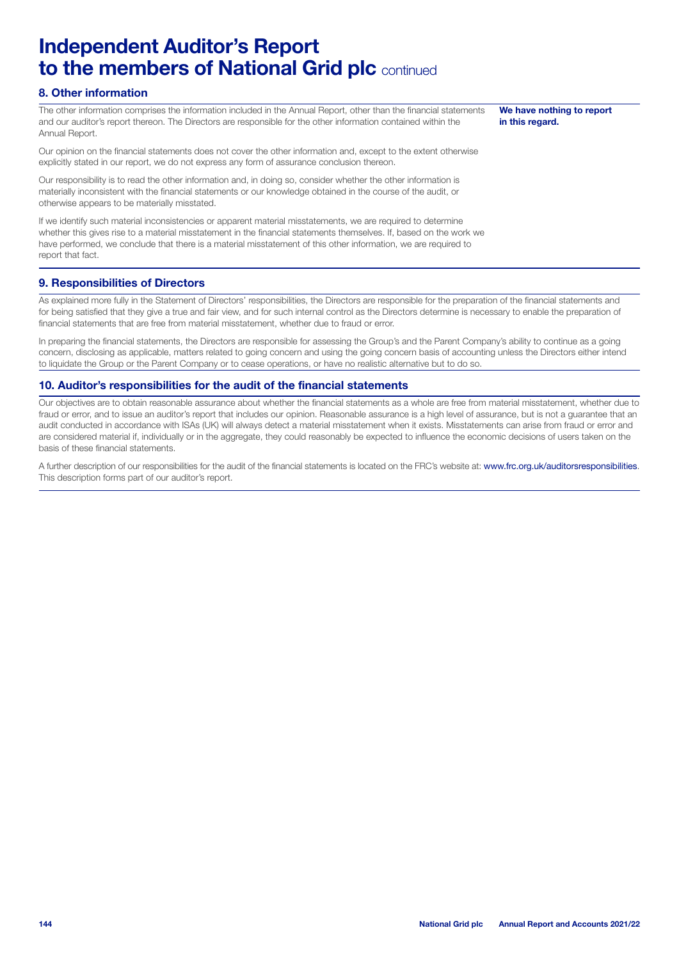## Independent Auditor's Report to the members of National Grid plc continued

## 8. Other information

The other information comprises the information included in the Annual Report, other than the financial statements and our auditor's report thereon. The Directors are responsible for the other information contained within the Annual Report.

Our opinion on the financial statements does not cover the other information and, except to the extent otherwise explicitly stated in our report, we do not express any form of assurance conclusion thereon.

Our responsibility is to read the other information and, in doing so, consider whether the other information is materially inconsistent with the financial statements or our knowledge obtained in the course of the audit, or otherwise appears to be materially misstated.

If we identify such material inconsistencies or apparent material misstatements, we are required to determine whether this gives rise to a material misstatement in the financial statements themselves. If, based on the work we have performed, we conclude that there is a material misstatement of this other information, we are required to report that fact.

## 9. Responsibilities of Directors

As explained more fully in the Statement of Directors' responsibilities, the Directors are responsible for the preparation of the financial statements and for being satisfied that they give a true and fair view, and for such internal control as the Directors determine is necessary to enable the preparation of financial statements that are free from material misstatement, whether due to fraud or error.

In preparing the financial statements, the Directors are responsible for assessing the Group's and the Parent Company's ability to continue as a going concern, disclosing as applicable, matters related to going concern and using the going concern basis of accounting unless the Directors either intend to liquidate the Group or the Parent Company or to cease operations, or have no realistic alternative but to do so.

### 10. Auditor's responsibilities for the audit of the financial statements

Our objectives are to obtain reasonable assurance about whether the financial statements as a whole are free from material misstatement, whether due to fraud or error, and to issue an auditor's report that includes our opinion. Reasonable assurance is a high level of assurance, but is not a guarantee that an audit conducted in accordance with ISAs (UK) will always detect a material misstatement when it exists. Misstatements can arise from fraud or error and are considered material if, individually or in the aggregate, they could reasonably be expected to influence the economic decisions of users taken on the basis of these financial statements.

A further description of our responsibilities for the audit of the financial statements is located on the FRC's website at: www.frc.org.uk/auditorsresponsibilities. This description forms part of our auditor's report.

We have nothing to report in this regard.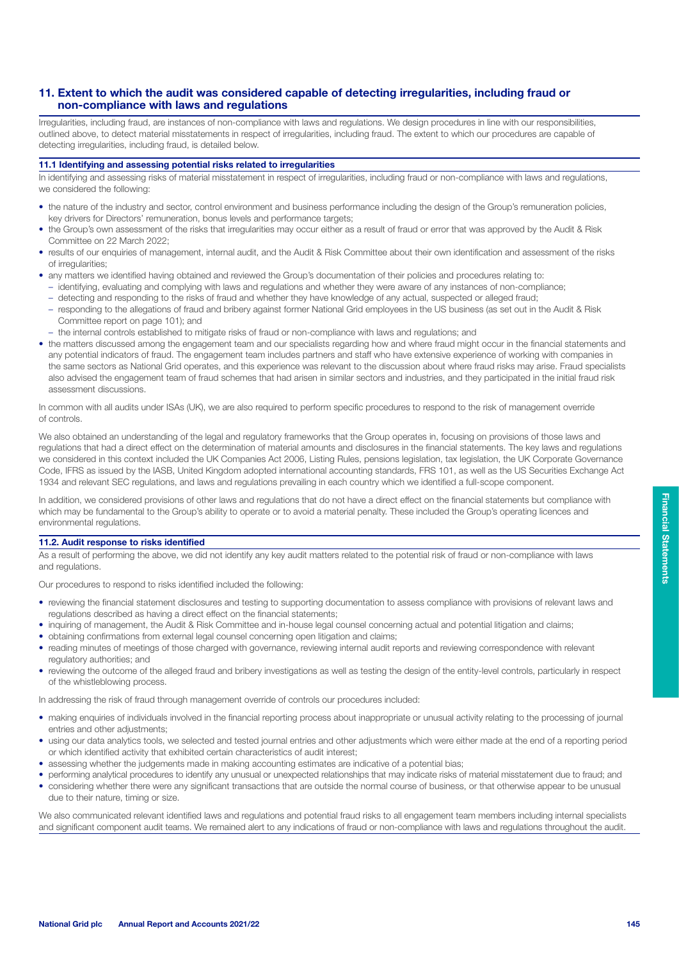### 11. Extent to which the audit was considered capable of detecting irregularities, including fraud or non-compliance with laws and regulations

Irregularities, including fraud, are instances of non-compliance with laws and regulations. We design procedures in line with our responsibilities, outlined above, to detect material misstatements in respect of irregularities, including fraud. The extent to which our procedures are capable of detecting irregularities, including fraud, is detailed below.

#### 11.1 Identifying and assessing potential risks related to irregularities

In identifying and assessing risks of material misstatement in respect of irregularities, including fraud or non-compliance with laws and regulations, we considered the following:

- the nature of the industry and sector, control environment and business performance including the design of the Group's remuneration policies, key drivers for Directors' remuneration, bonus levels and performance targets;
- the Group's own assessment of the risks that irregularities may occur either as a result of fraud or error that was approved by the Audit & Risk Committee on 22 March 2022;
- results of our enquiries of management, internal audit, and the Audit & Risk Committee about their own identification and assessment of the risks of irregularities;
- any matters we identified having obtained and reviewed the Group's documentation of their policies and procedures relating to:
- identifying, evaluating and complying with laws and regulations and whether they were aware of any instances of non-compliance;
- detecting and responding to the risks of fraud and whether they have knowledge of any actual, suspected or alleged fraud;
- responding to the allegations of fraud and bribery against former National Grid employees in the US business (as set out in the Audit & Risk Committee report on page 101); and
- the internal controls established to mitigate risks of fraud or non-compliance with laws and regulations; and
- the matters discussed among the engagement team and our specialists regarding how and where fraud might occur in the financial statements and any potential indicators of fraud. The engagement team includes partners and staff who have extensive experience of working with companies in the same sectors as National Grid operates, and this experience was relevant to the discussion about where fraud risks may arise. Fraud specialists also advised the engagement team of fraud schemes that had arisen in similar sectors and industries, and they participated in the initial fraud risk assessment discussions.

In common with all audits under ISAs (UK), we are also required to perform specific procedures to respond to the risk of management override of controls.

We also obtained an understanding of the legal and regulatory frameworks that the Group operates in, focusing on provisions of those laws and regulations that had a direct effect on the determination of material amounts and disclosures in the financial statements. The key laws and regulations we considered in this context included the UK Companies Act 2006, Listing Rules, pensions legislation, tax legislation, the UK Corporate Governance Code, IFRS as issued by the IASB, United Kingdom adopted international accounting standards, FRS 101, as well as the US Securities Exchange Act 1934 and relevant SEC regulations, and laws and regulations prevailing in each country which we identified a full-scope component.

In addition, we considered provisions of other laws and regulations that do not have a direct effect on the financial statements but compliance with which may be fundamental to the Group's ability to operate or to avoid a material penalty. These included the Group's operating licences and environmental regulations.

### 11.2. Audit response to risks identified

As a result of performing the above, we did not identify any key audit matters related to the potential risk of fraud or non-compliance with laws and regulations.

Our procedures to respond to risks identified included the following:

- reviewing the financial statement disclosures and testing to supporting documentation to assess compliance with provisions of relevant laws and regulations described as having a direct effect on the financial statements;
- inquiring of management, the Audit & Risk Committee and in-house legal counsel concerning actual and potential litigation and claims;
- obtaining confirmations from external legal counsel concerning open litigation and claims;
- reading minutes of meetings of those charged with governance, reviewing internal audit reports and reviewing correspondence with relevant regulatory authorities; and
- reviewing the outcome of the alleged fraud and bribery investigations as well as testing the design of the entity-level controls, particularly in respect of the whistleblowing process.

In addressing the risk of fraud through management override of controls our procedures included:

- making enquiries of individuals involved in the financial reporting process about inappropriate or unusual activity relating to the processing of journal entries and other adjustments;
- using our data analytics tools, we selected and tested journal entries and other adjustments which were either made at the end of a reporting period or which identified activity that exhibited certain characteristics of audit interest;
- assessing whether the judgements made in making accounting estimates are indicative of a potential bias;
- performing analytical procedures to identify any unusual or unexpected relationships that may indicate risks of material misstatement due to fraud; and • considering whether there were any significant transactions that are outside the normal course of business, or that otherwise appear to be unusual
- due to their nature, timing or size.

We also communicated relevant identified laws and regulations and potential fraud risks to all engagement team members including internal specialists and significant component audit teams. We remained alert to any indications of fraud or non-compliance with laws and regulations throughout the audit.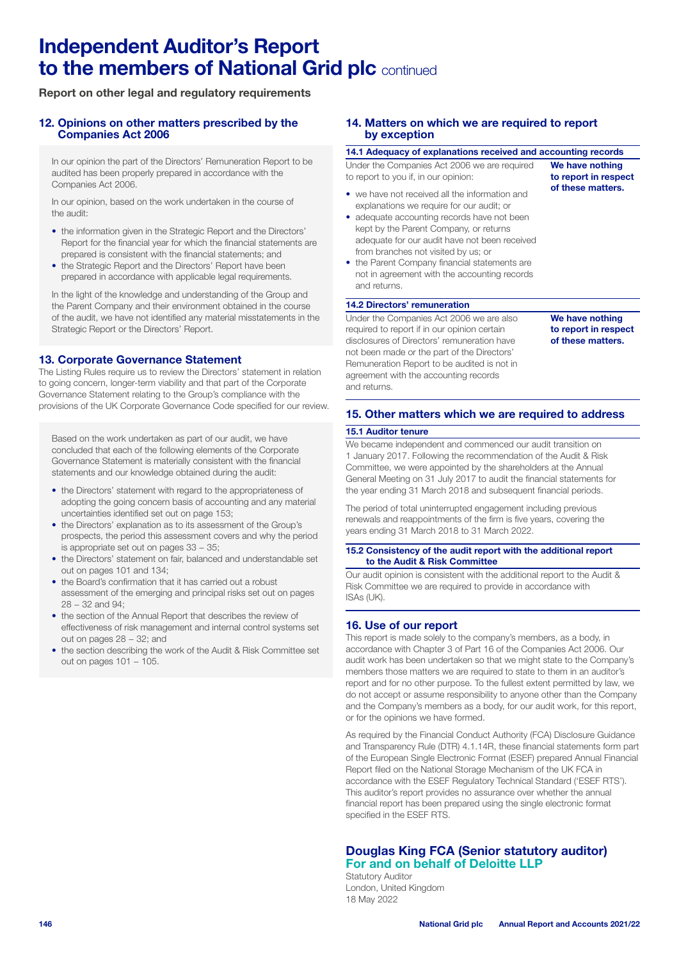## Independent Auditor's Report to the members of National Grid plc continued

## Report on other legal and regulatory requirements

### 12. Opinions on other matters prescribed by the Companies Act 2006

In our opinion the part of the Directors' Remuneration Report to be audited has been properly prepared in accordance with the Companies Act 2006.

In our opinion, based on the work undertaken in the course of the audit:

- the information given in the Strategic Report and the Directors' Report for the financial year for which the financial statements are prepared is consistent with the financial statements; and
- the Strategic Report and the Directors' Report have been prepared in accordance with applicable legal requirements.

In the light of the knowledge and understanding of the Group and the Parent Company and their environment obtained in the course of the audit, we have not identified any material misstatements in the Strategic Report or the Directors' Report.

## 13. Corporate Governance Statement

The Listing Rules require us to review the Directors' statement in relation to going concern, longer-term viability and that part of the Corporate Governance Statement relating to the Group's compliance with the provisions of the UK Corporate Governance Code specified for our review.

Based on the work undertaken as part of our audit, we have concluded that each of the following elements of the Corporate Governance Statement is materially consistent with the financial statements and our knowledge obtained during the audit:

- the Directors' statement with regard to the appropriateness of adopting the going concern basis of accounting and any material uncertainties identified set out on page 153;
- the Directors' explanation as to its assessment of the Group's prospects, the period this assessment covers and why the period is appropriate set out on pages 33 − 35;
- the Directors' statement on fair, balanced and understandable set out on pages 101 and 134;
- the Board's confirmation that it has carried out a robust assessment of the emerging and principal risks set out on pages 28 − 32 and 94;
- the section of the Annual Report that describes the review of effectiveness of risk management and internal control systems set out on pages 28 − 32; and
- the section describing the work of the Audit & Risk Committee set out on pages 101 − 105.

### 14. Matters on which we are required to report by exception

14.1 Adequacy of explanations received and accounting records Under the Companies Act 2006 we are required to report to you if, in our opinion:

- we have not received all the information and explanations we require for our audit; or
- adequate accounting records have not been kept by the Parent Company, or returns adequate for our audit have not been received from branches not visited by us; or
- the Parent Company financial statements are not in agreement with the accounting records and returns.

### 14.2 Directors' remuneration

Under the Companies Act 2006 we are also required to report if in our opinion certain disclosures of Directors' remuneration have not been made or the part of the Directors' Remuneration Report to be audited is not in agreement with the accounting records and returns.

We have nothing to report in respect of these matters.

We have nothing to report in respect of these matters.

## 15. Other matters which we are required to address

### 15.1 Auditor tenure

We became independent and commenced our audit transition on 1 January 2017. Following the recommendation of the Audit & Risk Committee, we were appointed by the shareholders at the Annual General Meeting on 31 July 2017 to audit the financial statements for the year ending 31 March 2018 and subsequent financial periods.

The period of total uninterrupted engagement including previous renewals and reappointments of the firm is five years, covering the years ending 31 March 2018 to 31 March 2022.

#### 15.2 Consistency of the audit report with the additional report to the Audit & Risk Committee

Our audit opinion is consistent with the additional report to the Audit & Risk Committee we are required to provide in accordance with ISAs (UK).

### 16. Use of our report

This report is made solely to the company's members, as a body, in accordance with Chapter 3 of Part 16 of the Companies Act 2006. Our audit work has been undertaken so that we might state to the Company's members those matters we are required to state to them in an auditor's report and for no other purpose. To the fullest extent permitted by law, we do not accept or assume responsibility to anyone other than the Company and the Company's members as a body, for our audit work, for this report, or for the opinions we have formed.

As required by the Financial Conduct Authority (FCA) Disclosure Guidance and Transparency Rule (DTR) 4.1.14R, these financial statements form part of the European Single Electronic Format (ESEF) prepared Annual Financial Report filed on the National Storage Mechanism of the UK FCA in accordance with the ESEF Regulatory Technical Standard ('ESEF RTS'). This auditor's report provides no assurance over whether the annual financial report has been prepared using the single electronic format specified in the ESEF RTS.

## Douglas King FCA (Senior statutory auditor) For and on behalf of Deloitte LLP

Statutory Auditor London, United Kingdom 18 May 2022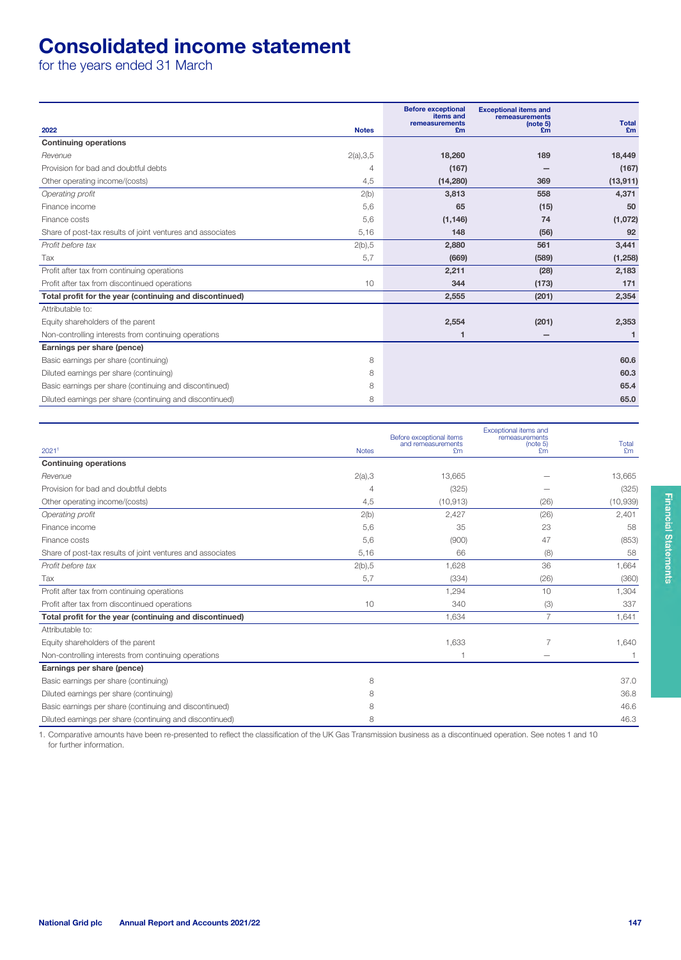## Consolidated income statement

for the years ended 31 March

|                                                            |              | <b>Before exceptional</b><br>items and | <b>Exceptional items and</b><br>remeasurements |                    |
|------------------------------------------------------------|--------------|----------------------------------------|------------------------------------------------|--------------------|
| 2022                                                       | <b>Notes</b> | remeasurements<br>£m                   | (note 5)<br>£m                                 | <b>Total</b><br>£m |
| <b>Continuing operations</b>                               |              |                                        |                                                |                    |
| 2(a), 3, 5<br>Revenue                                      |              | 18,260                                 | 189                                            | 18,449             |
| Provision for bad and doubtful debts                       | 4            | (167)                                  |                                                | (167)              |
| Other operating income/(costs)                             | 4,5          | (14, 280)                              | 369                                            | (13, 911)          |
| Operating profit                                           | 2(b)         | 3,813                                  | 558                                            | 4,371              |
| Finance income                                             | 5,6          | 65                                     | (15)                                           | 50                 |
| Finance costs                                              | 5,6          | (1, 146)                               | 74                                             | (1,072)            |
| Share of post-tax results of joint ventures and associates | 5,16         | 148                                    | (56)                                           | 92                 |
| Profit before tax                                          | 2(b), 5      | 2,880                                  | 561                                            | 3,441              |
| Tax                                                        | 5,7          | (669)                                  | (589)                                          | (1, 258)           |
| Profit after tax from continuing operations                |              | 2,211                                  | (28)                                           | 2,183              |
| Profit after tax from discontinued operations              | 10           | 344                                    | (173)                                          | 171                |
| Total profit for the year (continuing and discontinued)    |              | 2,555                                  | (201)                                          | 2,354              |
| Attributable to:                                           |              |                                        |                                                |                    |
| Equity shareholders of the parent                          |              | 2,554                                  | (201)                                          | 2,353              |
| Non-controlling interests from continuing operations       |              |                                        |                                                |                    |
| Earnings per share (pence)                                 |              |                                        |                                                |                    |
| Basic earnings per share (continuing)                      | 8            |                                        |                                                | 60.6               |
| Diluted earnings per share (continuing)                    | 8            |                                        |                                                | 60.3               |
| Basic earnings per share (continuing and discontinued)     | 8            |                                        |                                                | 65.4               |
| Diluted earnings per share (continuing and discontinued)   | 8            |                                        |                                                | 65.0               |

|                                                            |                | Before exceptional items | Exceptional items and<br>remeasurements |             |
|------------------------------------------------------------|----------------|--------------------------|-----------------------------------------|-------------|
| 2021 <sup>1</sup>                                          | <b>Notes</b>   | and remeasurements<br>£m | (note 5)<br>Em                          | Total<br>Em |
| <b>Continuing operations</b>                               |                |                          |                                         |             |
| Revenue                                                    | 2(a), 3        | 13,665                   |                                         | 13,665      |
| Provision for bad and doubtful debts                       | $\overline{4}$ | (325)                    |                                         | (325)       |
| Other operating income/(costs)                             | 4,5            | (10, 913)                | (26)                                    | (10, 939)   |
| Operating profit                                           | 2(b)           | 2,427                    | (26)                                    | 2,401       |
| Finance income                                             | 5,6            | 35                       | 23                                      | 58          |
| Finance costs                                              | 5,6            | (900)                    | 47                                      | (853)       |
| Share of post-tax results of joint ventures and associates | 5,16           | 66                       | (8)                                     | 58          |
| Profit before tax                                          | 2(b), 5        | 1,628                    | 36                                      | 1,664       |
| Tax                                                        | 5,7            | (334)                    | (26)                                    | (360)       |
| Profit after tax from continuing operations                |                | 1,294                    | 10                                      | 1,304       |
| Profit after tax from discontinued operations              | 10             | 340                      | (3)                                     | 337         |
| Total profit for the year (continuing and discontinued)    |                | 1,634                    | $\overline{7}$                          | 1,641       |
| Attributable to:                                           |                |                          |                                         |             |
| Equity shareholders of the parent                          |                | 1,633                    | 7                                       | 1,640       |
| Non-controlling interests from continuing operations       |                |                          |                                         |             |
| Earnings per share (pence)                                 |                |                          |                                         |             |
| Basic earnings per share (continuing)                      | 8              |                          |                                         | 37.0        |
| Diluted earnings per share (continuing)                    | 8              |                          |                                         | 36.8        |
| Basic earnings per share (continuing and discontinued)     | 8              |                          |                                         | 46.6        |
| Diluted earnings per share (continuing and discontinued)   | 8              |                          |                                         | 46.3        |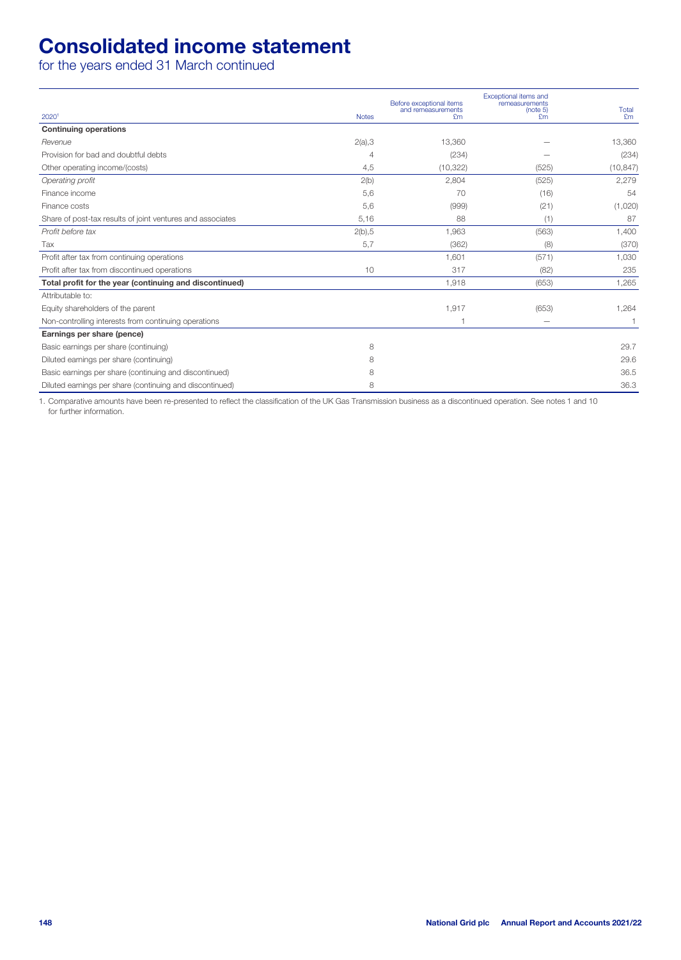## Consolidated income statement

for the years ended 31 March continued

|                                                            |              | Before exceptional items | Exceptional items and<br>remeasurements |             |
|------------------------------------------------------------|--------------|--------------------------|-----------------------------------------|-------------|
| 20201                                                      | <b>Notes</b> | and remeasurements<br>£m | (note 5)<br>£m                          | Total<br>£m |
| <b>Continuing operations</b>                               |              |                          |                                         |             |
| Revenue                                                    | 2(a), 3      | 13,360                   |                                         | 13,360      |
| Provision for bad and doubtful debts                       | 4            | (234)                    |                                         | (234)       |
| Other operating income/(costs)                             | 4,5          | (10, 322)                | (525)                                   | (10, 847)   |
| Operating profit                                           | 2(b)         | 2,804                    | (525)                                   | 2,279       |
| Finance income                                             | 5,6          | 70                       | (16)                                    | 54          |
| Finance costs                                              | 5,6          | (999)                    | (21)                                    | (1,020)     |
| Share of post-tax results of joint ventures and associates | 5,16         | 88                       | (1)                                     | 87          |
| Profit before tax                                          | 2(b), 5      | 1,963                    | (563)                                   | 1,400       |
| Tax                                                        | 5,7          | (362)                    | (8)                                     | (370)       |
| Profit after tax from continuing operations                |              | 1,601                    | (571)                                   | 1,030       |
| Profit after tax from discontinued operations              | 10           | 317                      | (82)                                    | 235         |
| Total profit for the year (continuing and discontinued)    |              | 1,918                    | (653)                                   | 1,265       |
| Attributable to:                                           |              |                          |                                         |             |
| Equity shareholders of the parent                          |              | 1,917                    | (653)                                   | 1,264       |
| Non-controlling interests from continuing operations       |              |                          |                                         |             |
| Earnings per share (pence)                                 |              |                          |                                         |             |
| Basic earnings per share (continuing)                      | 8            |                          |                                         | 29.7        |
| Diluted earnings per share (continuing)                    | 8            |                          |                                         | 29.6        |
| Basic earnings per share (continuing and discontinued)     | 8            |                          |                                         | 36.5        |
| Diluted earnings per share (continuing and discontinued)   | 8            |                          |                                         | 36.3        |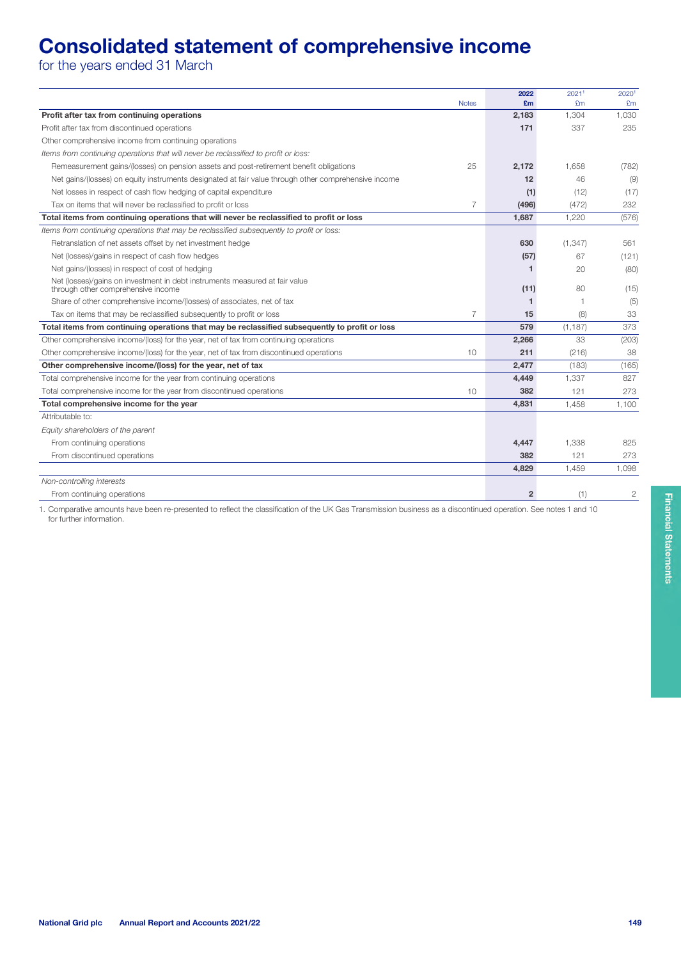## Consolidated statement of comprehensive income

for the years ended 31 March

|                                                                                                                   |                | 2022           | 20211    | 20201        |
|-------------------------------------------------------------------------------------------------------------------|----------------|----------------|----------|--------------|
|                                                                                                                   | <b>Notes</b>   | £m             | £m       | £m           |
| Profit after tax from continuing operations                                                                       |                | 2,183          | 1,304    | 1.030        |
| Profit after tax from discontinued operations                                                                     |                | 171            | 337      | 235          |
| Other comprehensive income from continuing operations                                                             |                |                |          |              |
| Items from continuing operations that will never be reclassified to profit or loss:                               |                |                |          |              |
| Remeasurement gains/(losses) on pension assets and post-retirement benefit obligations                            | 25             | 2,172          | 1.658    | (782)        |
| Net gains/(losses) on equity instruments designated at fair value through other comprehensive income              |                | 12             | 46       | (9)          |
| Net losses in respect of cash flow hedging of capital expenditure                                                 |                | (1)            | (12)     | (17)         |
| Tax on items that will never be reclassified to profit or loss                                                    | $\overline{7}$ | (496)          | (472)    | 232          |
| Total items from continuing operations that will never be reclassified to profit or loss                          |                | 1,687          | 1.220    | (576)        |
| Items from continuing operations that may be reclassified subsequently to profit or loss:                         |                |                |          |              |
| Retranslation of net assets offset by net investment hedge                                                        |                | 630            | (1, 347) | 561          |
| Net (losses)/gains in respect of cash flow hedges                                                                 |                | (57)           | 67       | (121)        |
| Net gains/(losses) in respect of cost of hedging                                                                  |                | 1              | 20       | (80)         |
| Net (losses)/gains on investment in debt instruments measured at fair value<br>through other comprehensive income |                | (11)           | 80       | (15)         |
| Share of other comprehensive income/(losses) of associates, net of tax                                            |                | 1              |          | (5)          |
| Tax on items that may be reclassified subsequently to profit or loss                                              | $\overline{7}$ | 15             | (8)      | 33           |
| Total items from continuing operations that may be reclassified subsequently to profit or loss                    |                | 579            | (1, 187) | 373          |
| Other comprehensive income/(loss) for the year, net of tax from continuing operations                             |                | 2,266          | 33       | (203)        |
| Other comprehensive income/(loss) for the year, net of tax from discontinued operations                           | 10             | 211            | (216)    | 38           |
| Other comprehensive income/(loss) for the year, net of tax                                                        |                | 2,477          | (183)    | (165)        |
| Total comprehensive income for the year from continuing operations                                                |                | 4,449          | 1.337    | 827          |
| Total comprehensive income for the year from discontinued operations                                              | 10             | 382            | 121      | 273          |
| Total comprehensive income for the year                                                                           |                | 4,831          | 1,458    | 1,100        |
| Attributable to:                                                                                                  |                |                |          |              |
| Equity shareholders of the parent                                                                                 |                |                |          |              |
| From continuing operations                                                                                        |                | 4,447          | 1,338    | 825          |
| From discontinued operations                                                                                      |                | 382            | 121      | 273          |
|                                                                                                                   |                | 4,829          | 1,459    | 1.098        |
| Non-controlling interests                                                                                         |                |                |          |              |
| From continuing operations                                                                                        |                | $\overline{2}$ | (1)      | $\mathbf{2}$ |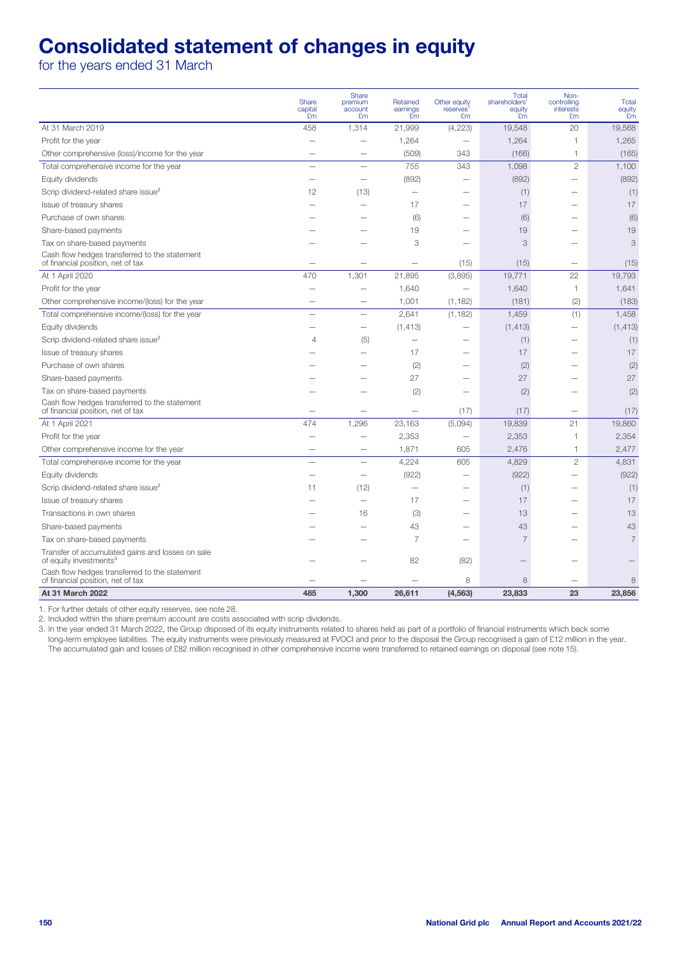## Consolidated statement of changes in equity

for the years ended 31 March

|                                                                                        | Share<br>capital<br>£m   | Share<br>premium<br>account<br>£m | Retained<br>earnings<br>£m | Other equity<br>reserves <sup>1</sup><br>£m | Total<br>shareholders'<br>equity<br>£m | Non-<br>controlling<br>interests<br>£m | Total<br>equity<br>£m |
|----------------------------------------------------------------------------------------|--------------------------|-----------------------------------|----------------------------|---------------------------------------------|----------------------------------------|----------------------------------------|-----------------------|
| At 31 March 2019                                                                       | 458                      | 1,314                             | 21,999                     | (4,223)                                     | 19,548                                 | 20                                     | 19,568                |
| Profit for the year                                                                    |                          | -                                 | 1,264                      | $\overline{\phantom{m}}$                    | 1,264                                  | 1                                      | 1,265                 |
| Other comprehensive (loss)/income for the year                                         |                          |                                   | (509)                      | 343                                         | (166)                                  | $\overline{1}$                         | (165)                 |
| Total comprehensive income for the year                                                | -                        | -                                 | 755                        | 343                                         | 1,098                                  | $\overline{2}$                         | 1,100                 |
| Equity dividends                                                                       |                          |                                   | (892)                      |                                             | (892)                                  |                                        | (892)                 |
| Scrip dividend-related share issue <sup>2</sup>                                        | 12                       | (13)                              |                            |                                             | (1)                                    |                                        | (1)                   |
| Issue of treasury shares                                                               |                          |                                   | 17                         |                                             | 17                                     |                                        | 17                    |
| Purchase of own shares                                                                 |                          |                                   | (6)                        |                                             | (6)                                    |                                        | (6)                   |
| Share-based payments                                                                   |                          |                                   | 19                         |                                             | 19                                     |                                        | 19                    |
| Tax on share-based payments                                                            |                          |                                   | 3                          |                                             | 3                                      |                                        | 3                     |
| Cash flow hedges transferred to the statement<br>of financial position, net of tax     |                          |                                   |                            | (15)                                        | (15)                                   |                                        | (15)                  |
| At 1 April 2020                                                                        | 470                      | 1,301                             | 21,895                     | (3,895)                                     | 19,771                                 | 22                                     | 19,793                |
| Profit for the year                                                                    |                          |                                   | 1,640                      |                                             | 1,640                                  | $\overline{1}$                         | 1,641                 |
| Other comprehensive income/(loss) for the year                                         |                          |                                   | 1,001                      | (1, 182)                                    | (181)                                  | (2)                                    | (183)                 |
| Total comprehensive income/(loss) for the year                                         |                          |                                   | 2,641                      | (1, 182)                                    | 1,459                                  | (1)                                    | 1,458                 |
| Equity dividends                                                                       |                          |                                   | (1, 413)                   | -                                           | (1, 413)                               |                                        | (1, 413)              |
| Scrip dividend-related share issue <sup>2</sup>                                        | 4                        | (5)                               |                            |                                             | (1)                                    |                                        | (1)                   |
| Issue of treasury shares                                                               |                          |                                   | 17                         |                                             | 17                                     |                                        | 17                    |
| Purchase of own shares                                                                 |                          |                                   | (2)                        |                                             | (2)                                    |                                        | (2)                   |
| Share-based payments                                                                   |                          |                                   | 27                         |                                             | 27                                     |                                        | 27                    |
| Tax on share-based payments                                                            |                          |                                   | (2)                        |                                             | (2)                                    |                                        | (2)                   |
| Cash flow hedges transferred to the statement<br>of financial position, net of tax     |                          |                                   |                            | (17)                                        | (17)                                   |                                        | (17)                  |
| At 1 April 2021                                                                        | 474                      | 1.296                             | 23,163                     | (5,094)                                     | 19,839                                 | 21                                     | 19.860                |
| Profit for the year                                                                    |                          |                                   | 2,353                      | $\overline{\phantom{m}}$                    | 2,353                                  |                                        | 2,354                 |
| Other comprehensive income for the year                                                | $\overline{\phantom{0}}$ |                                   | 1,871                      | 605                                         | 2,476                                  | 1                                      | 2,477                 |
| Total comprehensive income for the year                                                |                          | $\overline{\phantom{0}}$          | 4,224                      | 605                                         | 4,829                                  | $\overline{c}$                         | 4,831                 |
| Equity dividends                                                                       |                          |                                   | (922)                      |                                             | (922)                                  |                                        | (922)                 |
| Scrip dividend-related share issue <sup>2</sup>                                        | 11                       | (12)                              |                            |                                             | (1)                                    |                                        | (1)                   |
| Issue of treasury shares                                                               |                          |                                   | 17                         |                                             | 17                                     |                                        | 17                    |
| Transactions in own shares                                                             |                          | 16                                | (3)                        |                                             | 13                                     |                                        | 13                    |
| Share-based payments                                                                   |                          |                                   | 43                         |                                             | 43                                     |                                        | 43                    |
| Tax on share-based payments                                                            |                          |                                   | $\overline{7}$             |                                             | $\overline{7}$                         |                                        | $\overline{7}$        |
| Transfer of accumulated gains and losses on sale<br>of equity investments <sup>3</sup> |                          |                                   | 82                         | (82)                                        |                                        |                                        |                       |
| Cash flow hedges transferred to the statement<br>of financial position, net of tax     |                          |                                   |                            | 8                                           | 8                                      |                                        | 8                     |
| At 31 March 2022                                                                       | 485                      | 1,300                             | 26,611                     | (4, 563)                                    | 23,833                                 | 23                                     | 23,856                |

1. For further details of other equity reserves, see note 28.

2. Included within the share premium account are costs associated with scrip dividends.

3. In the year ended 31 March 2022, the Group disposed of its equity instruments related to shares held as part of a portfolio of financial instruments which back some long-term employee liabilities. The equity instruments were previously measured at FVOCI and prior to the disposal the Group recognised a gain of £12 million in the year. The accumulated gain and losses of £82 million recognised in other comprehensive income were transferred to retained earnings on disposal (see note 15).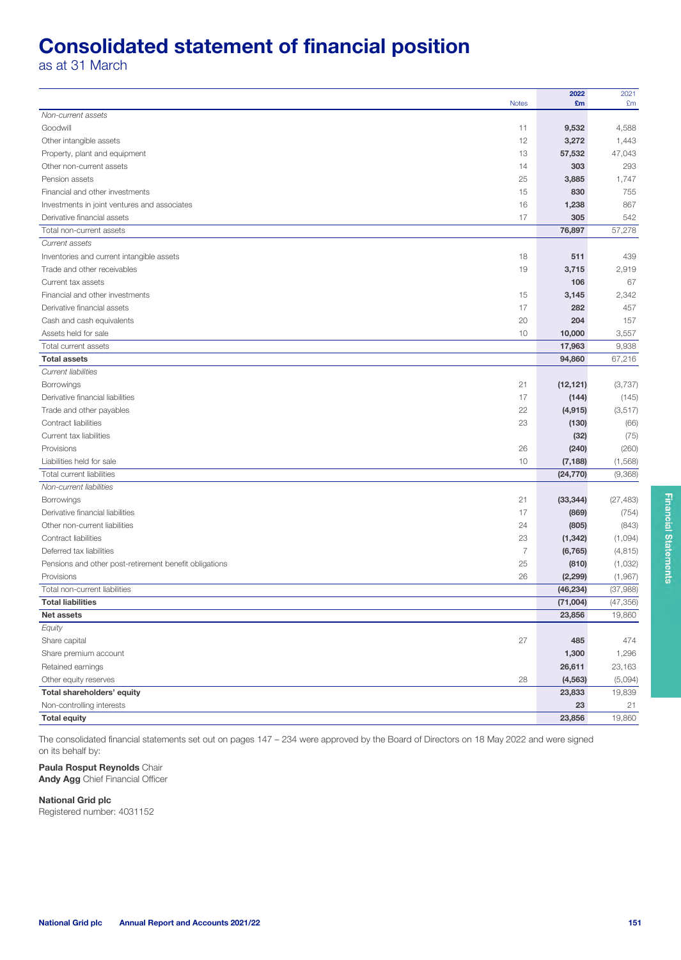## Consolidated statement of financial position

as at 31 March

|                                                        |                | 2022      | 2021      |
|--------------------------------------------------------|----------------|-----------|-----------|
|                                                        | <b>Notes</b>   | £m        | £m        |
| Non-current assets<br>Goodwill                         |                |           |           |
|                                                        | 11             | 9,532     | 4,588     |
| Other intangible assets                                | 12             | 3,272     | 1,443     |
| Property, plant and equipment                          | 13             | 57,532    | 47,043    |
| Other non-current assets                               | 14             | 303       | 293       |
| Pension assets                                         | 25             | 3,885     | 1,747     |
| Financial and other investments                        | 15             | 830       | 755       |
| Investments in joint ventures and associates           | 16             | 1,238     | 867       |
| Derivative financial assets                            | 17             | 305       | 542       |
| Total non-current assets                               |                | 76,897    | 57,278    |
| Current assets                                         |                |           |           |
| Inventories and current intangible assets              | 18             | 511       | 439       |
| Trade and other receivables                            | 19             | 3,715     | 2,919     |
| Current tax assets                                     |                | 106       | 67        |
| Financial and other investments                        | 15             | 3,145     | 2,342     |
| Derivative financial assets                            | 17             | 282       | 457       |
| Cash and cash equivalents                              | 20             | 204       | 157       |
| Assets held for sale                                   | 10             | 10,000    | 3,557     |
| Total current assets                                   |                | 17,963    | 9,938     |
| <b>Total assets</b>                                    |                | 94,860    | 67,216    |
| Current liabilities                                    |                |           |           |
| Borrowings                                             | 21             | (12, 121) | (3,737)   |
| Derivative financial liabilities                       | 17             | (144)     | (145)     |
| Trade and other payables                               | 22             | (4, 915)  | (3, 517)  |
| Contract liabilities                                   | 23             | (130)     | (66)      |
| Current tax liabilities                                |                | (32)      | (75)      |
| Provisions                                             | 26             | (240)     | (260)     |
| Liabilities held for sale                              | 10             | (7, 188)  | (1,568)   |
| Total current liabilities                              |                | (24, 770) | (9,368)   |
| Non-current liabilities                                |                |           |           |
| Borrowings                                             | 21             | (33, 344) | (27, 483) |
| Derivative financial liabilities                       | 17             | (869)     | (754)     |
| Other non-current liabilities                          | 24             | (805)     | (843)     |
| Contract liabilities                                   | 23             |           | (1,094)   |
|                                                        | $\overline{7}$ | (1, 342)  |           |
| Deferred tax liabilities                               |                | (6, 765)  | (4, 815)  |
| Pensions and other post-retirement benefit obligations | 25             | (810)     | (1,032)   |
| Provisions                                             | 26             | (2, 299)  | (1,967)   |
| Total non-current liabilities                          |                | (46, 234) | (37,988)  |
| <b>Total liabilities</b>                               |                | (71,004)  | (47, 356) |
| Net assets                                             |                | 23,856    | 19,860    |
| Equity                                                 |                |           |           |
| Share capital                                          | 27             | 485       | 474       |
| Share premium account                                  |                | 1,300     | 1,296     |
| Retained earnings                                      |                | 26,611    | 23,163    |
| Other equity reserves                                  | 28             | (4, 563)  | (5,094)   |
| Total shareholders' equity                             |                | 23,833    | 19,839    |
| Non-controlling interests                              |                | 23        | 21        |
| <b>Total equity</b>                                    |                | 23,856    | 19,860    |

The consolidated financial statements set out on pages 147 – 234 were approved by the Board of Directors on 18 May 2022 and were signed on its behalf by:

Paula Rosput Reynolds Chair Andy Agg Chief Financial Officer

National Grid plc

Registered number: 4031152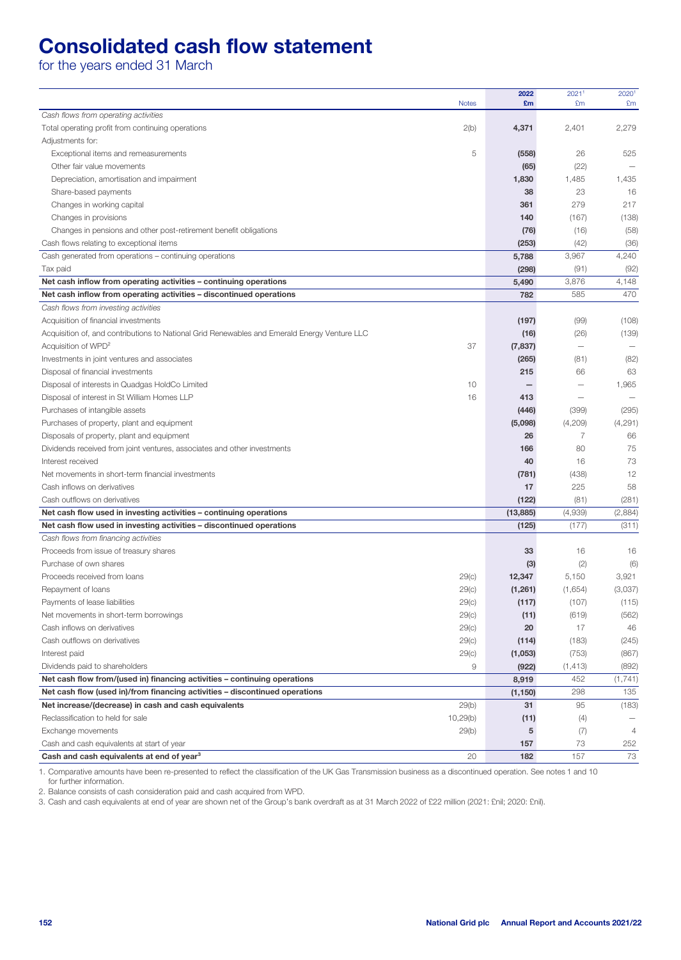## Consolidated cash flow statement

for the years ended 31 March

|                                                                                              |              | 2022      | 20211                    | 20201    |
|----------------------------------------------------------------------------------------------|--------------|-----------|--------------------------|----------|
|                                                                                              | <b>Notes</b> | £m        | £m                       | £m       |
| Cash flows from operating activities                                                         |              |           |                          |          |
| Total operating profit from continuing operations                                            | 2(b)         | 4,371     | 2,401                    | 2,279    |
| Adjustments for:                                                                             |              |           |                          |          |
| Exceptional items and remeasurements                                                         | 5            | (558)     | 26                       | 525      |
| Other fair value movements                                                                   |              | (65)      | (22)                     |          |
| Depreciation, amortisation and impairment                                                    |              | 1,830     | 1,485                    | 1,435    |
| Share-based payments                                                                         |              | 38        | 23                       | 16       |
| Changes in working capital                                                                   |              | 361       | 279                      | 217      |
| Changes in provisions                                                                        |              | 140       | (167)                    | (138)    |
| Changes in pensions and other post-retirement benefit obligations                            |              | (76)      | (16)                     | (58)     |
| Cash flows relating to exceptional items                                                     |              | (253)     | (42)                     | (36)     |
| Cash generated from operations - continuing operations                                       |              | 5,788     | 3,967                    | 4,240    |
| Tax paid                                                                                     |              | (298)     | (91)                     | (92)     |
| Net cash inflow from operating activities - continuing operations                            |              | 5,490     | 3,876                    | 4,148    |
| Net cash inflow from operating activities - discontinued operations                          |              | 782       | 585                      | 470      |
| Cash flows from investing activities                                                         |              |           |                          |          |
| Acquisition of financial investments                                                         |              | (197)     | (99)                     | (108)    |
| Acquisition of, and contributions to National Grid Renewables and Emerald Energy Venture LLC |              | (16)      | (26)                     | (139)    |
| Acquisition of WPD <sup>2</sup>                                                              | 37           | (7, 837)  | $\overline{\phantom{0}}$ |          |
| Investments in joint ventures and associates                                                 |              | (265)     | (81)                     | (82)     |
| Disposal of financial investments                                                            |              | 215       | 66                       | 63       |
| Disposal of interests in Quadgas HoldCo Limited                                              | 10           |           |                          | 1,965    |
| Disposal of interest in St William Homes LLP                                                 | 16           | 413       |                          |          |
| Purchases of intangible assets                                                               |              | (446)     | (399)                    | (295)    |
| Purchases of property, plant and equipment                                                   |              | (5,098)   | (4,209)                  | (4, 291) |
| Disposals of property, plant and equipment                                                   |              | 26        | 7                        | 66       |
| Dividends received from joint ventures, associates and other investments                     |              | 166       | 80                       | 75       |
| Interest received                                                                            |              | 40        | 16                       | 73       |
| Net movements in short-term financial investments                                            |              | (781)     | (438)                    | 12       |
| Cash inflows on derivatives                                                                  |              | 17        | 225                      | 58       |
| Cash outflows on derivatives                                                                 |              | (122)     | (81)                     | (281)    |
| Net cash flow used in investing activities - continuing operations                           |              | (13, 885) | (4,939)                  | (2,884)  |
| Net cash flow used in investing activities - discontinued operations                         |              | (125)     | (177)                    | (311)    |
| Cash flows from financing activities                                                         |              |           |                          |          |
| Proceeds from issue of treasury shares                                                       |              | 33        | 16                       | 16       |
| Purchase of own shares                                                                       |              | (3)       | (2)                      | (6)      |
| Proceeds received from loans                                                                 | 29(c)        | 12,347    | 5,150                    | 3,921    |
| Repayment of loans                                                                           | 29(c)        | (1,261)   | (1,654)                  | (3,037)  |
| Payments of lease liabilities                                                                | 29(c)        | (117)     | (107)                    | (115)    |
| Net movements in short-term borrowings                                                       | 29(c)        | (11)      | (619)                    | (562)    |
| Cash inflows on derivatives                                                                  | 29(c)        | 20        | 17                       | 46       |
| Cash outflows on derivatives                                                                 | 29(c)        | (114)     | (183)                    | (245)    |
| Interest paid                                                                                | 29(c)        | (1,053)   | (753)                    | (867)    |
| Dividends paid to shareholders                                                               | 9            | (922)     | (1, 413)                 | (892)    |
| Net cash flow from/(used in) financing activities - continuing operations                    |              | 8,919     | 452                      | (1, 741) |
| Net cash flow (used in)/from financing activities - discontinued operations                  |              | (1, 150)  | 298                      | 135      |
| Net increase/(decrease) in cash and cash equivalents                                         | 29(b)        | 31        | 95                       | (183)    |
| Reclassification to held for sale                                                            | 10,29(b)     | (11)      | (4)                      |          |
| Exchange movements                                                                           | 29(b)        | 5         | (7)                      | 4        |
| Cash and cash equivalents at start of year                                                   |              | 157       | 73                       | 252      |
| Cash and cash equivalents at end of year <sup>3</sup>                                        | 20           | 182       | 157                      | 73       |

1. Comparative amounts have been re-presented to reflect the classification of the UK Gas Transmission business as a discontinued operation. See notes 1 and 10 for further information.

2. Balance consists of cash consideration paid and cash acquired from WPD.

3. Cash and cash equivalents at end of year are shown net of the Group's bank overdraft as at 31 March 2022 of £22 million (2021: £nil; 2020: £nil).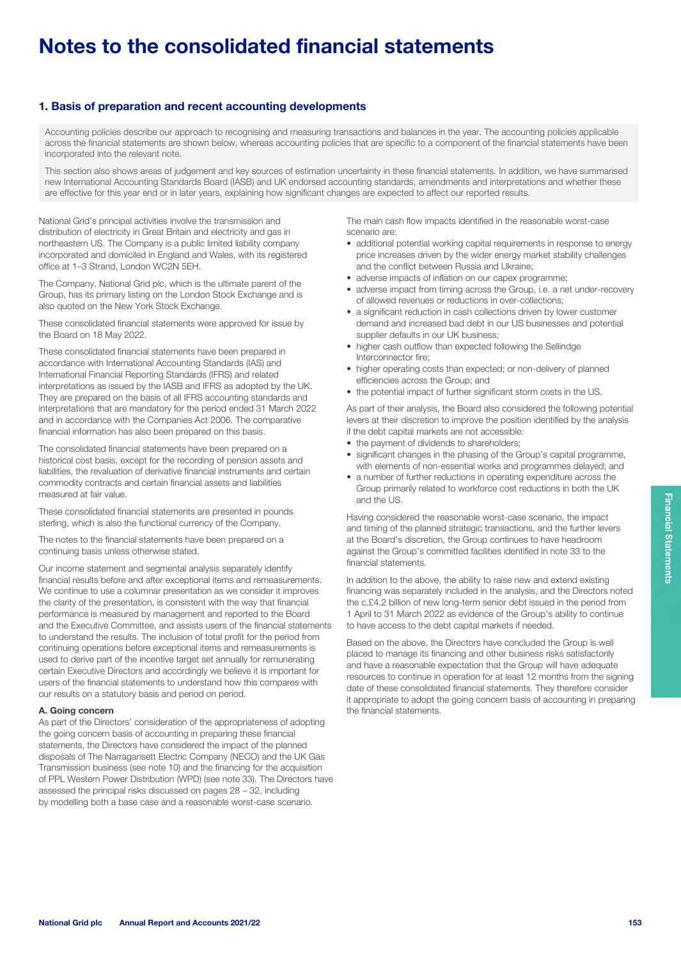## Notes to the consolidated financial statements

### 1. Basis of preparation and recent accounting developments

Accounting policies describe our approach to recognising and measuring transactions and balances in the year. The accounting policies applicable across the financial statements are shown below, whereas accounting policies that are specific to a component of the financial statements have been incorporated into the relevant note.

This section also shows areas of judgement and key sources of estimation uncertainty in these financial statements. In addition, we have summarised new International Accounting Standards Board (IASB) and UK endorsed accounting standards, amendments and interpretations and whether these are effective for this year end or in later years, explaining how significant changes are expected to affect our reported results.

National Grid's principal activities involve the transmission and distribution of electricity in Great Britain and electricity and gas in northeastern US. The Company is a public limited liability company incorporated and domiciled in England and Wales, with its registered office at 1–3 Strand, London WC2N 5EH.

The Company, National Grid plc, which is the ultimate parent of the Group, has its primary listing on the London Stock Exchange and is also quoted on the New York Stock Exchange.

These consolidated financial statements were approved for issue by the Board on 18 May 2022.

These consolidated financial statements have been prepared in accordance with International Accounting Standards (IAS) and International Financial Reporting Standards (IFRS) and related interpretations as issued by the IASB and IFRS as adopted by the UK. They are prepared on the basis of all IFRS accounting standards and interpretations that are mandatory for the period ended 31 March 2022 and in accordance with the Companies Act 2006. The comparative financial information has also been prepared on this basis.

The consolidated financial statements have been prepared on a historical cost basis, except for the recording of pension assets and liabilities, the revaluation of derivative financial instruments and certain commodity contracts and certain financial assets and liabilities measured at fair value.

These consolidated financial statements are presented in pounds sterling, which is also the functional currency of the Company.

The notes to the financial statements have been prepared on a continuing basis unless otherwise stated.

Our income statement and segmental analysis separately identify financial results before and after exceptional items and remeasurements. We continue to use a columnar presentation as we consider it improves the clarity of the presentation, is consistent with the way that financial performance is measured by management and reported to the Board and the Executive Committee, and assists users of the financial statements to understand the results. The inclusion of total profit for the period from continuing operations before exceptional items and remeasurements is used to derive part of the incentive target set annually for remunerating certain Executive Directors and accordingly we believe it is important for users of the financial statements to understand how this compares with our results on a statutory basis and period on period.

#### A. Going concern

As part of the Directors' consideration of the appropriateness of adopting the going concern basis of accounting in preparing these financial statements, the Directors have considered the impact of the planned disposals of The Narragansett Electric Company (NECO) and the UK Gas Transmission business (see note 10) and the financing for the acquisition of PPL Western Power Distribution (WPD) (see note 33). The Directors have assessed the principal risks discussed on pages 28 – 32, including by modelling both a base case and a reasonable worst-case scenario.

The main cash flow impacts identified in the reasonable worst-case scenario are:

- additional potential working capital requirements in response to energy price increases driven by the wider energy market stability challenges and the conflict between Russia and Ukraine;
- adverse impacts of inflation on our capex programme;
- adverse impact from timing across the Group, i.e. a net under-recovery of allowed revenues or reductions in over-collections;
- a significant reduction in cash collections driven by lower customer demand and increased bad debt in our US businesses and potential supplier defaults in our UK business;
- higher cash outflow than expected following the Sellindge Interconnector fire;
- higher operating costs than expected; or non-delivery of planned efficiencies across the Group; and
- the potential impact of further significant storm costs in the US.

As part of their analysis, the Board also considered the following potential levers at their discretion to improve the position identified by the analysis if the debt capital markets are not accessible:

- the payment of dividends to shareholders;
- significant changes in the phasing of the Group's capital programme, with elements of non-essential works and programmes delayed; and
- a number of further reductions in operating expenditure across the Group primarily related to workforce cost reductions in both the UK and the US.

Having considered the reasonable worst-case scenario, the impact and timing of the planned strategic transactions, and the further levers at the Board's discretion, the Group continues to have headroom against the Group's committed facilities identified in note 33 to the financial statements.

In addition to the above, the ability to raise new and extend existing financing was separately included in the analysis, and the Directors noted the c.£4.2 billion of new long-term senior debt issued in the period from 1 April to 31 March 2022 as evidence of the Group's ability to continue to have access to the debt capital markets if needed.

Based on the above, the Directors have concluded the Group is well placed to manage its financing and other business risks satisfactorily and have a reasonable expectation that the Group will have adequate resources to continue in operation for at least 12 months from the signing date of these consolidated financial statements. They therefore consider it appropriate to adopt the going concern basis of accounting in preparing the financial statements.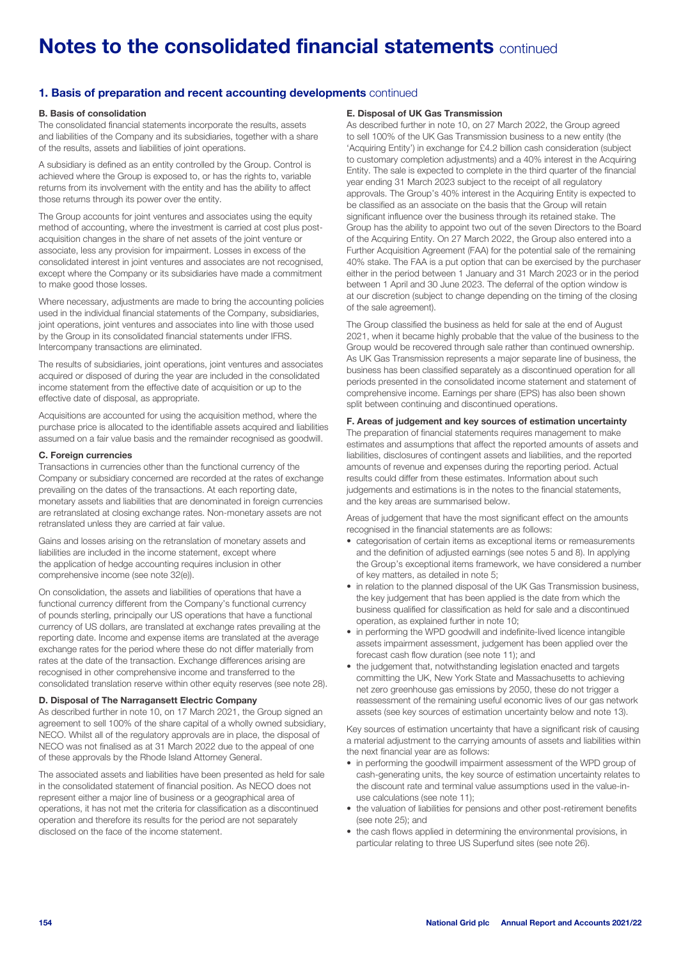## Notes to the consolidated financial statements continued

## 1. Basis of preparation and recent accounting developments continued

#### B. Basis of consolidation

The consolidated financial statements incorporate the results, assets and liabilities of the Company and its subsidiaries, together with a share of the results, assets and liabilities of joint operations.

A subsidiary is defined as an entity controlled by the Group. Control is achieved where the Group is exposed to, or has the rights to, variable returns from its involvement with the entity and has the ability to affect those returns through its power over the entity.

The Group accounts for joint ventures and associates using the equity method of accounting, where the investment is carried at cost plus postacquisition changes in the share of net assets of the joint venture or associate, less any provision for impairment. Losses in excess of the consolidated interest in joint ventures and associates are not recognised, except where the Company or its subsidiaries have made a commitment to make good those losses.

Where necessary, adjustments are made to bring the accounting policies used in the individual financial statements of the Company, subsidiaries, joint operations, joint ventures and associates into line with those used by the Group in its consolidated financial statements under IFRS. Intercompany transactions are eliminated.

The results of subsidiaries, joint operations, joint ventures and associates acquired or disposed of during the year are included in the consolidated income statement from the effective date of acquisition or up to the effective date of disposal, as appropriate.

Acquisitions are accounted for using the acquisition method, where the purchase price is allocated to the identifiable assets acquired and liabilities assumed on a fair value basis and the remainder recognised as goodwill.

#### C. Foreign currencies

Transactions in currencies other than the functional currency of the Company or subsidiary concerned are recorded at the rates of exchange prevailing on the dates of the transactions. At each reporting date, monetary assets and liabilities that are denominated in foreign currencies are retranslated at closing exchange rates. Non-monetary assets are not retranslated unless they are carried at fair value.

Gains and losses arising on the retranslation of monetary assets and liabilities are included in the income statement, except where the application of hedge accounting requires inclusion in other comprehensive income (see note 32(e)).

On consolidation, the assets and liabilities of operations that have a functional currency different from the Company's functional currency of pounds sterling, principally our US operations that have a functional currency of US dollars, are translated at exchange rates prevailing at the reporting date. Income and expense items are translated at the average exchange rates for the period where these do not differ materially from rates at the date of the transaction. Exchange differences arising are recognised in other comprehensive income and transferred to the consolidated translation reserve within other equity reserves (see note 28).

#### D. Disposal of The Narragansett Electric Company

As described further in note 10, on 17 March 2021, the Group signed an agreement to sell 100% of the share capital of a wholly owned subsidiary, NECO. Whilst all of the regulatory approvals are in place, the disposal of NECO was not finalised as at 31 March 2022 due to the appeal of one of these approvals by the Rhode Island Attorney General.

The associated assets and liabilities have been presented as held for sale in the consolidated statement of financial position. As NECO does not represent either a major line of business or a geographical area of operations, it has not met the criteria for classification as a discontinued operation and therefore its results for the period are not separately disclosed on the face of the income statement.

#### E. Disposal of UK Gas Transmission

As described further in note 10, on 27 March 2022, the Group agreed to sell 100% of the UK Gas Transmission business to a new entity (the 'Acquiring Entity') in exchange for £4.2 billion cash consideration (subject to customary completion adjustments) and a 40% interest in the Acquiring Entity. The sale is expected to complete in the third quarter of the financial year ending 31 March 2023 subject to the receipt of all regulatory approvals. The Group's 40% interest in the Acquiring Entity is expected to be classified as an associate on the basis that the Group will retain significant influence over the business through its retained stake. The Group has the ability to appoint two out of the seven Directors to the Board of the Acquiring Entity. On 27 March 2022, the Group also entered into a Further Acquisition Agreement (FAA) for the potential sale of the remaining 40% stake. The FAA is a put option that can be exercised by the purchaser either in the period between 1 January and 31 March 2023 or in the period between 1 April and 30 June 2023. The deferral of the option window is at our discretion (subject to change depending on the timing of the closing of the sale agreement).

The Group classified the business as held for sale at the end of August 2021, when it became highly probable that the value of the business to the Group would be recovered through sale rather than continued ownership. As UK Gas Transmission represents a major separate line of business, the business has been classified separately as a discontinued operation for all periods presented in the consolidated income statement and statement of comprehensive income. Earnings per share (EPS) has also been shown split between continuing and discontinued operations.

#### F. Areas of judgement and key sources of estimation uncertainty

The preparation of financial statements requires management to make estimates and assumptions that affect the reported amounts of assets and liabilities, disclosures of contingent assets and liabilities, and the reported amounts of revenue and expenses during the reporting period. Actual results could differ from these estimates. Information about such judgements and estimations is in the notes to the financial statements, and the key areas are summarised below.

Areas of judgement that have the most significant effect on the amounts recognised in the financial statements are as follows:

- categorisation of certain items as exceptional items or remeasurements and the definition of adjusted earnings (see notes 5 and 8). In applying the Group's exceptional items framework, we have considered a number of key matters, as detailed in note 5;
- in relation to the planned disposal of the UK Gas Transmission business, the key judgement that has been applied is the date from which the business qualified for classification as held for sale and a discontinued operation, as explained further in note 10;
- in performing the WPD goodwill and indefinite-lived licence intangible assets impairment assessment, judgement has been applied over the forecast cash flow duration (see note 11); and
- the judgement that, notwithstanding legislation enacted and targets committing the UK, New York State and Massachusetts to achieving net zero greenhouse gas emissions by 2050, these do not trigger a reassessment of the remaining useful economic lives of our gas network assets (see key sources of estimation uncertainty below and note 13).

Key sources of estimation uncertainty that have a significant risk of causing a material adjustment to the carrying amounts of assets and liabilities within the next financial year are as follows:

- in performing the goodwill impairment assessment of the WPD group of cash-generating units, the key source of estimation uncertainty relates to the discount rate and terminal value assumptions used in the value-inuse calculations (see note 11);
- the valuation of liabilities for pensions and other post-retirement benefits (see note 25); and
- the cash flows applied in determining the environmental provisions, in particular relating to three US Superfund sites (see note 26).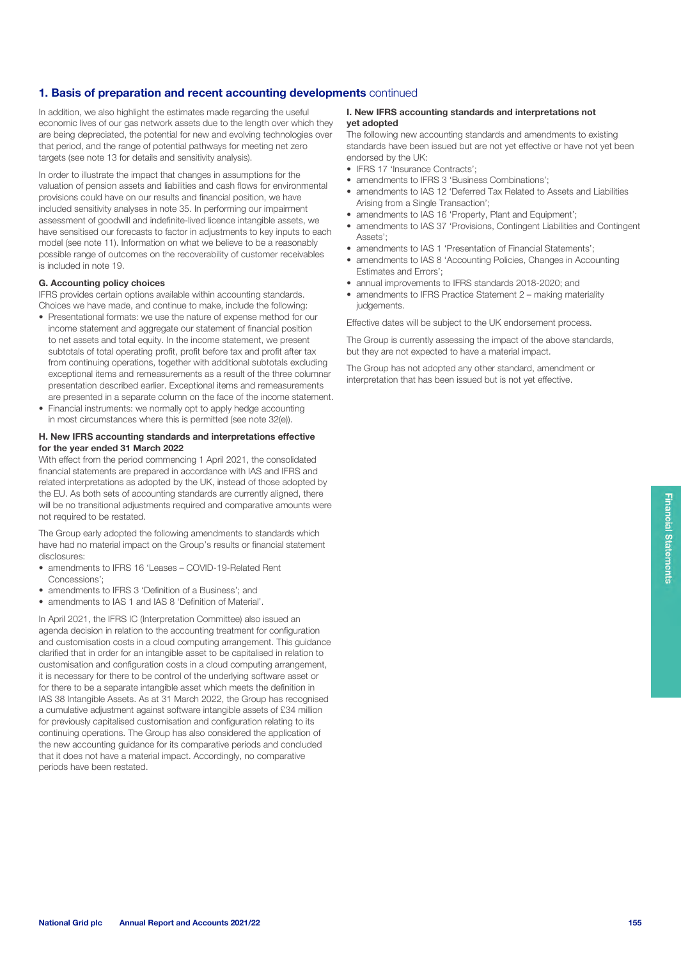## 1. Basis of preparation and recent accounting developments continued

In addition, we also highlight the estimates made regarding the useful economic lives of our gas network assets due to the length over which they are being depreciated, the potential for new and evolving technologies over that period, and the range of potential pathways for meeting net zero targets (see note 13 for details and sensitivity analysis).

In order to illustrate the impact that changes in assumptions for the valuation of pension assets and liabilities and cash flows for environmental provisions could have on our results and financial position, we have included sensitivity analyses in note 35. In performing our impairment assessment of goodwill and indefinite-lived licence intangible assets, we have sensitised our forecasts to factor in adjustments to key inputs to each model (see note 11). Information on what we believe to be a reasonably possible range of outcomes on the recoverability of customer receivables is included in note 19.

#### G. Accounting policy choices

IFRS provides certain options available within accounting standards. Choices we have made, and continue to make, include the following:

- Presentational formats: we use the nature of expense method for our income statement and aggregate our statement of financial position to net assets and total equity. In the income statement, we present subtotals of total operating profit, profit before tax and profit after tax from continuing operations, together with additional subtotals excluding exceptional items and remeasurements as a result of the three columnar presentation described earlier. Exceptional items and remeasurements are presented in a separate column on the face of the income statement.
- Financial instruments: we normally opt to apply hedge accounting in most circumstances where this is permitted (see note 32(e)).

#### H. New IFRS accounting standards and interpretations effective for the year ended 31 March 2022

With effect from the period commencing 1 April 2021, the consolidated financial statements are prepared in accordance with IAS and IFRS and related interpretations as adopted by the UK, instead of those adopted by the EU. As both sets of accounting standards are currently aligned, there will be no transitional adjustments required and comparative amounts were not required to be restated.

The Group early adopted the following amendments to standards which have had no material impact on the Group's results or financial statement disclosures:

- amendments to IFRS 16 'Leases COVID-19-Related Rent Concessions';
- amendments to IFRS 3 'Definition of a Business': and
- amendments to IAS 1 and IAS 8 'Definition of Material'.

In April 2021, the IFRS IC (Interpretation Committee) also issued an agenda decision in relation to the accounting treatment for configuration and customisation costs in a cloud computing arrangement. This guidance clarified that in order for an intangible asset to be capitalised in relation to customisation and configuration costs in a cloud computing arrangement, it is necessary for there to be control of the underlying software asset or for there to be a separate intangible asset which meets the definition in IAS 38 Intangible Assets. As at 31 March 2022, the Group has recognised a cumulative adjustment against software intangible assets of £34 million for previously capitalised customisation and configuration relating to its continuing operations. The Group has also considered the application of the new accounting guidance for its comparative periods and concluded that it does not have a material impact. Accordingly, no comparative periods have been restated.

#### I. New IFRS accounting standards and interpretations not yet adopted

The following new accounting standards and amendments to existing standards have been issued but are not yet effective or have not yet been endorsed by the UK:

- IFRS 17 'Insurance Contracts';
- amendments to IFRS 3 'Business Combinations':
	- amendments to IAS 12 'Deferred Tax Related to Assets and Liabilities Arising from a Single Transaction';
- amendments to IAS 16 'Property, Plant and Equipment';
- amendments to IAS 37 'Provisions, Contingent Liabilities and Contingent Assets'<sup>,</sup>
- amendments to IAS 1 'Presentation of Financial Statements';
- amendments to IAS 8 'Accounting Policies, Changes in Accounting Estimates and Errors';
- annual improvements to IFRS standards 2018-2020; and
- amendments to IFRS Practice Statement 2 making materiality judgements.

Effective dates will be subject to the UK endorsement process.

The Group is currently assessing the impact of the above standards, but they are not expected to have a material impact.

The Group has not adopted any other standard, amendment or interpretation that has been issued but is not yet effective.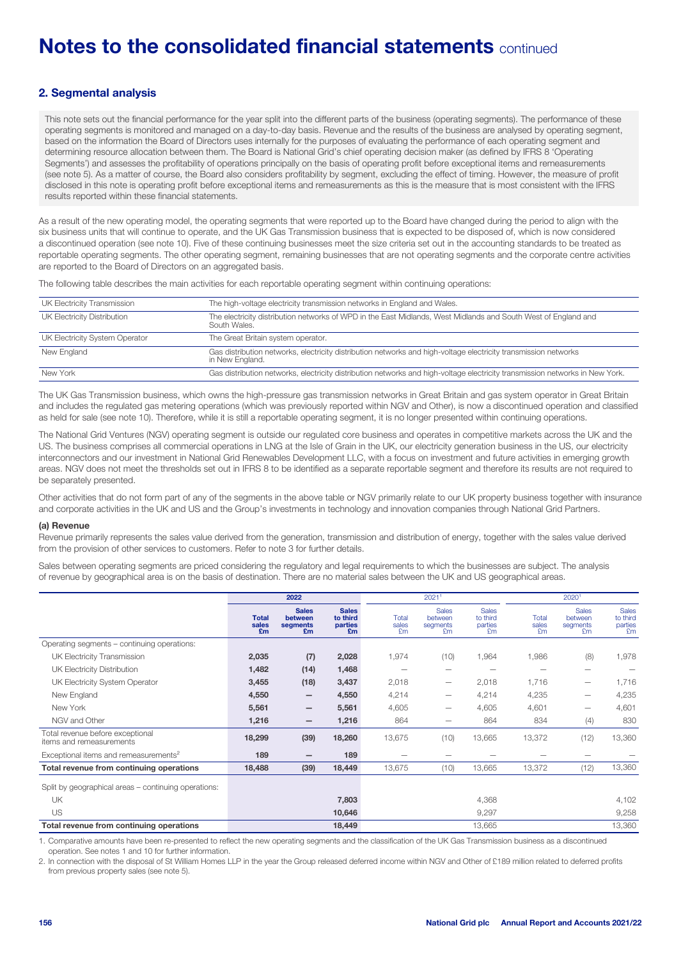## Notes to the consolidated financial statements continued

## 2. Segmental analysis

This note sets out the financial performance for the year split into the different parts of the business (operating segments). The performance of these operating segments is monitored and managed on a day-to-day basis. Revenue and the results of the business are analysed by operating segment, based on the information the Board of Directors uses internally for the purposes of evaluating the performance of each operating segment and determining resource allocation between them. The Board is National Grid's chief operating decision maker (as defined by IFRS 8 'Operating Segments') and assesses the profitability of operations principally on the basis of operating profit before exceptional items and remeasurements (see note 5). As a matter of course, the Board also considers profitability by segment, excluding the effect of timing. However, the measure of profit disclosed in this note is operating profit before exceptional items and remeasurements as this is the measure that is most consistent with the IFRS results reported within these financial statements.

As a result of the new operating model, the operating segments that were reported up to the Board have changed during the period to align with the six business units that will continue to operate, and the UK Gas Transmission business that is expected to be disposed of, which is now considered a discontinued operation (see note 10). Five of these continuing businesses meet the size criteria set out in the accounting standards to be treated as reportable operating segments. The other operating segment, remaining businesses that are not operating segments and the corporate centre activities are reported to the Board of Directors on an aggregated basis.

The following table describes the main activities for each reportable operating segment within continuing operations:

| UK Electricity Transmission    | The high-voltage electricity transmission networks in England and Wales.                                                           |
|--------------------------------|------------------------------------------------------------------------------------------------------------------------------------|
| UK Electricity Distribution    | The electricity distribution networks of WPD in the East Midlands, West Midlands and South West of England and<br>South Wales.     |
| UK Electricity System Operator | The Great Britain system operator.                                                                                                 |
| New England                    | Gas distribution networks, electricity distribution networks and high-voltage electricity transmission networks<br>in New England. |
| New York                       | Gas distribution networks, electricity distribution networks and high-voltage electricity transmission networks in New York.       |

The UK Gas Transmission business, which owns the high-pressure gas transmission networks in Great Britain and gas system operator in Great Britain and includes the regulated gas metering operations (which was previously reported within NGV and Other), is now a discontinued operation and classified as held for sale (see note 10). Therefore, while it is still a reportable operating segment, it is no longer presented within continuing operations.

The National Grid Ventures (NGV) operating segment is outside our regulated core business and operates in competitive markets across the UK and the US. The business comprises all commercial operations in LNG at the Isle of Grain in the UK, our electricity generation business in the US, our electricity interconnectors and our investment in National Grid Renewables Development LLC, with a focus on investment and future activities in emerging growth areas. NGV does not meet the thresholds set out in IFRS 8 to be identified as a separate reportable segment and therefore its results are not required to be separately presented.

Other activities that do not form part of any of the segments in the above table or NGV primarily relate to our UK property business together with insurance and corporate activities in the UK and US and the Group's investments in technology and innovation companies through National Grid Partners.

#### (a) Revenue

Revenue primarily represents the sales value derived from the generation, transmission and distribution of energy, together with the sales value derived from the provision of other services to customers. Refer to note 3 for further details.

Sales between operating segments are priced considering the regulatory and legal requirements to which the businesses are subject. The analysis of revenue by geographical area is on the basis of destination. There are no material sales between the UK and US geographical areas.

|                                                              | 2022                        |                                           |                                           |                      | 20211                                                 |                                           | 20201                |                                           |                                           |
|--------------------------------------------------------------|-----------------------------|-------------------------------------------|-------------------------------------------|----------------------|-------------------------------------------------------|-------------------------------------------|----------------------|-------------------------------------------|-------------------------------------------|
|                                                              | <b>Total</b><br>sales<br>£m | <b>Sales</b><br>between<br>segments<br>£m | <b>Sales</b><br>to third<br>parties<br>£m | Total<br>sales<br>£m | <b>Sales</b><br>hetween<br>segments<br>F <sub>m</sub> | <b>Sales</b><br>to third<br>parties<br>£m | Total<br>sales<br>£m | <b>Sales</b><br>hetween<br>segments<br>£m | <b>Sales</b><br>to third<br>parties<br>£m |
| Operating segments - continuing operations:                  |                             |                                           |                                           |                      |                                                       |                                           |                      |                                           |                                           |
| UK Electricity Transmission                                  | 2,035                       | (7)                                       | 2,028                                     | 1,974                | (10)                                                  | 1,964                                     | 1,986                | (8)                                       | 1,978                                     |
| UK Electricity Distribution                                  | 1,482                       | (14)                                      | 1,468                                     |                      | -                                                     |                                           |                      |                                           |                                           |
| UK Electricity System Operator                               | 3,455                       | (18)                                      | 3,437                                     | 2,018                | $\overline{\phantom{a}}$                              | 2,018                                     | 1,716                | $\overline{\phantom{0}}$                  | 1,716                                     |
| New England                                                  | 4,550                       | $\overline{\phantom{m}}$                  | 4,550                                     | 4,214                | $\hspace{0.1mm}-\hspace{0.1mm}$                       | 4,214                                     | 4,235                | $\overline{\phantom{0}}$                  | 4,235                                     |
| New York                                                     | 5,561                       | $\overline{\phantom{m}}$                  | 5,561                                     | 4,605                | $\overline{\phantom{a}}$                              | 4,605                                     | 4,601                | $\overline{\phantom{0}}$                  | 4,601                                     |
| NGV and Other                                                | 1,216                       | $\overline{\phantom{m}}$                  | 1,216                                     | 864                  | -                                                     | 864                                       | 834                  | (4)                                       | 830                                       |
| Total revenue before exceptional<br>items and remeasurements | 18,299                      | (39)                                      | 18,260                                    | 13,675               | (10)                                                  | 13,665                                    | 13,372               | (12)                                      | 13,360                                    |
| Exceptional items and remeasurements <sup>2</sup>            | 189                         | $\overline{\phantom{m}}$                  | 189                                       |                      |                                                       |                                           |                      |                                           |                                           |
| Total revenue from continuing operations                     | 18,488                      | (39)                                      | 18,449                                    | 13,675               | (10)                                                  | 13,665                                    | 13,372               | (12)                                      | 13,360                                    |
| Split by geographical areas - continuing operations:         |                             |                                           |                                           |                      |                                                       |                                           |                      |                                           |                                           |
| UK                                                           |                             |                                           | 7,803                                     |                      |                                                       | 4,368                                     |                      |                                           | 4,102                                     |
| US                                                           |                             |                                           | 10,646                                    |                      |                                                       | 9,297                                     |                      |                                           | 9,258                                     |
| Total revenue from continuing operations                     |                             |                                           | 18,449                                    |                      |                                                       | 13,665                                    |                      |                                           | 13,360                                    |

1. Comparative amounts have been re-presented to reflect the new operating segments and the classification of the UK Gas Transmission business as a discontinued operation. See notes 1 and 10 for further information.

2. In connection with the disposal of St William Homes LLP in the year the Group released deferred income within NGV and Other of £189 million related to deferred profits from previous property sales (see note 5).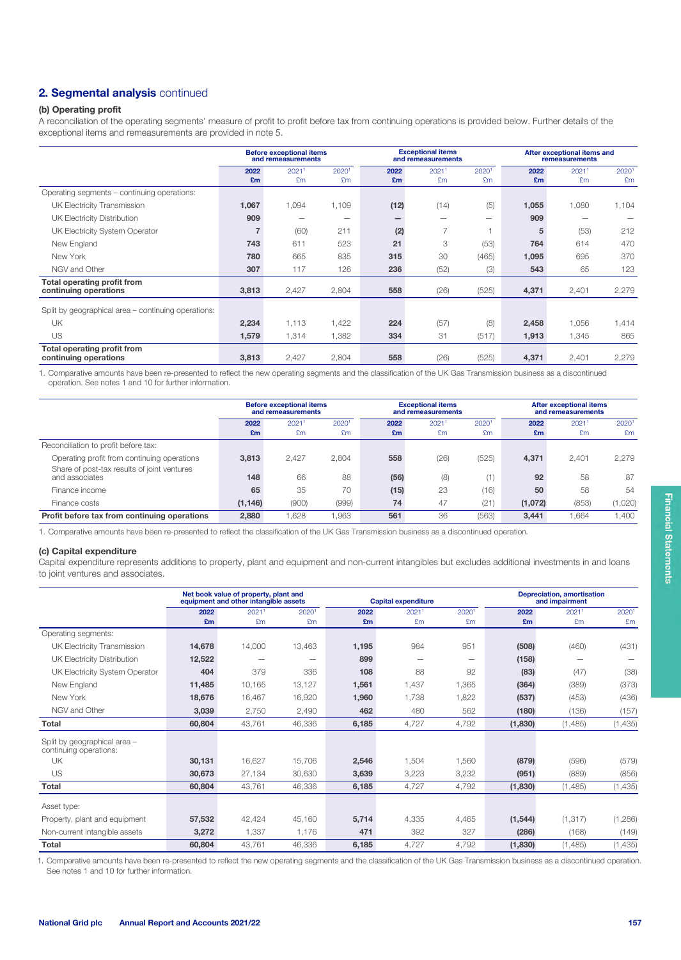## 2. Segmental analysis continued

### (b) Operating profit

A reconciliation of the operating segments' measure of profit to profit before tax from continuing operations is provided below. Further details of the exceptional items and remeasurements are provided in note 5.

|                                                             | <b>Before exceptional items</b><br>and remeasurements |                   |       |      | <b>Exceptional items</b><br>and remeasurements |       | After exceptional items and<br>remeasurements |       |       |
|-------------------------------------------------------------|-------------------------------------------------------|-------------------|-------|------|------------------------------------------------|-------|-----------------------------------------------|-------|-------|
|                                                             | 2022                                                  | 2021 <sup>1</sup> | 20201 | 2022 | 20211                                          | 20201 | 2022                                          | 20211 | 20201 |
|                                                             | £m                                                    | £m                | £m    | £m   | £m                                             | £m    | £m                                            | £m    | £m    |
| Operating segments - continuing operations:                 |                                                       |                   |       |      |                                                |       |                                               |       |       |
| UK Electricity Transmission                                 | 1,067                                                 | 1,094             | 1,109 | (12) | (14)                                           | (5)   | 1,055                                         | 1,080 | 1,104 |
| UK Electricity Distribution                                 | 909                                                   |                   | -     |      |                                                |       | 909                                           |       |       |
| UK Electricity System Operator                              |                                                       | (60)              | 211   | (2)  | $\overline{7}$                                 |       | 5                                             | (53)  | 212   |
| New England                                                 | 743                                                   | 611               | 523   | 21   | 3                                              | (53)  | 764                                           | 614   | 470   |
| New York                                                    | 780                                                   | 665               | 835   | 315  | 30                                             | (465) | 1,095                                         | 695   | 370   |
| NGV and Other                                               | 307                                                   | 117               | 126   | 236  | (52)                                           | (3)   | 543                                           | 65    | 123   |
| <b>Total operating profit from</b><br>continuing operations | 3,813                                                 | 2,427             | 2,804 | 558  | (26)                                           | (525) | 4,371                                         | 2,401 | 2,279 |
| Split by geographical area – continuing operations:         |                                                       |                   |       |      |                                                |       |                                               |       |       |
| UK                                                          | 2,234                                                 | 1.113             | 1.422 | 224  | (57)                                           | (8)   | 2,458                                         | 1.056 | 1,414 |
| US                                                          | 1,579                                                 | 1,314             | 1,382 | 334  | 31                                             | (517) | 1,913                                         | 1,345 | 865   |
| Total operating profit from<br>continuing operations        | 3,813                                                 | 2,427             | 2,804 | 558  | (26)                                           | (525) | 4,371                                         | 2,401 | 2,279 |

1. Comparative amounts have been re-presented to reflect the new operating segments and the classification of the UK Gas Transmission business as a discontinued operation. See notes 1 and 10 for further information.

|                                              | <b>Before exceptional items</b><br>and remeasurements |       |       |      | <b>Exceptional items</b><br>and remeasurements |       | After exceptional items<br>and remeasurements |       |         |
|----------------------------------------------|-------------------------------------------------------|-------|-------|------|------------------------------------------------|-------|-----------------------------------------------|-------|---------|
|                                              | 2022                                                  | 2021  | 20201 | 2022 | 2021                                           | 20201 | 2022                                          | 2021  | 20201   |
|                                              | £m                                                    | £m    | £m    | £m   | £m                                             | £m    | £m                                            | £m    | £m      |
| Reconciliation to profit before tax:         |                                                       |       |       |      |                                                |       |                                               |       |         |
| Operating profit from continuing operations  | 3.813                                                 | 2.427 | 2.804 | 558  | (26)                                           | (525) | 4.371                                         | 2.401 | 2.279   |
| Share of post-tax results of joint ventures  |                                                       |       |       |      |                                                |       |                                               |       |         |
| and associates                               | 148                                                   | 66    | 88    | (56) | (8)                                            | (1)   | 92                                            | 58    | 87      |
| Finance income                               | 65                                                    | 35    | 70    | (15) | 23                                             | (16)  | 50                                            | 58    | 54      |
| Finance costs                                | (1, 146)                                              | (900) | (999) | 74   | 47                                             | (21)  | (1,072)                                       | (853) | (1,020) |
| Profit before tax from continuing operations | 2,880                                                 | .628  | 1.963 | 561  | 36                                             | (563) | 3.441                                         | .664  | 1.400   |

1. Comparative amounts have been re-presented to reflect the classification of the UK Gas Transmission business as a discontinued operation.

### (c) Capital expenditure

Capital expenditure represents additions to property, plant and equipment and non-current intangibles but excludes additional investments in and loans to joint ventures and associates.

|                                                        |        | Net book value of property, plant and<br>equipment and other intangible assets |                          | <b>Capital expenditure</b> |                          |                          |          | <b>Depreciation, amortisation</b><br>and impairment |          |
|--------------------------------------------------------|--------|--------------------------------------------------------------------------------|--------------------------|----------------------------|--------------------------|--------------------------|----------|-----------------------------------------------------|----------|
|                                                        | 2022   | 2021                                                                           | 20201                    | 2022                       | 2021 <sup>1</sup>        | 20201                    | 2022     | 20211                                               | 20201    |
|                                                        | £m     | £m                                                                             | £m                       | £m                         | £m                       | £m                       | £m       | £m                                                  | £m       |
| Operating segments:                                    |        |                                                                                |                          |                            |                          |                          |          |                                                     |          |
| UK Electricity Transmission                            | 14,678 | 14,000                                                                         | 13,463                   | 1,195                      | 984                      | 951                      | (508)    | (460)                                               | (431)    |
| UK Electricity Distribution                            | 12,522 |                                                                                | $\overline{\phantom{0}}$ | 899                        | $\overline{\phantom{m}}$ | $\overline{\phantom{0}}$ | (158)    |                                                     |          |
| UK Electricity System Operator                         | 404    | 379                                                                            | 336                      | 108                        | 88                       | 92                       | (83)     | (47)                                                | (38)     |
| New England                                            | 11,485 | 10,165                                                                         | 13,127                   | 1,561                      | 1,437                    | 1,365                    | (364)    | (389)                                               | (373)    |
| New York                                               | 18,676 | 16,467                                                                         | 16,920                   | 1,960                      | 1.738                    | 1,822                    | (537)    | (453)                                               | (436)    |
| NGV and Other                                          | 3,039  | 2,750                                                                          | 2,490                    | 462                        | 480                      | 562                      | (180)    | (136)                                               | (157)    |
| Total                                                  | 60,804 | 43,761                                                                         | 46,336                   | 6,185                      | 4,727                    | 4,792                    | (1,830)  | (1,485)                                             | (1,435)  |
| Split by geographical area -<br>continuing operations: |        |                                                                                |                          |                            |                          |                          |          |                                                     |          |
| UK                                                     | 30,131 | 16,627                                                                         | 15,706                   | 2,546                      | 1,504                    | 1,560                    | (879)    | (596)                                               | (579)    |
| US                                                     | 30,673 | 27,134                                                                         | 30,630                   | 3,639                      | 3,223                    | 3,232                    | (951)    | (889)                                               | (856)    |
| Total                                                  | 60,804 | 43.761                                                                         | 46,336                   | 6,185                      | 4,727                    | 4,792                    | (1,830)  | (1,485)                                             | (1, 435) |
| Asset type:                                            |        |                                                                                |                          |                            |                          |                          |          |                                                     |          |
| Property, plant and equipment                          | 57,532 | 42,424                                                                         | 45,160                   | 5,714                      | 4,335                    | 4,465                    | (1, 544) | (1, 317)                                            | (1,286)  |
| Non-current intangible assets                          | 3,272  | 1,337                                                                          | 1,176                    | 471                        | 392                      | 327                      | (286)    | (168)                                               | (149)    |
| Total                                                  | 60,804 | 43,761                                                                         | 46,336                   | 6,185                      | 4,727                    | 4,792                    | (1,830)  | (1, 485)                                            | (1, 435) |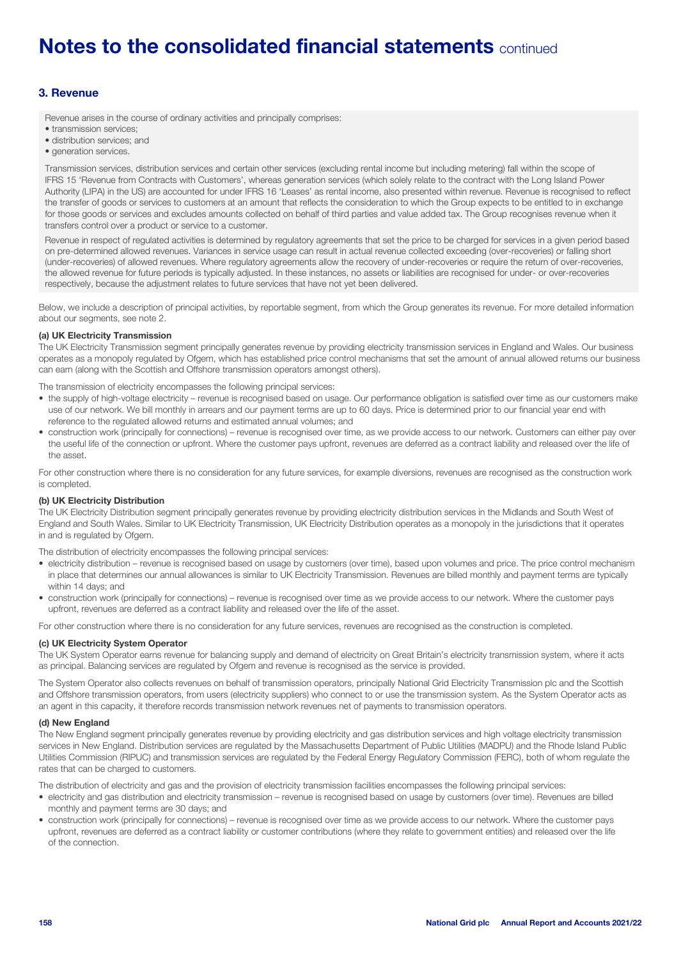## Notes to the consolidated financial statements continued

## 3. Revenue

Revenue arises in the course of ordinary activities and principally comprises:

- transmission services:
- distribution services; and
- generation services.

Transmission services, distribution services and certain other services (excluding rental income but including metering) fall within the scope of IFRS 15 'Revenue from Contracts with Customers', whereas generation services (which solely relate to the contract with the Long Island Power Authority (LIPA) in the US) are accounted for under IFRS 16 'Leases' as rental income, also presented within revenue. Revenue is recognised to reflect the transfer of goods or services to customers at an amount that reflects the consideration to which the Group expects to be entitled to in exchange for those goods or services and excludes amounts collected on behalf of third parties and value added tax. The Group recognises revenue when it transfers control over a product or service to a customer.

Revenue in respect of regulated activities is determined by regulatory agreements that set the price to be charged for services in a given period based on pre-determined allowed revenues. Variances in service usage can result in actual revenue collected exceeding (over-recoveries) or falling short (under-recoveries) of allowed revenues. Where regulatory agreements allow the recovery of under-recoveries or require the return of over-recoveries, the allowed revenue for future periods is typically adjusted. In these instances, no assets or liabilities are recognised for under- or over-recoveries respectively, because the adjustment relates to future services that have not yet been delivered.

Below, we include a description of principal activities, by reportable segment, from which the Group generates its revenue. For more detailed information about our segments, see note 2.

#### (a) UK Electricity Transmission

The UK Electricity Transmission segment principally generates revenue by providing electricity transmission services in England and Wales. Our business operates as a monopoly regulated by Ofgem, which has established price control mechanisms that set the amount of annual allowed returns our business can earn (along with the Scottish and Offshore transmission operators amongst others).

The transmission of electricity encompasses the following principal services:

- the supply of high-voltage electricity revenue is recognised based on usage. Our performance obligation is satisfied over time as our customers make use of our network. We bill monthly in arrears and our payment terms are up to 60 days. Price is determined prior to our financial year end with reference to the regulated allowed returns and estimated annual volumes; and
- construction work (principally for connections) revenue is recognised over time, as we provide access to our network. Customers can either pay over the useful life of the connection or upfront. Where the customer pays upfront, revenues are deferred as a contract liability and released over the life of the asset.

For other construction where there is no consideration for any future services, for example diversions, revenues are recognised as the construction work is completed.

#### (b) UK Electricity Distribution

The UK Electricity Distribution segment principally generates revenue by providing electricity distribution services in the Midlands and South West of England and South Wales. Similar to UK Electricity Transmission, UK Electricity Distribution operates as a monopoly in the jurisdictions that it operates in and is regulated by Ofgem.

The distribution of electricity encompasses the following principal services:

- electricity distribution revenue is recognised based on usage by customers (over time), based upon volumes and price. The price control mechanism in place that determines our annual allowances is similar to UK Electricity Transmission. Revenues are billed monthly and payment terms are typically within 14 days; and
- construction work (principally for connections) revenue is recognised over time as we provide access to our network. Where the customer pays upfront, revenues are deferred as a contract liability and released over the life of the asset.

For other construction where there is no consideration for any future services, revenues are recognised as the construction is completed.

#### (c) UK Electricity System Operator

The UK System Operator earns revenue for balancing supply and demand of electricity on Great Britain's electricity transmission system, where it acts as principal. Balancing services are regulated by Ofgem and revenue is recognised as the service is provided.

The System Operator also collects revenues on behalf of transmission operators, principally National Grid Electricity Transmission plc and the Scottish and Offshore transmission operators, from users (electricity suppliers) who connect to or use the transmission system. As the System Operator acts as an agent in this capacity, it therefore records transmission network revenues net of payments to transmission operators.

#### (d) New England

The New England segment principally generates revenue by providing electricity and gas distribution services and high voltage electricity transmission services in New England. Distribution services are regulated by the Massachusetts Department of Public Utilities (MADPU) and the Rhode Island Public Utilities Commission (RIPUC) and transmission services are regulated by the Federal Energy Regulatory Commission (FERC), both of whom regulate the rates that can be charged to customers.

The distribution of electricity and gas and the provision of electricity transmission facilities encompasses the following principal services:

- electricity and gas distribution and electricity transmission revenue is recognised based on usage by customers (over time). Revenues are billed monthly and payment terms are 30 days; and
- construction work (principally for connections) revenue is recognised over time as we provide access to our network. Where the customer pays upfront, revenues are deferred as a contract liability or customer contributions (where they relate to government entities) and released over the life of the connection.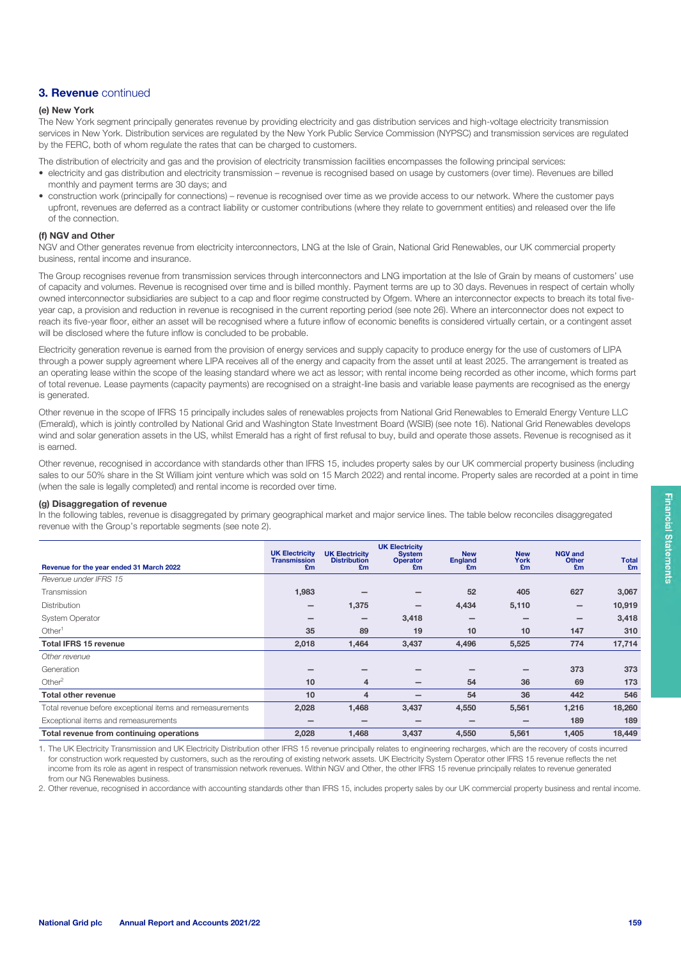## 3. Revenue continued

#### (e) New York

The New York segment principally generates revenue by providing electricity and gas distribution services and high-voltage electricity transmission services in New York. Distribution services are regulated by the New York Public Service Commission (NYPSC) and transmission services are regulated by the FERC, both of whom regulate the rates that can be charged to customers.

The distribution of electricity and gas and the provision of electricity transmission facilities encompasses the following principal services:

- electricity and gas distribution and electricity transmission revenue is recognised based on usage by customers (over time). Revenues are billed monthly and payment terms are 30 days; and
- construction work (principally for connections) revenue is recognised over time as we provide access to our network. Where the customer pays upfront, revenues are deferred as a contract liability or customer contributions (where they relate to government entities) and released over the life of the connection.

#### (f) NGV and Other

NGV and Other generates revenue from electricity interconnectors, LNG at the Isle of Grain, National Grid Renewables, our UK commercial property business, rental income and insurance.

The Group recognises revenue from transmission services through interconnectors and LNG importation at the Isle of Grain by means of customers' use of capacity and volumes. Revenue is recognised over time and is billed monthly. Payment terms are up to 30 days. Revenues in respect of certain wholly owned interconnector subsidiaries are subject to a cap and floor regime constructed by Ofgem. Where an interconnector expects to breach its total fiveyear cap, a provision and reduction in revenue is recognised in the current reporting period (see note 26). Where an interconnector does not expect to reach its five-year floor, either an asset will be recognised where a future inflow of economic benefits is considered virtually certain, or a contingent asset will be disclosed where the future inflow is concluded to be probable.

Electricity generation revenue is earned from the provision of energy services and supply capacity to produce energy for the use of customers of LIPA through a power supply agreement where LIPA receives all of the energy and capacity from the asset until at least 2025. The arrangement is treated as an operating lease within the scope of the leasing standard where we act as lessor; with rental income being recorded as other income, which forms part of total revenue. Lease payments (capacity payments) are recognised on a straight-line basis and variable lease payments are recognised as the energy is generated.

Other revenue in the scope of IFRS 15 principally includes sales of renewables projects from National Grid Renewables to Emerald Energy Venture LLC (Emerald), which is jointly controlled by National Grid and Washington State Investment Board (WSIB) (see note 16). National Grid Renewables develops wind and solar generation assets in the US, whilst Emerald has a right of first refusal to buy, build and operate those assets. Revenue is recognised as it is earned.

Other revenue, recognised in accordance with standards other than IFRS 15, includes property sales by our UK commercial property business (including sales to our 50% share in the St William joint venture which was sold on 15 March 2022) and rental income. Property sales are recorded at a point in time (when the sale is legally completed) and rental income is recorded over time.

#### (g) Disaggregation of revenue

In the following tables, revenue is disaggregated by primary geographical market and major service lines. The table below reconciles disaggregated revenue with the Group's reportable segments (see note 2).

| Revenue for the year ended 31 March 2022                  | <b>UK Electricity</b><br><b>Transmission</b><br>£m | <b>UK Electricity</b><br><b>Distribution</b><br>£m | <b>UK Electricity</b><br><b>System</b><br><b>Operator</b><br>£m | <b>New</b><br><b>England</b><br>£m | <b>New</b><br>York<br>£m | <b>NGV and</b><br><b>Other</b><br>£m | <b>Total</b><br>£m |
|-----------------------------------------------------------|----------------------------------------------------|----------------------------------------------------|-----------------------------------------------------------------|------------------------------------|--------------------------|--------------------------------------|--------------------|
| Revenue under IFRS 15                                     |                                                    |                                                    |                                                                 |                                    |                          |                                      |                    |
| Transmission                                              | 1,983                                              |                                                    |                                                                 | 52                                 | 405                      | 627                                  | 3,067              |
| Distribution                                              | $\overline{\phantom{0}}$                           | 1,375                                              | $\overline{\phantom{0}}$                                        | 4,434                              | 5,110                    | $\overline{\phantom{m}}$             | 10,919             |
| <b>System Operator</b>                                    |                                                    | $\overline{\phantom{m}}$                           | 3,418                                                           |                                    |                          | $\qquad \qquad$                      | 3,418              |
| Other <sup>1</sup>                                        | 35                                                 | 89                                                 | 19                                                              | 10                                 | 10                       | 147                                  | 310                |
| <b>Total IFRS 15 revenue</b>                              | 2,018                                              | 1,464                                              | 3,437                                                           | 4,496                              | 5,525                    | 774                                  | 17,714             |
| Other revenue                                             |                                                    |                                                    |                                                                 |                                    |                          |                                      |                    |
| Generation                                                |                                                    |                                                    |                                                                 |                                    |                          | 373                                  | 373                |
| Other $2$                                                 | 10                                                 | 4                                                  | —                                                               | 54                                 | 36                       | 69                                   | 173                |
| <b>Total other revenue</b>                                | 10                                                 | 4                                                  |                                                                 | 54                                 | 36                       | 442                                  | 546                |
| Total revenue before exceptional items and remeasurements | 2,028                                              | 1,468                                              | 3,437                                                           | 4,550                              | 5,561                    | 1,216                                | 18,260             |
| Exceptional items and remeasurements                      |                                                    |                                                    |                                                                 |                                    |                          | 189                                  | 189                |
| Total revenue from continuing operations                  | 2,028                                              | 1,468                                              | 3,437                                                           | 4,550                              | 5,561                    | 1,405                                | 18,449             |

1. The UK Electricity Transmission and UK Electricity Distribution other IFRS 15 revenue principally relates to engineering recharges, which are the recovery of costs incurred for construction work requested by customers, such as the rerouting of existing network assets. UK Electricity System Operator other IFRS 15 revenue reflects the net income from its role as agent in respect of transmission network revenues. Within NGV and Other, the other IFRS 15 revenue principally relates to revenue generated from our NG Renewables business.

2. Other revenue, recognised in accordance with accounting standards other than IFRS 15, includes property sales by our UK commercial property business and rental income.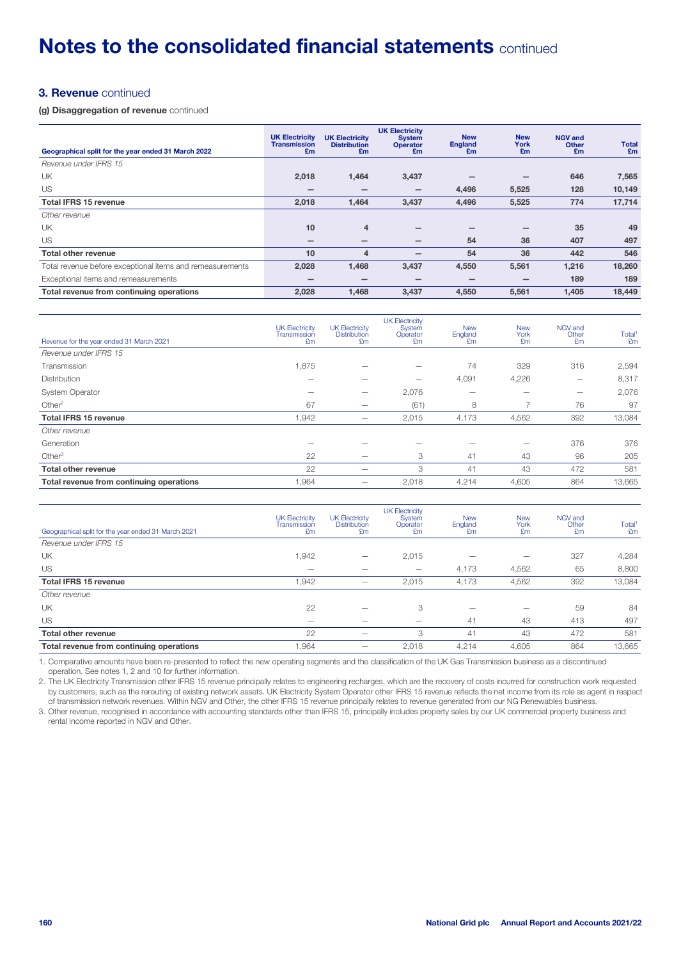## 3. Revenue continued

(g) Disaggregation of revenue continued

| Geographical split for the year ended 31 March 2022       | <b>UK Electricity</b><br><b>Transmission</b><br>£m | <b>UK Electricity</b><br><b>Distribution</b><br>£m | <b>UK Electricity</b><br><b>System</b><br><b>Operator</b><br>£m | <b>New</b><br><b>England</b><br>£m | <b>New</b><br>York<br>£m | <b>NGV and</b><br><b>Other</b><br>£m | <b>Total</b><br>£m |
|-----------------------------------------------------------|----------------------------------------------------|----------------------------------------------------|-----------------------------------------------------------------|------------------------------------|--------------------------|--------------------------------------|--------------------|
| Revenue under IFRS 15                                     |                                                    |                                                    |                                                                 |                                    |                          |                                      |                    |
| UK                                                        | 2,018                                              | 1,464                                              | 3,437                                                           |                                    |                          | 646                                  | 7,565              |
| <b>US</b>                                                 | –                                                  |                                                    |                                                                 | 4,496                              | 5,525                    | 128                                  | 10,149             |
| <b>Total IFRS 15 revenue</b>                              | 2,018                                              | 1,464                                              | 3,437                                                           | 4,496                              | 5,525                    | 774                                  | 17,714             |
| Other revenue                                             |                                                    |                                                    |                                                                 |                                    |                          |                                      |                    |
| UK                                                        | 10                                                 | 4                                                  | –                                                               |                                    | –                        | 35                                   | 49                 |
| US                                                        | –                                                  |                                                    | –                                                               | 54                                 | 36                       | 407                                  | 497                |
| Total other revenue                                       | 10                                                 | 4                                                  |                                                                 | 54                                 | 36                       | 442                                  | 546                |
| Total revenue before exceptional items and remeasurements | 2,028                                              | 1,468                                              | 3,437                                                           | 4,550                              | 5,561                    | 1,216                                | 18,260             |
| Exceptional items and remeasurements                      |                                                    | –                                                  |                                                                 |                                    | —                        | 189                                  | 189                |
| Total revenue from continuing operations                  | 2,028                                              | 1,468                                              | 3,437                                                           | 4,550                              | 5,561                    | 1,405                                | 18,449             |

|                                          | <b>UK Electricity</b>     | <b>UK Electricity</b>     | <b>UK Electricity</b><br>System | <b>New</b>    | <b>New</b> | NGV and                  |                          |
|------------------------------------------|---------------------------|---------------------------|---------------------------------|---------------|------------|--------------------------|--------------------------|
| Revenue for the year ended 31 March 2021 | <b>Transmission</b><br>£m | <b>Distribution</b><br>£m | Operator<br>£m                  | England<br>£m | York<br>£m | Other<br>£m              | Total <sup>1</sup><br>Em |
| Revenue under IFRS 15                    |                           |                           |                                 |               |            |                          |                          |
| Transmission                             | 1,875                     |                           |                                 | 74            | 329        | 316                      | 2,594                    |
| <b>Distribution</b>                      | $\overline{\phantom{a}}$  |                           | -                               | 4,091         | 4,226      |                          | 8,317                    |
| <b>System Operator</b>                   |                           | -                         | 2,076                           |               |            | $\overline{\phantom{0}}$ | 2,076                    |
| Other <sup>2</sup>                       | 67                        |                           | (61)                            | 8             |            | 76                       | 97                       |
| <b>Total IFRS 15 revenue</b>             | 1,942                     |                           | 2,015                           | 4,173         | 4,562      | 392                      | 13,084                   |
| Other revenue                            |                           |                           |                                 |               |            |                          |                          |
| Generation                               |                           |                           |                                 |               |            | 376                      | 376                      |
| Other $3$                                | 22                        | -                         | 3                               | 41            | 43         | 96                       | 205                      |
| <b>Total other revenue</b>               | 22                        | -                         | 3                               | 41            | 43         | 472                      | 581                      |
| Total revenue from continuing operations | 1,964                     | -                         | 2,018                           | 4,214         | 4,605      | 864                      | 13,665                   |

| Geographical split for the year ended 31 March 2021 | <b>UK Electricity</b><br>Transmission<br>£m | <b>UK Electricity</b><br><b>Distribution</b><br>£m | <b>UK Electricity</b><br>System<br>Operator<br>£m | <b>New</b><br>England<br>£m | <b>New</b><br>York<br>£m | NGV and<br>Other<br>£m | Total <sup>1</sup><br>£m |
|-----------------------------------------------------|---------------------------------------------|----------------------------------------------------|---------------------------------------------------|-----------------------------|--------------------------|------------------------|--------------------------|
| Revenue under IFRS 15                               |                                             |                                                    |                                                   |                             |                          |                        |                          |
| UK                                                  | .942                                        |                                                    | 2,015                                             |                             |                          | 327                    | 4,284                    |
| US                                                  |                                             |                                                    | -                                                 | 4,173                       | 4,562                    | 65                     | 8,800                    |
| <b>Total IFRS 15 revenue</b>                        | .942                                        | -                                                  | 2,015                                             | 4,173                       | 4,562                    | 392                    | 13,084                   |
| Other revenue                                       |                                             |                                                    |                                                   |                             |                          |                        |                          |
| UK                                                  | 22                                          | $\overline{\phantom{a}}$                           | 3                                                 | -                           | -                        | 59                     | 84                       |
| <b>US</b>                                           |                                             |                                                    |                                                   | 41                          | 43                       | 413                    | 497                      |
| Total other revenue                                 | 22                                          | $\overline{\phantom{0}}$                           | 3                                                 | 41                          | 43                       | 472                    | 581                      |
| Total revenue from continuing operations            | .964                                        | $\overline{\phantom{0}}$                           | 2.018                                             | 4.214                       | 4.605                    | 864                    | 13.665                   |

1. Comparative amounts have been re-presented to reflect the new operating segments and the classification of the UK Gas Transmission business as a discontinued operation. See notes 1, 2 and 10 for further information.

2. The UK Electricity Transmission other IFRS 15 revenue principally relates to engineering recharges, which are the recovery of costs incurred for construction work requested by customers, such as the rerouting of existing network assets. UK Electricity System Operator other IFRS 15 revenue reflects the net income from its role as agent in respect of transmission network revenues. Within NGV and Other, the other IFRS 15 revenue principally relates to revenue generated from our NG Renewables business.

3. Other revenue, recognised in accordance with accounting standards other than IFRS 15, principally includes property sales by our UK commercial property business and rental income reported in NGV and Other.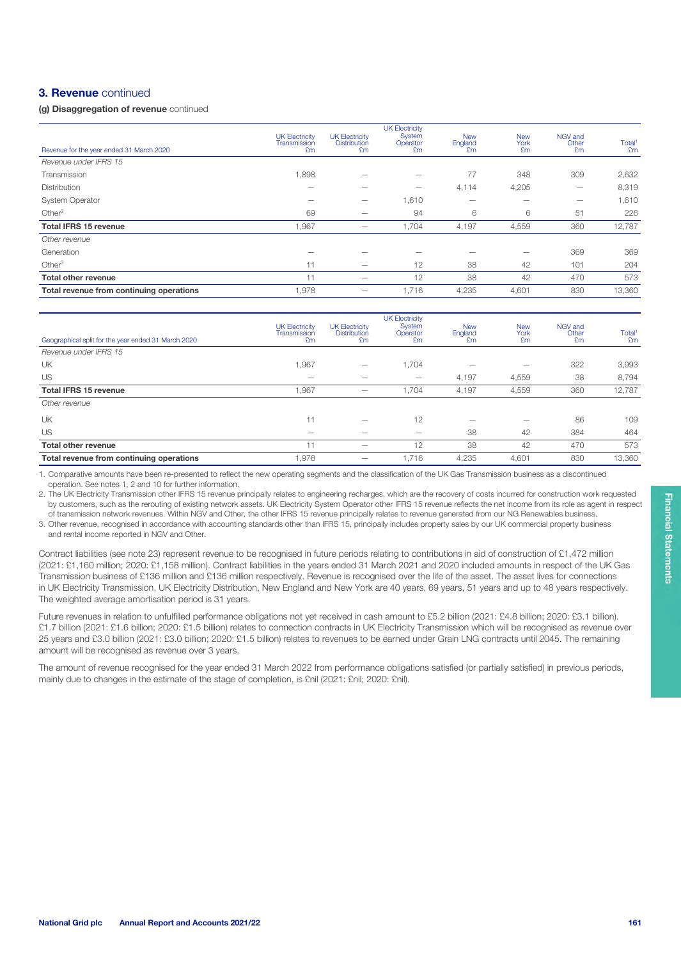## 3. Revenue continued

(g) Disaggregation of revenue continued

| Revenue for the year ended 31 March 2020 | <b>UK Electricity</b><br>Transmission<br>£m | <b>UK Electricity</b><br><b>Distribution</b><br>£m | <b>UK Electricity</b><br>System<br>Operator<br>£m | <b>New</b><br>England<br>£m | <b>New</b><br>York<br>£m | NGV and<br>Other<br>£m   | Total <sup>1</sup><br>£m |
|------------------------------------------|---------------------------------------------|----------------------------------------------------|---------------------------------------------------|-----------------------------|--------------------------|--------------------------|--------------------------|
| Revenue under IFRS 15                    |                                             |                                                    |                                                   |                             |                          |                          |                          |
| Transmission                             | 1,898                                       |                                                    |                                                   | 77                          | 348                      | 309                      | 2,632                    |
| <b>Distribution</b>                      |                                             | -                                                  | $\overline{\phantom{a}}$                          | 4,114                       | 4,205                    | $\overline{\phantom{0}}$ | 8,319                    |
| <b>System Operator</b>                   |                                             | $\overline{\phantom{0}}$                           | 1,610                                             |                             | -                        | -                        | 1,610                    |
| Other <sup>2</sup>                       | 69                                          | $\overline{\phantom{a}}$                           | 94                                                | 6                           | 6                        | 51                       | 226                      |
| <b>Total IFRS 15 revenue</b>             | 1,967                                       | $\overline{\phantom{0}}$                           | 1,704                                             | 4,197                       | 4,559                    | 360                      | 12,787                   |
| Other revenue                            |                                             |                                                    |                                                   |                             |                          |                          |                          |
| Generation                               |                                             |                                                    |                                                   |                             | $\overline{\phantom{a}}$ | 369                      | 369                      |
| Other $3$                                | 11                                          | -                                                  | 12                                                | 38                          | 42                       | 101                      | 204                      |
| <b>Total other revenue</b>               | 11                                          | $\overline{\phantom{0}}$                           | 12                                                | 38                          | 42                       | 470                      | 573                      |
| Total revenue from continuing operations | 1,978                                       | $\qquad \qquad -$                                  | 1,716                                             | 4,235                       | 4,601                    | 830                      | 13,360                   |

| Geographical split for the year ended 31 March 2020 | <b>UK Electricity</b><br>Transmission<br>£m | <b>UK Electricity</b><br><b>Distribution</b><br>£m | <b>UK Electricity</b><br>System<br>Operator<br>£m | <b>New</b><br>England<br>£m | <b>New</b><br>York<br>£m | NGV and<br>Other<br>£m | Total <sup>1</sup><br>Em |
|-----------------------------------------------------|---------------------------------------------|----------------------------------------------------|---------------------------------------------------|-----------------------------|--------------------------|------------------------|--------------------------|
| Revenue under IFRS 15                               |                                             |                                                    |                                                   |                             |                          |                        |                          |
| UK                                                  | 1,967                                       | -                                                  | 1,704                                             |                             |                          | 322                    | 3,993                    |
| US                                                  |                                             |                                                    |                                                   | 4,197                       | 4,559                    | 38                     | 8,794                    |
| <b>Total IFRS 15 revenue</b>                        | 1,967                                       | $\overline{\phantom{0}}$                           | 1,704                                             | 4,197                       | 4,559                    | 360                    | 12,787                   |
| Other revenue                                       |                                             |                                                    |                                                   |                             |                          |                        |                          |
| UK                                                  | 11                                          |                                                    | 12                                                |                             | -                        | 86                     | 109                      |
| US                                                  |                                             |                                                    |                                                   | 38                          | 42                       | 384                    | 464                      |
| <b>Total other revenue</b>                          | 11                                          | -                                                  | 12                                                | 38                          | 42                       | 470                    | 573                      |
| Total revenue from continuing operations            | 1.978                                       | $\overline{\phantom{0}}$                           | 1,716                                             | 4,235                       | 4,601                    | 830                    | 13,360                   |

1. Comparative amounts have been re-presented to reflect the new operating segments and the classification of the UK Gas Transmission business as a discontinued operation. See notes 1, 2 and 10 for further information.

2. The UK Electricity Transmission other IFRS 15 revenue principally relates to engineering recharges, which are the recovery of costs incurred for construction work requested by customers, such as the rerouting of existing network assets. UK Electricity System Operator other IFRS 15 revenue reflects the net income from its role as agent in respect of transmission network revenues. Within NGV and Other, the other IFRS 15 revenue principally relates to revenue generated from our NG Renewables business. 3. Other revenue, recognised in accordance with accounting standards other than IFRS 15, principally includes property sales by our UK commercial property business

and rental income reported in NGV and Other.

Contract liabilities (see note 23) represent revenue to be recognised in future periods relating to contributions in aid of construction of £1,472 million (2021: £1,160 million; 2020: £1,158 million). Contract liabilities in the years ended 31 March 2021 and 2020 included amounts in respect of the UK Gas Transmission business of £136 million and £136 million respectively. Revenue is recognised over the life of the asset. The asset lives for connections in UK Electricity Transmission, UK Electricity Distribution, New England and New York are 40 years, 69 years, 51 years and up to 48 years respectively. The weighted average amortisation period is 31 years.

Future revenues in relation to unfulfilled performance obligations not yet received in cash amount to £5.2 billion (2021: £4.8 billion; 2020: £3.1 billion). £1.7 billion (2021: £1.6 billion; 2020: £1.5 billion) relates to connection contracts in UK Electricity Transmission which will be recognised as revenue over 25 years and £3.0 billion (2021: £3.0 billion; 2020: £1.5 billion) relates to revenues to be earned under Grain LNG contracts until 2045. The remaining amount will be recognised as revenue over 3 years.

The amount of revenue recognised for the year ended 31 March 2022 from performance obligations satisfied (or partially satisfied) in previous periods, mainly due to changes in the estimate of the stage of completion, is £nil (2021: £nil; 2020: £nil).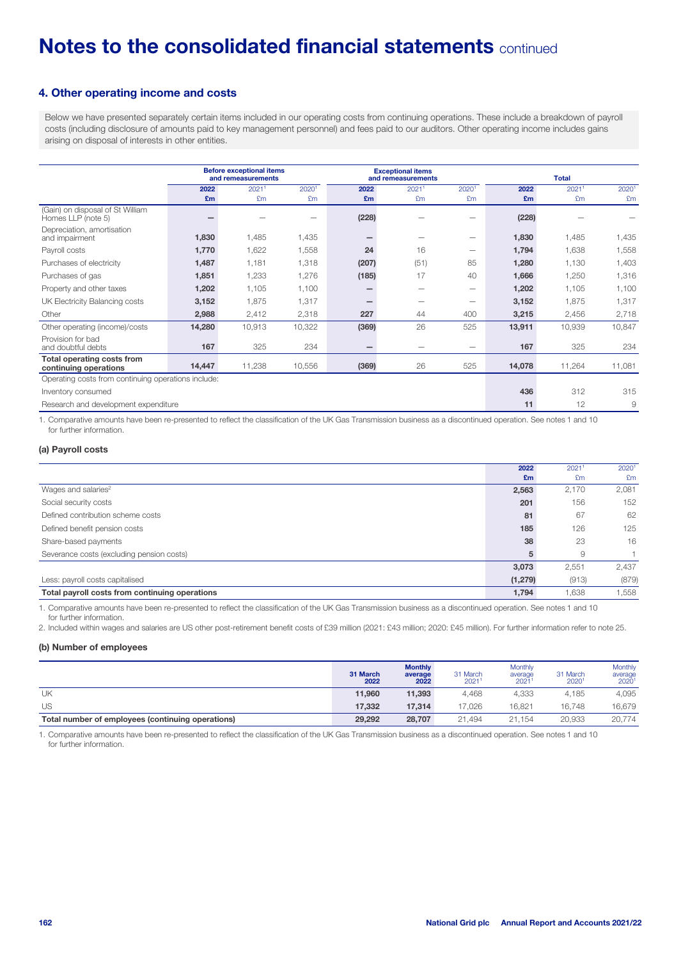## Notes to the consolidated financial statements continued

### 4. Other operating income and costs

Below we have presented separately certain items included in our operating costs from continuing operations. These include a breakdown of payroll costs (including disclosure of amounts paid to key management personnel) and fees paid to our auditors. Other operating income includes gains arising on disposal of interests in other entities.

|                                                            | <b>Before exceptional items</b><br>and remeasurements |        |        | <b>Exceptional items</b><br>and remeasurements |       |                                       | <b>Total</b> |        |        |
|------------------------------------------------------------|-------------------------------------------------------|--------|--------|------------------------------------------------|-------|---------------------------------------|--------------|--------|--------|
|                                                            | 2022                                                  | 20211  | 20201  | 2022                                           | 20211 | 20201                                 | 2022         | 20211  | 20201  |
|                                                            | £m                                                    | £m     | £m     | £m                                             | £m    | £m                                    | £m           | £m     | £m     |
| (Gain) on disposal of St William<br>Homes LLP (note 5)     |                                                       |        |        | (228)                                          |       |                                       | (228)        |        |        |
| Depreciation, amortisation<br>and impairment               | 1,830                                                 | 1,485  | 1,435  |                                                |       | $\overline{\phantom{0}}$              | 1,830        | 1,485  | 1,435  |
| Payroll costs                                              | 1,770                                                 | 1,622  | 1,558  | 24                                             | 16    | $\overline{\phantom{0}}$              | 1,794        | 1,638  | 1,558  |
| Purchases of electricity                                   | 1,487                                                 | 1,181  | 1,318  | (207)                                          | (51)  | 85                                    | 1,280        | 1,130  | 1,403  |
| Purchases of gas                                           | 1,851                                                 | 1,233  | 1,276  | (185)                                          | 17    | 40                                    | 1,666        | 1,250  | 1,316  |
| Property and other taxes                                   | 1,202                                                 | 1,105  | 1,100  | -                                              |       | $\hspace{1.0cm} \rule{1.5cm}{0.15cm}$ | 1,202        | 1,105  | 1,100  |
| UK Electricity Balancing costs                             | 3,152                                                 | 1,875  | 1,317  | -                                              |       | $\overline{\phantom{0}}$              | 3,152        | 1,875  | 1,317  |
| Other                                                      | 2,988                                                 | 2,412  | 2,318  | 227                                            | 44    | 400                                   | 3,215        | 2,456  | 2,718  |
| Other operating (income)/costs                             | 14,280                                                | 10,913 | 10,322 | (369)                                          | 26    | 525                                   | 13,911       | 10,939 | 10,847 |
| Provision for bad<br>and doubtful debts                    | 167                                                   | 325    | 234    | —                                              |       | $\qquad \qquad -$                     | 167          | 325    | 234    |
| <b>Total operating costs from</b><br>continuing operations | 14,447                                                | 11,238 | 10,556 | (369)                                          | 26    | 525                                   | 14,078       | 11,264 | 11,081 |
| Operating costs from continuing operations include:        |                                                       |        |        |                                                |       |                                       |              |        |        |
| Inventory consumed                                         |                                                       |        |        |                                                |       |                                       | 436          | 312    | 315    |
| Research and development expenditure                       |                                                       |        |        |                                                |       |                                       | 11           | 12     | 9      |

1. Comparative amounts have been re-presented to reflect the classification of the UK Gas Transmission business as a discontinued operation. See notes 1 and 10 for further information.

### (a) Payroll costs

|                                                | 2022     | 2021' | 2020 <sup>1</sup> |
|------------------------------------------------|----------|-------|-------------------|
|                                                | £m       | £m    | £m                |
| Wages and salaries <sup>2</sup>                | 2,563    | 2,170 | 2,081             |
| Social security costs                          | 201      | 156   | 152               |
| Defined contribution scheme costs              | 81       | 67    | 62                |
| Defined benefit pension costs                  | 185      | 126   | 125               |
| Share-based payments                           | 38       | 23    | 16                |
| Severance costs (excluding pension costs)      |          | 9     |                   |
|                                                | 3,073    | 2,551 | 2,437             |
| Less: payroll costs capitalised                | (1, 279) | (913) | (879)             |
| Total payroll costs from continuing operations | 1,794    | .638  | .558              |

1. Comparative amounts have been re-presented to reflect the classification of the UK Gas Transmission business as a discontinued operation. See notes 1 and 10

for further information.

2. Included within wages and salaries are US other post-retirement benefit costs of £39 million (2021: £43 million; 2020: £45 million). For further information refer to note 25.

#### (b) Number of employees

|                                                   | 31 March<br>2022 | <b>Monthly</b><br>average<br>2022 | 31 March<br>2021 | Monthly<br>average<br>2021 | 31 March<br>2020 | <b>Monthly</b><br>average<br>2020 <sup>1</sup> |
|---------------------------------------------------|------------------|-----------------------------------|------------------|----------------------------|------------------|------------------------------------------------|
| UK                                                | 11.960           | 11.393                            | 4,468            | 4.333                      | 4.185            | 4,095                                          |
| <b>US</b>                                         | 17.332           | 17.314                            | 17.026           | 16.821                     | 16.748           | 16,679                                         |
| Total number of employees (continuing operations) | 29,292           | 28,707                            | 21.494           | 21.154                     | 20,933           | 20,774                                         |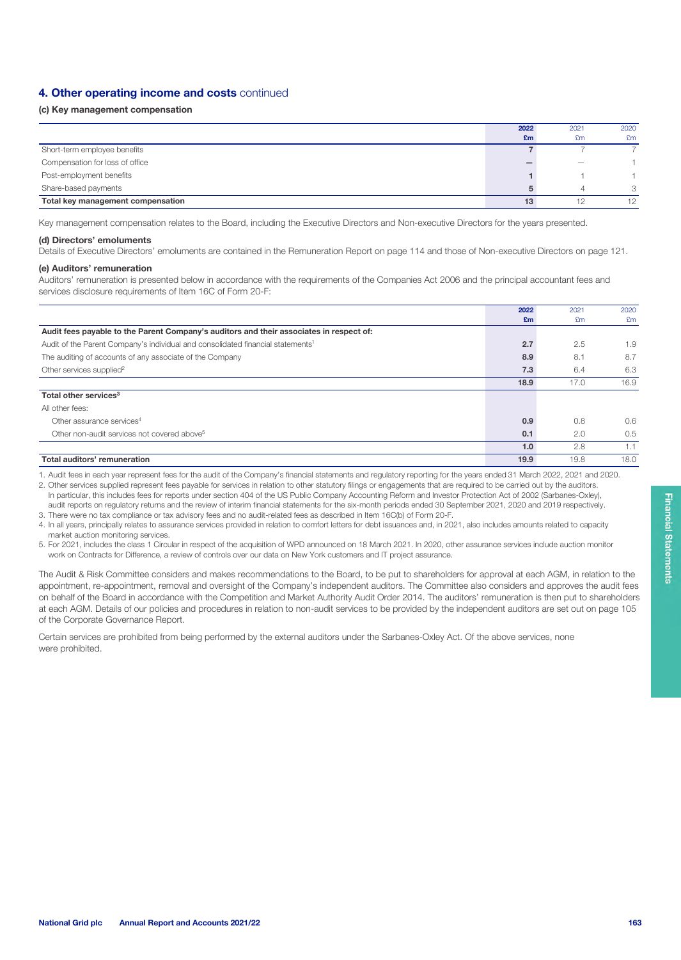## 4. Other operating income and costs continued

### (c) Key management compensation

|                                   | 2022 | 2021 | 2020          |
|-----------------------------------|------|------|---------------|
|                                   | £m   | £m   | £m            |
| Short-term employee benefits      |      |      |               |
| Compensation for loss of office   |      | $-$  |               |
| Post-employment benefits          |      |      |               |
| Share-based payments              |      | ↵    | $\mathcal{S}$ |
| Total key management compensation | 13   | 12   | 12            |

Key management compensation relates to the Board, including the Executive Directors and Non-executive Directors for the years presented.

#### (d) Directors' emoluments

Details of Executive Directors' emoluments are contained in the Remuneration Report on page 114 and those of Non-executive Directors on page 121.

#### (e) Auditors' remuneration

Auditors' remuneration is presented below in accordance with the requirements of the Companies Act 2006 and the principal accountant fees and services disclosure requirements of Item 16C of Form 20-F:

|                                                                                             | 2022             | 2021 | 2020 |
|---------------------------------------------------------------------------------------------|------------------|------|------|
|                                                                                             | £m               | £m   | £m   |
| Audit fees payable to the Parent Company's auditors and their associates in respect of:     |                  |      |      |
| Audit of the Parent Company's individual and consolidated financial statements <sup>1</sup> | 2.7              | 2.5  | 1.9  |
| The auditing of accounts of any associate of the Company                                    | 8.9              | 8.1  | 8.7  |
| Other services supplied <sup>2</sup>                                                        | 7.3              | 6.4  | 6.3  |
|                                                                                             | 18.9             | 17.0 | 16.9 |
| Total other services <sup>3</sup>                                                           |                  |      |      |
| All other fees:                                                                             |                  |      |      |
| Other assurance services <sup>4</sup>                                                       | 0.9              | 0.8  | 0.6  |
| Other non-audit services not covered above <sup>5</sup>                                     | 0.1              | 2.0  | 0.5  |
|                                                                                             | 1.0 <sub>1</sub> | 2.8  | 1.1  |
| Total auditors' remuneration                                                                | 19.9             | 19.8 | 18.0 |

1. Audit fees in each year represent fees for the audit of the Company's financial statements and regulatory reporting for the years ended 31 March 2022, 2021 and 2020. 2. Other services supplied represent fees payable for services in relation to other statutory filings or engagements that are required to be carried out by the auditors. In particular, this includes fees for reports under section 404 of the US Public Company Accounting Reform and Investor Protection Act of 2002 (Sarbanes-Oxley),

audit reports on regulatory returns and the review of interim financial statements for the six-month periods ended 30 September 2021, 2020 and 2019 respectively. 3. There were no tax compliance or tax advisory fees and no audit-related fees as described in Item 16C(b) of Form 20-F.

4. In all years, principally relates to assurance services provided in relation to comfort letters for debt issuances and, in 2021, also includes amounts related to capacity market auction monitoring services.

5. For 2021, includes the class 1 Circular in respect of the acquisition of WPD announced on 18 March 2021. In 2020, other assurance services include auction monitor work on Contracts for Difference, a review of controls over our data on New York customers and IT project assurance.

The Audit & Risk Committee considers and makes recommendations to the Board, to be put to shareholders for approval at each AGM, in relation to the appointment, re-appointment, removal and oversight of the Company's independent auditors. The Committee also considers and approves the audit fees on behalf of the Board in accordance with the Competition and Market Authority Audit Order 2014. The auditors' remuneration is then put to shareholders at each AGM. Details of our policies and procedures in relation to non-audit services to be provided by the independent auditors are set out on page 105 of the Corporate Governance Report.

Certain services are prohibited from being performed by the external auditors under the Sarbanes-Oxley Act. Of the above services, none were prohibited.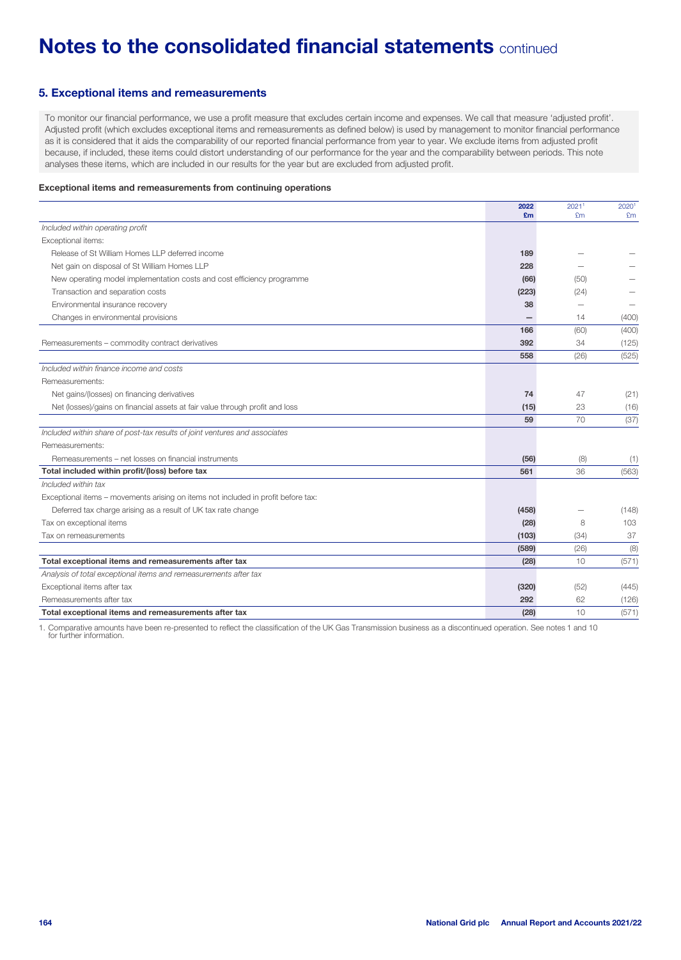## Notes to the consolidated financial statements continued

### 5. Exceptional items and remeasurements

To monitor our financial performance, we use a profit measure that excludes certain income and expenses. We call that measure 'adjusted profit'. Adjusted profit (which excludes exceptional items and remeasurements as defined below) is used by management to monitor financial performance as it is considered that it aids the comparability of our reported financial performance from year to year. We exclude items from adjusted profit because, if included, these items could distort understanding of our performance for the year and the comparability between periods. This note analyses these items, which are included in our results for the year but are excluded from adjusted profit.

#### Exceptional items and remeasurements from continuing operations

|                                                                                   | 2022  | 2021 <sup>1</sup> | 20201 |
|-----------------------------------------------------------------------------------|-------|-------------------|-------|
|                                                                                   | £m    | £m                | £m    |
| Included within operating profit                                                  |       |                   |       |
| Exceptional items:                                                                |       |                   |       |
| Release of St William Homes LLP deferred income                                   | 189   |                   |       |
| Net gain on disposal of St William Homes LLP                                      | 228   |                   |       |
| New operating model implementation costs and cost efficiency programme            | (66)  | (50)              |       |
| Transaction and separation costs                                                  | (223) | (24)              |       |
| Environmental insurance recovery                                                  | 38    |                   |       |
| Changes in environmental provisions                                               |       | 14                | (400) |
|                                                                                   | 166   | (60)              | (400) |
| Remeasurements - commodity contract derivatives                                   | 392   | 34                | (125) |
|                                                                                   | 558   | (26)              | (525) |
| Included within finance income and costs                                          |       |                   |       |
| Remeasurements:                                                                   |       |                   |       |
| Net gains/(losses) on financing derivatives                                       | 74    | 47                | (21)  |
| Net (losses)/gains on financial assets at fair value through profit and loss      | (15)  | 23                | (16)  |
|                                                                                   | 59    | 70                | (37)  |
| Included within share of post-tax results of joint ventures and associates        |       |                   |       |
| Remeasurements:                                                                   |       |                   |       |
| Remeasurements – net losses on financial instruments                              | (56)  | (8)               | (1)   |
| Total included within profit/(loss) before tax                                    | 561   | 36                | (563) |
| Included within tax                                                               |       |                   |       |
| Exceptional items – movements arising on items not included in profit before tax: |       |                   |       |
| Deferred tax charge arising as a result of UK tax rate change                     | (458) |                   | (148) |
| Tax on exceptional items                                                          | (28)  | 8                 | 103   |
| Tax on remeasurements                                                             | (103) | (34)              | 37    |
|                                                                                   | (589) | (26)              | (8)   |
| Total exceptional items and remeasurements after tax                              | (28)  | 10                | (571) |
| Analysis of total exceptional items and remeasurements after tax                  |       |                   |       |
| Exceptional items after tax                                                       | (320) | (52)              | (445) |
| Remeasurements after tax                                                          | 292   | 62                | (126) |
| Total exceptional items and remeasurements after tax                              | (28)  | 10                | (571) |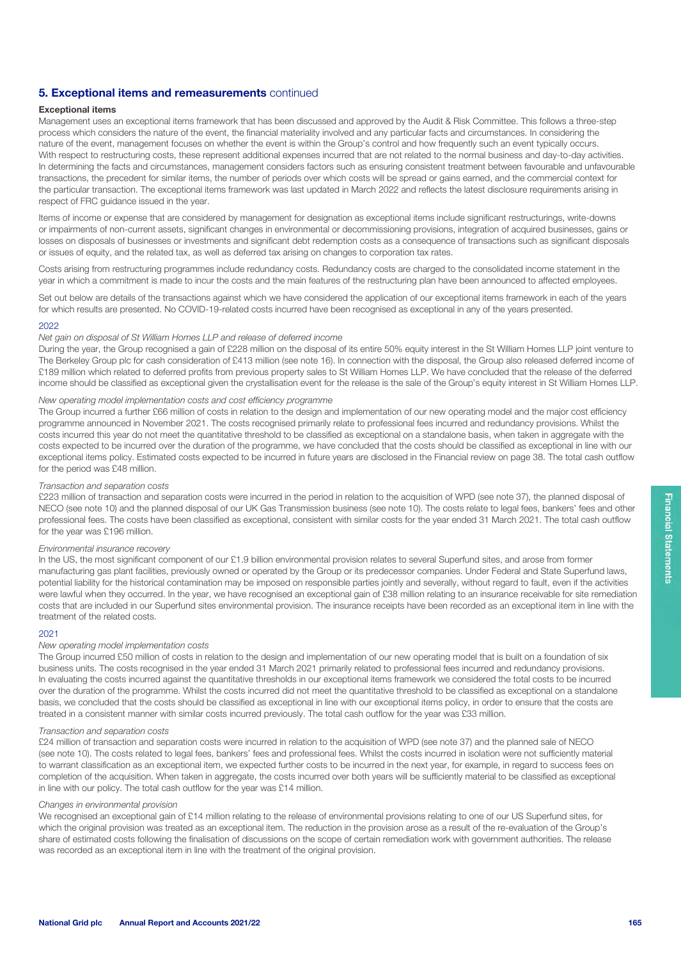### **5. Exceptional items and remeasurements** continued

#### Exceptional items

Management uses an exceptional items framework that has been discussed and approved by the Audit & Risk Committee. This follows a three-step process which considers the nature of the event, the financial materiality involved and any particular facts and circumstances. In considering the nature of the event, management focuses on whether the event is within the Group's control and how frequently such an event typically occurs. With respect to restructuring costs, these represent additional expenses incurred that are not related to the normal business and day-to-day activities. In determining the facts and circumstances, management considers factors such as ensuring consistent treatment between favourable and unfavourable transactions, the precedent for similar items, the number of periods over which costs will be spread or gains earned, and the commercial context for the particular transaction. The exceptional items framework was last updated in March 2022 and reflects the latest disclosure requirements arising in respect of FRC guidance issued in the year.

Items of income or expense that are considered by management for designation as exceptional items include significant restructurings, write-downs or impairments of non-current assets, significant changes in environmental or decommissioning provisions, integration of acquired businesses, gains or losses on disposals of businesses or investments and significant debt redemption costs as a consequence of transactions such as significant disposals or issues of equity, and the related tax, as well as deferred tax arising on changes to corporation tax rates.

Costs arising from restructuring programmes include redundancy costs. Redundancy costs are charged to the consolidated income statement in the year in which a commitment is made to incur the costs and the main features of the restructuring plan have been announced to affected employees.

Set out below are details of the transactions against which we have considered the application of our exceptional items framework in each of the years for which results are presented. No COVID-19-related costs incurred have been recognised as exceptional in any of the years presented.

#### 2022

#### Net gain on disposal of St William Homes LLP and release of deferred income

During the year, the Group recognised a gain of £228 million on the disposal of its entire 50% equity interest in the St William Homes LLP joint venture to The Berkeley Group plc for cash consideration of £413 million (see note 16). In connection with the disposal, the Group also released deferred income of £189 million which related to deferred profits from previous property sales to St William Homes LLP. We have concluded that the release of the deferred income should be classified as exceptional given the crystallisation event for the release is the sale of the Group's equity interest in St William Homes LLP.

#### New operating model implementation costs and cost efficiency programme

The Group incurred a further £66 million of costs in relation to the design and implementation of our new operating model and the major cost efficiency programme announced in November 2021. The costs recognised primarily relate to professional fees incurred and redundancy provisions. Whilst the costs incurred this year do not meet the quantitative threshold to be classified as exceptional on a standalone basis, when taken in aggregate with the costs expected to be incurred over the duration of the programme, we have concluded that the costs should be classified as exceptional in line with our exceptional items policy. Estimated costs expected to be incurred in future years are disclosed in the Financial review on page 38. The total cash outflow for the period was £48 million.

#### Transaction and separation costs

£223 million of transaction and separation costs were incurred in the period in relation to the acquisition of WPD (see note 37), the planned disposal of NECO (see note 10) and the planned disposal of our UK Gas Transmission business (see note 10). The costs relate to legal fees, bankers' fees and other professional fees. The costs have been classified as exceptional, consistent with similar costs for the year ended 31 March 2021. The total cash outflow for the year was £196 million.

#### Environmental insurance recovery

In the US, the most significant component of our £1.9 billion environmental provision relates to several Superfund sites, and arose from former manufacturing gas plant facilities, previously owned or operated by the Group or its predecessor companies. Under Federal and State Superfund laws, potential liability for the historical contamination may be imposed on responsible parties jointly and severally, without regard to fault, even if the activities were lawful when they occurred. In the year, we have recognised an exceptional gain of £38 million relating to an insurance receivable for site remediation costs that are included in our Superfund sites environmental provision. The insurance receipts have been recorded as an exceptional item in line with the treatment of the related costs.

#### 2021

#### New operating model implementation costs

The Group incurred £50 million of costs in relation to the design and implementation of our new operating model that is built on a foundation of six business units. The costs recognised in the year ended 31 March 2021 primarily related to professional fees incurred and redundancy provisions. In evaluating the costs incurred against the quantitative thresholds in our exceptional items framework we considered the total costs to be incurred over the duration of the programme. Whilst the costs incurred did not meet the quantitative threshold to be classified as exceptional on a standalone basis, we concluded that the costs should be classified as exceptional in line with our exceptional items policy, in order to ensure that the costs are treated in a consistent manner with similar costs incurred previously. The total cash outflow for the year was £33 million.

#### Transaction and separation costs

£24 million of transaction and separation costs were incurred in relation to the acquisition of WPD (see note 37) and the planned sale of NECO (see note 10). The costs related to legal fees, bankers' fees and professional fees. Whilst the costs incurred in isolation were not sufficiently material to warrant classification as an exceptional item, we expected further costs to be incurred in the next year, for example, in regard to success fees on completion of the acquisition. When taken in aggregate, the costs incurred over both years will be sufficiently material to be classified as exceptional in line with our policy. The total cash outflow for the year was £14 million.

#### Changes in environmental provision

We recognised an exceptional gain of £14 million relating to the release of environmental provisions relating to one of our US Superfund sites, for which the original provision was treated as an exceptional item. The reduction in the provision arose as a result of the re-evaluation of the Group's share of estimated costs following the finalisation of discussions on the scope of certain remediation work with government authorities. The release was recorded as an exceptional item in line with the treatment of the original provision.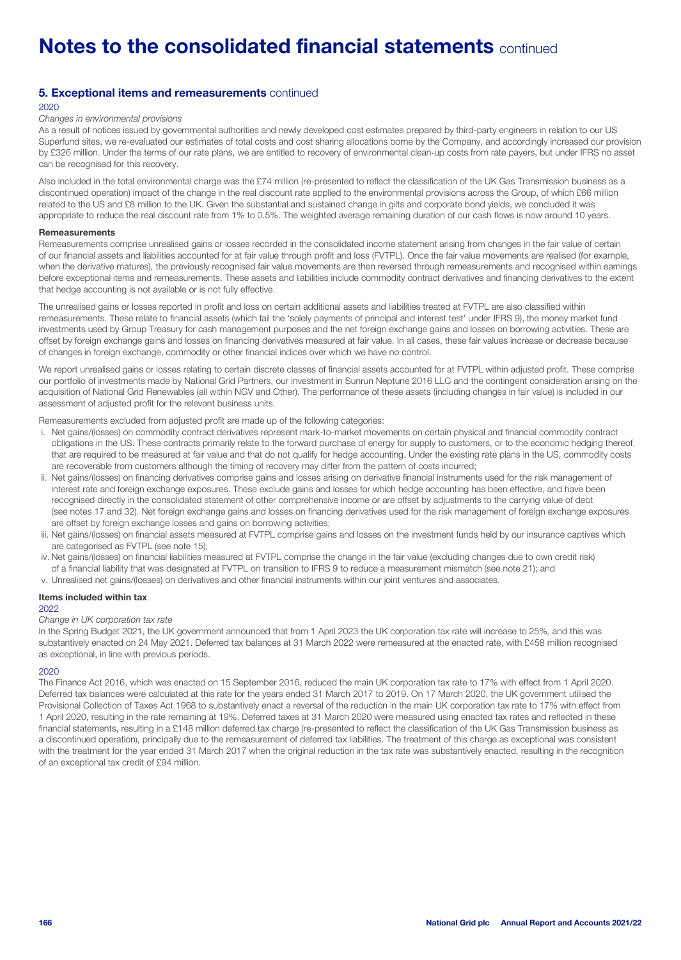## Notes to the consolidated financial statements continued

### **5. Exceptional items and remeasurements continued**

#### 2020

#### Changes in environmental provisions

As a result of notices issued by governmental authorities and newly developed cost estimates prepared by third-party engineers in relation to our US Superfund sites, we re-evaluated our estimates of total costs and cost sharing allocations borne by the Company, and accordingly increased our provision by £326 million. Under the terms of our rate plans, we are entitled to recovery of environmental clean-up costs from rate payers, but under IFRS no asset can be recognised for this recovery.

Also included in the total environmental charge was the £74 million (re-presented to reflect the classification of the UK Gas Transmission business as a discontinued operation) impact of the change in the real discount rate applied to the environmental provisions across the Group, of which £66 million related to the US and £8 million to the UK. Given the substantial and sustained change in gilts and corporate bond yields, we concluded it was appropriate to reduce the real discount rate from 1% to 0.5%. The weighted average remaining duration of our cash flows is now around 10 years.

#### Remeasurements

Remeasurements comprise unrealised gains or losses recorded in the consolidated income statement arising from changes in the fair value of certain of our financial assets and liabilities accounted for at fair value through profit and loss (FVTPL). Once the fair value movements are realised (for example, when the derivative matures), the previously recognised fair value movements are then reversed through remeasurements and recognised within earnings before exceptional items and remeasurements. These assets and liabilities include commodity contract derivatives and financing derivatives to the extent that hedge accounting is not available or is not fully effective.

The unrealised gains or losses reported in profit and loss on certain additional assets and liabilities treated at FVTPL are also classified within remeasurements. These relate to financial assets (which fail the 'solely payments of principal and interest test' under IFRS 9), the money market fund investments used by Group Treasury for cash management purposes and the net foreign exchange gains and losses on borrowing activities. These are offset by foreign exchange gains and losses on financing derivatives measured at fair value. In all cases, these fair values increase or decrease because of changes in foreign exchange, commodity or other financial indices over which we have no control.

We report unrealised gains or losses relating to certain discrete classes of financial assets accounted for at FVTPL within adjusted profit. These comprise our portfolio of investments made by National Grid Partners, our investment in Sunrun Neptune 2016 LLC and the contingent consideration arising on the acquisition of National Grid Renewables (all within NGV and Other). The performance of these assets (including changes in fair value) is included in our assessment of adjusted profit for the relevant business units.

Remeasurements excluded from adjusted profit are made up of the following categories:

- i. Net gains/(losses) on commodity contract derivatives represent mark-to-market movements on certain physical and financial commodity contract obligations in the US. These contracts primarily relate to the forward purchase of energy for supply to customers, or to the economic hedging thereof, that are required to be measured at fair value and that do not qualify for hedge accounting. Under the existing rate plans in the US, commodity costs are recoverable from customers although the timing of recovery may differ from the pattern of costs incurred;
- ii. Net gains/(losses) on financing derivatives comprise gains and losses arising on derivative financial instruments used for the risk management of interest rate and foreign exchange exposures. These exclude gains and losses for which hedge accounting has been effective, and have been recognised directly in the consolidated statement of other comprehensive income or are offset by adjustments to the carrying value of debt (see notes 17 and 32). Net foreign exchange gains and losses on financing derivatives used for the risk management of foreign exchange exposures are offset by foreign exchange losses and gains on borrowing activities;
- iii. Net gains/(losses) on financial assets measured at FVTPL comprise gains and losses on the investment funds held by our insurance captives which are categorised as FVTPL (see note 15);
- iv. Net gains/(losses) on financial liabilities measured at FVTPL comprise the change in the fair value (excluding changes due to own credit risk)
- of a financial liability that was designated at FVTPL on transition to IFRS 9 to reduce a measurement mismatch (see note 21); and v. Unrealised net gains/(losses) on derivatives and other financial instruments within our joint ventures and associates.

## Items included within tax

#### 2022

Change in UK corporation tax rate

In the Spring Budget 2021, the UK government announced that from 1 April 2023 the UK corporation tax rate will increase to 25%, and this was substantively enacted on 24 May 2021. Deferred tax balances at 31 March 2022 were remeasured at the enacted rate, with £458 million recognised as exceptional, in line with previous periods.

#### 2020

The Finance Act 2016, which was enacted on 15 September 2016, reduced the main UK corporation tax rate to 17% with effect from 1 April 2020. Deferred tax balances were calculated at this rate for the years ended 31 March 2017 to 2019. On 17 March 2020, the UK government utilised the Provisional Collection of Taxes Act 1968 to substantively enact a reversal of the reduction in the main UK corporation tax rate to 17% with effect from 1 April 2020, resulting in the rate remaining at 19%. Deferred taxes at 31 March 2020 were measured using enacted tax rates and reflected in these financial statements, resulting in a £148 million deferred tax charge (re-presented to reflect the classification of the UK Gas Transmission business as a discontinued operation), principally due to the remeasurement of deferred tax liabilities. The treatment of this charge as exceptional was consistent with the treatment for the year ended 31 March 2017 when the original reduction in the tax rate was substantively enacted, resulting in the recognition of an exceptional tax credit of £94 million.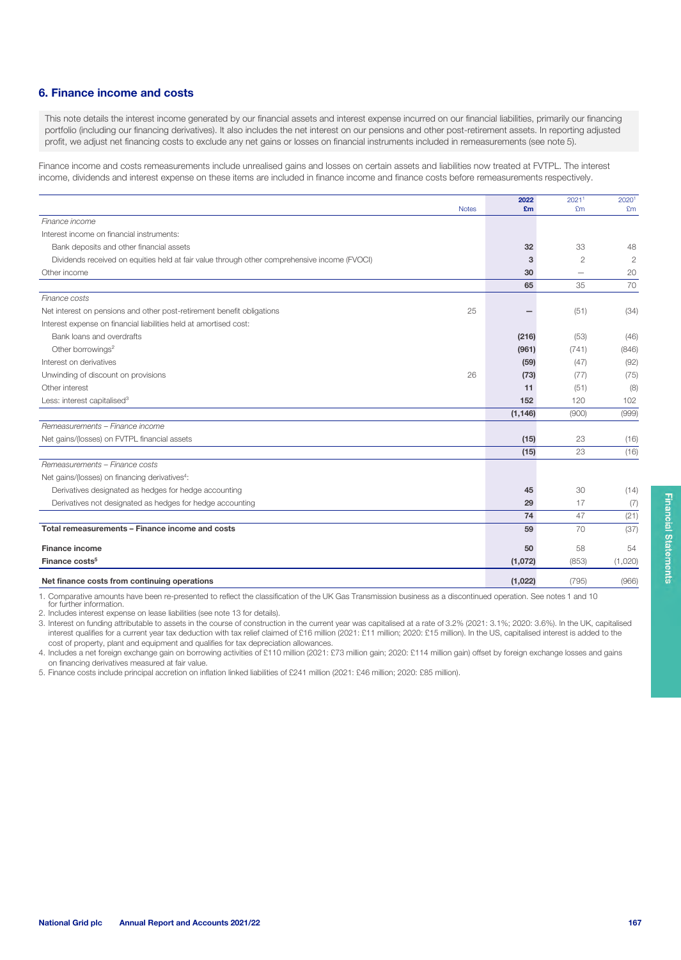## 6. Finance income and costs

This note details the interest income generated by our financial assets and interest expense incurred on our financial liabilities, primarily our financing portfolio (including our financing derivatives). It also includes the net interest on our pensions and other post-retirement assets. In reporting adjusted profit, we adjust net financing costs to exclude any net gains or losses on financial instruments included in remeasurements (see note 5).

Finance income and costs remeasurements include unrealised gains and losses on certain assets and liabilities now treated at FVTPL. The interest income, dividends and interest expense on these items are included in finance income and finance costs before remeasurements respectively.

|                                                                                              |              | 2022     | 20211 | 20201        |
|----------------------------------------------------------------------------------------------|--------------|----------|-------|--------------|
|                                                                                              | <b>Notes</b> | £m       | £m    | £m           |
| Finance income                                                                               |              |          |       |              |
| Interest income on financial instruments:                                                    |              |          |       |              |
| Bank deposits and other financial assets                                                     |              | 32       | 33    | 48           |
| Dividends received on equities held at fair value through other comprehensive income (FVOCI) |              | 3        | 2     | $\mathbf{2}$ |
| Other income                                                                                 |              | 30       |       | 20           |
|                                                                                              |              | 65       | 35    | 70           |
| Finance costs                                                                                |              |          |       |              |
| Net interest on pensions and other post-retirement benefit obligations                       | 25           |          | (51)  | (34)         |
| Interest expense on financial liabilities held at amortised cost:                            |              |          |       |              |
| Bank loans and overdrafts                                                                    |              | (216)    | (53)  | (46)         |
| Other borrowings <sup>2</sup>                                                                |              | (961)    | (741) | (846)        |
| Interest on derivatives                                                                      |              | (59)     | (47)  | (92)         |
| Unwinding of discount on provisions                                                          | 26           | (73)     | (77)  | (75)         |
| Other interest                                                                               |              | 11       | (51)  | (8)          |
| Less: interest capitalised <sup>3</sup>                                                      |              | 152      | 120   | 102          |
|                                                                                              |              | (1, 146) | (900) | (999)        |
| Remeasurements - Finance income                                                              |              |          |       |              |
| Net gains/(losses) on FVTPL financial assets                                                 |              | (15)     | 23    | (16)         |
|                                                                                              |              | (15)     | 23    | (16)         |
| Remeasurements - Finance costs                                                               |              |          |       |              |
| Net gains/(losses) on financing derivatives <sup>4</sup> :                                   |              |          |       |              |
| Derivatives designated as hedges for hedge accounting                                        |              | 45       | 30    | (14)         |
| Derivatives not designated as hedges for hedge accounting                                    |              | 29       | 17    | (7)          |
|                                                                                              |              | 74       | 47    | (21)         |
| Total remeasurements - Finance income and costs                                              |              | 59       | 70    | (37)         |
| <b>Finance income</b>                                                                        |              | 50       | 58    | 54           |
| Finance costs <sup>5</sup>                                                                   |              | (1,072)  | (853) | (1,020)      |
| Net finance costs from continuing operations                                                 |              | (1,022)  | (795) | (966)        |

1. Comparative amounts have been re-presented to reflect the classification of the UK Gas Transmission business as a discontinued operation. See notes 1 and 10 for further information.

2. Includes interest expense on lease liabilities (see note 13 for details).

3. Interest on funding attributable to assets in the course of construction in the current year was capitalised at a rate of 3.2% (2021: 3.1%; 2020: 3.6%). In the UK, capitalised interest qualifies for a current year tax deduction with tax relief claimed of £16 million (2021: £11 million; 2020: £15 million). In the US, capitalised interest is added to the cost of property, plant and equipment and qualifies for tax depreciation allowances.

4. Includes a net foreign exchange gain on borrowing activities of £110 million (2021: £73 million gain; 2020: £114 million gain) offset by foreign exchange losses and gains on financing derivatives measured at fair value.

5. Finance costs include principal accretion on inflation linked liabilities of £241 million (2021: £46 million; 2020: £85 million).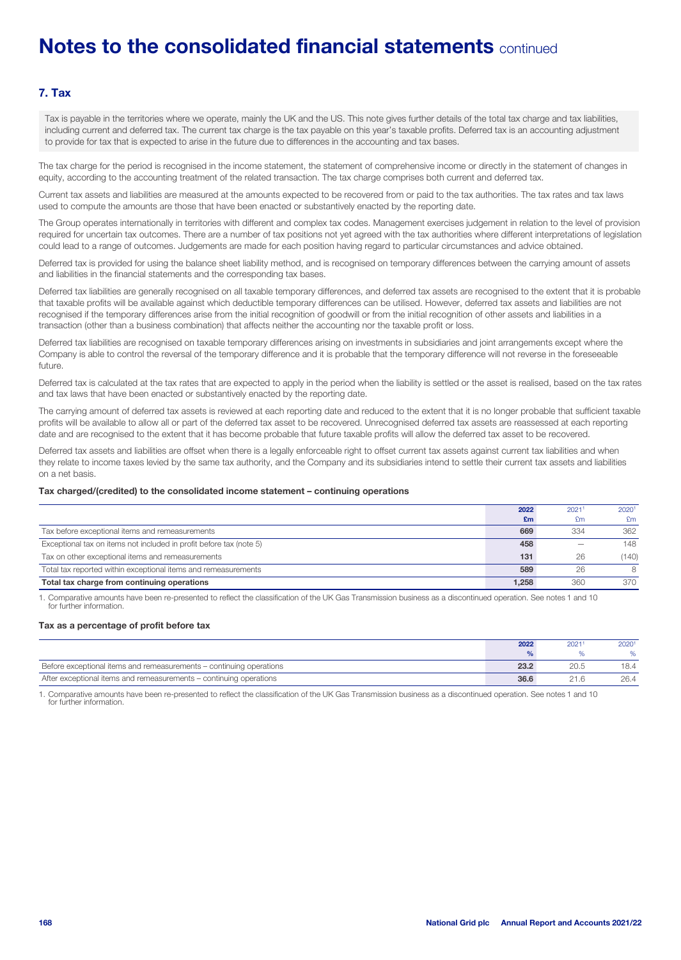## 7. Tax

Tax is payable in the territories where we operate, mainly the UK and the US. This note gives further details of the total tax charge and tax liabilities, including current and deferred tax. The current tax charge is the tax payable on this year's taxable profits. Deferred tax is an accounting adjustment to provide for tax that is expected to arise in the future due to differences in the accounting and tax bases.

The tax charge for the period is recognised in the income statement, the statement of comprehensive income or directly in the statement of changes in equity, according to the accounting treatment of the related transaction. The tax charge comprises both current and deferred tax.

Current tax assets and liabilities are measured at the amounts expected to be recovered from or paid to the tax authorities. The tax rates and tax laws used to compute the amounts are those that have been enacted or substantively enacted by the reporting date.

The Group operates internationally in territories with different and complex tax codes. Management exercises judgement in relation to the level of provision required for uncertain tax outcomes. There are a number of tax positions not yet agreed with the tax authorities where different interpretations of legislation could lead to a range of outcomes. Judgements are made for each position having regard to particular circumstances and advice obtained.

Deferred tax is provided for using the balance sheet liability method, and is recognised on temporary differences between the carrying amount of assets and liabilities in the financial statements and the corresponding tax bases.

Deferred tax liabilities are generally recognised on all taxable temporary differences, and deferred tax assets are recognised to the extent that it is probable that taxable profits will be available against which deductible temporary differences can be utilised. However, deferred tax assets and liabilities are not recognised if the temporary differences arise from the initial recognition of goodwill or from the initial recognition of other assets and liabilities in a transaction (other than a business combination) that affects neither the accounting nor the taxable profit or loss.

Deferred tax liabilities are recognised on taxable temporary differences arising on investments in subsidiaries and joint arrangements except where the Company is able to control the reversal of the temporary difference and it is probable that the temporary difference will not reverse in the foreseeable future.

Deferred tax is calculated at the tax rates that are expected to apply in the period when the liability is settled or the asset is realised, based on the tax rates and tax laws that have been enacted or substantively enacted by the reporting date.

The carrying amount of deferred tax assets is reviewed at each reporting date and reduced to the extent that it is no longer probable that sufficient taxable profits will be available to allow all or part of the deferred tax asset to be recovered. Unrecognised deferred tax assets are reassessed at each reporting date and are recognised to the extent that it has become probable that future taxable profits will allow the deferred tax asset to be recovered.

Deferred tax assets and liabilities are offset when there is a legally enforceable right to offset current tax assets against current tax liabilities and when they relate to income taxes levied by the same tax authority, and the Company and its subsidiaries intend to settle their current tax assets and liabilities on a net basis.

#### Tax charged/(credited) to the consolidated income statement – continuing operations

|                                                                     | 2022  | 2021 | 2020 <sup>1</sup> |
|---------------------------------------------------------------------|-------|------|-------------------|
|                                                                     | £m    | £m   | £m                |
| Tax before exceptional items and remeasurements                     | 669   | 334  | 362               |
| Exceptional tax on items not included in profit before tax (note 5) | 458   |      | 148               |
| Tax on other exceptional items and remeasurements                   | 131   | 26   | (140)             |
| Total tax reported within exceptional items and remeasurements      | 589   | 26   |                   |
| Total tax charge from continuing operations                         | 1,258 | 360  | 370               |

1. Comparative amounts have been re-presented to reflect the classification of the UK Gas Transmission business as a discontinued operation. See notes 1 and 10 for further information.

#### Tax as a percentage of profit before tax

|                                                                     | 2022 | 2021 | 20201 |
|---------------------------------------------------------------------|------|------|-------|
|                                                                     |      |      |       |
| Before exceptional items and remeasurements – continuing operations | 23.2 | 20.5 | 18.4  |
| After exceptional items and remeasurements – continuing operations  | 36.6 |      | 26.4  |

1. Comparative amounts have been re-presented to reflect the classification of the UK Gas Transmission business as a discontinued operation. See notes 1 and 10 for further information.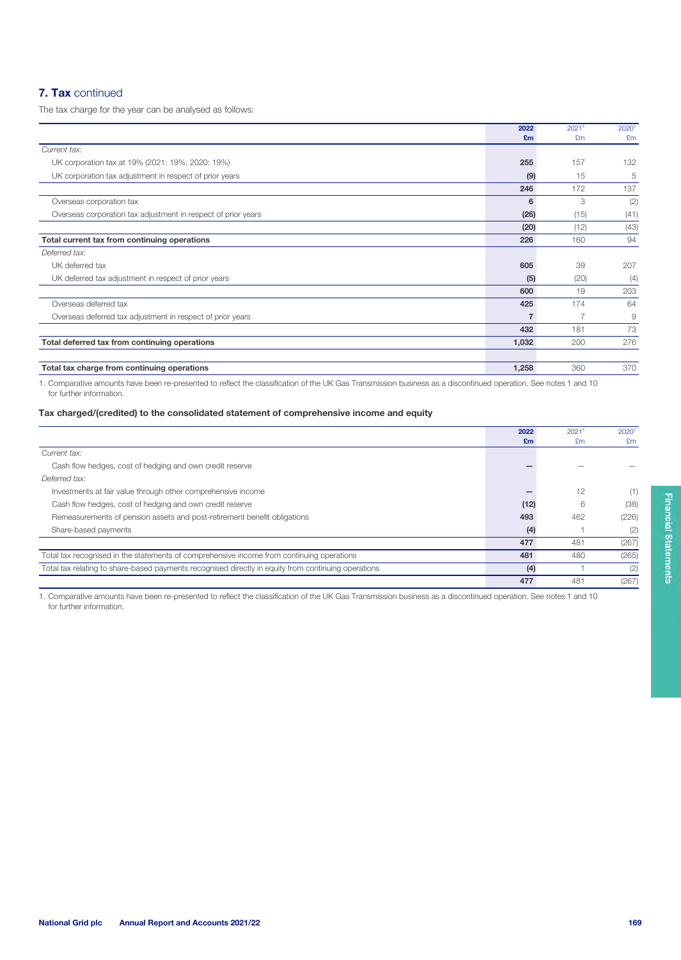# 7. Tax continued

The tax charge for the year can be analysed as follows:

|                                                               | 2022  | 2021 <sup>1</sup> | 20201 |
|---------------------------------------------------------------|-------|-------------------|-------|
|                                                               | £m    | £m                | Em    |
| Current tax:                                                  |       |                   |       |
| UK corporation tax at 19% (2021: 19%; 2020: 19%)              | 255   | 157               | 132   |
| UK corporation tax adjustment in respect of prior years       | (9)   | 15                | 5     |
|                                                               | 246   | 172               | 137   |
| Overseas corporation tax                                      | 6     | 3                 | (2)   |
| Overseas corporation tax adjustment in respect of prior years | (26)  | (15)              | (41)  |
|                                                               | (20)  | (12)              | (43)  |
| Total current tax from continuing operations                  | 226   | 160               | 94    |
| Deferred tax:                                                 |       |                   |       |
| UK deferred tax                                               | 605   | 39                | 207   |
| UK deferred tax adjustment in respect of prior years          | (5)   | (20)              | (4)   |
|                                                               | 600   | 19                | 203   |
| Overseas deferred tax                                         | 425   | 174               | 64    |
| Overseas deferred tax adjustment in respect of prior years    |       |                   | 9     |
|                                                               | 432   | 181               | 73    |
| Total deferred tax from continuing operations                 | 1,032 | 200               | 276   |
|                                                               |       |                   |       |
| Total tax charge from continuing operations                   | 1,258 | 360               | 370   |

1. Comparative amounts have been re-presented to reflect the classification of the UK Gas Transmission business as a discontinued operation. See notes 1 and 10 for further information.

## Tax charged/(credited) to the consolidated statement of comprehensive income and equity

|                                                                                                     | 2022 | 2021   | 20201 |
|-----------------------------------------------------------------------------------------------------|------|--------|-------|
|                                                                                                     | £m   | £m     | £m    |
| Current tax:                                                                                        |      |        |       |
| Cash flow hedges, cost of hedging and own credit reserve                                            |      |        |       |
| Deferred tax:                                                                                       |      |        |       |
| Investments at fair value through other comprehensive income                                        |      | 12     | (1)   |
| Cash flow hedges, cost of hedging and own credit reserve                                            | (12) | 6      | (38)  |
| Remeasurements of pension assets and post-retirement benefit obligations                            | 493  | 462    | (226) |
| Share-based payments                                                                                | (4)  |        | (2)   |
|                                                                                                     | 477  | 481    | (267) |
| Total tax recognised in the statements of comprehensive income from continuing operations           | 481  | 480    | (265) |
| Total tax relating to share-based payments recognised directly in equity from continuing operations | (4)  |        | (2)   |
|                                                                                                     | 477  | $48 -$ | (267) |

1. Comparative amounts have been re-presented to reflect the classification of the UK Gas Transmission business as a discontinued operation. See notes 1 and 10 for further information.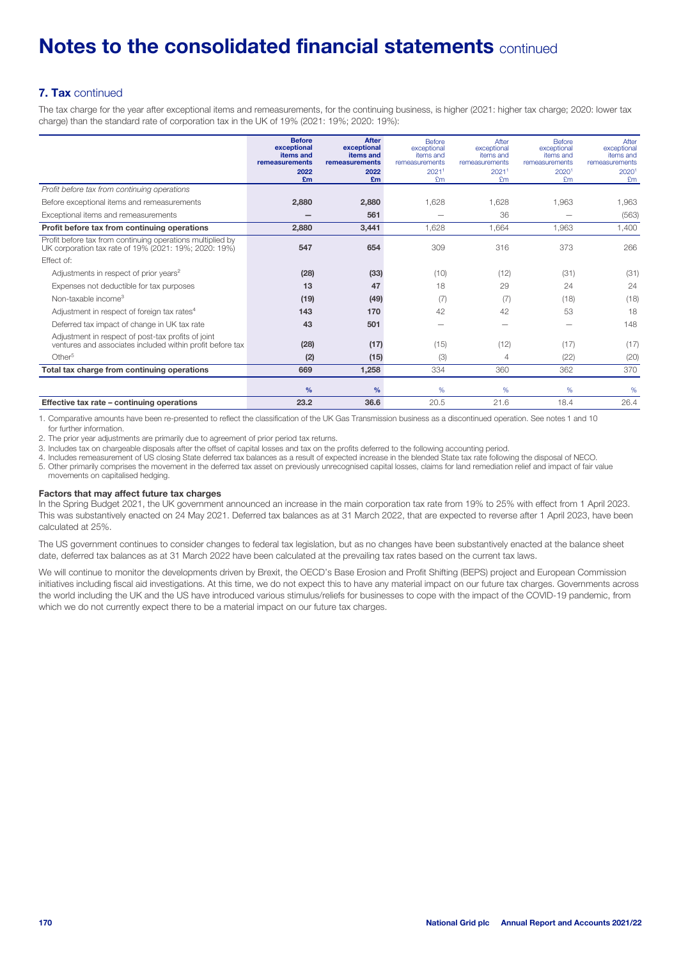# 7. Tax continued

The tax charge for the year after exceptional items and remeasurements, for the continuing business, is higher (2021: higher tax charge; 2020: lower tax charge) than the standard rate of corporation tax in the UK of 19% (2021: 19%; 2020: 19%):

|                                                                                                                     | <b>Before</b><br>exceptional<br>items and<br>remeasurements | <b>After</b><br>exceptional<br>items and<br>remeasurements | <b>Before</b><br>exceptional<br>items and<br>remeasurements | After<br>exceptional<br>items and<br>remeasurements | Before<br>exceptional<br>items and<br>remeasurements | After<br>exceptional<br>items and<br>remeasurements |
|---------------------------------------------------------------------------------------------------------------------|-------------------------------------------------------------|------------------------------------------------------------|-------------------------------------------------------------|-----------------------------------------------------|------------------------------------------------------|-----------------------------------------------------|
|                                                                                                                     | 2022<br>£m                                                  | 2022<br>£m                                                 | 2021 <sup>1</sup><br>£m                                     | 2021 <sup>1</sup><br>£m                             | 20201<br>£m                                          | 2020 <sup>1</sup><br>£m                             |
| Profit before tax from continuing operations                                                                        |                                                             |                                                            |                                                             |                                                     |                                                      |                                                     |
| Before exceptional items and remeasurements                                                                         | 2,880                                                       | 2,880                                                      | 1,628                                                       | 1,628                                               | 1,963                                                | 1.963                                               |
| Exceptional items and remeasurements                                                                                |                                                             | 561                                                        |                                                             | 36                                                  |                                                      | (563)                                               |
| Profit before tax from continuing operations                                                                        | 2,880                                                       | 3,441                                                      | 1,628                                                       | 1,664                                               | 1,963                                                | 1,400                                               |
| Profit before tax from continuing operations multiplied by<br>UK corporation tax rate of 19% (2021: 19%; 2020: 19%) | 547                                                         | 654                                                        | 309                                                         | 316                                                 | 373                                                  | 266                                                 |
| Effect of:                                                                                                          |                                                             |                                                            |                                                             |                                                     |                                                      |                                                     |
| Adjustments in respect of prior years <sup>2</sup>                                                                  | (28)                                                        | (33)                                                       | (10)                                                        | (12)                                                | (31)                                                 | (31)                                                |
| Expenses not deductible for tax purposes                                                                            | 13                                                          | 47                                                         | 18                                                          | 29                                                  | 24                                                   | 24                                                  |
| Non-taxable income <sup>3</sup>                                                                                     | (19)                                                        | (49)                                                       | (7)                                                         | (7)                                                 | (18)                                                 | (18)                                                |
| Adjustment in respect of foreign tax rates <sup>4</sup>                                                             | 143                                                         | 170                                                        | 42                                                          | 42                                                  | 53                                                   | 18                                                  |
| Deferred tax impact of change in UK tax rate                                                                        | 43                                                          | 501                                                        |                                                             |                                                     |                                                      | 148                                                 |
| Adjustment in respect of post-tax profits of joint<br>ventures and associates included within profit before tax     | (28)                                                        | (17)                                                       | (15)                                                        | (12)                                                | (17)                                                 | (17)                                                |
| Other <sup>5</sup>                                                                                                  | (2)                                                         | (15)                                                       | (3)                                                         | 4                                                   | (22)                                                 | (20)                                                |
| Total tax charge from continuing operations                                                                         | 669                                                         | 1,258                                                      | 334                                                         | 360                                                 | 362                                                  | 370                                                 |
|                                                                                                                     | $\frac{9}{6}$                                               | $\%$                                                       | %                                                           | %                                                   | %                                                    | %                                                   |
| Effective tax rate - continuing operations                                                                          | 23.2                                                        | 36.6                                                       | 20.5                                                        | 21.6                                                | 18.4                                                 | 26.4                                                |

1. Comparative amounts have been re-presented to reflect the classification of the UK Gas Transmission business as a discontinued operation. See notes 1 and 10 for further information.

2. The prior year adjustments are primarily due to agreement of prior period tax returns.

3. Includes tax on chargeable disposals after the offset of capital losses and tax on the profits deferred to the following accounting period.

4. Includes remeasurement of US closing State deferred tax balances as a result of expected increase in the blended State tax rate following the disposal of NECO. 5. Other primarily comprises the movement in the deferred tax asset on previously unrecognised capital losses, claims for land remediation relief and impact of fair value movements on capitalised hedging.

#### Factors that may affect future tax charges

In the Spring Budget 2021, the UK government announced an increase in the main corporation tax rate from 19% to 25% with effect from 1 April 2023. This was substantively enacted on 24 May 2021. Deferred tax balances as at 31 March 2022, that are expected to reverse after 1 April 2023, have been calculated at 25%.

The US government continues to consider changes to federal tax legislation, but as no changes have been substantively enacted at the balance sheet date, deferred tax balances as at 31 March 2022 have been calculated at the prevailing tax rates based on the current tax laws.

We will continue to monitor the developments driven by Brexit, the OECD's Base Erosion and Profit Shifting (BEPS) project and European Commission initiatives including fiscal aid investigations. At this time, we do not expect this to have any material impact on our future tax charges. Governments across the world including the UK and the US have introduced various stimulus/reliefs for businesses to cope with the impact of the COVID-19 pandemic, from which we do not currently expect there to be a material impact on our future tax charges.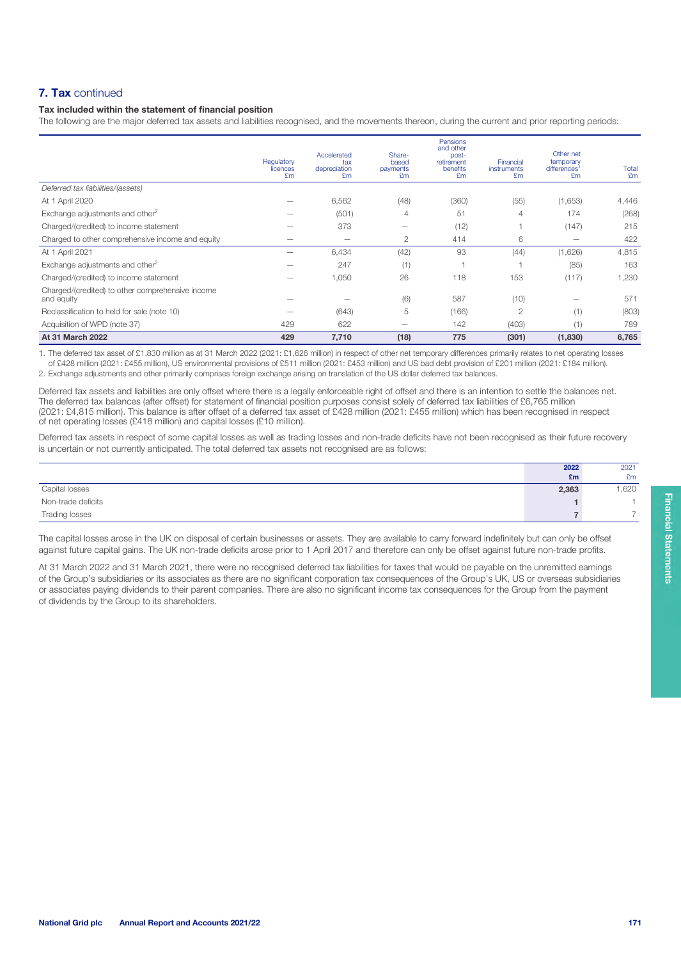# 7. Tax continued

## Tax included within the statement of financial position

The following are the major deferred tax assets and liabilities recognised, and the movements thereon, during the current and prior reporting periods:

|                                                                | Regulatory<br>licences<br>£m | Accelerated<br>tax<br>depreciation<br>£m | Share-<br>based<br>payments<br>£m | Pensions<br>and other<br>post-<br>retirement<br>benefits<br>£m | Financial<br>instruments<br>£m | Other net<br>temporary<br>differences <sup>1</sup><br>£m | Total<br>£m |
|----------------------------------------------------------------|------------------------------|------------------------------------------|-----------------------------------|----------------------------------------------------------------|--------------------------------|----------------------------------------------------------|-------------|
| Deferred tax liabilities/(assets)                              |                              |                                          |                                   |                                                                |                                |                                                          |             |
| At 1 April 2020                                                |                              | 6,562                                    | (48)                              | (360)                                                          | (55)                           | (1,653)                                                  | 4,446       |
| Exchange adjustments and other <sup>2</sup>                    |                              | (501)                                    | 4                                 | 51                                                             | 4                              | 174                                                      | (268)       |
| Charged/(credited) to income statement                         |                              | 373                                      | -                                 | (12)                                                           |                                | (147)                                                    | 215         |
| Charged to other comprehensive income and equity               |                              | -                                        | $\overline{2}$                    | 414                                                            | 6                              | -                                                        | 422         |
| At 1 April 2021                                                |                              | 6,434                                    | (42)                              | 93                                                             | (44)                           | (1,626)                                                  | 4,815       |
| Exchange adjustments and other <sup>2</sup>                    |                              | 247                                      | (1)                               |                                                                |                                | (85)                                                     | 163         |
| Charged/(credited) to income statement                         |                              | 1,050                                    | 26                                | 118                                                            | 153                            | (117)                                                    | 1,230       |
| Charged/(credited) to other comprehensive income<br>and equity |                              |                                          | (6)                               | 587                                                            | (10)                           |                                                          | 571         |
| Reclassification to held for sale (note 10)                    |                              | (643)                                    | 5                                 | (166)                                                          | 2                              | (1)                                                      | (803)       |
| Acquisition of WPD (note 37)                                   | 429                          | 622                                      |                                   | 142                                                            | (403)                          | (1)                                                      | 789         |
| At 31 March 2022                                               | 429                          | 7,710                                    | (18)                              | 775                                                            | (301)                          | (1,830)                                                  | 6,765       |

1. The deferred tax asset of £1,830 million as at 31 March 2022 (2021: £1,626 million) in respect of other net temporary differences primarily relates to net operating losses of £428 million (2021: £455 million), US environmental provisions of £511 million (2021: £453 million) and US bad debt provision of £201 million (2021: £184 million).

2. Exchange adjustments and other primarily comprises foreign exchange arising on translation of the US dollar deferred tax balances.

Deferred tax assets and liabilities are only offset where there is a legally enforceable right of offset and there is an intention to settle the balances net. The deferred tax balances (after offset) for statement of financial position purposes consist solely of deferred tax liabilities of £6,765 million (2021: £4,815 million). This balance is after offset of a deferred tax asset of £428 million (2021: £455 million) which has been recognised in respect of net operating losses (£418 million) and capital losses (£10 million).

Deferred tax assets in respect of some capital losses as well as trading losses and non-trade deficits have not been recognised as their future recovery is uncertain or not currently anticipated. The total deferred tax assets not recognised are as follows:

| £m<br>2,363<br>Capital losses<br>Non-trade deficits |                | 2022 | 2021 |
|-----------------------------------------------------|----------------|------|------|
|                                                     |                |      | £m   |
|                                                     |                |      | ,620 |
|                                                     |                |      |      |
|                                                     | Trading losses |      | -    |

The capital losses arose in the UK on disposal of certain businesses or assets. They are available to carry forward indefinitely but can only be offset against future capital gains. The UK non-trade deficits arose prior to 1 April 2017 and therefore can only be offset against future non-trade profits.

At 31 March 2022 and 31 March 2021, there were no recognised deferred tax liabilities for taxes that would be payable on the unremitted earnings of the Group's subsidiaries or its associates as there are no significant corporation tax consequences of the Group's UK, US or overseas subsidiaries or associates paying dividends to their parent companies. There are also no significant income tax consequences for the Group from the payment of dividends by the Group to its shareholders.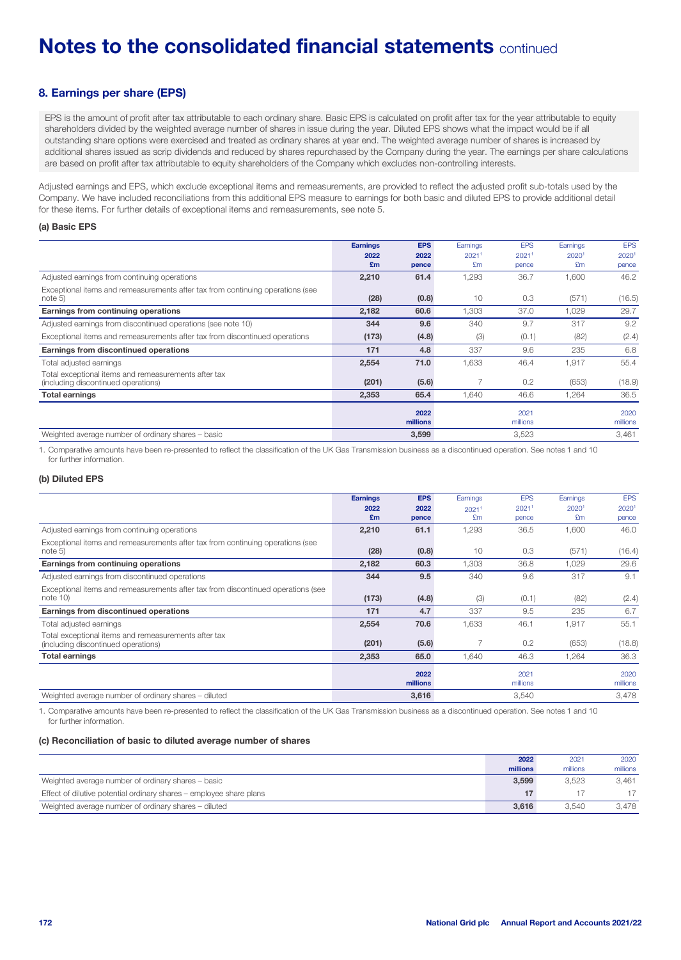# 8. Earnings per share (EPS)

EPS is the amount of profit after tax attributable to each ordinary share. Basic EPS is calculated on profit after tax for the year attributable to equity shareholders divided by the weighted average number of shares in issue during the year. Diluted EPS shows what the impact would be if all outstanding share options were exercised and treated as ordinary shares at year end. The weighted average number of shares is increased by additional shares issued as scrip dividends and reduced by shares repurchased by the Company during the year. The earnings per share calculations are based on profit after tax attributable to equity shareholders of the Company which excludes non-controlling interests.

Adjusted earnings and EPS, which exclude exceptional items and remeasurements, are provided to reflect the adjusted profit sub-totals used by the Company. We have included reconciliations from this additional EPS measure to earnings for both basic and diluted EPS to provide additional detail for these items. For further details of exceptional items and remeasurements, see note 5.

#### (a) Basic EPS

|                                                                                             | <b>Earnings</b> | <b>EPS</b>       | Earnings          | <b>EPS</b>       | Earnings          | <b>EPS</b>        |
|---------------------------------------------------------------------------------------------|-----------------|------------------|-------------------|------------------|-------------------|-------------------|
|                                                                                             | 2022            | 2022             | 2021 <sup>1</sup> | 2021             | 2020 <sup>1</sup> | 2020 <sup>1</sup> |
|                                                                                             | £m              | pence            | £m                | pence            | £m                | pence             |
| Adjusted earnings from continuing operations                                                | 2,210           | 61.4             | 1,293             | 36.7             | 1,600             | 46.2              |
| Exceptional items and remeasurements after tax from continuing operations (see<br>note 5)   | (28)            | (0.8)            | 10                | 0.3              | (571)             | (16.5)            |
| Earnings from continuing operations                                                         | 2,182           | 60.6             | 1,303             | 37.0             | 1,029             | 29.7              |
| Adjusted earnings from discontinued operations (see note 10)                                | 344             | 9.6              | 340               | 9.7              | 317               | 9.2               |
| Exceptional items and remeasurements after tax from discontinued operations                 | (173)           | (4.8)            | (3)               | (0.1)            | (82)              | (2.4)             |
| Earnings from discontinued operations                                                       | 171             | 4.8              | 337               | 9.6              | 235               | 6.8               |
| Total adjusted earnings                                                                     | 2,554           | 71.0             | 1,633             | 46.4             | 1,917             | 55.4              |
| Total exceptional items and remeasurements after tax<br>(including discontinued operations) | (201)           | (5.6)            |                   | 0.2              | (653)             | (18.9)            |
| <b>Total earnings</b>                                                                       | 2,353           | 65.4             | 1.640             | 46.6             | 1,264             | 36.5              |
|                                                                                             |                 | 2022<br>millions |                   | 2021<br>millions |                   | 2020<br>millions  |
| Weighted average number of ordinary shares - basic                                          |                 | 3,599            |                   | 3,523            |                   | 3,461             |

1. Comparative amounts have been re-presented to reflect the classification of the UK Gas Transmission business as a discontinued operation. See notes 1 and 10 for further information.

#### (b) Diluted EPS

|                                                                                              | <b>Earnings</b> | <b>EPS</b>       | Earnings          | <b>EPS</b>       | Earnings          | <b>EPS</b>       |
|----------------------------------------------------------------------------------------------|-----------------|------------------|-------------------|------------------|-------------------|------------------|
|                                                                                              | 2022            | 2022             | 2021 <sup>1</sup> | 2021             | 2020 <sup>1</sup> | 20201            |
|                                                                                              | £m              | pence            | £m                | pence            | £m                | pence            |
| Adjusted earnings from continuing operations                                                 | 2,210           | 61.1             | 1,293             | 36.5             | 1,600             | 46.0             |
| Exceptional items and remeasurements after tax from continuing operations (see<br>note 5)    | (28)            | (0.8)            | 10                | 0.3              | (571)             | (16.4)           |
| Earnings from continuing operations                                                          | 2,182           | 60.3             | 1.303             | 36.8             | 1,029             | 29.6             |
| Adjusted earnings from discontinued operations                                               | 344             | 9.5              | 340               | 9.6              | 317               | 9.1              |
| Exceptional items and remeasurements after tax from discontinued operations (see<br>note 10) | (173)           | (4.8)            | (3)               | (0.1)            | (82)              | (2.4)            |
| Earnings from discontinued operations                                                        | 171             | 4.7              | 337               | 9.5              | 235               | 6.7              |
| Total adjusted earnings                                                                      | 2,554           | 70.6             | 1,633             | 46.1             | 1,917             | 55.1             |
| Total exceptional items and remeasurements after tax<br>(including discontinued operations)  | (201)           | (5.6)            |                   | 0.2              | (653)             | (18.8)           |
| <b>Total earnings</b>                                                                        | 2,353           | 65.0             | 1,640             | 46.3             | 1,264             | 36.3             |
|                                                                                              |                 | 2022<br>millions |                   | 2021<br>millions |                   | 2020<br>millions |
| Weighted average number of ordinary shares - diluted                                         |                 | 3,616            |                   | 3,540            |                   | 3,478            |

1. Comparative amounts have been re-presented to reflect the classification of the UK Gas Transmission business as a discontinued operation. See notes 1 and 10 for further information.

### (c) Reconciliation of basic to diluted average number of shares

|                                                                     | 2022     | 2021     | 2020     |
|---------------------------------------------------------------------|----------|----------|----------|
|                                                                     | millions | millions | millions |
| Weighted average number of ordinary shares – basic                  | 3.599    | 3.523    | 3.461    |
| Effect of dilutive potential ordinary shares - employee share plans |          |          |          |
| Weighted average number of ordinary shares - diluted                | 3.616    | 3.540    | 3.478    |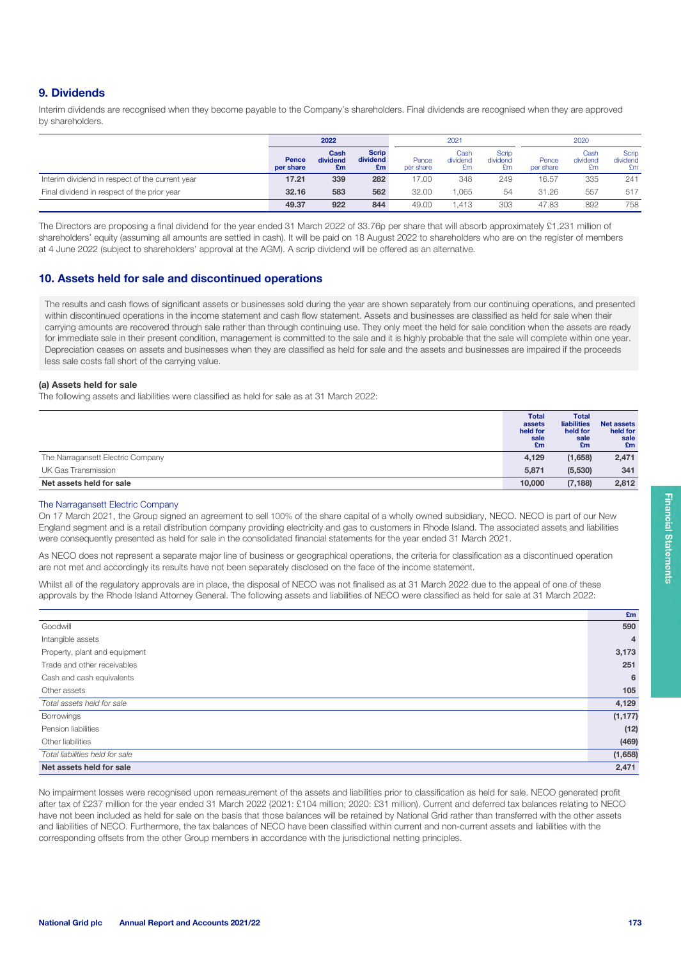# 9. Dividends

Interim dividends are recognised when they become payable to the Company's shareholders. Final dividends are recognised when they are approved by shareholders.

|                                                 | 2022                      |                        |                                |                    | 2021                   |                         |                    | 2020                   |                         |
|-------------------------------------------------|---------------------------|------------------------|--------------------------------|--------------------|------------------------|-------------------------|--------------------|------------------------|-------------------------|
|                                                 | <b>Pence</b><br>per share | Cash<br>dividend<br>£m | <b>Scrip</b><br>dividend<br>£m | Pence<br>per share | Cash<br>dividend<br>£m | Scrip<br>dividend<br>£m | Pence<br>per share | Cash<br>dividend<br>£m | Scrip<br>dividend<br>£m |
| Interim dividend in respect of the current year | 17.21                     | 339                    | 282                            | 7.00               | 348                    | 249                     | 16.57              | 335                    | 241                     |
| Final dividend in respect of the prior year     | 32.16                     | 583                    | 562                            | 32.00              | .065                   | 54                      | 31.26              | 557                    | 517                     |
|                                                 | 49.37                     | 922                    | 844                            | 49.00              | .413                   | 303                     | 47.83              | 892                    | 758                     |

The Directors are proposing a final dividend for the year ended 31 March 2022 of 33.76p per share that will absorb approximately £1,231 million of shareholders' equity (assuming all amounts are settled in cash). It will be paid on 18 August 2022 to shareholders who are on the register of members at 4 June 2022 (subject to shareholders' approval at the AGM). A scrip dividend will be offered as an alternative.

## 10. Assets held for sale and discontinued operations

The results and cash flows of significant assets or businesses sold during the year are shown separately from our continuing operations, and presented within discontinued operations in the income statement and cash flow statement. Assets and businesses are classified as held for sale when their carrying amounts are recovered through sale rather than through continuing use. They only meet the held for sale condition when the assets are ready for immediate sale in their present condition, management is committed to the sale and it is highly probable that the sale will complete within one year. Depreciation ceases on assets and businesses when they are classified as held for sale and the assets and businesses are impaired if the proceeds less sale costs fall short of the carrying value.

### (a) Assets held for sale

The following assets and liabilities were classified as held for sale as at 31 March 2022:

|                                   | <b>Total</b><br>assets<br>held for<br>sale<br>£m | <b>Total</b><br><b>liabilities</b><br>held for<br>sale<br>£m | <b>Net assets</b><br>held for<br>sale<br>£m |
|-----------------------------------|--------------------------------------------------|--------------------------------------------------------------|---------------------------------------------|
| The Narragansett Electric Company | 4,129                                            | (1,658)                                                      | 2,471                                       |
| UK Gas Transmission               | 5,871                                            | (5,530)                                                      | 341                                         |
| Net assets held for sale          | 10,000                                           | (7, 188)                                                     | 2,812                                       |

#### The Narragansett Electric Company

On 17 March 2021, the Group signed an agreement to sell 100% of the share capital of a wholly owned subsidiary, NECO. NECO is part of our New England segment and is a retail distribution company providing electricity and gas to customers in Rhode Island. The associated assets and liabilities were consequently presented as held for sale in the consolidated financial statements for the year ended 31 March 2021.

As NECO does not represent a separate major line of business or geographical operations, the criteria for classification as a discontinued operation are not met and accordingly its results have not been separately disclosed on the face of the income statement.

Whilst all of the regulatory approvals are in place, the disposal of NECO was not finalised as at 31 March 2022 due to the appeal of one of these approvals by the Rhode Island Attorney General. The following assets and liabilities of NECO were classified as held for sale at 31 March 2022:

|                                 | £m             |
|---------------------------------|----------------|
| Goodwill                        | 590            |
| Intangible assets               | $\overline{4}$ |
| Property, plant and equipment   | 3,173          |
| Trade and other receivables     | 251            |
| Cash and cash equivalents       | 6              |
| Other assets                    | 105            |
| Total assets held for sale      | 4,129          |
| Borrowings                      | (1, 177)       |
| Pension liabilities             | (12)           |
| Other liabilities               | (469)          |
| Total liabilities held for sale | (1,658)        |
| Net assets held for sale        | 2,471          |

No impairment losses were recognised upon remeasurement of the assets and liabilities prior to classification as held for sale. NECO generated profit after tax of £237 million for the year ended 31 March 2022 (2021: £104 million; 2020: £31 million). Current and deferred tax balances relating to NECO have not been included as held for sale on the basis that those balances will be retained by National Grid rather than transferred with the other assets and liabilities of NECO. Furthermore, the tax balances of NECO have been classified within current and non-current assets and liabilities with the corresponding offsets from the other Group members in accordance with the jurisdictional netting principles.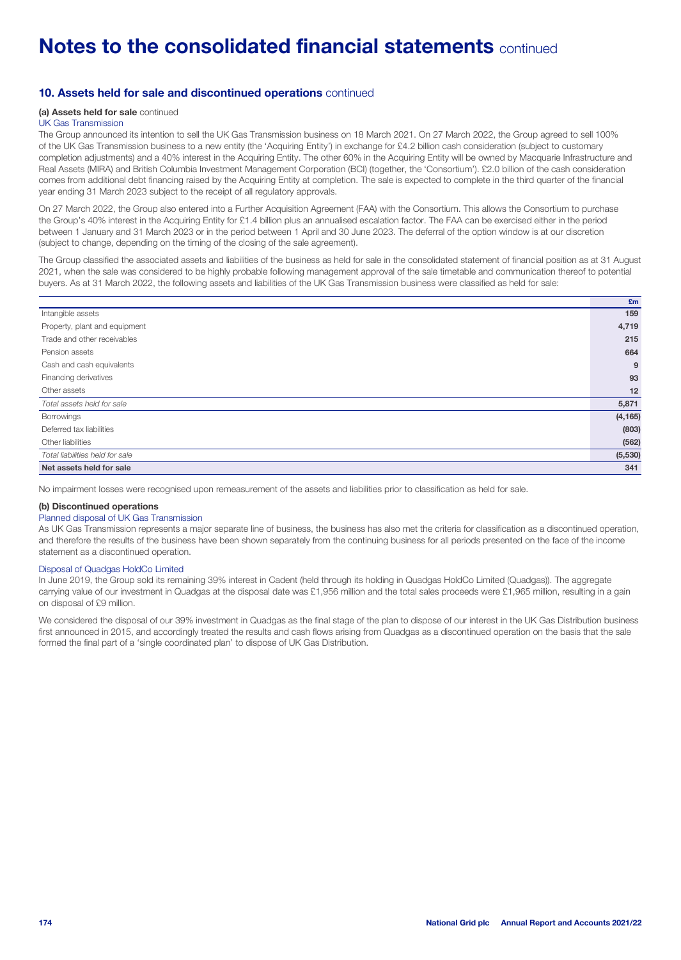## 10. Assets held for sale and discontinued operations continued

## (a) Assets held for sale continued

#### UK Gas Transmission

The Group announced its intention to sell the UK Gas Transmission business on 18 March 2021. On 27 March 2022, the Group agreed to sell 100% of the UK Gas Transmission business to a new entity (the 'Acquiring Entity') in exchange for £4.2 billion cash consideration (subject to customary completion adjustments) and a 40% interest in the Acquiring Entity. The other 60% in the Acquiring Entity will be owned by Macquarie Infrastructure and Real Assets (MIRA) and British Columbia Investment Management Corporation (BCI) (together, the 'Consortium'). £2.0 billion of the cash consideration comes from additional debt financing raised by the Acquiring Entity at completion. The sale is expected to complete in the third quarter of the financial year ending 31 March 2023 subject to the receipt of all regulatory approvals.

On 27 March 2022, the Group also entered into a Further Acquisition Agreement (FAA) with the Consortium. This allows the Consortium to purchase the Group's 40% interest in the Acquiring Entity for £1.4 billion plus an annualised escalation factor. The FAA can be exercised either in the period between 1 January and 31 March 2023 or in the period between 1 April and 30 June 2023. The deferral of the option window is at our discretion (subject to change, depending on the timing of the closing of the sale agreement).

The Group classified the associated assets and liabilities of the business as held for sale in the consolidated statement of financial position as at 31 August 2021, when the sale was considered to be highly probable following management approval of the sale timetable and communication thereof to potential buyers. As at 31 March 2022, the following assets and liabilities of the UK Gas Transmission business were classified as held for sale:

|                                 | £m       |
|---------------------------------|----------|
| Intangible assets               | 159      |
| Property, plant and equipment   | 4,719    |
| Trade and other receivables     | 215      |
| Pension assets                  | 664      |
| Cash and cash equivalents       | 9        |
| Financing derivatives           | 93       |
| Other assets                    | 12       |
| Total assets held for sale      | 5,871    |
| Borrowings                      | (4, 165) |
| Deferred tax liabilities        | (803)    |
| Other liabilities               | (562)    |
| Total liabilities held for sale | (5,530)  |
| Net assets held for sale        | 341      |

No impairment losses were recognised upon remeasurement of the assets and liabilities prior to classification as held for sale.

### (b) Discontinued operations

#### Planned disposal of UK Gas Transmission

As UK Gas Transmission represents a major separate line of business, the business has also met the criteria for classification as a discontinued operation, and therefore the results of the business have been shown separately from the continuing business for all periods presented on the face of the income statement as a discontinued operation.

#### Disposal of Quadgas HoldCo Limited

In June 2019, the Group sold its remaining 39% interest in Cadent (held through its holding in Quadgas HoldCo Limited (Quadgas)). The aggregate carrying value of our investment in Quadgas at the disposal date was £1,956 million and the total sales proceeds were £1,965 million, resulting in a gain on disposal of £9 million.

We considered the disposal of our 39% investment in Quadgas as the final stage of the plan to dispose of our interest in the UK Gas Distribution business first announced in 2015, and accordingly treated the results and cash flows arising from Quadgas as a discontinued operation on the basis that the sale formed the final part of a 'single coordinated plan' to dispose of UK Gas Distribution.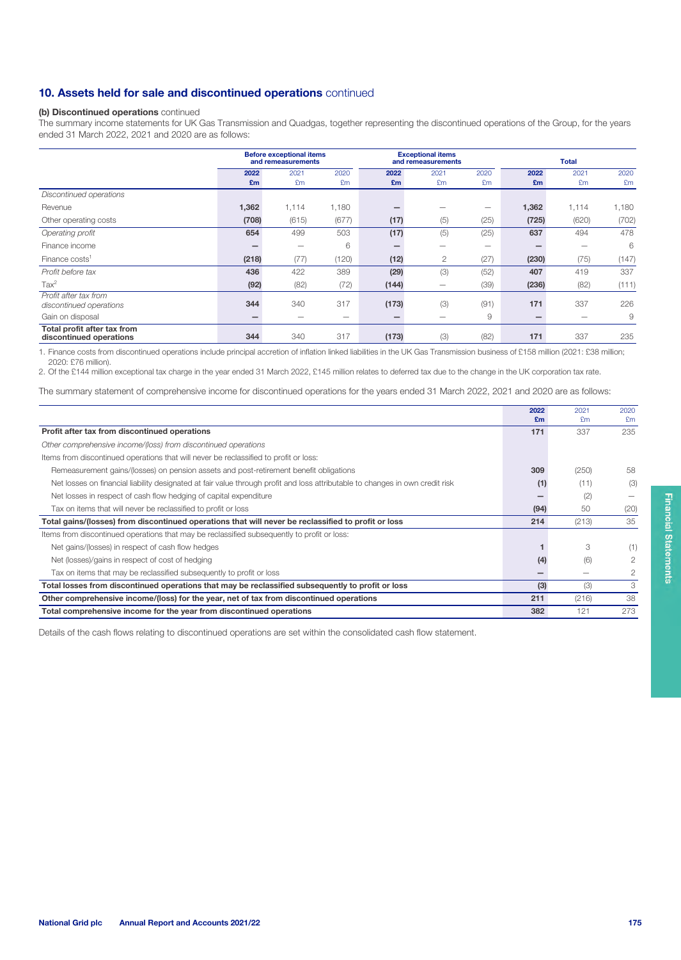## 10. Assets held for sale and discontinued operations continued

### (b) Discontinued operations continued

The summary income statements for UK Gas Transmission and Quadgas, together representing the discontinued operations of the Group, for the years ended 31 March 2022, 2021 and 2020 are as follows:

|                                                        |       | <b>Before exceptional items</b><br>and remeasurements |                          |       | <b>Exceptional items</b><br>and remeasurements |      |                 | <b>Total</b> |       |
|--------------------------------------------------------|-------|-------------------------------------------------------|--------------------------|-------|------------------------------------------------|------|-----------------|--------------|-------|
|                                                        | 2022  | 2021                                                  | 2020                     | 2022  | 2021                                           | 2020 | 2022            | 2021         | 2020  |
|                                                        | £m    | £m                                                    | £m                       | £m    | £m                                             | £m   | £m              | £m           | £m    |
| Discontinued operations                                |       |                                                       |                          |       |                                                |      |                 |              |       |
| Revenue                                                | 1,362 | 1,114                                                 | 1,180                    |       |                                                | -    | 1,362           | 1,114        | 1,180 |
| Other operating costs                                  | (708) | (615)                                                 | (677)                    | (17)  | (5)                                            | (25) | (725)           | (620)        | (702) |
| Operating profit                                       | 654   | 499                                                   | 503                      | (17)  | (5)                                            | (25) | 637             | 494          | 478   |
| Finance income                                         |       |                                                       | 6                        |       |                                                | -    |                 | -            | 6     |
| Finance costs <sup>1</sup>                             | (218) | (77)                                                  | (120)                    | (12)  | $\mathbf{2}$                                   | (27) | (230)           | (75)         | (147) |
| Profit before tax                                      | 436   | 422                                                   | 389                      | (29)  | (3)                                            | (52) | 407             | 419          | 337   |
| $\text{Tax}^2$                                         | (92)  | (82)                                                  | (72)                     | (144) | $\overline{\phantom{0}}$                       | (39) | (236)           | (82)         | (111) |
| Profit after tax from<br>discontinued operations       | 344   | 340                                                   | 317                      | (173) | (3)                                            | (91) | 171             | 337          | 226   |
| Gain on disposal                                       |       |                                                       | $\overline{\phantom{0}}$ |       |                                                | 9    | $\qquad \qquad$ | -            | 9     |
| Total profit after tax from<br>discontinued operations | 344   | 340                                                   | 317                      | (173) | (3)                                            | (82) | 171             | 337          | 235   |

1. Finance costs from discontinued operations include principal accretion of inflation linked liabilities in the UK Gas Transmission business of £158 million (2021: £38 million; 2020: £76 million).

2. Of the £144 million exceptional tax charge in the year ended 31 March 2022, £145 million relates to deferred tax due to the change in the UK corporation tax rate.

The summary statement of comprehensive income for discontinued operations for the years ended 31 March 2022, 2021 and 2020 are as follows:

|                                                                                                                               | 2022 | 2021  | 2020          |
|-------------------------------------------------------------------------------------------------------------------------------|------|-------|---------------|
|                                                                                                                               | £m   | £m    | £m            |
| Profit after tax from discontinued operations                                                                                 | 171  | 337   | 235           |
| Other comprehensive income/(loss) from discontinued operations                                                                |      |       |               |
| Items from discontinued operations that will never be reclassified to profit or loss:                                         |      |       |               |
| Remeasurement gains/(losses) on pension assets and post-retirement benefit obligations                                        | 309  | (250) | 58            |
| Net losses on financial liability designated at fair value through profit and loss attributable to changes in own credit risk | (1)  | (11)  | (3)           |
| Net losses in respect of cash flow hedging of capital expenditure                                                             | —    | (2)   |               |
| Tax on items that will never be reclassified to profit or loss                                                                | (94) | 50    | (20)          |
| Total gains/(losses) from discontinued operations that will never be reclassified to profit or loss                           | 214  | (213) | 35            |
| Items from discontinued operations that may be reclassified subsequently to profit or loss:                                   |      |       |               |
| Net gains/(losses) in respect of cash flow hedges                                                                             |      | 3     | (1)           |
| Net (losses)/gains in respect of cost of hedging                                                                              | (4)  | (6)   | $\mathcal{P}$ |
| Tax on items that may be reclassified subsequently to profit or loss                                                          | —    |       | 2             |
| Total losses from discontinued operations that may be reclassified subsequently to profit or loss                             | (3)  | (3)   | 3             |
| Other comprehensive income/(loss) for the year, net of tax from discontinued operations                                       | 211  | (216) | 38            |
| Total comprehensive income for the year from discontinued operations                                                          | 382  | 121   | 273           |

Details of the cash flows relating to discontinued operations are set within the consolidated cash flow statement.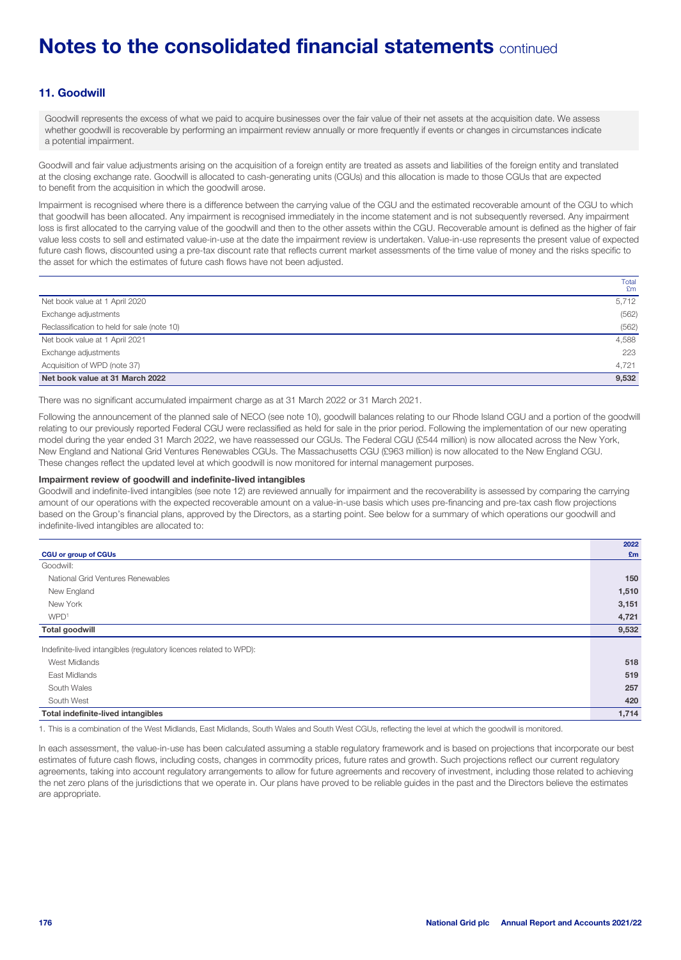# 11. Goodwill

Goodwill represents the excess of what we paid to acquire businesses over the fair value of their net assets at the acquisition date. We assess whether goodwill is recoverable by performing an impairment review annually or more frequently if events or changes in circumstances indicate a potential impairment.

Goodwill and fair value adjustments arising on the acquisition of a foreign entity are treated as assets and liabilities of the foreign entity and translated at the closing exchange rate. Goodwill is allocated to cash-generating units (CGUs) and this allocation is made to those CGUs that are expected to benefit from the acquisition in which the goodwill arose.

Impairment is recognised where there is a difference between the carrying value of the CGU and the estimated recoverable amount of the CGU to which that goodwill has been allocated. Any impairment is recognised immediately in the income statement and is not subsequently reversed. Any impairment loss is first allocated to the carrying value of the goodwill and then to the other assets within the CGU. Recoverable amount is defined as the higher of fair value less costs to sell and estimated value-in-use at the date the impairment review is undertaken. Value-in-use represents the present value of expected future cash flows, discounted using a pre-tax discount rate that reflects current market assessments of the time value of money and the risks specific to the asset for which the estimates of future cash flows have not been adjusted.

|                                             | Total<br>£m |
|---------------------------------------------|-------------|
| Net book value at 1 April 2020              | 5,712       |
| Exchange adjustments                        | (562)       |
| Reclassification to held for sale (note 10) | (562)       |
| Net book value at 1 April 2021              | 4,588       |
| Exchange adjustments                        | 223         |
| Acquisition of WPD (note 37)                | 4,721       |
| Net book value at 31 March 2022             | 9,532       |

There was no significant accumulated impairment charge as at 31 March 2022 or 31 March 2021.

Following the announcement of the planned sale of NECO (see note 10), goodwill balances relating to our Rhode Island CGU and a portion of the goodwill relating to our previously reported Federal CGU were reclassified as held for sale in the prior period. Following the implementation of our new operating model during the year ended 31 March 2022, we have reassessed our CGUs. The Federal CGU (£544 million) is now allocated across the New York, New England and National Grid Ventures Renewables CGUs. The Massachusetts CGU (£963 million) is now allocated to the New England CGU. These changes reflect the updated level at which goodwill is now monitored for internal management purposes.

#### Impairment review of goodwill and indefinite-lived intangibles

Goodwill and indefinite-lived intangibles (see note 12) are reviewed annually for impairment and the recoverability is assessed by comparing the carrying amount of our operations with the expected recoverable amount on a value-in-use basis which uses pre-financing and pre-tax cash flow projections based on the Group's financial plans, approved by the Directors, as a starting point. See below for a summary of which operations our goodwill and indefinite-lived intangibles are allocated to:

|                                                                    | 2022  |
|--------------------------------------------------------------------|-------|
| <b>CGU or group of CGUs</b>                                        | £m    |
| Goodwill:                                                          |       |
| National Grid Ventures Renewables                                  | 150   |
| New England                                                        | 1,510 |
| New York                                                           | 3,151 |
| WPD <sup>1</sup>                                                   | 4,721 |
| <b>Total goodwill</b>                                              | 9,532 |
| Indefinite-lived intangibles (regulatory licences related to WPD): |       |
| West Midlands                                                      | 518   |
| East Midlands                                                      | 519   |
| South Wales                                                        | 257   |
| South West                                                         | 420   |
| Total indefinite-lived intangibles                                 | 1,714 |

1. This is a combination of the West Midlands, East Midlands, South Wales and South West CGUs, reflecting the level at which the goodwill is monitored.

In each assessment, the value-in-use has been calculated assuming a stable regulatory framework and is based on projections that incorporate our best estimates of future cash flows, including costs, changes in commodity prices, future rates and growth. Such projections reflect our current regulatory agreements, taking into account regulatory arrangements to allow for future agreements and recovery of investment, including those related to achieving the net zero plans of the jurisdictions that we operate in. Our plans have proved to be reliable guides in the past and the Directors believe the estimates are appropriate.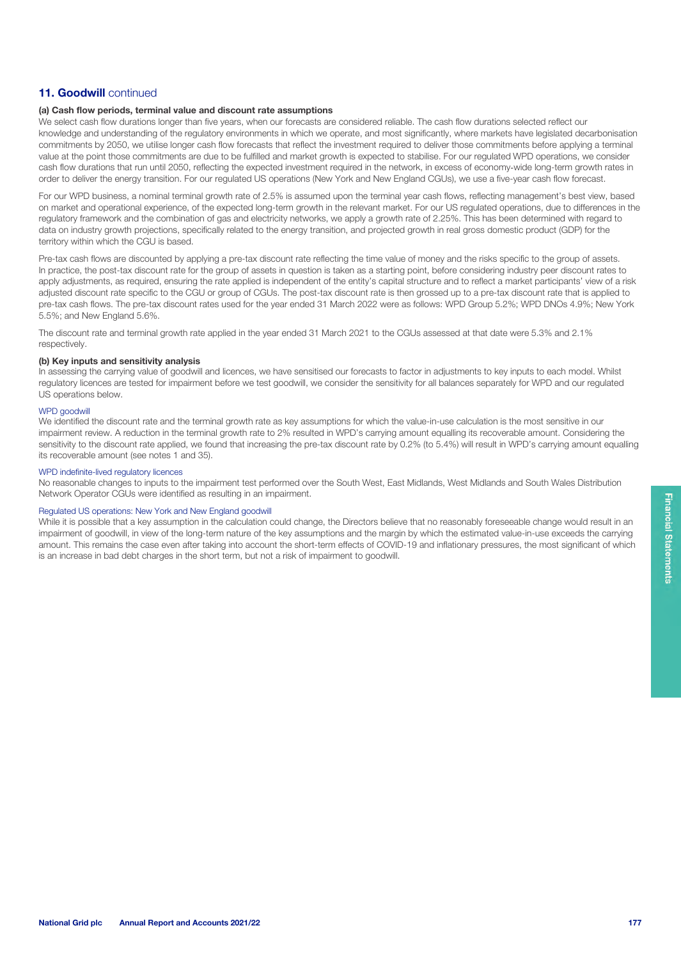# 11. Goodwill continued

## (a) Cash flow periods, terminal value and discount rate assumptions

We select cash flow durations longer than five years, when our forecasts are considered reliable. The cash flow durations selected reflect our knowledge and understanding of the regulatory environments in which we operate, and most significantly, where markets have legislated decarbonisation commitments by 2050, we utilise longer cash flow forecasts that reflect the investment required to deliver those commitments before applying a terminal value at the point those commitments are due to be fulfilled and market growth is expected to stabilise. For our regulated WPD operations, we consider cash flow durations that run until 2050, reflecting the expected investment required in the network, in excess of economy-wide long-term growth rates in order to deliver the energy transition. For our regulated US operations (New York and New England CGUs), we use a five-year cash flow forecast.

For our WPD business, a nominal terminal growth rate of 2.5% is assumed upon the terminal year cash flows, reflecting management's best view, based on market and operational experience, of the expected long-term growth in the relevant market. For our US regulated operations, due to differences in the regulatory framework and the combination of gas and electricity networks, we apply a growth rate of 2.25%. This has been determined with regard to data on industry growth projections, specifically related to the energy transition, and projected growth in real gross domestic product (GDP) for the territory within which the CGU is based.

Pre-tax cash flows are discounted by applying a pre-tax discount rate reflecting the time value of money and the risks specific to the group of assets. In practice, the post-tax discount rate for the group of assets in question is taken as a starting point, before considering industry peer discount rates to apply adjustments, as required, ensuring the rate applied is independent of the entity's capital structure and to reflect a market participants' view of a risk adjusted discount rate specific to the CGU or group of CGUs. The post-tax discount rate is then grossed up to a pre-tax discount rate that is applied to pre-tax cash flows. The pre-tax discount rates used for the year ended 31 March 2022 were as follows: WPD Group 5.2%; WPD DNOs 4.9%; New York 5.5%; and New England 5.6%.

The discount rate and terminal growth rate applied in the year ended 31 March 2021 to the CGUs assessed at that date were 5.3% and 2.1% respectively.

### (b) Key inputs and sensitivity analysis

In assessing the carrying value of goodwill and licences, we have sensitised our forecasts to factor in adjustments to key inputs to each model. Whilst regulatory licences are tested for impairment before we test goodwill, we consider the sensitivity for all balances separately for WPD and our regulated US operations below.

### WPD goodwill

We identified the discount rate and the terminal growth rate as key assumptions for which the value-in-use calculation is the most sensitive in our impairment review. A reduction in the terminal growth rate to 2% resulted in WPD's carrying amount equalling its recoverable amount. Considering the sensitivity to the discount rate applied, we found that increasing the pre-tax discount rate by 0.2% (to 5.4%) will result in WPD's carrying amount equalling its recoverable amount (see notes 1 and 35).

### WPD indefinite-lived regulatory licences

No reasonable changes to inputs to the impairment test performed over the South West, East Midlands, West Midlands and South Wales Distribution Network Operator CGUs were identified as resulting in an impairment.

### Regulated US operations: New York and New England goodwill

While it is possible that a key assumption in the calculation could change, the Directors believe that no reasonably foreseeable change would result in an impairment of goodwill, in view of the long-term nature of the key assumptions and the margin by which the estimated value-in-use exceeds the carrying amount. This remains the case even after taking into account the short-term effects of COVID-19 and inflationary pressures, the most significant of which is an increase in bad debt charges in the short term, but not a risk of impairment to goodwill.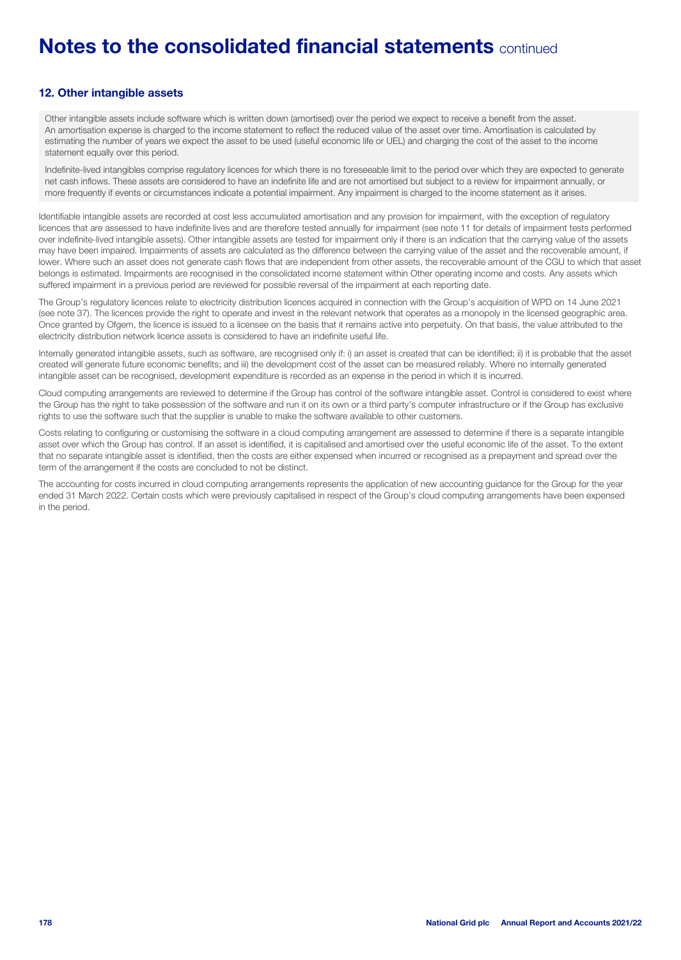# 12. Other intangible assets

Other intangible assets include software which is written down (amortised) over the period we expect to receive a benefit from the asset. An amortisation expense is charged to the income statement to reflect the reduced value of the asset over time. Amortisation is calculated by estimating the number of years we expect the asset to be used (useful economic life or UEL) and charging the cost of the asset to the income statement equally over this period.

Indefinite-lived intangibles comprise regulatory licences for which there is no foreseeable limit to the period over which they are expected to generate net cash inflows. These assets are considered to have an indefinite life and are not amortised but subject to a review for impairment annually, or more frequently if events or circumstances indicate a potential impairment. Any impairment is charged to the income statement as it arises.

Identifiable intangible assets are recorded at cost less accumulated amortisation and any provision for impairment, with the exception of regulatory licences that are assessed to have indefinite lives and are therefore tested annually for impairment (see note 11 for details of impairment tests performed over indefinite-lived intangible assets). Other intangible assets are tested for impairment only if there is an indication that the carrying value of the assets may have been impaired. Impairments of assets are calculated as the difference between the carrying value of the asset and the recoverable amount, if lower. Where such an asset does not generate cash flows that are independent from other assets, the recoverable amount of the CGU to which that asset belongs is estimated. Impairments are recognised in the consolidated income statement within Other operating income and costs. Any assets which suffered impairment in a previous period are reviewed for possible reversal of the impairment at each reporting date.

The Group's regulatory licences relate to electricity distribution licences acquired in connection with the Group's acquisition of WPD on 14 June 2021 (see note 37). The licences provide the right to operate and invest in the relevant network that operates as a monopoly in the licensed geographic area. Once granted by Ofgem, the licence is issued to a licensee on the basis that it remains active into perpetuity. On that basis, the value attributed to the electricity distribution network licence assets is considered to have an indefinite useful life.

Internally generated intangible assets, such as software, are recognised only if: i) an asset is created that can be identified; ii) it is probable that the asset created will generate future economic benefits; and iii) the development cost of the asset can be measured reliably. Where no internally generated intangible asset can be recognised, development expenditure is recorded as an expense in the period in which it is incurred.

Cloud computing arrangements are reviewed to determine if the Group has control of the software intangible asset. Control is considered to exist where the Group has the right to take possession of the software and run it on its own or a third party's computer infrastructure or if the Group has exclusive rights to use the software such that the supplier is unable to make the software available to other customers.

Costs relating to configuring or customising the software in a cloud computing arrangement are assessed to determine if there is a separate intangible asset over which the Group has control. If an asset is identified, it is capitalised and amortised over the useful economic life of the asset. To the extent that no separate intangible asset is identified, then the costs are either expensed when incurred or recognised as a prepayment and spread over the term of the arrangement if the costs are concluded to not be distinct.

The accounting for costs incurred in cloud computing arrangements represents the application of new accounting guidance for the Group for the year ended 31 March 2022. Certain costs which were previously capitalised in respect of the Group's cloud computing arrangements have been expensed in the period.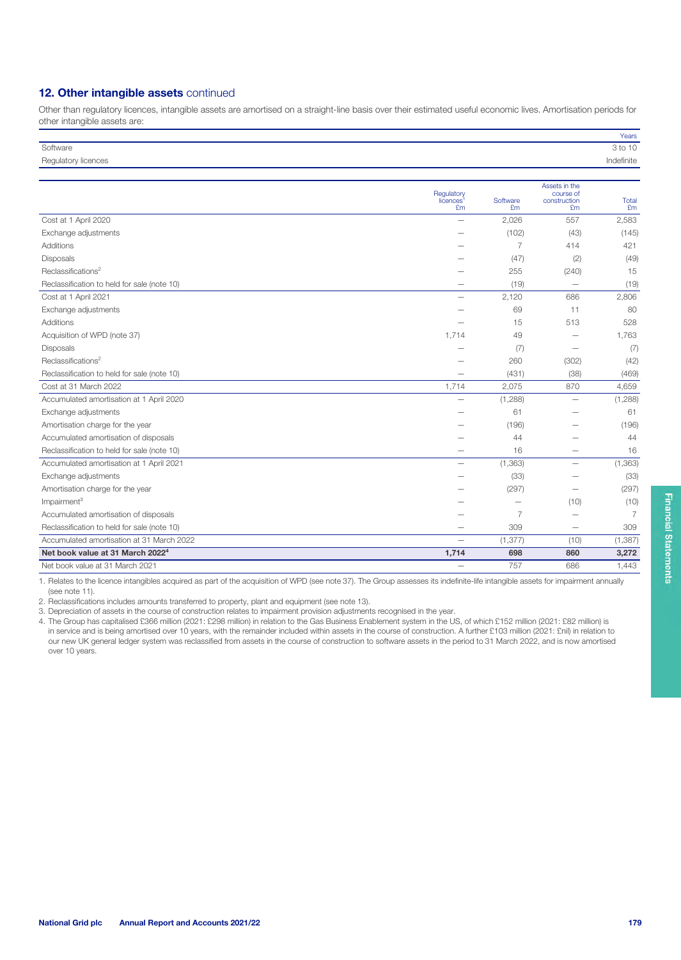# 12. Other intangible assets continued

Other than regulatory licences, intangible assets are amortised on a straight-line basis over their estimated useful economic lives. Amortisation periods for other intangible assets are:

|                     | Years                  |
|---------------------|------------------------|
| Software            | 3 to 10                |
| Regulatory licences | <sup>1</sup> ndefinite |

|                                              | Regulatory<br>licences <sup>1</sup><br>£m | Software<br>£m | Assets in the<br>course of<br>construction<br>£m | Total<br>£m    |
|----------------------------------------------|-------------------------------------------|----------------|--------------------------------------------------|----------------|
| Cost at 1 April 2020                         | -                                         | 2,026          | 557                                              | 2,583          |
| Exchange adjustments                         |                                           | (102)          | (43)                                             | (145)          |
| Additions                                    |                                           | $\overline{7}$ | 414                                              | 421            |
| <b>Disposals</b>                             |                                           | (47)           | (2)                                              | (49)           |
| Reclassifications <sup>2</sup>               |                                           | 255            | (240)                                            | 15             |
| Reclassification to held for sale (note 10)  | -                                         | (19)           | $\overline{\phantom{0}}$                         | (19)           |
| Cost at 1 April 2021                         | -                                         | 2,120          | 686                                              | 2,806          |
| Exchange adjustments                         |                                           | 69             | 11                                               | 80             |
| <b>Additions</b>                             |                                           | 15             | 513                                              | 528            |
| Acquisition of WPD (note 37)                 | 1,714                                     | 49             | -                                                | 1,763          |
| Disposals                                    |                                           | (7)            | $\overline{\phantom{0}}$                         | (7)            |
| Reclassifications <sup>2</sup>               |                                           | 260            | (302)                                            | (42)           |
| Reclassification to held for sale (note 10)  |                                           | (431)          | (38)                                             | (469)          |
| Cost at 31 March 2022                        | 1,714                                     | 2,075          | 870                                              | 4,659          |
| Accumulated amortisation at 1 April 2020     | $\overline{\phantom{0}}$                  | (1,288)        | -                                                | (1,288)        |
| Exchange adjustments                         |                                           | 61             |                                                  | 61             |
| Amortisation charge for the year             |                                           | (196)          |                                                  | (196)          |
| Accumulated amortisation of disposals        |                                           | 44             |                                                  | 44             |
| Reclassification to held for sale (note 10)  |                                           | 16             | -                                                | 16             |
| Accumulated amortisation at 1 April 2021     | -                                         | (1, 363)       | -                                                | (1, 363)       |
| Exchange adjustments                         |                                           | (33)           |                                                  | (33)           |
| Amortisation charge for the year             |                                           | (297)          |                                                  | (297)          |
| Impairment <sup>3</sup>                      |                                           |                | (10)                                             | (10)           |
| Accumulated amortisation of disposals        |                                           | $\overline{7}$ |                                                  | $\overline{7}$ |
| Reclassification to held for sale (note 10)  | -                                         | 309            | $\overline{\phantom{0}}$                         | 309            |
| Accumulated amortisation at 31 March 2022    | -                                         | (1, 377)       | (10)                                             | (1, 387)       |
| Net book value at 31 March 2022 <sup>4</sup> | 1,714                                     | 698            | 860                                              | 3,272          |
| Net book value at 31 March 2021              | $\overline{\phantom{0}}$                  | 757            | 686                                              | 1,443          |

1. Relates to the licence intangibles acquired as part of the acquisition of WPD (see note 37). The Group assesses its indefinite-life intangible assets for impairment annually (see note 11).

2. Reclassifications includes amounts transferred to property, plant and equipment (see note 13).

3. Depreciation of assets in the course of construction relates to impairment provision adjustments recognised in the year.

4. The Group has capitalised £366 million (2021: £298 million) in relation to the Gas Business Enablement system in the US, of which £152 million (2021: £82 million) is in service and is being amortised over 10 years, with the remainder included within assets in the course of construction. A further £103 million (2021: £nil) in relation to our new UK general ledger system was reclassified from assets in the course of construction to software assets in the period to 31 March 2022, and is now amortised over 10 years.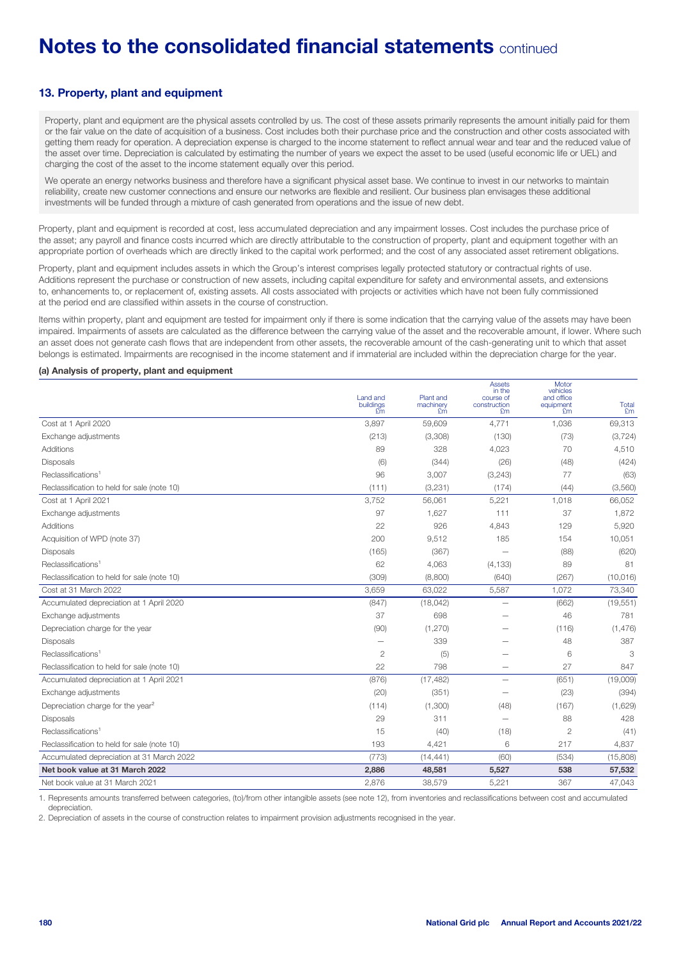## 13. Property, plant and equipment

Property, plant and equipment are the physical assets controlled by us. The cost of these assets primarily represents the amount initially paid for them or the fair value on the date of acquisition of a business. Cost includes both their purchase price and the construction and other costs associated with getting them ready for operation. A depreciation expense is charged to the income statement to reflect annual wear and tear and the reduced value of the asset over time. Depreciation is calculated by estimating the number of years we expect the asset to be used (useful economic life or UEL) and charging the cost of the asset to the income statement equally over this period.

We operate an energy networks business and therefore have a significant physical asset base. We continue to invest in our networks to maintain reliability, create new customer connections and ensure our networks are flexible and resilient. Our business plan envisages these additional investments will be funded through a mixture of cash generated from operations and the issue of new debt.

Property, plant and equipment is recorded at cost, less accumulated depreciation and any impairment losses. Cost includes the purchase price of the asset; any payroll and finance costs incurred which are directly attributable to the construction of property, plant and equipment together with an appropriate portion of overheads which are directly linked to the capital work performed; and the cost of any associated asset retirement obligations.

Property, plant and equipment includes assets in which the Group's interest comprises legally protected statutory or contractual rights of use. Additions represent the purchase or construction of new assets, including capital expenditure for safety and environmental assets, and extensions to, enhancements to, or replacement of, existing assets. All costs associated with projects or activities which have not been fully commissioned at the period end are classified within assets in the course of construction.

Items within property, plant and equipment are tested for impairment only if there is some indication that the carrying value of the assets may have been impaired. Impairments of assets are calculated as the difference between the carrying value of the asset and the recoverable amount, if lower. Where such an asset does not generate cash flows that are independent from other assets, the recoverable amount of the cash-generating unit to which that asset belongs is estimated. Impairments are recognised in the income statement and if immaterial are included within the depreciation charge for the year.

#### (a) Analysis of property, plant and equipment

|                                               | Land and<br>buildings<br>£m | Plant and<br>machinery<br>£m | <b>Assets</b><br>in the<br>course of<br>construction<br>£m | Motor<br>vehicles<br>and office<br>equipment<br>£m | Total<br>£m |
|-----------------------------------------------|-----------------------------|------------------------------|------------------------------------------------------------|----------------------------------------------------|-------------|
| Cost at 1 April 2020                          | 3,897                       | 59,609                       | 4,771                                                      | 1,036                                              | 69,313      |
| Exchange adjustments                          | (213)                       | (3,308)                      | (130)                                                      | (73)                                               | (3, 724)    |
| Additions                                     | 89                          | 328                          | 4,023                                                      | 70                                                 | 4,510       |
| <b>Disposals</b>                              | (6)                         | (344)                        | (26)                                                       | (48)                                               | (424)       |
| Reclassifications <sup>1</sup>                | 96                          | 3,007                        | (3, 243)                                                   | 77                                                 | (63)        |
| Reclassification to held for sale (note 10)   | (111)                       | (3,231)                      | (174)                                                      | (44)                                               | (3,560)     |
| Cost at 1 April 2021                          | 3,752                       | 56,061                       | 5,221                                                      | 1,018                                              | 66,052      |
| Exchange adjustments                          | 97                          | 1,627                        | 111                                                        | 37                                                 | 1,872       |
| Additions                                     | 22                          | 926                          | 4,843                                                      | 129                                                | 5,920       |
| Acquisition of WPD (note 37)                  | 200                         | 9,512                        | 185                                                        | 154                                                | 10,051      |
| <b>Disposals</b>                              | (165)                       | (367)                        |                                                            | (88)                                               | (620)       |
| Reclassifications <sup>1</sup>                | 62                          | 4,063                        | (4, 133)                                                   | 89                                                 | 81          |
| Reclassification to held for sale (note 10)   | (309)                       | (8,800)                      | (640)                                                      | (267)                                              | (10, 016)   |
| Cost at 31 March 2022                         | 3,659                       | 63,022                       | 5,587                                                      | 1,072                                              | 73,340      |
| Accumulated depreciation at 1 April 2020      | (847)                       | (18, 042)                    | $\overline{\phantom{0}}$                                   | (662)                                              | (19, 551)   |
| Exchange adjustments                          | 37                          | 698                          |                                                            | 46                                                 | 781         |
| Depreciation charge for the year              | (90)                        | (1,270)                      |                                                            | (116)                                              | (1, 476)    |
| <b>Disposals</b>                              |                             | 339                          |                                                            | 48                                                 | 387         |
| Reclassifications <sup>1</sup>                | $\overline{2}$              | (5)                          |                                                            | 6                                                  | 3           |
| Reclassification to held for sale (note 10)   | 22                          | 798                          | -                                                          | 27                                                 | 847         |
| Accumulated depreciation at 1 April 2021      | (876)                       | (17, 482)                    |                                                            | (651)                                              | (19,009)    |
| Exchange adjustments                          | (20)                        | (351)                        |                                                            | (23)                                               | (394)       |
| Depreciation charge for the year <sup>2</sup> | (114)                       | (1,300)                      | (48)                                                       | (167)                                              | (1,629)     |
| <b>Disposals</b>                              | 29                          | 311                          |                                                            | 88                                                 | 428         |
| Reclassifications <sup>1</sup>                | 15                          | (40)                         | (18)                                                       | $\mathbf{2}$                                       | (41)        |
| Reclassification to held for sale (note 10)   | 193                         | 4,421                        | 6                                                          | 217                                                | 4,837       |
| Accumulated depreciation at 31 March 2022     | (773)                       | (14, 441)                    | (60)                                                       | (534)                                              | (15,808)    |
| Net book value at 31 March 2022               | 2,886                       | 48,581                       | 5,527                                                      | 538                                                | 57,532      |
| Net book value at 31 March 2021               | 2,876                       | 38,579                       | 5,221                                                      | 367                                                | 47,043      |

1. Represents amounts transferred between categories, (to)/from other intangible assets (see note 12), from inventories and reclassifications between cost and accumulated depreciation.

2. Depreciation of assets in the course of construction relates to impairment provision adjustments recognised in the year.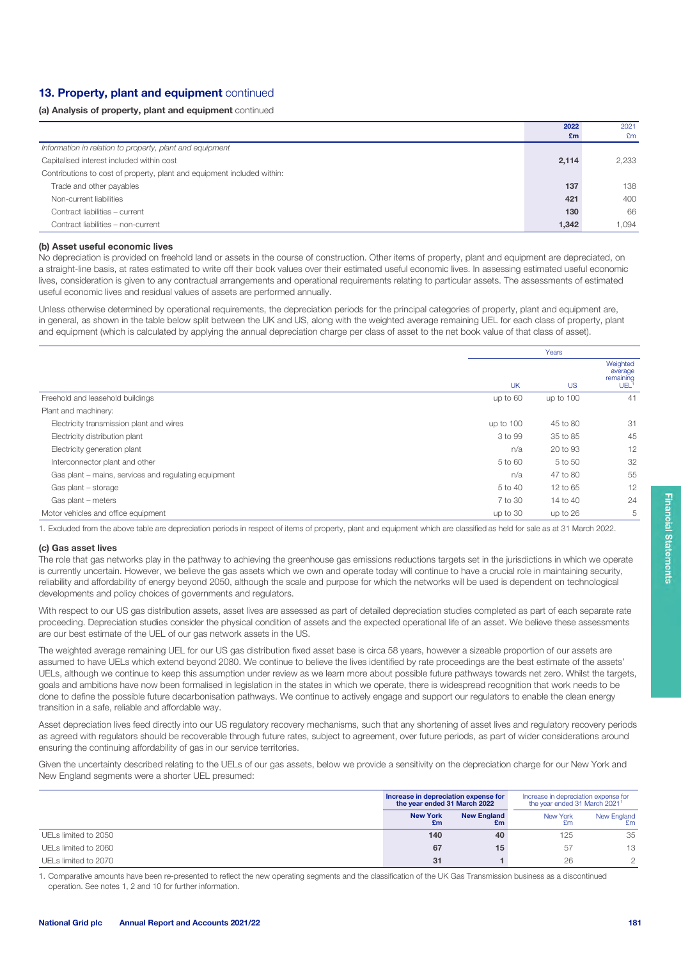# 13. Property, plant and equipment continued

(a) Analysis of property, plant and equipment continued

|                                                                         | 2022  | 2021  |
|-------------------------------------------------------------------------|-------|-------|
|                                                                         | £m    | £m    |
| Information in relation to property, plant and equipment                |       |       |
| Capitalised interest included within cost                               | 2,114 | 2.233 |
| Contributions to cost of property, plant and equipment included within: |       |       |
| Trade and other payables                                                | 137   | 138   |
| Non-current liabilities                                                 | 421   | 400   |
| Contract liabilities - current                                          | 130   | 66    |
| Contract liabilities - non-current                                      | 1,342 | 1.094 |

#### (b) Asset useful economic lives

No depreciation is provided on freehold land or assets in the course of construction. Other items of property, plant and equipment are depreciated, on a straight-line basis, at rates estimated to write off their book values over their estimated useful economic lives. In assessing estimated useful economic lives, consideration is given to any contractual arrangements and operational requirements relating to particular assets. The assessments of estimated useful economic lives and residual values of assets are performed annually.

Unless otherwise determined by operational requirements, the depreciation periods for the principal categories of property, plant and equipment are, in general, as shown in the table below split between the UK and US, along with the weighted average remaining UEL for each class of property, plant and equipment (which is calculated by applying the annual depreciation charge per class of asset to the net book value of that class of asset).

|                                                      |           | Years      |                                                      |
|------------------------------------------------------|-----------|------------|------------------------------------------------------|
|                                                      | <b>UK</b> | <b>US</b>  | Weighted<br>average<br>remaining<br>UEL <sup>1</sup> |
| Freehold and leasehold buildings                     | up to 60  | up to 100  | 41                                                   |
| Plant and machinery:                                 |           |            |                                                      |
| Electricity transmission plant and wires             | up to 100 | 45 to 80   | 31                                                   |
| Electricity distribution plant                       | 3 to 99   | 35 to 85   | 45                                                   |
| Electricity generation plant                         | n/a       | 20 to 93   | 12                                                   |
| Interconnector plant and other                       | 5 to 60   | 5 to 50    | 32                                                   |
| Gas plant – mains, services and regulating equipment | n/a       | 47 to 80   | 55                                                   |
| Gas plant - storage                                  | 5 to 40   | 12 to 65   | 12                                                   |
| Gas plant - meters                                   | 7 to 30   | 14 to 40   | 24                                                   |
| Motor vehicles and office equipment                  | up to 30  | up to $26$ | 5                                                    |

1. Excluded from the above table are depreciation periods in respect of items of property, plant and equipment which are classified as held for sale as at 31 March 2022.

#### (c) Gas asset lives

The role that gas networks play in the pathway to achieving the greenhouse gas emissions reductions targets set in the jurisdictions in which we operate is currently uncertain. However, we believe the gas assets which we own and operate today will continue to have a crucial role in maintaining security, reliability and affordability of energy beyond 2050, although the scale and purpose for which the networks will be used is dependent on technological developments and policy choices of governments and regulators.

With respect to our US gas distribution assets, asset lives are assessed as part of detailed depreciation studies completed as part of each separate rate proceeding. Depreciation studies consider the physical condition of assets and the expected operational life of an asset. We believe these assessments are our best estimate of the UEL of our gas network assets in the US.

The weighted average remaining UEL for our US gas distribution fixed asset base is circa 58 years, however a sizeable proportion of our assets are assumed to have UELs which extend beyond 2080. We continue to believe the lives identified by rate proceedings are the best estimate of the assets' UELs, although we continue to keep this assumption under review as we learn more about possible future pathways towards net zero. Whilst the targets, goals and ambitions have now been formalised in legislation in the states in which we operate, there is widespread recognition that work needs to be done to define the possible future decarbonisation pathways. We continue to actively engage and support our regulators to enable the clean energy transition in a safe, reliable and affordable way.

Asset depreciation lives feed directly into our US regulatory recovery mechanisms, such that any shortening of asset lives and regulatory recovery periods as agreed with regulators should be recoverable through future rates, subject to agreement, over future periods, as part of wider considerations around ensuring the continuing affordability of gas in our service territories.

Given the uncertainty described relating to the UELs of our gas assets, below we provide a sensitivity on the depreciation charge for our New York and New England segments were a shorter UEL presumed:

|                      | Increase in depreciation expense for<br>the year ended 31 March 2022 |                          | Increase in depreciation expense for<br>the year ended 31 March 2021 <sup>1</sup> |                   |
|----------------------|----------------------------------------------------------------------|--------------------------|-----------------------------------------------------------------------------------|-------------------|
|                      | <b>New York</b><br>£m                                                | <b>New England</b><br>£m | New York<br>£m                                                                    | New England<br>£m |
| UELs limited to 2050 | 140                                                                  | 40                       | 125                                                                               | 35                |
| UELs limited to 2060 | 67                                                                   | 15                       | 57                                                                                | 13                |
| UELs limited to 2070 | 31                                                                   |                          | 26                                                                                | $\mathcal{P}$     |

1. Comparative amounts have been re-presented to reflect the new operating segments and the classification of the UK Gas Transmission business as a discontinued operation. See notes 1, 2 and 10 for further information.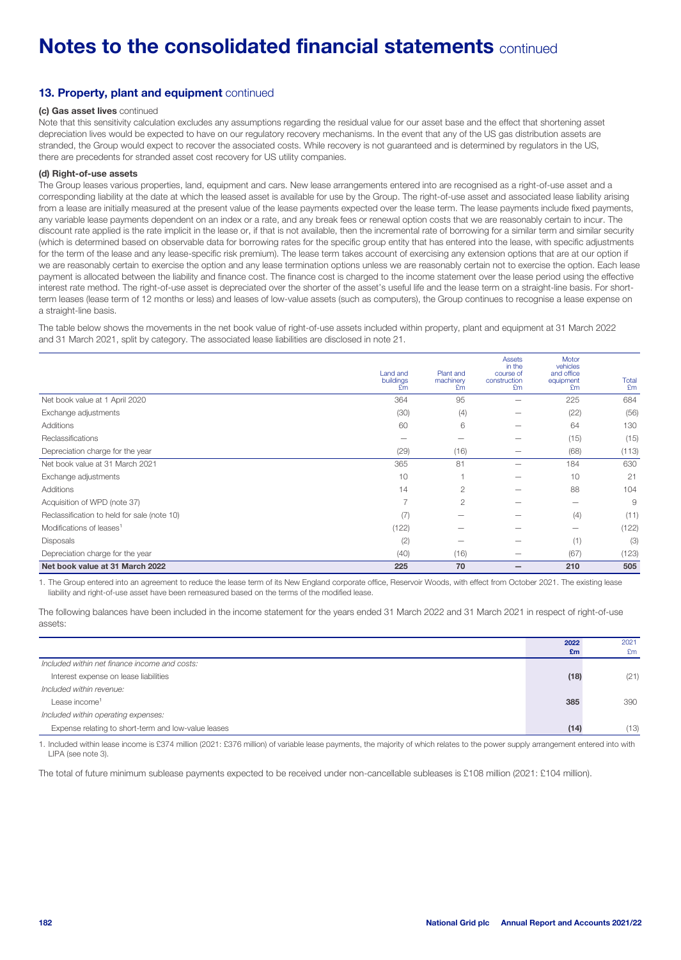## 13. Property, plant and equipment continued

#### (c) Gas asset lives continued

Note that this sensitivity calculation excludes any assumptions regarding the residual value for our asset base and the effect that shortening asset depreciation lives would be expected to have on our regulatory recovery mechanisms. In the event that any of the US gas distribution assets are stranded, the Group would expect to recover the associated costs. While recovery is not guaranteed and is determined by regulators in the US, there are precedents for stranded asset cost recovery for US utility companies.

### (d) Right-of-use assets

The Group leases various properties, land, equipment and cars. New lease arrangements entered into are recognised as a right-of-use asset and a corresponding liability at the date at which the leased asset is available for use by the Group. The right-of-use asset and associated lease liability arising from a lease are initially measured at the present value of the lease payments expected over the lease term. The lease payments include fixed payments, any variable lease payments dependent on an index or a rate, and any break fees or renewal option costs that we are reasonably certain to incur. The discount rate applied is the rate implicit in the lease or, if that is not available, then the incremental rate of borrowing for a similar term and similar security (which is determined based on observable data for borrowing rates for the specific group entity that has entered into the lease, with specific adjustments for the term of the lease and any lease-specific risk premium). The lease term takes account of exercising any extension options that are at our option if we are reasonably certain to exercise the option and any lease termination options unless we are reasonably certain not to exercise the option. Each lease payment is allocated between the liability and finance cost. The finance cost is charged to the income statement over the lease period using the effective interest rate method. The right-of-use asset is depreciated over the shorter of the asset's useful life and the lease term on a straight-line basis. For shortterm leases (lease term of 12 months or less) and leases of low-value assets (such as computers), the Group continues to recognise a lease expense on a straight-line basis.

The table below shows the movements in the net book value of right-of-use assets included within property, plant and equipment at 31 March 2022 and 31 March 2021, split by category. The associated lease liabilities are disclosed in note 21.

|                                             | I and and<br>buildings<br>£m | Plant and<br>machinery<br>£m | Assets<br>in the<br>course of<br>construction<br>£m | Motor<br>vehicles<br>and office<br>equipment<br>£m | Total<br>£m |
|---------------------------------------------|------------------------------|------------------------------|-----------------------------------------------------|----------------------------------------------------|-------------|
| Net book value at 1 April 2020              | 364                          | 95                           |                                                     | 225                                                | 684         |
| Exchange adjustments                        | (30)                         | (4)                          |                                                     | (22)                                               | (56)        |
| Additions                                   | 60                           | 6                            |                                                     | 64                                                 | 130         |
| Reclassifications                           |                              |                              |                                                     | (15)                                               | (15)        |
| Depreciation charge for the year            | (29)                         | (16)                         | -                                                   | (68)                                               | (113)       |
| Net book value at 31 March 2021             | 365                          | 81                           |                                                     | 184                                                | 630         |
| Exchange adjustments                        | 10                           |                              |                                                     | 10                                                 | 21          |
| Additions                                   | 14                           | $\mathbf{2}$                 |                                                     | 88                                                 | 104         |
| Acquisition of WPD (note 37)                | $\overline{7}$               | $\overline{2}$               |                                                     |                                                    | 9           |
| Reclassification to held for sale (note 10) | (7)                          |                              |                                                     | (4)                                                | (11)        |
| Modifications of leases <sup>1</sup>        | (122)                        |                              |                                                     |                                                    | (122)       |
| <b>Disposals</b>                            | (2)                          |                              |                                                     | (1)                                                | (3)         |
| Depreciation charge for the year            | (40)                         | (16)                         |                                                     | (67)                                               | (123)       |
| Net book value at 31 March 2022             | 225                          | 70                           |                                                     | 210                                                | 505         |

1. The Group entered into an agreement to reduce the lease term of its New England corporate office, Reservoir Woods, with effect from October 2021. The existing lease liability and right-of-use asset have been remeasured based on the terms of the modified lease.

The following balances have been included in the income statement for the years ended 31 March 2022 and 31 March 2021 in respect of right-of-use assets:

|                                                     | 2022 | 2021 |
|-----------------------------------------------------|------|------|
|                                                     | £m   | £m   |
| Included within net finance income and costs:       |      |      |
| Interest expense on lease liabilities               | (18) | (21) |
| Included within revenue:                            |      |      |
| Lease income <sup>1</sup>                           | 385  | 390  |
| Included within operating expenses:                 |      |      |
| Expense relating to short-term and low-value leases | (14) | (13) |

1. Included within lease income is £374 million (2021: £376 million) of variable lease payments, the majority of which relates to the power supply arrangement entered into with LIPA (see note 3).

The total of future minimum sublease payments expected to be received under non-cancellable subleases is £108 million (2021: £104 million).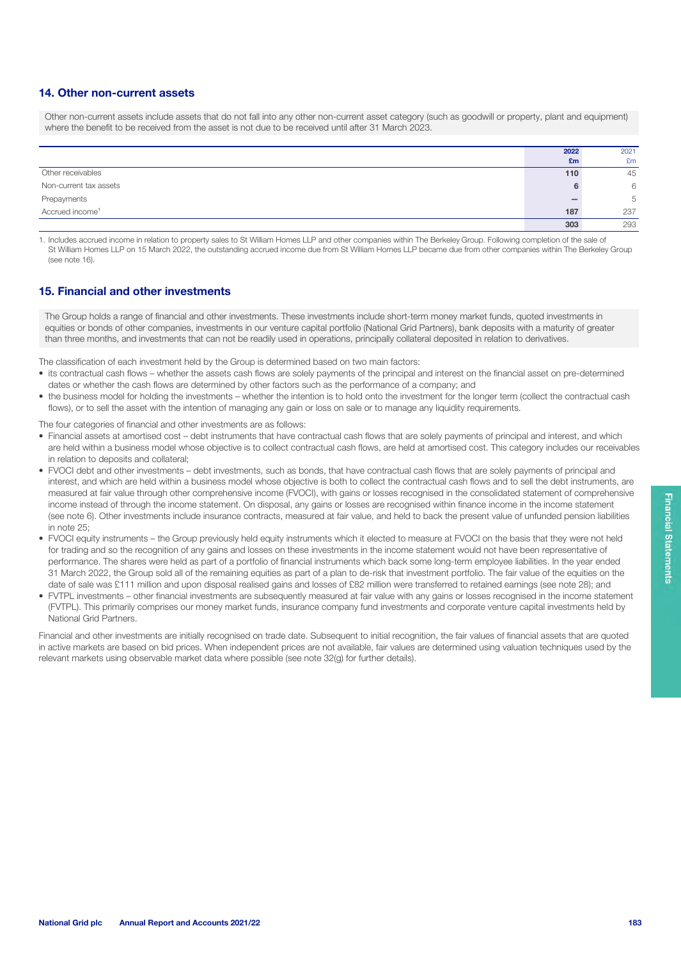# 14. Other non-current assets

Other non-current assets include assets that do not fall into any other non-current asset category (such as goodwill or property, plant and equipment) where the benefit to be received from the asset is not due to be received until after 31 March 2023.

|                             | 2022 | 2021 |
|-----------------------------|------|------|
|                             | £m   | £m   |
| Other receivables           | 110  | 45   |
| Non-current tax assets      |      | 6    |
| Prepayments                 | -    | 5    |
| Accrued income <sup>1</sup> | 187  | 237  |
|                             | 303  | 293  |

1. Includes accrued income in relation to property sales to St William Homes LLP and other companies within The Berkeley Group. Following completion of the sale of St William Homes LLP on 15 March 2022, the outstanding accrued income due from St William Homes LLP became due from other companies within The Berkeley Group (see note 16).

## 15. Financial and other investments

The Group holds a range of financial and other investments. These investments include short-term money market funds, quoted investments in equities or bonds of other companies, investments in our venture capital portfolio (National Grid Partners), bank deposits with a maturity of greater than three months, and investments that can not be readily used in operations, principally collateral deposited in relation to derivatives.

The classification of each investment held by the Group is determined based on two main factors:

- its contractual cash flows whether the assets cash flows are solely payments of the principal and interest on the financial asset on pre-determined dates or whether the cash flows are determined by other factors such as the performance of a company; and
- the business model for holding the investments whether the intention is to hold onto the investment for the longer term (collect the contractual cash flows), or to sell the asset with the intention of managing any gain or loss on sale or to manage any liquidity requirements.

The four categories of financial and other investments are as follows:

- Financial assets at amortised cost debt instruments that have contractual cash flows that are solely payments of principal and interest, and which are held within a business model whose objective is to collect contractual cash flows, are held at amortised cost. This category includes our receivables in relation to deposits and collateral;
- FVOCI debt and other investments debt investments, such as bonds, that have contractual cash flows that are solely payments of principal and interest, and which are held within a business model whose objective is both to collect the contractual cash flows and to sell the debt instruments, are measured at fair value through other comprehensive income (FVOCI), with gains or losses recognised in the consolidated statement of comprehensive income instead of through the income statement. On disposal, any gains or losses are recognised within finance income in the income statement (see note 6). Other investments include insurance contracts, measured at fair value, and held to back the present value of unfunded pension liabilities in note 25;
- FVOCI equity instruments the Group previously held equity instruments which it elected to measure at FVOCI on the basis that they were not held for trading and so the recognition of any gains and losses on these investments in the income statement would not have been representative of performance. The shares were held as part of a portfolio of financial instruments which back some long-term employee liabilities. In the year ended 31 March 2022, the Group sold all of the remaining equities as part of a plan to de-risk that investment portfolio. The fair value of the equities on the date of sale was £111 million and upon disposal realised gains and losses of £82 million were transferred to retained earnings (see note 28); and
- FVTPL investments other financial investments are subsequently measured at fair value with any gains or losses recognised in the income statement (FVTPL). This primarily comprises our money market funds, insurance company fund investments and corporate venture capital investments held by National Grid Partners.

Financial and other investments are initially recognised on trade date. Subsequent to initial recognition, the fair values of financial assets that are quoted in active markets are based on bid prices. When independent prices are not available, fair values are determined using valuation techniques used by the relevant markets using observable market data where possible (see note 32(g) for further details).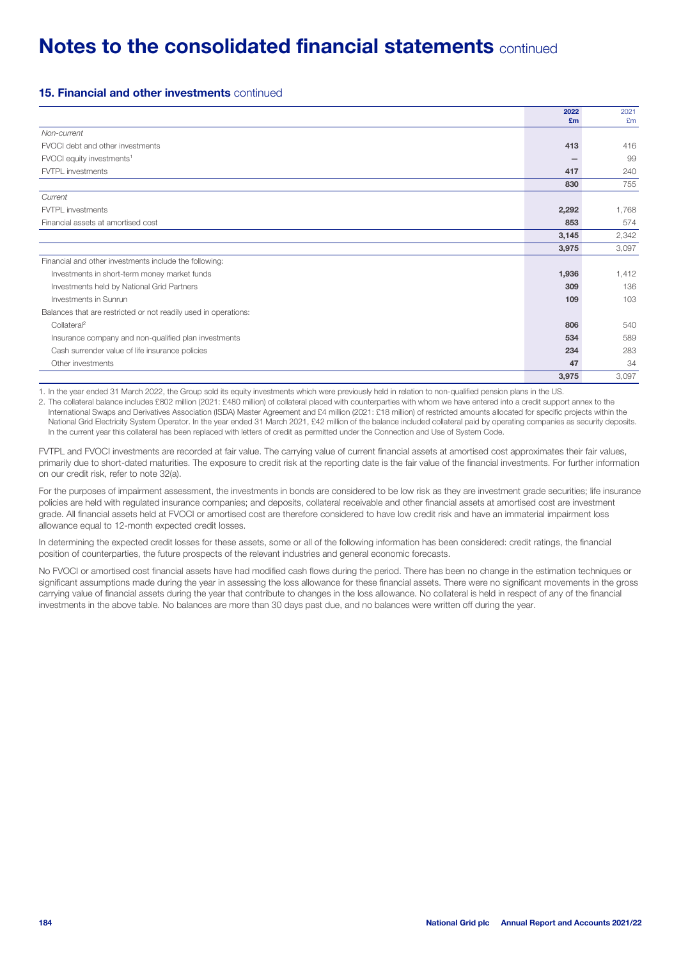# 15. Financial and other investments continued

|                                                                 | 2022  | 2021  |
|-----------------------------------------------------------------|-------|-------|
|                                                                 | £m    | £m    |
| Non-current                                                     |       |       |
| FVOCI debt and other investments                                | 413   | 416   |
| FVOCI equity investments <sup>1</sup>                           |       | 99    |
| <b>FVTPL</b> investments                                        | 417   | 240   |
|                                                                 | 830   | 755   |
| Current                                                         |       |       |
| <b>FVTPL</b> investments                                        | 2,292 | 1,768 |
| Financial assets at amortised cost                              | 853   | 574   |
|                                                                 | 3,145 | 2,342 |
|                                                                 | 3,975 | 3,097 |
| Financial and other investments include the following:          |       |       |
| Investments in short-term money market funds                    | 1,936 | 1,412 |
| Investments held by National Grid Partners                      | 309   | 136   |
| Investments in Sunrun                                           | 109   | 103   |
| Balances that are restricted or not readily used in operations: |       |       |
| Collateral <sup>2</sup>                                         | 806   | 540   |
| Insurance company and non-qualified plan investments            | 534   | 589   |
| Cash surrender value of life insurance policies                 | 234   | 283   |
| Other investments                                               | 47    | 34    |
|                                                                 | 3,975 | 3,097 |

1. In the year ended 31 March 2022, the Group sold its equity investments which were previously held in relation to non-qualified pension plans in the US.

2. The collateral balance includes £802 million (2021: £480 million) of collateral placed with counterparties with whom we have entered into a credit support annex to the International Swaps and Derivatives Association (ISDA) Master Agreement and £4 million (2021: £18 million) of restricted amounts allocated for specific projects within the National Grid Electricity System Operator. In the year ended 31 March 2021, £42 million of the balance included collateral paid by operating companies as security deposits. In the current year this collateral has been replaced with letters of credit as permitted under the Connection and Use of System Code.

FVTPL and FVOCI investments are recorded at fair value. The carrying value of current financial assets at amortised cost approximates their fair values, primarily due to short-dated maturities. The exposure to credit risk at the reporting date is the fair value of the financial investments. For further information on our credit risk, refer to note 32(a).

For the purposes of impairment assessment, the investments in bonds are considered to be low risk as they are investment grade securities; life insurance policies are held with regulated insurance companies; and deposits, collateral receivable and other financial assets at amortised cost are investment grade. All financial assets held at FVOCI or amortised cost are therefore considered to have low credit risk and have an immaterial impairment loss allowance equal to 12-month expected credit losses.

In determining the expected credit losses for these assets, some or all of the following information has been considered: credit ratings, the financial position of counterparties, the future prospects of the relevant industries and general economic forecasts.

No FVOCI or amortised cost financial assets have had modified cash flows during the period. There has been no change in the estimation techniques or significant assumptions made during the year in assessing the loss allowance for these financial assets. There were no significant movements in the gross carrying value of financial assets during the year that contribute to changes in the loss allowance. No collateral is held in respect of any of the financial investments in the above table. No balances are more than 30 days past due, and no balances were written off during the year.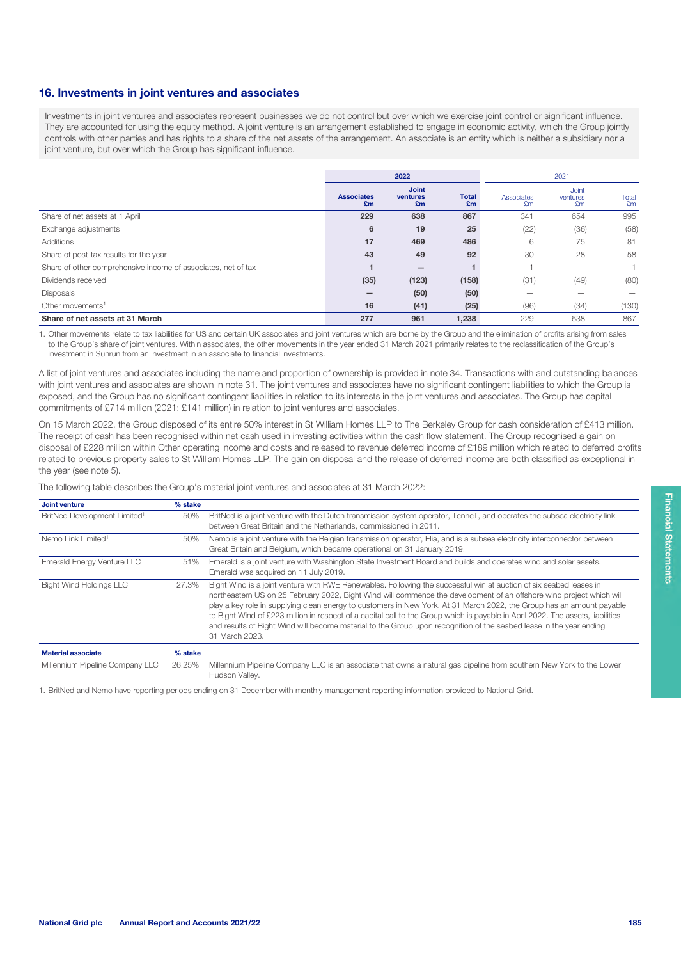## 16. Investments in joint ventures and associates

Investments in joint ventures and associates represent businesses we do not control but over which we exercise joint control or significant influence. They are accounted for using the equity method. A joint venture is an arrangement established to engage in economic activity, which the Group jointly controls with other parties and has rights to a share of the net assets of the arrangement. An associate is an entity which is neither a subsidiary nor a joint venture, but over which the Group has significant influence.

|                                                               |                         | 2022                           |                    |                  | 2021                     |             |  |
|---------------------------------------------------------------|-------------------------|--------------------------------|--------------------|------------------|--------------------------|-------------|--|
|                                                               | <b>Associates</b><br>£m | <b>Joint</b><br>ventures<br>£m | <b>Total</b><br>£m | Associates<br>£m | Joint<br>ventures<br>£m  | Total<br>£m |  |
| Share of net assets at 1 April                                | 229                     | 638                            | 867                | 341              | 654                      | 995         |  |
| Exchange adjustments                                          | 6                       | 19                             | 25                 | (22)             | (36)                     | (58)        |  |
| Additions                                                     | 17                      | 469                            | 486                | 6                | 75                       | 81          |  |
| Share of post-tax results for the year                        | 43                      | 49                             | 92                 | 30               | 28                       | 58          |  |
| Share of other comprehensive income of associates, net of tax |                         | —                              |                    |                  | $\overline{\phantom{a}}$ |             |  |
| Dividends received                                            | (35)                    | (123)                          | (158)              | (31)             | (49)                     | (80)        |  |
| <b>Disposals</b>                                              |                         | (50)                           | (50)               |                  |                          |             |  |
| Other movements <sup>1</sup>                                  | 16                      | (41)                           | (25)               | (96)             | (34)                     | (130)       |  |
| Share of net assets at 31 March                               | 277                     | 961                            | 1,238              | 229              | 638                      | 867         |  |

1. Other movements relate to tax liabilities for US and certain UK associates and joint ventures which are borne by the Group and the elimination of profits arising from sales to the Group's share of joint ventures. Within associates, the other movements in the year ended 31 March 2021 primarily relates to the reclassification of the Group's investment in Sunrun from an investment in an associate to financial investments.

A list of joint ventures and associates including the name and proportion of ownership is provided in note 34. Transactions with and outstanding balances with joint ventures and associates are shown in note 31. The joint ventures and associates have no significant contingent liabilities to which the Group is exposed, and the Group has no significant contingent liabilities in relation to its interests in the joint ventures and associates. The Group has capital commitments of £714 million (2021: £141 million) in relation to joint ventures and associates.

On 15 March 2022, the Group disposed of its entire 50% interest in St William Homes LLP to The Berkeley Group for cash consideration of £413 million. The receipt of cash has been recognised within net cash used in investing activities within the cash flow statement. The Group recognised a gain on disposal of £228 million within Other operating income and costs and released to revenue deferred income of £189 million which related to deferred profits related to previous property sales to St William Homes LLP. The gain on disposal and the release of deferred income are both classified as exceptional in the year (see note 5).

The following table describes the Group's material joint ventures and associates at 31 March 2022:

| Joint venture                            | $%$ stake |                                                                                                                                                                                                                                                                                                                                                                                                                                                                                                                                                                                                                                                 |
|------------------------------------------|-----------|-------------------------------------------------------------------------------------------------------------------------------------------------------------------------------------------------------------------------------------------------------------------------------------------------------------------------------------------------------------------------------------------------------------------------------------------------------------------------------------------------------------------------------------------------------------------------------------------------------------------------------------------------|
| BritNed Development Limited <sup>1</sup> | 50%       | BritNed is a joint venture with the Dutch transmission system operator, TenneT, and operates the subsea electricity link<br>between Great Britain and the Netherlands, commissioned in 2011.                                                                                                                                                                                                                                                                                                                                                                                                                                                    |
| Nemo Link Limited <sup>1</sup>           | 50%       | Nemo is a joint venture with the Belgian transmission operator, Elia, and is a subsea electricity interconnector between<br>Great Britain and Belgium, which became operational on 31 January 2019.                                                                                                                                                                                                                                                                                                                                                                                                                                             |
| Emerald Energy Venture LLC               | 51%       | Emerald is a joint venture with Washington State Investment Board and builds and operates wind and solar assets.<br>Emerald was acquired on 11 July 2019.                                                                                                                                                                                                                                                                                                                                                                                                                                                                                       |
| <b>Bight Wind Holdings LLC</b>           | 27.3%     | Bight Wind is a joint venture with RWE Renewables. Following the successful win at auction of six seabed leases in<br>northeastern US on 25 February 2022, Bight Wind will commence the development of an offshore wind project which will<br>play a key role in supplying clean energy to customers in New York. At 31 March 2022, the Group has an amount payable<br>to Bight Wind of £223 million in respect of a capital call to the Group which is payable in April 2022. The assets, liabilities<br>and results of Bight Wind will become material to the Group upon recognition of the seabed lease in the year ending<br>31 March 2023. |
| <b>Material associate</b>                | $%$ stake |                                                                                                                                                                                                                                                                                                                                                                                                                                                                                                                                                                                                                                                 |
| Millennium Pipeline Company LLC          | 26.25%    | Millennium Pipeline Company LLC is an associate that owns a natural gas pipeline from southern New York to the Lower<br>Hudson Vallev.                                                                                                                                                                                                                                                                                                                                                                                                                                                                                                          |

1. BritNed and Nemo have reporting periods ending on 31 December with monthly management reporting information provided to National Grid.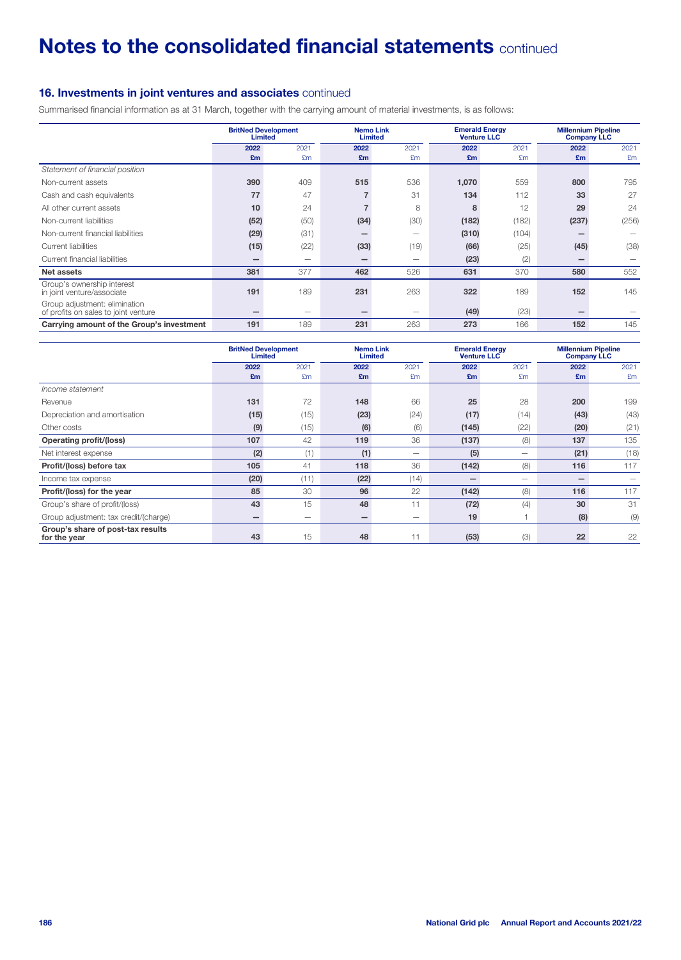# 16. Investments in joint ventures and associates continued

Summarised financial information as at 31 March, together with the carrying amount of material investments, is as follows:

|                                                                       | <b>BritNed Development</b><br><b>Limited</b> |                          | <b>Nemo Link</b><br><b>Limited</b> |                          |       | <b>Emerald Energy</b><br><b>Venture LLC</b> | <b>Millennium Pipeline</b><br><b>Company LLC</b> |       |
|-----------------------------------------------------------------------|----------------------------------------------|--------------------------|------------------------------------|--------------------------|-------|---------------------------------------------|--------------------------------------------------|-------|
|                                                                       | 2022                                         | 2021                     | 2022                               | 2021                     | 2022  | 2021                                        | 2022                                             | 2021  |
|                                                                       | £m                                           | £m                       | £m                                 | £m                       | £m    | £m                                          | £m                                               | £m    |
| Statement of financial position                                       |                                              |                          |                                    |                          |       |                                             |                                                  |       |
| Non-current assets                                                    | 390                                          | 409                      | 515                                | 536                      | 1,070 | 559                                         | 800                                              | 795   |
| Cash and cash equivalents                                             | 77                                           | 47                       |                                    | 31                       | 134   | 112                                         | 33                                               | 27    |
| All other current assets                                              | 10                                           | 24                       |                                    | 8                        | 8     | 12                                          | 29                                               | 24    |
| Non-current liabilities                                               | (52)                                         | (50)                     | (34)                               | (30)                     | (182) | (182)                                       | (237)                                            | (256) |
| Non-current financial liabilities                                     | (29)                                         | (31)                     |                                    | -                        | (310) | (104)                                       |                                                  |       |
| Current liabilities                                                   | (15)                                         | (22)                     | (33)                               | (19)                     | (66)  | (25)                                        | (45)                                             | (38)  |
| Current financial liabilities                                         |                                              | $\overline{\phantom{a}}$ | —                                  | $\overline{\phantom{a}}$ | (23)  | (2)                                         |                                                  |       |
| Net assets                                                            | 381                                          | 377                      | 462                                | 526                      | 631   | 370                                         | 580                                              | 552   |
| Group's ownership interest<br>in joint venture/associate              | 191                                          | 189                      | 231                                | 263                      | 322   | 189                                         | 152                                              | 145   |
| Group adjustment: elimination<br>of profits on sales to joint venture |                                              | -                        | –                                  | -                        | (49)  | (23)                                        |                                                  |       |
| Carrying amount of the Group's investment                             | 191                                          | 189                      | 231                                | 263                      | 273   | 166                                         | 152                                              | 145   |

|                                                   | <b>BritNed Development</b><br>Limited |      | <b>Nemo Link</b><br><b>Limited</b> |                          |       | <b>Emerald Energy</b><br><b>Venture LLC</b> | <b>Millennium Pipeline</b><br><b>Company LLC</b> |      |
|---------------------------------------------------|---------------------------------------|------|------------------------------------|--------------------------|-------|---------------------------------------------|--------------------------------------------------|------|
|                                                   | 2022                                  | 2021 | 2022                               | 2021                     | 2022  | 2021                                        | 2022                                             | 2021 |
|                                                   | £m                                    | £m   | £m                                 | £m                       | £m    | £m                                          | £m                                               | £m   |
| Income statement                                  |                                       |      |                                    |                          |       |                                             |                                                  |      |
| Revenue                                           | 131                                   | 72   | 148                                | 66                       | 25    | 28                                          | 200                                              | 199  |
| Depreciation and amortisation                     | (15)                                  | (15) | (23)                               | (24)                     | (17)  | (14)                                        | (43)                                             | (43) |
| Other costs                                       | (9)                                   | (15) | (6)                                | (6)                      | (145) | (22)                                        | (20)                                             | (21) |
| <b>Operating profit/(loss)</b>                    | 107                                   | 42   | 119                                | 36                       | (137) | (8)                                         | 137                                              | 135  |
| Net interest expense                              | (2)                                   | (1)  | (1)                                | $\overline{\phantom{a}}$ | (5)   | -                                           | (21)                                             | (18) |
| Profit/(loss) before tax                          | 105                                   | 41   | 118                                | 36                       | (142) | (8)                                         | 116                                              | 117  |
| Income tax expense                                | (20)                                  | (11) | (22)                               | (14)                     | –     | $\overline{\phantom{a}}$                    | –                                                |      |
| Profit/(loss) for the year                        | 85                                    | 30   | 96                                 | 22                       | (142) | (8)                                         | 116                                              | 117  |
| Group's share of profit/(loss)                    | 43                                    | 15   | 48                                 | 11                       | (72)  | (4)                                         | 30                                               | 31   |
| Group adjustment: tax credit/(charge)             | —                                     | -    | —                                  | -                        | 19    |                                             | (8)                                              | (9)  |
| Group's share of post-tax results<br>for the year | 43                                    | 15   | 48                                 | 11                       | (53)  | (3)                                         | 22                                               | 22   |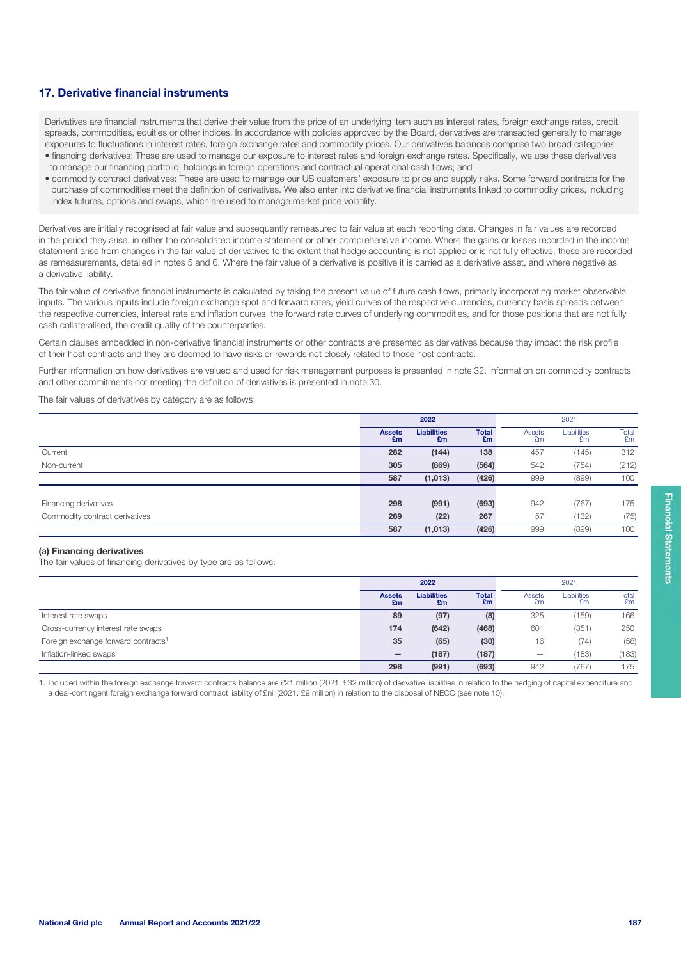# 17. Derivative financial instruments

Derivatives are financial instruments that derive their value from the price of an underlying item such as interest rates, foreign exchange rates, credit spreads, commodities, equities or other indices. In accordance with policies approved by the Board, derivatives are transacted generally to manage exposures to fluctuations in interest rates, foreign exchange rates and commodity prices. Our derivatives balances comprise two broad categories: • financing derivatives: These are used to manage our exposure to interest rates and foreign exchange rates. Specifically, we use these derivatives

- to manage our financing portfolio, holdings in foreign operations and contractual operational cash flows; and • commodity contract derivatives: These are used to manage our US customers' exposure to price and supply risks. Some forward contracts for the
- purchase of commodities meet the definition of derivatives. We also enter into derivative financial instruments linked to commodity prices, including index futures, options and swaps, which are used to manage market price volatility.

Derivatives are initially recognised at fair value and subsequently remeasured to fair value at each reporting date. Changes in fair values are recorded in the period they arise, in either the consolidated income statement or other comprehensive income. Where the gains or losses recorded in the income statement arise from changes in the fair value of derivatives to the extent that hedge accounting is not applied or is not fully effective, these are recorded as remeasurements, detailed in notes 5 and 6. Where the fair value of a derivative is positive it is carried as a derivative asset, and where negative as a derivative liability.

The fair value of derivative financial instruments is calculated by taking the present value of future cash flows, primarily incorporating market observable inputs. The various inputs include foreign exchange spot and forward rates, yield curves of the respective currencies, currency basis spreads between the respective currencies, interest rate and inflation curves, the forward rate curves of underlying commodities, and for those positions that are not fully cash collateralised, the credit quality of the counterparties.

Certain clauses embedded in non-derivative financial instruments or other contracts are presented as derivatives because they impact the risk profile of their host contracts and they are deemed to have risks or rewards not closely related to those host contracts.

Further information on how derivatives are valued and used for risk management purposes is presented in note 32. Information on commodity contracts and other commitments not meeting the definition of derivatives is presented in note 30.

The fair values of derivatives by category are as follows:

|                                | 2022                |                          |                    |              |                          |             |
|--------------------------------|---------------------|--------------------------|--------------------|--------------|--------------------------|-------------|
|                                | <b>Assets</b><br>£m | <b>Liabilities</b><br>£m | <b>Total</b><br>£m | Assets<br>£m | <b>Liabilities</b><br>£m | Total<br>£m |
| Current                        | 282                 | (144)                    | 138                | 457          | (145)                    | 312         |
| Non-current                    | 305                 | (869)                    | (564)              | 542          | (754)                    | (212)       |
|                                | 587                 | (1,013)                  | (426)              | 999          | (899)                    | 100         |
|                                |                     |                          |                    |              |                          |             |
| Financing derivatives          | 298                 | (991)                    | (693)              | 942          | (767)                    | 175         |
| Commodity contract derivatives | 289                 | (22)                     | 267                | 57           | (132)                    | (75)        |
|                                | 587                 | (1,013)                  | (426)              | 999          | (899)                    | 100         |

### (a) Financing derivatives

The fair values of financing derivatives by type are as follows:

|                                                 | 2022                     |                          |                    | 2021                     |                          |             |  |
|-------------------------------------------------|--------------------------|--------------------------|--------------------|--------------------------|--------------------------|-------------|--|
|                                                 | <b>Assets</b><br>£m      | <b>Liabilities</b><br>£m | <b>Total</b><br>£m | Assets<br>£m             | <b>Liabilities</b><br>£m | Total<br>£m |  |
| Interest rate swaps                             | 89                       | (97)                     | (8)                | 325                      | (159)                    | 166         |  |
| Cross-currency interest rate swaps              | 174                      | (642)                    | (468)              | 601                      | (351)                    | 250         |  |
| Foreign exchange forward contracts <sup>1</sup> | 35                       | (65)                     | (30)               | 16                       | (74)                     | (58)        |  |
| Inflation-linked swaps                          | $\overline{\phantom{m}}$ | (187)                    | (187)              | $\overline{\phantom{m}}$ | (183)                    | (183)       |  |
|                                                 | 298                      | (991)                    | (693)              | 942                      | (767)                    | 175         |  |

1. Included within the foreign exchange forward contracts balance are £21 million (2021: £32 million) of derivative liabilities in relation to the hedging of capital expenditure and a deal-contingent foreign exchange forward contract liability of £nil (2021: £9 million) in relation to the disposal of NECO (see note 10).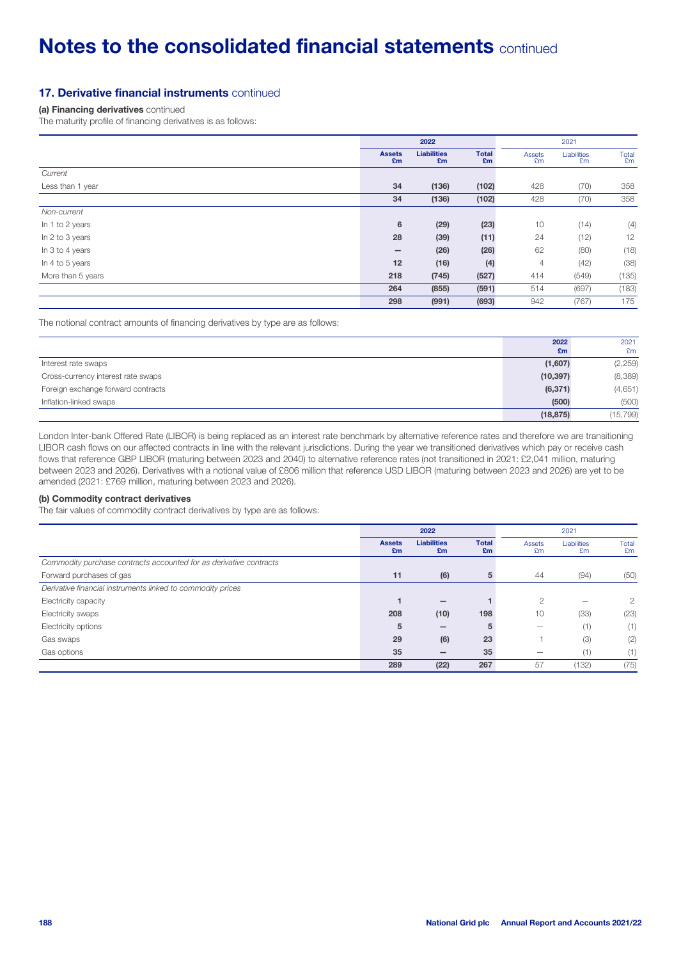# 17. Derivative financial instruments continued

## (a) Financing derivatives continued

The maturity profile of financing derivatives is as follows:

|                   | 2022                     |                          |                    |                | 2021                     |             |
|-------------------|--------------------------|--------------------------|--------------------|----------------|--------------------------|-------------|
|                   | <b>Assets</b><br>£m      | <b>Liabilities</b><br>£m | <b>Total</b><br>£m | Assets<br>£m   | <b>Liabilities</b><br>£m | Total<br>£m |
| Current           |                          |                          |                    |                |                          |             |
| Less than 1 year  | 34                       | (136)                    | (102)              | 428            | (70)                     | 358         |
|                   | 34                       | (136)                    | (102)              | 428            | (70)                     | 358         |
| Non-current       |                          |                          |                    |                |                          |             |
| In 1 to 2 years   | 6                        | (29)                     | (23)               | 10             | (14)                     | (4)         |
| In 2 to 3 years   | 28                       | (39)                     | (11)               | 24             | (12)                     | 12          |
| In 3 to 4 years   | $\overline{\phantom{m}}$ | (26)                     | (26)               | 62             | (80)                     | (18)        |
| In 4 to 5 years   | 12                       | (16)                     | (4)                | $\overline{4}$ | (42)                     | (38)        |
| More than 5 years | 218                      | (745)                    | (527)              | 414            | (549)                    | (135)       |
|                   | 264                      | (855)                    | (591)              | 514            | (697)                    | (183)       |
|                   | 298                      | (991)                    | (693)              | 942            | (767)                    | 175         |

The notional contract amounts of financing derivatives by type are as follows:

|                                    | 2022      | 2021      |
|------------------------------------|-----------|-----------|
|                                    | £m        | £m        |
| Interest rate swaps                | (1,607)   | (2, 259)  |
| Cross-currency interest rate swaps | (10, 397) | (8,389)   |
| Foreign exchange forward contracts | (6, 371)  | (4,651)   |
| Inflation-linked swaps             | (500)     | (500)     |
|                                    | (18, 875) | (15, 799) |

London Inter-bank Offered Rate (LIBOR) is being replaced as an interest rate benchmark by alternative reference rates and therefore we are transitioning LIBOR cash flows on our affected contracts in line with the relevant jurisdictions. During the year we transitioned derivatives which pay or receive cash flows that reference GBP LIBOR (maturing between 2023 and 2040) to alternative reference rates (not transitioned in 2021: £2,041 million, maturing between 2023 and 2026). Derivatives with a notional value of £806 million that reference USD LIBOR (maturing between 2023 and 2026) are yet to be amended (2021: £769 million, maturing between 2023 and 2026).

#### (b) Commodity contract derivatives

The fair values of commodity contract derivatives by type are as follows:

|                                                                    |                     | 2022                     |                    |                     | 2021                     |                      |
|--------------------------------------------------------------------|---------------------|--------------------------|--------------------|---------------------|--------------------------|----------------------|
|                                                                    | <b>Assets</b><br>£m | <b>Liabilities</b><br>£m | <b>Total</b><br>£m | <b>Assets</b><br>£m | <b>Liabilities</b><br>£m | Total<br>£m          |
| Commodity purchase contracts accounted for as derivative contracts |                     |                          |                    |                     |                          |                      |
| Forward purchases of gas                                           | 11                  | (6)                      | 5                  | 44                  | (94)                     | (50)                 |
| Derivative financial instruments linked to commodity prices        |                     |                          |                    |                     |                          |                      |
| Electricity capacity                                               |                     |                          |                    | $\mathfrak{D}$      | -                        | $\mathbf{2}^{\circ}$ |
| Electricity swaps                                                  | 208                 | (10)                     | 198                | 10                  | (33)                     | (23)                 |
| Electricity options                                                | 5                   | –                        | 5                  | -                   | (1)                      | (1)                  |
| Gas swaps                                                          | 29                  | (6)                      | 23                 |                     | (3)                      | (2)                  |
| Gas options                                                        | 35                  |                          | 35                 | -                   | (1)                      | (1)                  |
|                                                                    | 289                 | (22)                     | 267                | 57                  | (132)                    | (75)                 |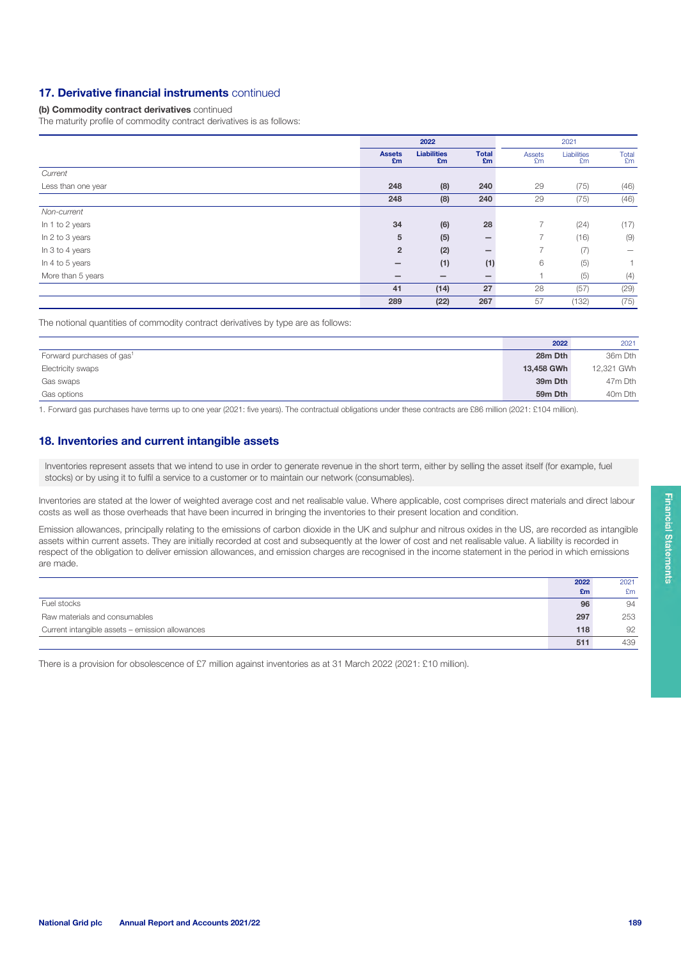# 17. Derivative financial instruments continued

## (b) Commodity contract derivatives continued

The maturity profile of commodity contract derivatives is as follows:

|                    | 2022                |                          |                          |                | 2021                     |                                 |
|--------------------|---------------------|--------------------------|--------------------------|----------------|--------------------------|---------------------------------|
|                    | <b>Assets</b><br>£m | <b>Liabilities</b><br>£m | <b>Total</b><br>£m       | Assets<br>£m   | <b>Liabilities</b><br>£m | Total<br>£m                     |
| Current            |                     |                          |                          |                |                          |                                 |
| Less than one year | 248                 | (8)                      | 240                      | 29             | (75)                     | (46)                            |
|                    | 248                 | (8)                      | 240                      | 29             | (75)                     | (46)                            |
| Non-current        |                     |                          |                          |                |                          |                                 |
| In 1 to 2 years    | 34                  | (6)                      | 28                       | $\overline{z}$ | (24)                     | (17)                            |
| In 2 to 3 years    | 5                   | (5)                      | —                        | $\overline{7}$ | (16)                     | (9)                             |
| In 3 to 4 years    | $\overline{2}$      | (2)                      | —                        | $\overline{7}$ | (7)                      | $\hspace{0.1mm}-\hspace{0.1mm}$ |
| In 4 to 5 years    |                     | (1)                      | (1)                      | 6              | (5)                      |                                 |
| More than 5 years  |                     | $\overline{\phantom{m}}$ | $\overline{\phantom{0}}$ |                | (5)                      | (4)                             |
|                    | 41                  | (14)                     | 27                       | 28             | (57)                     | (29)                            |
|                    | 289                 | (22)                     | 267                      | 57             | (132)                    | (75)                            |

The notional quantities of commodity contract derivatives by type are as follows:

|                                       | 2022       | 2021       |
|---------------------------------------|------------|------------|
| Forward purchases of gas <sup>1</sup> | 28m Dth    | 36m Dth    |
| Electricity swaps                     | 13,458 GWh | 12,321 GWh |
| Gas swaps                             | 39m Dth    | 47m Dth    |
| Gas options                           | 59m Dth    | 40m Dth    |
|                                       |            |            |

1. Forward gas purchases have terms up to one year (2021: five years). The contractual obligations under these contracts are £86 million (2021: £104 million).

# 18. Inventories and current intangible assets

Inventories represent assets that we intend to use in order to generate revenue in the short term, either by selling the asset itself (for example, fuel stocks) or by using it to fulfil a service to a customer or to maintain our network (consumables).

Inventories are stated at the lower of weighted average cost and net realisable value. Where applicable, cost comprises direct materials and direct labour costs as well as those overheads that have been incurred in bringing the inventories to their present location and condition.

Emission allowances, principally relating to the emissions of carbon dioxide in the UK and sulphur and nitrous oxides in the US, are recorded as intangible assets within current assets. They are initially recorded at cost and subsequently at the lower of cost and net realisable value. A liability is recorded in respect of the obligation to deliver emission allowances, and emission charges are recognised in the income statement in the period in which emissions are made.

|                                                 | 2022 | 2021 |
|-------------------------------------------------|------|------|
|                                                 | £m   | £m   |
| Fuel stocks                                     | 96   | 94   |
| Raw materials and consumables                   | 297  | 253  |
| Current intangible assets - emission allowances | 118  | 92   |
|                                                 | 511  | 439  |

There is a provision for obsolescence of £7 million against inventories as at 31 March 2022 (2021: £10 million).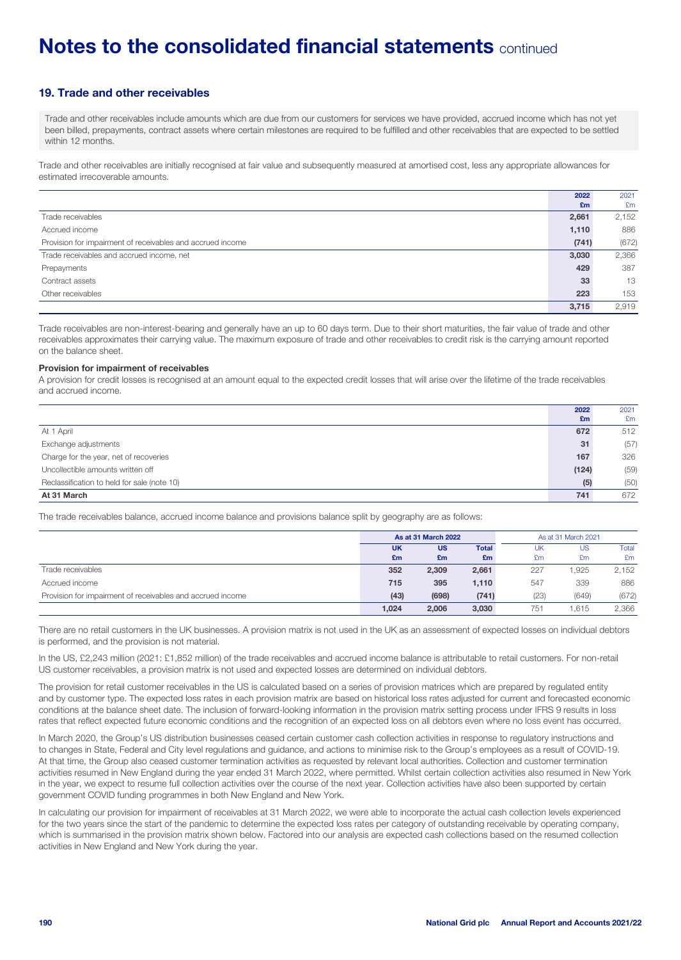# 19. Trade and other receivables

Trade and other receivables include amounts which are due from our customers for services we have provided, accrued income which has not yet been billed, prepayments, contract assets where certain milestones are required to be fulfilled and other receivables that are expected to be settled within 12 months.

Trade and other receivables are initially recognised at fair value and subsequently measured at amortised cost, less any appropriate allowances for estimated irrecoverable amounts.

|                                                            | 2022  | 2021  |
|------------------------------------------------------------|-------|-------|
|                                                            | £m    | £m    |
| Trade receivables                                          | 2,661 | 2,152 |
| Accrued income                                             | 1,110 | 886   |
| Provision for impairment of receivables and accrued income | (741) | (672) |
| Trade receivables and accrued income, net                  | 3,030 | 2,366 |
| Prepayments                                                | 429   | 387   |
| Contract assets                                            | 33    | 13    |
| Other receivables                                          | 223   | 153   |
|                                                            | 3,715 | 2,919 |

Trade receivables are non-interest-bearing and generally have an up to 60 days term. Due to their short maturities, the fair value of trade and other receivables approximates their carrying value. The maximum exposure of trade and other receivables to credit risk is the carrying amount reported on the balance sheet.

### Provision for impairment of receivables

A provision for credit losses is recognised at an amount equal to the expected credit losses that will arise over the lifetime of the trade receivables and accrued income.

|                                             | 2022  | 2021 |
|---------------------------------------------|-------|------|
|                                             | £m    | £m   |
| At 1 April                                  | 672   | 512  |
| Exchange adjustments                        | 31    | (57) |
| Charge for the year, net of recoveries      | 167   | 326  |
| Uncollectible amounts written off           | (124) | (59) |
| Reclassification to held for sale (note 10) | (5)   | (50) |
| At 31 March                                 | 741   | 672  |

The trade receivables balance, accrued income balance and provisions balance split by geography are as follows:

|                                                            | As at 31 March 2022 |           |              | As at 31 March 2021 |           |       |
|------------------------------------------------------------|---------------------|-----------|--------------|---------------------|-----------|-------|
|                                                            | UK                  | <b>US</b> | <b>Total</b> | UK                  | <b>US</b> | Total |
|                                                            | £m                  | £m        | £m           | £m                  | £m        | £m    |
| Trade receivables                                          | 352                 | 2,309     | 2,661        | 227                 | .925      | 2,152 |
| Accrued income                                             | 715                 | 395       | 1.110        | 547                 | 339       | 886   |
| Provision for impairment of receivables and accrued income | (43)                | (698)     | (741)        | (23)                | (649)     | (672) |
|                                                            | 1,024               | 2,006     | 3,030        | 751                 | .615      | 2,366 |

There are no retail customers in the UK businesses. A provision matrix is not used in the UK as an assessment of expected losses on individual debtors is performed, and the provision is not material.

In the US, £2,243 million (2021: £1,852 million) of the trade receivables and accrued income balance is attributable to retail customers. For non-retail US customer receivables, a provision matrix is not used and expected losses are determined on individual debtors.

The provision for retail customer receivables in the US is calculated based on a series of provision matrices which are prepared by regulated entity and by customer type. The expected loss rates in each provision matrix are based on historical loss rates adjusted for current and forecasted economic conditions at the balance sheet date. The inclusion of forward-looking information in the provision matrix setting process under IFRS 9 results in loss rates that reflect expected future economic conditions and the recognition of an expected loss on all debtors even where no loss event has occurred.

In March 2020, the Group's US distribution businesses ceased certain customer cash collection activities in response to regulatory instructions and to changes in State, Federal and City level regulations and guidance, and actions to minimise risk to the Group's employees as a result of COVID-19. At that time, the Group also ceased customer termination activities as requested by relevant local authorities. Collection and customer termination activities resumed in New England during the year ended 31 March 2022, where permitted. Whilst certain collection activities also resumed in New York in the year, we expect to resume full collection activities over the course of the next year. Collection activities have also been supported by certain government COVID funding programmes in both New England and New York.

In calculating our provision for impairment of receivables at 31 March 2022, we were able to incorporate the actual cash collection levels experienced for the two years since the start of the pandemic to determine the expected loss rates per category of outstanding receivable by operating company, which is summarised in the provision matrix shown below. Factored into our analysis are expected cash collections based on the resumed collection activities in New England and New York during the year.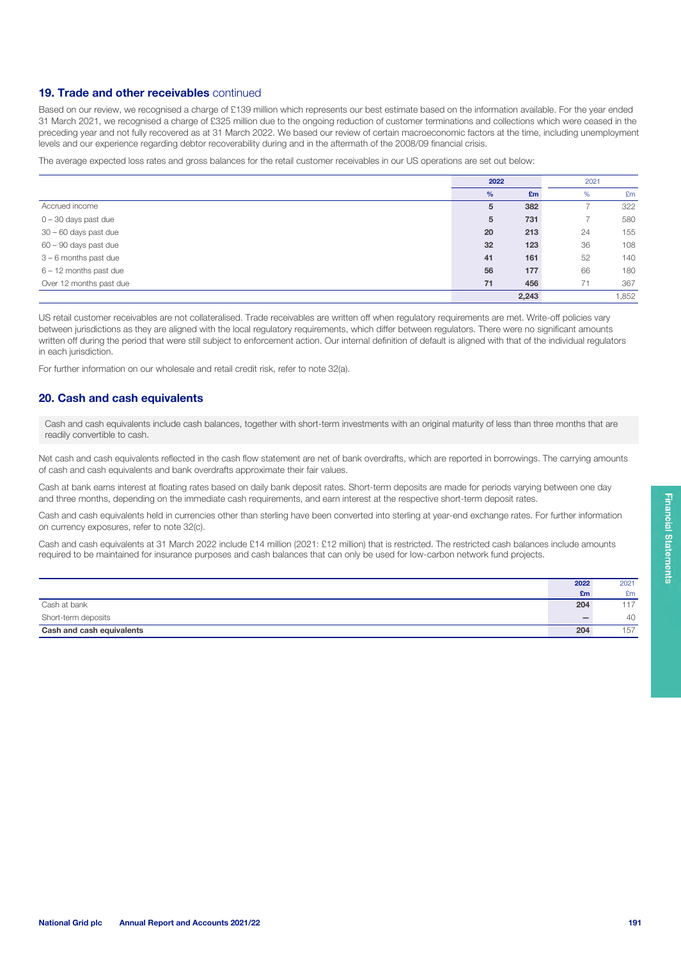## 19. Trade and other receivables continued

Based on our review, we recognised a charge of £139 million which represents our best estimate based on the information available. For the year ended 31 March 2021, we recognised a charge of £325 million due to the ongoing reduction of customer terminations and collections which were ceased in the preceding year and not fully recovered as at 31 March 2022. We based our review of certain macroeconomic factors at the time, including unemployment levels and our experience regarding debtor recoverability during and in the aftermath of the 2008/09 financial crisis.

The average expected loss rates and gross balances for the retail customer receivables in our US operations are set out below:

|                          | 2022 |       | 2021 |      |
|--------------------------|------|-------|------|------|
|                          | $\%$ | £m    | %    | £m   |
| Accrued income           | 5    | 382   |      | 322  |
| $0 - 30$ days past due   | 5    | 731   |      | 580  |
| $30 - 60$ days past due  | 20   | 213   | 24   | 155  |
| $60 - 90$ days past due  | 32   | 123   | 36   | 108  |
| $3 - 6$ months past due  | 41   | 161   | 52   | 140  |
| $6 - 12$ months past due | 56   | 177   | 66   | 180  |
| Over 12 months past due  | 71   | 456   | 71   | 367  |
|                          |      | 2,243 |      | ,852 |

US retail customer receivables are not collateralised. Trade receivables are written off when regulatory requirements are met. Write-off policies vary between jurisdictions as they are aligned with the local regulatory requirements, which differ between regulators. There were no significant amounts written off during the period that were still subject to enforcement action. Our internal definition of default is aligned with that of the individual regulators in each jurisdiction.

For further information on our wholesale and retail credit risk, refer to note 32(a).

## 20. Cash and cash equivalents

Cash and cash equivalents include cash balances, together with short-term investments with an original maturity of less than three months that are readily convertible to cash.

Net cash and cash equivalents reflected in the cash flow statement are net of bank overdrafts, which are reported in borrowings. The carrying amounts of cash and cash equivalents and bank overdrafts approximate their fair values.

Cash at bank earns interest at floating rates based on daily bank deposit rates. Short-term deposits are made for periods varying between one day and three months, depending on the immediate cash requirements, and earn interest at the respective short-term deposit rates.

Cash and cash equivalents held in currencies other than sterling have been converted into sterling at year-end exchange rates. For further information on currency exposures, refer to note 32(c).

Cash and cash equivalents at 31 March 2022 include £14 million (2021: £12 million) that is restricted. The restricted cash balances include amounts required to be maintained for insurance purposes and cash balances that can only be used for low-carbon network fund projects.

|                           | 2022 | 2021 |
|---------------------------|------|------|
|                           | £m   | £m   |
| Cash at bank              | 204  | 117  |
| Short-term deposits       |      | 40   |
| Cash and cash equivalents | 204  | 157  |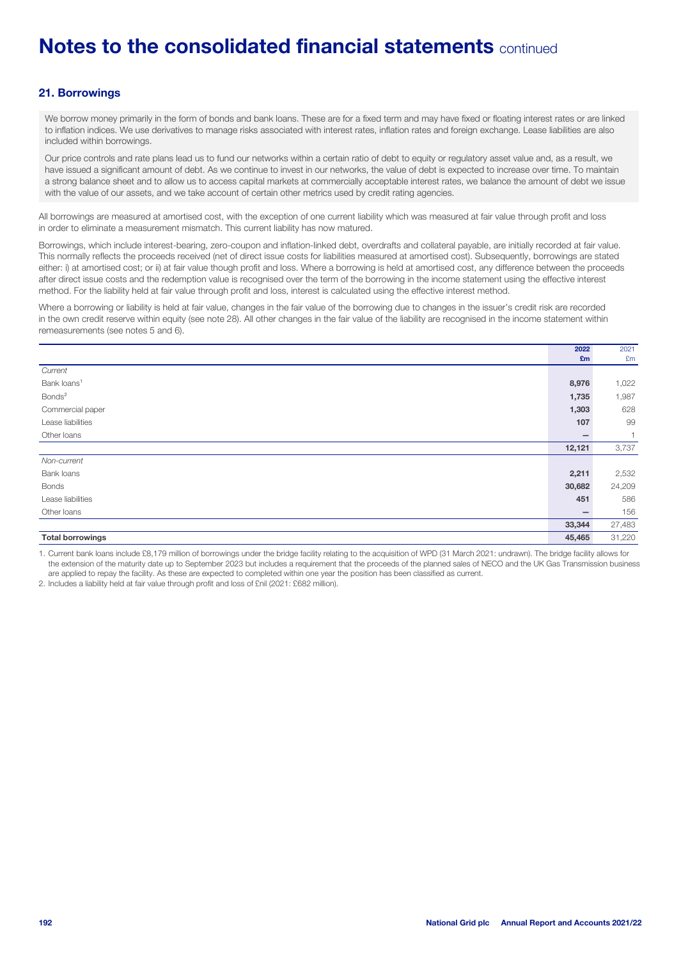# 21. Borrowings

We borrow money primarily in the form of bonds and bank loans. These are for a fixed term and may have fixed or floating interest rates or are linked to inflation indices. We use derivatives to manage risks associated with interest rates, inflation rates and foreign exchange. Lease liabilities are also included within borrowings.

Our price controls and rate plans lead us to fund our networks within a certain ratio of debt to equity or regulatory asset value and, as a result, we have issued a significant amount of debt. As we continue to invest in our networks, the value of debt is expected to increase over time. To maintain a strong balance sheet and to allow us to access capital markets at commercially acceptable interest rates, we balance the amount of debt we issue with the value of our assets, and we take account of certain other metrics used by credit rating agencies.

All borrowings are measured at amortised cost, with the exception of one current liability which was measured at fair value through profit and loss in order to eliminate a measurement mismatch. This current liability has now matured.

Borrowings, which include interest-bearing, zero-coupon and inflation-linked debt, overdrafts and collateral payable, are initially recorded at fair value. This normally reflects the proceeds received (net of direct issue costs for liabilities measured at amortised cost). Subsequently, borrowings are stated either: i) at amortised cost; or ii) at fair value though profit and loss. Where a borrowing is held at amortised cost, any difference between the proceeds after direct issue costs and the redemption value is recognised over the term of the borrowing in the income statement using the effective interest method. For the liability held at fair value through profit and loss, interest is calculated using the effective interest method.

Where a borrowing or liability is held at fair value, changes in the fair value of the borrowing due to changes in the issuer's credit risk are recorded in the own credit reserve within equity (see note 28). All other changes in the fair value of the liability are recognised in the income statement within remeasurements (see notes 5 and 6).

|                         | 2022                     | 2021         |
|-------------------------|--------------------------|--------------|
|                         | £m                       | £m           |
| Current                 |                          |              |
| Bank loans <sup>1</sup> | 8,976                    | 1,022        |
| Bonds <sup>2</sup>      | 1,735                    | 1,987        |
| Commercial paper        | 1,303                    | 628          |
| Lease liabilities       | 107                      | 99           |
| Other loans             | -                        | $\mathbf{1}$ |
|                         | 12,121                   | 3,737        |
| Non-current             |                          |              |
| Bank loans              | 2,211                    | 2,532        |
| <b>Bonds</b>            | 30,682                   | 24,209       |
| Lease liabilities       | 451                      | 586          |
| Other loans             | $\overline{\phantom{m}}$ | 156          |
|                         | 33,344                   | 27,483       |
| <b>Total borrowings</b> | 45,465                   | 31,220       |

1. Current bank loans include £8,179 million of borrowings under the bridge facility relating to the acquisition of WPD (31 March 2021: undrawn). The bridge facility allows for the extension of the maturity date up to September 2023 but includes a requirement that the proceeds of the planned sales of NECO and the UK Gas Transmission business are applied to repay the facility. As these are expected to completed within one year the position has been classified as current.

2. Includes a liability held at fair value through profit and loss of £nil (2021: £682 million).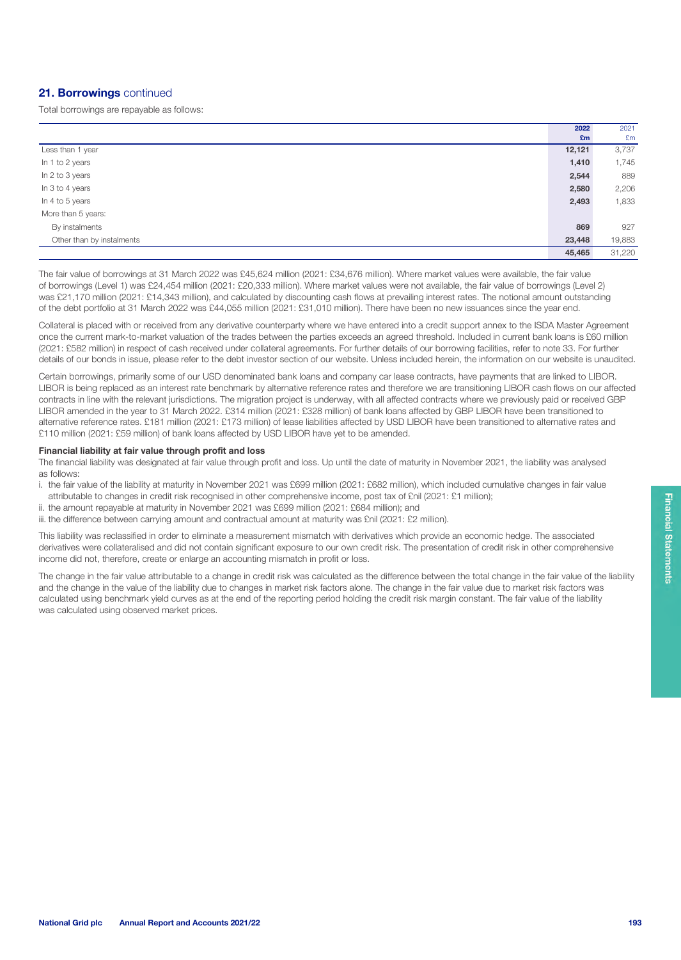# 21. Borrowings continued

Total borrowings are repayable as follows:

|                           | 2022   | 2021   |
|---------------------------|--------|--------|
|                           | £m     | £m     |
| Less than 1 year          | 12,121 | 3,737  |
| In 1 to 2 years           | 1,410  | 1,745  |
| In 2 to 3 years           | 2,544  | 889    |
| In 3 to 4 years           | 2,580  | 2,206  |
| In 4 to 5 years           | 2,493  | 1,833  |
| More than 5 years:        |        |        |
| By instalments            | 869    | 927    |
| Other than by instalments | 23,448 | 19,883 |
|                           | 45,465 | 31,220 |

The fair value of borrowings at 31 March 2022 was £45,624 million (2021: £34,676 million). Where market values were available, the fair value of borrowings (Level 1) was £24,454 million (2021: £20,333 million). Where market values were not available, the fair value of borrowings (Level 2) was £21,170 million (2021: £14,343 million), and calculated by discounting cash flows at prevailing interest rates. The notional amount outstanding of the debt portfolio at 31 March 2022 was £44,055 million (2021: £31,010 million). There have been no new issuances since the year end.

Collateral is placed with or received from any derivative counterparty where we have entered into a credit support annex to the ISDA Master Agreement once the current mark-to-market valuation of the trades between the parties exceeds an agreed threshold. Included in current bank loans is £60 million (2021: £582 million) in respect of cash received under collateral agreements. For further details of our borrowing facilities, refer to note 33. For further details of our bonds in issue, please refer to the debt investor section of our website. Unless included herein, the information on our website is unaudited.

Certain borrowings, primarily some of our USD denominated bank loans and company car lease contracts, have payments that are linked to LIBOR. LIBOR is being replaced as an interest rate benchmark by alternative reference rates and therefore we are transitioning LIBOR cash flows on our affected contracts in line with the relevant jurisdictions. The migration project is underway, with all affected contracts where we previously paid or received GBP LIBOR amended in the year to 31 March 2022. £314 million (2021: £328 million) of bank loans affected by GBP LIBOR have been transitioned to alternative reference rates. £181 million (2021: £173 million) of lease liabilities affected by USD LIBOR have been transitioned to alternative rates and £110 million (2021: £59 million) of bank loans affected by USD LIBOR have yet to be amended.

### Financial liability at fair value through profit and loss

The financial liability was designated at fair value through profit and loss. Up until the date of maturity in November 2021, the liability was analysed as follows:

- i. the fair value of the liability at maturity in November 2021 was £699 million (2021: £682 million), which included cumulative changes in fair value attributable to changes in credit risk recognised in other comprehensive income, post tax of £nil (2021: £1 million);
- ii. the amount repayable at maturity in November 2021 was £699 million (2021: £684 million); and
- iii. the difference between carrying amount and contractual amount at maturity was £nil (2021: £2 million).

This liability was reclassified in order to eliminate a measurement mismatch with derivatives which provide an economic hedge. The associated derivatives were collateralised and did not contain significant exposure to our own credit risk. The presentation of credit risk in other comprehensive income did not, therefore, create or enlarge an accounting mismatch in profit or loss.

The change in the fair value attributable to a change in credit risk was calculated as the difference between the total change in the fair value of the liability and the change in the value of the liability due to changes in market risk factors alone. The change in the fair value due to market risk factors was calculated using benchmark yield curves as at the end of the reporting period holding the credit risk margin constant. The fair value of the liability was calculated using observed market prices.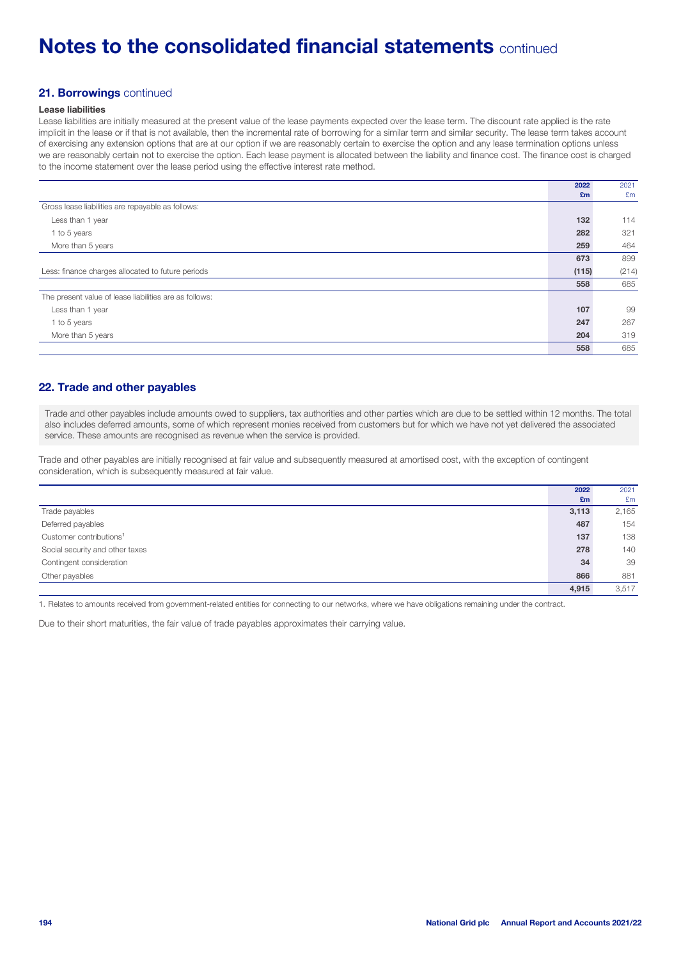## 21. Borrowings continued

### Lease liabilities

Lease liabilities are initially measured at the present value of the lease payments expected over the lease term. The discount rate applied is the rate implicit in the lease or if that is not available, then the incremental rate of borrowing for a similar term and similar security. The lease term takes account of exercising any extension options that are at our option if we are reasonably certain to exercise the option and any lease termination options unless we are reasonably certain not to exercise the option. Each lease payment is allocated between the liability and finance cost. The finance cost is charged to the income statement over the lease period using the effective interest rate method.

|                                                        | 2022  | 2021  |
|--------------------------------------------------------|-------|-------|
|                                                        | £m    | £m    |
| Gross lease liabilities are repayable as follows:      |       |       |
| Less than 1 year                                       | 132   | 114   |
| 1 to 5 years                                           | 282   | 321   |
| More than 5 years                                      | 259   | 464   |
|                                                        | 673   | 899   |
| Less: finance charges allocated to future periods      | (115) | (214) |
|                                                        | 558   | 685   |
| The present value of lease liabilities are as follows: |       |       |
| Less than 1 year                                       | 107   | 99    |
| 1 to 5 years                                           | 247   | 267   |
| More than 5 years                                      | 204   | 319   |
|                                                        | 558   | 685   |

# 22. Trade and other payables

Trade and other payables include amounts owed to suppliers, tax authorities and other parties which are due to be settled within 12 months. The total also includes deferred amounts, some of which represent monies received from customers but for which we have not yet delivered the associated service. These amounts are recognised as revenue when the service is provided.

Trade and other payables are initially recognised at fair value and subsequently measured at amortised cost, with the exception of contingent consideration, which is subsequently measured at fair value.

|                                     | 2022  | 2021  |
|-------------------------------------|-------|-------|
|                                     | £m    | £m    |
| Trade payables                      | 3,113 | 2,165 |
| Deferred payables                   | 487   | 154   |
| Customer contributions <sup>1</sup> | 137   | 138   |
| Social security and other taxes     | 278   | 140   |
| Contingent consideration            | 34    | 39    |
| Other payables                      | 866   | 881   |
|                                     | 4,915 | 3,517 |

1. Relates to amounts received from government-related entities for connecting to our networks, where we have obligations remaining under the contract.

Due to their short maturities, the fair value of trade payables approximates their carrying value.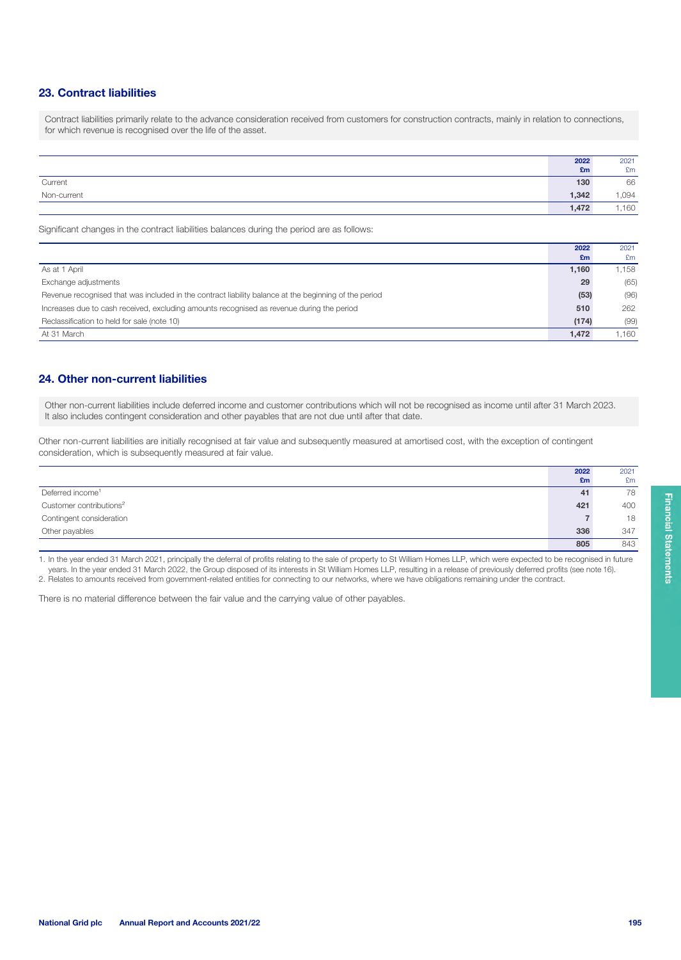# 23. Contract liabilities

Contract liabilities primarily relate to the advance consideration received from customers for construction contracts, mainly in relation to connections, for which revenue is recognised over the life of the asset.

|             | 2022  | 2021 |
|-------------|-------|------|
|             | £m    | £m   |
| Current     | 130   | 66   |
| Non-current | 1,342 | ,094 |
|             | 1,472 | .160 |

Significant changes in the contract liabilities balances during the period are as follows:

|                                                                                                       | 2022  | 2021  |
|-------------------------------------------------------------------------------------------------------|-------|-------|
|                                                                                                       | £m    | £m    |
| As at 1 April                                                                                         | 1.160 | 1.158 |
| Exchange adjustments                                                                                  | 29    | (65)  |
| Revenue recognised that was included in the contract liability balance at the beginning of the period | (53)  | (96)  |
| Increases due to cash received, excluding amounts recognised as revenue during the period             | 510   | 262   |
| Reclassification to held for sale (note 10)                                                           | (174) | (99)  |
| At 31 March                                                                                           | 1.472 | 1.160 |

# 24. Other non-current liabilities

Other non-current liabilities include deferred income and customer contributions which will not be recognised as income until after 31 March 2023. It also includes contingent consideration and other payables that are not due until after that date.

Other non-current liabilities are initially recognised at fair value and subsequently measured at amortised cost, with the exception of contingent consideration, which is subsequently measured at fair value.

|                                     | 2022 | 2021 |
|-------------------------------------|------|------|
|                                     | £m   | £m   |
| Deferred income <sup>1</sup>        | 41   | 78   |
| Customer contributions <sup>2</sup> | 421  | 400  |
| Contingent consideration            |      | 18   |
| Other payables                      | 336  | 347  |
|                                     | 805  | 843  |

1. In the year ended 31 March 2021, principally the deferral of profits relating to the sale of property to St William Homes LLP, which were expected to be recognised in future years. In the year ended 31 March 2022, the Group disposed of its interests in St William Homes LLP, resulting in a release of previously deferred profits (see note 16). 2. Relates to amounts received from government-related entities for connecting to our networks, where we have obligations remaining under the contract.

There is no material difference between the fair value and the carrying value of other payables.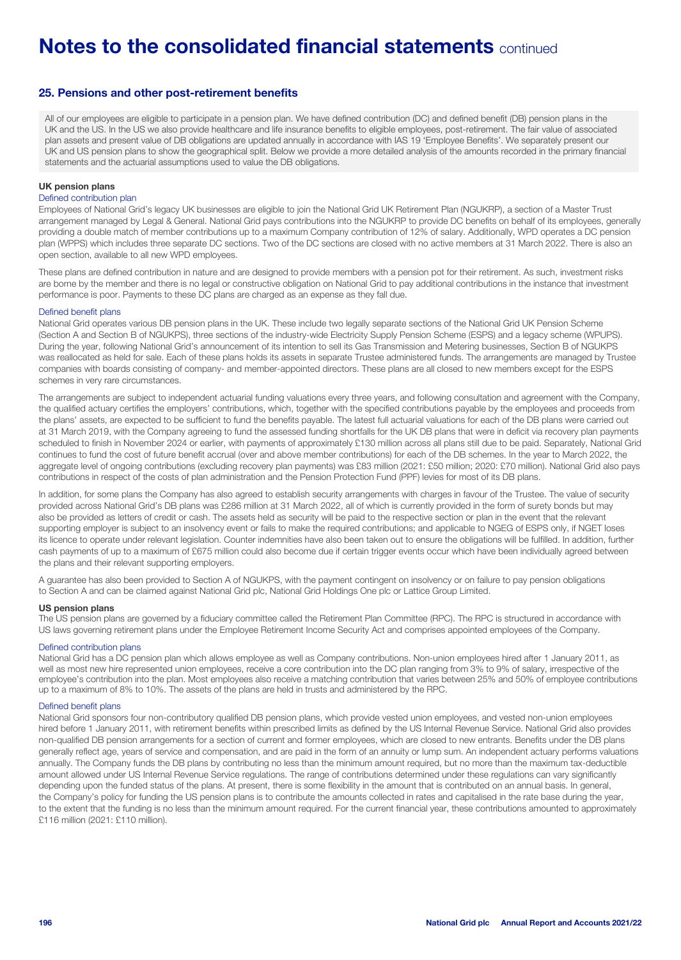## 25. Pensions and other post-retirement benefits

All of our employees are eligible to participate in a pension plan. We have defined contribution (DC) and defined benefit (DB) pension plans in the UK and the US. In the US we also provide healthcare and life insurance benefits to eligible employees, post-retirement. The fair value of associated plan assets and present value of DB obligations are updated annually in accordance with IAS 19 'Employee Benefits'. We separately present our UK and US pension plans to show the geographical split. Below we provide a more detailed analysis of the amounts recorded in the primary financial statements and the actuarial assumptions used to value the DB obligations.

### UK pension plans

### Defined contribution plan

Employees of National Grid's legacy UK businesses are eligible to join the National Grid UK Retirement Plan (NGUKRP), a section of a Master Trust arrangement managed by Legal & General. National Grid pays contributions into the NGUKRP to provide DC benefits on behalf of its employees, generally providing a double match of member contributions up to a maximum Company contribution of 12% of salary. Additionally, WPD operates a DC pension plan (WPPS) which includes three separate DC sections. Two of the DC sections are closed with no active members at 31 March 2022. There is also an open section, available to all new WPD employees.

These plans are defined contribution in nature and are designed to provide members with a pension pot for their retirement. As such, investment risks are borne by the member and there is no legal or constructive obligation on National Grid to pay additional contributions in the instance that investment performance is poor. Payments to these DC plans are charged as an expense as they fall due.

#### Defined benefit plans

National Grid operates various DB pension plans in the UK. These include two legally separate sections of the National Grid UK Pension Scheme (Section A and Section B of NGUKPS), three sections of the industry-wide Electricity Supply Pension Scheme (ESPS) and a legacy scheme (WPUPS). During the year, following National Grid's announcement of its intention to sell its Gas Transmission and Metering businesses, Section B of NGUKPS was reallocated as held for sale. Each of these plans holds its assets in separate Trustee administered funds. The arrangements are managed by Trustee companies with boards consisting of company- and member-appointed directors. These plans are all closed to new members except for the ESPS schemes in very rare circumstances.

The arrangements are subject to independent actuarial funding valuations every three years, and following consultation and agreement with the Company, the qualified actuary certifies the employers' contributions, which, together with the specified contributions payable by the employees and proceeds from the plans' assets, are expected to be sufficient to fund the benefits payable. The latest full actuarial valuations for each of the DB plans were carried out at 31 March 2019, with the Company agreeing to fund the assessed funding shortfalls for the UK DB plans that were in deficit via recovery plan payments scheduled to finish in November 2024 or earlier, with payments of approximately £130 million across all plans still due to be paid. Separately, National Grid continues to fund the cost of future benefit accrual (over and above member contributions) for each of the DB schemes. In the year to March 2022, the aggregate level of ongoing contributions (excluding recovery plan payments) was £83 million (2021: £50 million; 2020: £70 million). National Grid also pays contributions in respect of the costs of plan administration and the Pension Protection Fund (PPF) levies for most of its DB plans.

In addition, for some plans the Company has also agreed to establish security arrangements with charges in favour of the Trustee. The value of security provided across National Grid's DB plans was £286 million at 31 March 2022, all of which is currently provided in the form of surety bonds but may also be provided as letters of credit or cash. The assets held as security will be paid to the respective section or plan in the event that the relevant supporting employer is subject to an insolvency event or fails to make the required contributions; and applicable to NGEG of ESPS only, if NGET loses its licence to operate under relevant legislation. Counter indemnities have also been taken out to ensure the obligations will be fulfilled. In addition, further cash payments of up to a maximum of £675 million could also become due if certain trigger events occur which have been individually agreed between the plans and their relevant supporting employers.

A guarantee has also been provided to Section A of NGUKPS, with the payment contingent on insolvency or on failure to pay pension obligations to Section A and can be claimed against National Grid plc, National Grid Holdings One plc or Lattice Group Limited.

#### US pension plans

The US pension plans are governed by a fiduciary committee called the Retirement Plan Committee (RPC). The RPC is structured in accordance with US laws governing retirement plans under the Employee Retirement Income Security Act and comprises appointed employees of the Company.

#### Defined contribution plans

National Grid has a DC pension plan which allows employee as well as Company contributions. Non-union employees hired after 1 January 2011, as well as most new hire represented union employees, receive a core contribution into the DC plan ranging from 3% to 9% of salary, irrespective of the employee's contribution into the plan. Most employees also receive a matching contribution that varies between 25% and 50% of employee contributions up to a maximum of 8% to 10%. The assets of the plans are held in trusts and administered by the RPC.

#### Defined benefit plans

National Grid sponsors four non-contributory qualified DB pension plans, which provide vested union employees, and vested non-union employees hired before 1 January 2011, with retirement benefits within prescribed limits as defined by the US Internal Revenue Service. National Grid also provides non-qualified DB pension arrangements for a section of current and former employees, which are closed to new entrants. Benefits under the DB plans generally reflect age, years of service and compensation, and are paid in the form of an annuity or lump sum. An independent actuary performs valuations annually. The Company funds the DB plans by contributing no less than the minimum amount required, but no more than the maximum tax-deductible amount allowed under US Internal Revenue Service regulations. The range of contributions determined under these regulations can vary significantly depending upon the funded status of the plans. At present, there is some flexibility in the amount that is contributed on an annual basis. In general, the Company's policy for funding the US pension plans is to contribute the amounts collected in rates and capitalised in the rate base during the year, to the extent that the funding is no less than the minimum amount required. For the current financial year, these contributions amounted to approximately £116 million (2021: £110 million).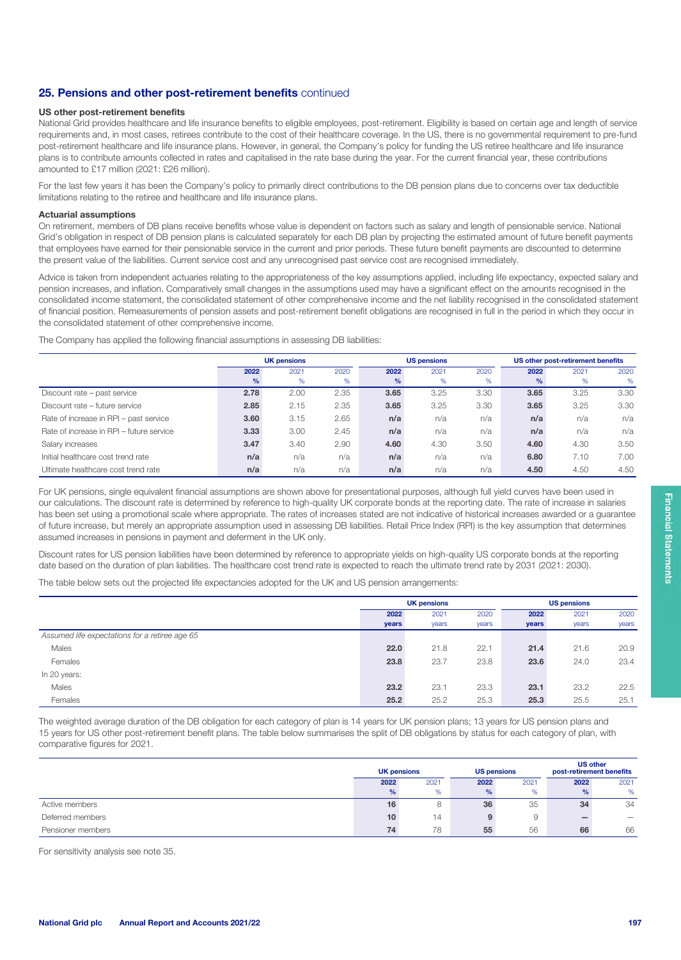### US other post-retirement benefits

National Grid provides healthcare and life insurance benefits to eligible employees, post-retirement. Eligibility is based on certain age and length of service requirements and, in most cases, retirees contribute to the cost of their healthcare coverage. In the US, there is no governmental requirement to pre-fund post-retirement healthcare and life insurance plans. However, in general, the Company's policy for funding the US retiree healthcare and life insurance plans is to contribute amounts collected in rates and capitalised in the rate base during the year. For the current financial year, these contributions amounted to £17 million (2021: £26 million).

For the last few years it has been the Company's policy to primarily direct contributions to the DB pension plans due to concerns over tax deductible limitations relating to the retiree and healthcare and life insurance plans.

#### Actuarial assumptions

On retirement, members of DB plans receive benefits whose value is dependent on factors such as salary and length of pensionable service. National Grid's obligation in respect of DB pension plans is calculated separately for each DB plan by projecting the estimated amount of future benefit payments that employees have earned for their pensionable service in the current and prior periods. These future benefit payments are discounted to determine the present value of the liabilities. Current service cost and any unrecognised past service cost are recognised immediately.

Advice is taken from independent actuaries relating to the appropriateness of the key assumptions applied, including life expectancy, expected salary and pension increases, and inflation. Comparatively small changes in the assumptions used may have a significant effect on the amounts recognised in the consolidated income statement, the consolidated statement of other comprehensive income and the net liability recognised in the consolidated statement of financial position. Remeasurements of pension assets and post-retirement benefit obligations are recognised in full in the period in which they occur in the consolidated statement of other comprehensive income.

The Company has applied the following financial assumptions in assessing DB liabilities:

|                                          | <b>UK pensions</b> |      |      |               | <b>US pensions</b> |      | US other post-retirement benefits |      |      |
|------------------------------------------|--------------------|------|------|---------------|--------------------|------|-----------------------------------|------|------|
|                                          | 2022               | 2021 | 2020 | 2022          | 2021               | 2020 | 2022                              | 2021 | 2020 |
|                                          | $\%$               | %    | %    | $\frac{9}{6}$ | %                  | %    | $\frac{9}{6}$                     | %    | %    |
| Discount rate – past service             | 2.78               | 2.00 | 2.35 | 3.65          | 3.25               | 3.30 | 3.65                              | 3.25 | 3.30 |
| Discount rate – future service           | 2.85               | 2.15 | 2.35 | 3.65          | 3.25               | 3.30 | 3.65                              | 3.25 | 3.30 |
| Rate of increase in RPI - past service   | 3.60               | 3.15 | 2.65 | n/a           | n/a                | n/a  | n/a                               | n/a  | n/a  |
| Rate of increase in RPI - future service | 3.33               | 3.00 | 2.45 | n/a           | n/a                | n/a  | n/a                               | n/a  | n/a  |
| Salary increases                         | 3.47               | 3.40 | 2.90 | 4.60          | 4.30               | 3.50 | 4.60                              | 4.30 | 3.50 |
| Initial healthcare cost trend rate       | n/a                | n/a  | n/a  | n/a           | n/a                | n/a  | 6.80                              | 7.10 | 7.00 |
| Ultimate healthcare cost trend rate      | n/a                | n/a  | n/a  | n/a           | n/a                | n/a  | 4.50                              | 4.50 | 4.50 |

For UK pensions, single equivalent financial assumptions are shown above for presentational purposes, although full yield curves have been used in our calculations. The discount rate is determined by reference to high-quality UK corporate bonds at the reporting date. The rate of increase in salaries has been set using a promotional scale where appropriate. The rates of increases stated are not indicative of historical increases awarded or a guarantee of future increase, but merely an appropriate assumption used in assessing DB liabilities. Retail Price Index (RPI) is the key assumption that determines assumed increases in pensions in payment and deferment in the UK only.

Discount rates for US pension liabilities have been determined by reference to appropriate yields on high-quality US corporate bonds at the reporting date based on the duration of plan liabilities. The healthcare cost trend rate is expected to reach the ultimate trend rate by 2031 (2021: 2030).

The table below sets out the projected life expectancies adopted for the UK and US pension arrangements:

|                                                |       | <b>UK pensions</b> |       | <b>US pensions</b> |       |       |
|------------------------------------------------|-------|--------------------|-------|--------------------|-------|-------|
|                                                | 2022  | 2021               | 2020  | 2022               | 2021  | 2020  |
|                                                | years | years              | years | years              | years | years |
| Assumed life expectations for a retiree age 65 |       |                    |       |                    |       |       |
| Males                                          | 22.0  | 21.8               | 22.1  | 21.4               | 21.6  | 20.9  |
| Females                                        | 23.8  | 23.7               | 23.8  | 23.6               | 24.0  | 23.4  |
| In 20 years:                                   |       |                    |       |                    |       |       |
| Males                                          | 23.2  | 23.1               | 23.3  | 23.1               | 23.2  | 22.5  |
| Females                                        | 25.2  | 25.2               | 25.3  | 25.3               | 25.5  | 25.1  |

The weighted average duration of the DB obligation for each category of plan is 14 years for UK pension plans; 13 years for US pension plans and 15 years for US other post-retirement benefit plans. The table below summarises the split of DB obligations by status for each category of plan, with comparative figures for 2021.

|                   |               | <b>UK pensions</b> | <b>US pensions</b> |      | <b>US other</b><br>post-retirement benefits |                          |
|-------------------|---------------|--------------------|--------------------|------|---------------------------------------------|--------------------------|
|                   | 2022          | 2021               | 2022               | 2021 | 2022                                        | 2021                     |
|                   | $\frac{9}{6}$ | %                  | $\frac{9}{6}$      | %    | %                                           | %                        |
| Active members    | 16            | 8                  | 36                 | 35   | 34                                          | 34                       |
| Deferred members  | 10            | 14                 | 9                  | 9    | $\overline{\phantom{m}}$                    | $\overline{\phantom{a}}$ |
| Pensioner members | 74            | 78                 | 55                 | 56   | 66                                          | 66                       |

For sensitivity analysis see note 35.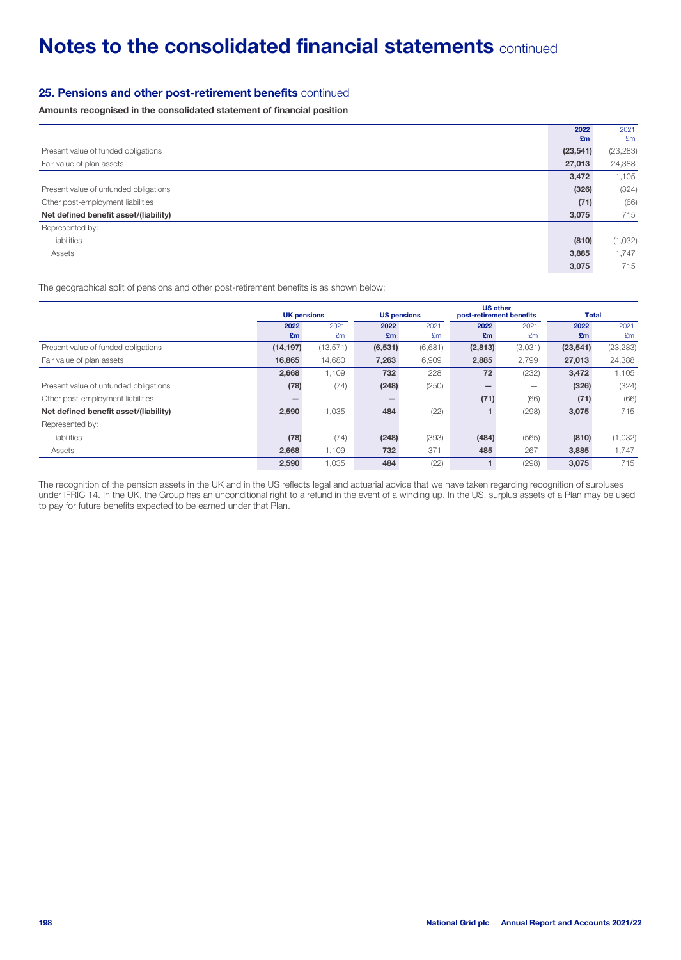## 25. Pensions and other post-retirement benefits continued

Amounts recognised in the consolidated statement of financial position

|                                       | 2022      | 2021      |
|---------------------------------------|-----------|-----------|
|                                       | £m        | Em        |
| Present value of funded obligations   | (23, 541) | (23, 283) |
| Fair value of plan assets             | 27,013    | 24,388    |
|                                       | 3,472     | 1,105     |
| Present value of unfunded obligations | (326)     | (324)     |
| Other post-employment liabilities     | (71)      | (66)      |
| Net defined benefit asset/(liability) | 3,075     | 715       |
| Represented by:                       |           |           |
| Liabilities                           | (810)     | (1,032)   |
| Assets                                | 3,885     | 1,747     |
|                                       | 3,075     | 715       |

The geographical split of pensions and other post-retirement benefits is as shown below:

|                                       | <b>UK pensions</b> |                          | <b>US pensions</b> |                          | <b>US other</b><br>post-retirement benefits |                          | <b>Total</b> |           |
|---------------------------------------|--------------------|--------------------------|--------------------|--------------------------|---------------------------------------------|--------------------------|--------------|-----------|
|                                       | 2022               | 2021                     | 2022               | 2021                     | 2022                                        | 2021                     | 2022         | 2021      |
|                                       | £m                 | £m                       | £m                 | £m                       | £m                                          | £m                       | £m           | £m        |
| Present value of funded obligations   | (14, 197)          | (13, 571)                | (6, 531)           | (6,681)                  | (2,813)                                     | (3,031)                  | (23, 541)    | (23, 283) |
| Fair value of plan assets             | 16,865             | 14.680                   | 7,263              | 6,909                    | 2,885                                       | 2,799                    | 27,013       | 24,388    |
|                                       | 2,668              | 1.109                    | 732                | 228                      | 72                                          | (232)                    | 3,472        | 1,105     |
| Present value of unfunded obligations | (78)               | (74)                     | (248)              | (250)                    | —                                           | $\overline{\phantom{a}}$ | (326)        | (324)     |
| Other post-employment liabilities     | —                  | $\overline{\phantom{a}}$ | —                  | $\overline{\phantom{a}}$ | (71)                                        | (66)                     | (71)         | (66)      |
| Net defined benefit asset/(liability) | 2,590              | 1,035                    | 484                | (22)                     |                                             | (298)                    | 3,075        | 715       |
| Represented by:                       |                    |                          |                    |                          |                                             |                          |              |           |
| <b>Liabilities</b>                    | (78)               | (74)                     | (248)              | (393)                    | (484)                                       | (565)                    | (810)        | (1,032)   |
| Assets                                | 2,668              | 1,109                    | 732                | 371                      | 485                                         | 267                      | 3,885        | 1,747     |
|                                       | 2,590              | 1.035                    | 484                | (22)                     |                                             | (298)                    | 3,075        | 715       |

The recognition of the pension assets in the UK and in the US reflects legal and actuarial advice that we have taken regarding recognition of surpluses under IFRIC 14. In the UK, the Group has an unconditional right to a refund in the event of a winding up. In the US, surplus assets of a Plan may be used to pay for future benefits expected to be earned under that Plan.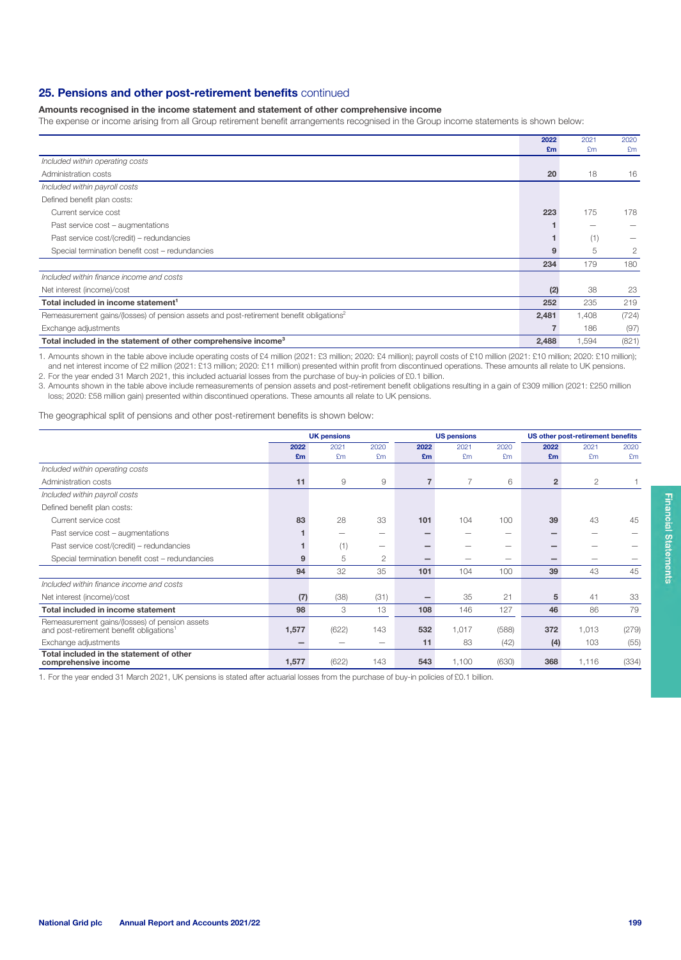## Amounts recognised in the income statement and statement of other comprehensive income

The expense or income arising from all Group retirement benefit arrangements recognised in the Group income statements is shown below:

|                                                                                                     | 2022  | 2021  | 2020  |
|-----------------------------------------------------------------------------------------------------|-------|-------|-------|
|                                                                                                     | £m    | £m    | Em    |
| Included within operating costs                                                                     |       |       |       |
| Administration costs                                                                                | 20    | 18    | 16    |
| Included within payroll costs                                                                       |       |       |       |
| Defined benefit plan costs:                                                                         |       |       |       |
| Current service cost                                                                                | 223   | 175   | 178   |
| Past service cost - augmentations                                                                   |       |       |       |
| Past service cost/(credit) - redundancies                                                           |       | (1)   |       |
| Special termination benefit cost - redundancies                                                     | 9     | 5     | 2     |
|                                                                                                     | 234   | 179   | 180   |
| Included within finance income and costs                                                            |       |       |       |
| Net interest (income)/cost                                                                          | (2)   | 38    | 23    |
| Total included in income statement <sup>1</sup>                                                     | 252   | 235   | 219   |
| Remeasurement gains/(losses) of pension assets and post-retirement benefit obligations <sup>2</sup> | 2,481 | 1,408 | (724) |
| Exchange adjustments                                                                                |       | 186   | (97)  |
| Total included in the statement of other comprehensive income <sup>3</sup>                          | 2,488 | 1,594 | (821) |

1. Amounts shown in the table above include operating costs of £4 million (2021: £3 million; 2020: £4 million); payroll costs of £10 million (2021: £10 million; 2020: £10 million); and net interest income of £2 million (2021: £13 million; 2020: £11 million) presented within profit from discontinued operations. These amounts all relate to UK pensions. 2. For the year ended 31 March 2021, this included actuarial losses from the purchase of buy-in policies of £0.1 billion.

3. Amounts shown in the table above include remeasurements of pension assets and post-retirement benefit obligations resulting in a gain of £309 million (2021: £250 million loss; 2020: £58 million gain) presented within discontinued operations. These amounts all relate to UK pensions.

The geographical split of pensions and other post-retirement benefits is shown below:

|                                                                                                        | <b>UK pensions</b> |            |              |                | <b>US pensions</b> |            | US other post-retirement benefits |                |            |
|--------------------------------------------------------------------------------------------------------|--------------------|------------|--------------|----------------|--------------------|------------|-----------------------------------|----------------|------------|
|                                                                                                        | 2022<br>£m         | 2021<br>£m | 2020<br>£m   | 2022<br>£m     | 2021<br>£m         | 2020<br>£m | 2022<br>£m                        | 2021<br>£m     | 2020<br>Em |
| Included within operating costs                                                                        |                    |            |              |                |                    |            |                                   |                |            |
| Administration costs                                                                                   | 11                 | 9          | 9            | $\overline{7}$ | $\overline{7}$     | 6          | $\overline{2}$                    | $\overline{2}$ |            |
| Included within payroll costs                                                                          |                    |            |              |                |                    |            |                                   |                |            |
| Defined benefit plan costs:                                                                            |                    |            |              |                |                    |            |                                   |                |            |
| Current service cost                                                                                   | 83                 | 28         | 33           | 101            | 104                | 100        | 39                                | 43             | 45         |
| Past service cost – augmentations                                                                      |                    | -          | -            |                |                    |            |                                   |                |            |
| Past service cost/(credit) - redundancies                                                              |                    | (1)        | -            |                |                    |            |                                   |                |            |
| Special termination benefit cost - redundancies                                                        | 9                  | 5          | $\mathbf{2}$ |                |                    |            |                                   |                |            |
|                                                                                                        | 94                 | 32         | 35           | 101            | 104                | 100        | 39                                | 43             | 45         |
| Included within finance income and costs                                                               |                    |            |              |                |                    |            |                                   |                |            |
| Net interest (income)/cost                                                                             | (7)                | (38)       | (31)         |                | 35                 | 21         | 5                                 | 41             | 33         |
| Total included in income statement                                                                     | 98                 | 3          | 13           | 108            | 146                | 127        | 46                                | 86             | 79         |
| Remeasurement gains/(losses) of pension assets<br>and post-retirement benefit obligations <sup>1</sup> | 1,577              | (622)      | 143          | 532            | 1,017              | (588)      | 372                               | 1,013          | (279)      |
| Exchange adjustments                                                                                   | -                  |            | -            | 11             | 83                 | (42)       | (4)                               | 103            | (55)       |
| Total included in the statement of other<br>comprehensive income                                       | 1,577              | (622)      | 143          | 543            | 1,100              | (630)      | 368                               | 1,116          | (334)      |

1. For the year ended 31 March 2021, UK pensions is stated after actuarial losses from the purchase of buy-in policies of £0.1 billion.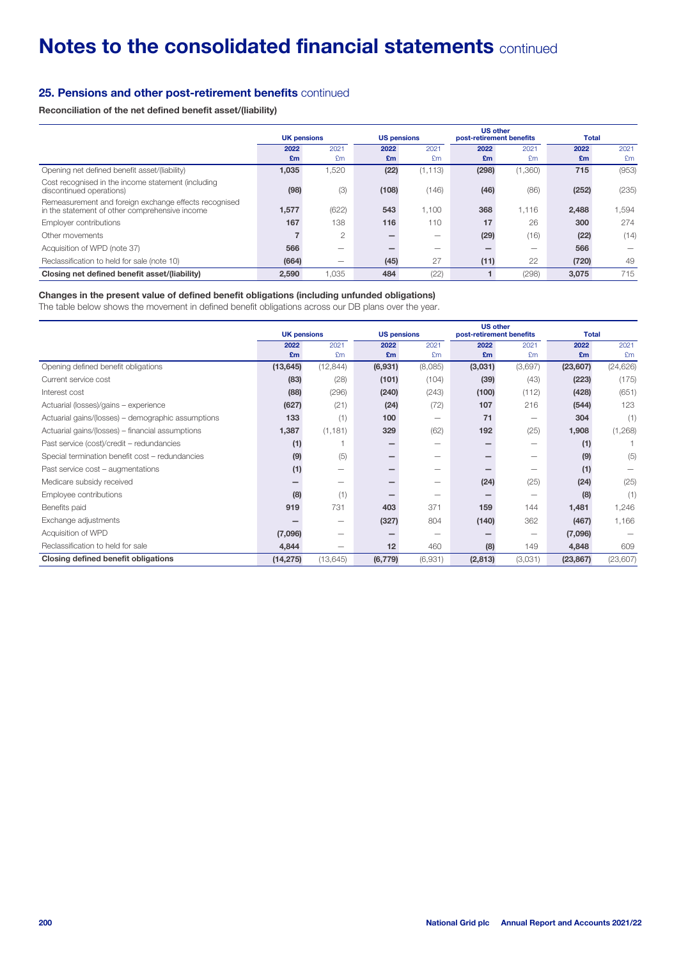Reconciliation of the net defined benefit asset/(liability)

|                                                                                                         | <b>UK pensions</b> |                          | <b>US pensions</b> |          | <b>US other</b><br>post-retirement benefits |         | <b>Total</b> |       |
|---------------------------------------------------------------------------------------------------------|--------------------|--------------------------|--------------------|----------|---------------------------------------------|---------|--------------|-------|
|                                                                                                         | 2022               | 2021                     | 2022               | 2021     | 2022                                        | 2021    | 2022         | 2021  |
|                                                                                                         | £m                 | £m                       | £m                 | £m       | £m                                          | £m      | £m           | £m    |
| Opening net defined benefit asset/(liability)                                                           | 1,035              | .520                     | (22)               | (1, 113) | (298)                                       | (1,360) | 715          | (953) |
| Cost recognised in the income statement (including<br>discontinued operations)                          | (98)               | (3)                      | (108)              | (146)    | (46)                                        | (86)    | (252)        | (235) |
| Remeasurement and foreign exchange effects recognised<br>in the statement of other comprehensive income | 1,577              | (622)                    | 543                | 1.100    | 368                                         | 1.116   | 2,488        | .594  |
| Employer contributions                                                                                  | 167                | 138                      | 116                | 110      | 17                                          | 26      | 300          | 274   |
| Other movements                                                                                         |                    | 2                        |                    | $-$      | (29)                                        | (16)    | (22)         | (14)  |
| Acquisition of WPD (note 37)                                                                            | 566                |                          |                    |          |                                             | -       | 566          |       |
| Reclassification to held for sale (note 10)                                                             | (664)              | $\overline{\phantom{a}}$ | (45)               | 27       | (11)                                        | 22      | (720)        | 49    |
| Closing net defined benefit asset/(liability)                                                           | 2.590              | 1.035                    | 484                | (22)     |                                             | (298)   | 3,075        | 715   |

## Changes in the present value of defined benefit obligations (including unfunded obligations)

The table below shows the movement in defined benefit obligations across our DB plans over the year.

|                                                    | <b>UK pensions</b> |           | <b>US pensions</b> |                          | <b>US other</b><br>post-retirement benefits |                          | <b>Total</b> |           |
|----------------------------------------------------|--------------------|-----------|--------------------|--------------------------|---------------------------------------------|--------------------------|--------------|-----------|
|                                                    | 2022               | 2021      | 2022               | 2021                     | 2022                                        | 2021                     | 2022         | 2021      |
|                                                    | £m                 | £m        | £m                 | £m                       | £m                                          | £m                       | £m           | £m        |
| Opening defined benefit obligations                | (13, 645)          | (12, 844) | (6,931)            | (8,085)                  | (3,031)                                     | (3,697)                  | (23, 607)    | (24, 626) |
| Current service cost                               | (83)               | (28)      | (101)              | (104)                    | (39)                                        | (43)                     | (223)        | (175)     |
| Interest cost                                      | (88)               | (296)     | (240)              | (243)                    | (100)                                       | (112)                    | (428)        | (651)     |
| Actuarial (losses)/gains - experience              | (627)              | (21)      | (24)               | (72)                     | 107                                         | 216                      | (544)        | 123       |
| Actuarial gains/(losses) – demographic assumptions | 133                | (1)       | 100                |                          | 71                                          |                          | 304          | (1)       |
| Actuarial gains/(losses) – financial assumptions   | 1,387              | (1, 181)  | 329                | (62)                     | 192                                         | (25)                     | 1,908        | (1,268)   |
| Past service (cost)/credit - redundancies          | (1)                |           |                    |                          |                                             |                          | (1)          |           |
| Special termination benefit cost - redundancies    | (9)                | (5)       |                    |                          |                                             |                          | (9)          | (5)       |
| Past service cost – augmentations                  | (1)                |           |                    | $\overline{\phantom{a}}$ |                                             | $\overline{\phantom{a}}$ | (1)          |           |
| Medicare subsidy received                          |                    |           |                    |                          | (24)                                        | (25)                     | (24)         | (25)      |
| Employee contributions                             | (8)                | (1)       |                    |                          | –                                           | $\overline{\phantom{a}}$ | (8)          | (1)       |
| Benefits paid                                      | 919                | 731       | 403                | 371                      | 159                                         | 144                      | 1,481        | 1,246     |
| Exchange adjustments                               |                    |           | (327)              | 804                      | (140)                                       | 362                      | (467)        | 1,166     |
| Acquisition of WPD                                 | (7,096)            |           |                    |                          | —                                           | $\overline{\phantom{a}}$ | (7,096)      |           |
| Reclassification to held for sale                  | 4,844              |           | 12                 | 460                      | (8)                                         | 149                      | 4,848        | 609       |
| Closing defined benefit obligations                | (14, 275)          | (13, 645) | (6, 779)           | (6,931)                  | (2,813)                                     | (3,031)                  | (23, 867)    | (23,607)  |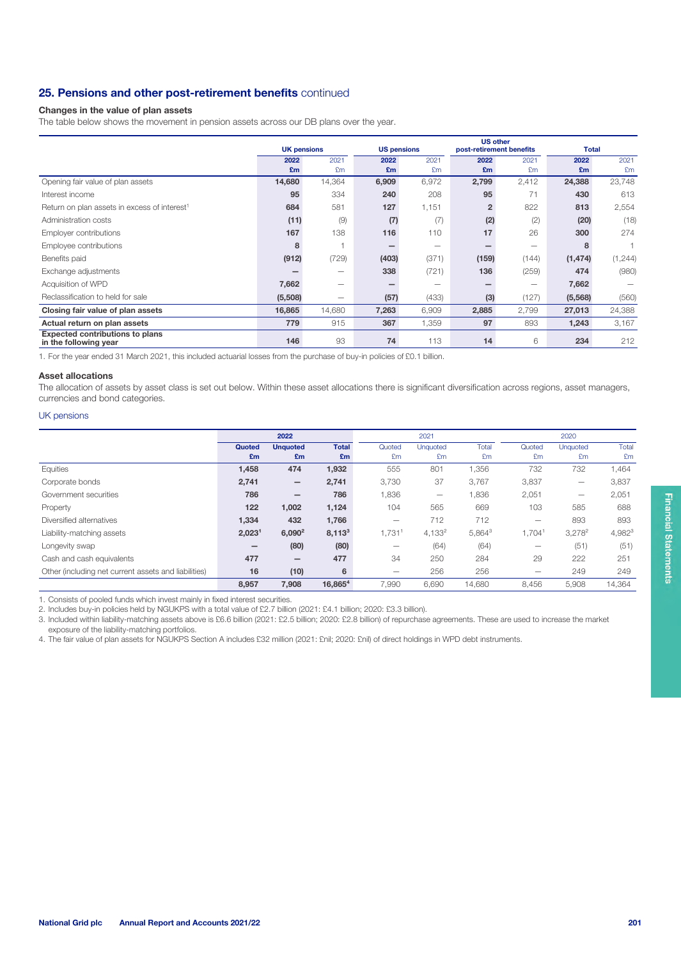## Changes in the value of plan assets

The table below shows the movement in pension assets across our DB plans over the year.

|                                                                 | <b>UK pensions</b><br><b>US pensions</b> |                          |       | <b>US other</b><br>post-retirement benefits |                | <b>Total</b>             |          |          |
|-----------------------------------------------------------------|------------------------------------------|--------------------------|-------|---------------------------------------------|----------------|--------------------------|----------|----------|
|                                                                 | 2022                                     | 2021                     | 2022  | 2021                                        | 2022           | 2021                     | 2022     | 2021     |
|                                                                 | £m                                       | £m                       | £m    | £m                                          | £m             | £m                       | £m       | £m       |
| Opening fair value of plan assets                               | 14,680                                   | 14,364                   | 6,909 | 6,972                                       | 2,799          | 2,412                    | 24,388   | 23,748   |
| Interest income                                                 | 95                                       | 334                      | 240   | 208                                         | 95             | 71                       | 430      | 613      |
| Return on plan assets in excess of interest <sup>1</sup>        | 684                                      | 581                      | 127   | 1,151                                       | $\overline{2}$ | 822                      | 813      | 2,554    |
| Administration costs                                            | (11)                                     | (9)                      | (7)   | (7)                                         | (2)            | (2)                      | (20)     | (18)     |
| Employer contributions                                          | 167                                      | 138                      | 116   | 110                                         | 17             | 26                       | 300      | 274      |
| Employee contributions                                          | 8                                        |                          | –     | $\overline{\phantom{a}}$                    |                | $\overline{\phantom{a}}$ | 8        |          |
| Benefits paid                                                   | (912)                                    | (729)                    | (403) | (371)                                       | (159)          | (144)                    | (1, 474) | (1, 244) |
| Exchange adjustments                                            |                                          |                          | 338   | (721)                                       | 136            | (259)                    | 474      | (980)    |
| Acquisition of WPD                                              | 7,662                                    |                          |       |                                             |                | $\overline{\phantom{a}}$ | 7,662    |          |
| Reclassification to held for sale                               | (5,508)                                  | $\overline{\phantom{0}}$ | (57)  | (433)                                       | (3)            | (127)                    | (5, 568) | (560)    |
| Closing fair value of plan assets                               | 16,865                                   | 14,680                   | 7,263 | 6,909                                       | 2,885          | 2,799                    | 27,013   | 24,388   |
| Actual return on plan assets                                    | 779                                      | 915                      | 367   | 1,359                                       | 97             | 893                      | 1,243    | 3,167    |
| <b>Expected contributions to plans</b><br>in the following year | 146                                      | 93                       | 74    | 113                                         | 14             | 6                        | 234      | 212      |

1. For the year ended 31 March 2021, this included actuarial losses from the purchase of buy-in policies of £0.1 billion.

### Asset allocations

The allocation of assets by asset class is set out below. Within these asset allocations there is significant diversification across regions, asset managers, currencies and bond categories.

### UK pensions

|                                                      | 2022               |                          |                     | 2021                     |                                 |           | 2020                     |                          |           |
|------------------------------------------------------|--------------------|--------------------------|---------------------|--------------------------|---------------------------------|-----------|--------------------------|--------------------------|-----------|
|                                                      | Quoted             | <b>Unquoted</b>          | <b>Total</b>        | Quoted                   | <b>Unquoted</b>                 | Total     | Quoted                   | Unquoted                 | Total     |
|                                                      | £m                 | £m                       | £m                  | £m                       | £m                              | £m        | £m                       | £m                       | £m        |
| Equities                                             | 1,458              | 474                      | 1,932               | 555                      | 801                             | ,356      | 732                      | 732                      | 1,464     |
| Corporate bonds                                      | 2,741              | —                        | 2,741               | 3,730                    | 37                              | 3,767     | 3,837                    | $\overline{\phantom{0}}$ | 3,837     |
| Government securities                                | 786                | $\overline{\phantom{0}}$ | 786                 | 1,836                    | $\hspace{0.1mm}-\hspace{0.1mm}$ | ,836      | 2,051                    |                          | 2,051     |
| Property                                             | 122                | 1,002                    | 1,124               | 104                      | 565                             | 669       | 103                      | 585                      | 688       |
| Diversified alternatives                             | 1,334              | 432                      | 1,766               | $\overline{\phantom{a}}$ | 712                             | 712       | $\overline{\phantom{a}}$ | 893                      | 893       |
| Liability-matching assets                            | 2,023 <sup>1</sup> | $6,090^2$                | $8,113^3$           | 1,7311                   | 4.133 <sup>2</sup>              | $5,864^3$ | $1.704$ <sup>1</sup>     | $3,278^2$                | $4,982^3$ |
| Longevity swap                                       |                    | (80)                     | (80)                |                          | (64)                            | (64)      | -                        | (51)                     | (51)      |
| Cash and cash equivalents                            | 477                | $\qquad \qquad$          | 477                 | 34                       | 250                             | 284       | 29                       | 222                      | 251       |
| Other (including net current assets and liabilities) | 16                 | (10)                     | 6                   |                          | 256                             | 256       |                          | 249                      | 249       |
|                                                      | 8,957              | 7.908                    | 16,865 <sup>4</sup> | 7,990                    | 6,690                           | 14,680    | 8,456                    | 5,908                    | 14,364    |

1. Consists of pooled funds which invest mainly in fixed interest securities.

2. Includes buy-in policies held by NGUKPS with a total value of £2.7 billion (2021: £4.1 billion; 2020: £3.3 billion).

3. Included within liability-matching assets above is £6.6 billion (2021: £2.5 billion; 2020: £2.8 billion) of repurchase agreements. These are used to increase the market exposure of the liability-matching portfolios.

4. The fair value of plan assets for NGUKPS Section A includes £32 million (2021: £nil; 2020: £nil) of direct holdings in WPD debt instruments.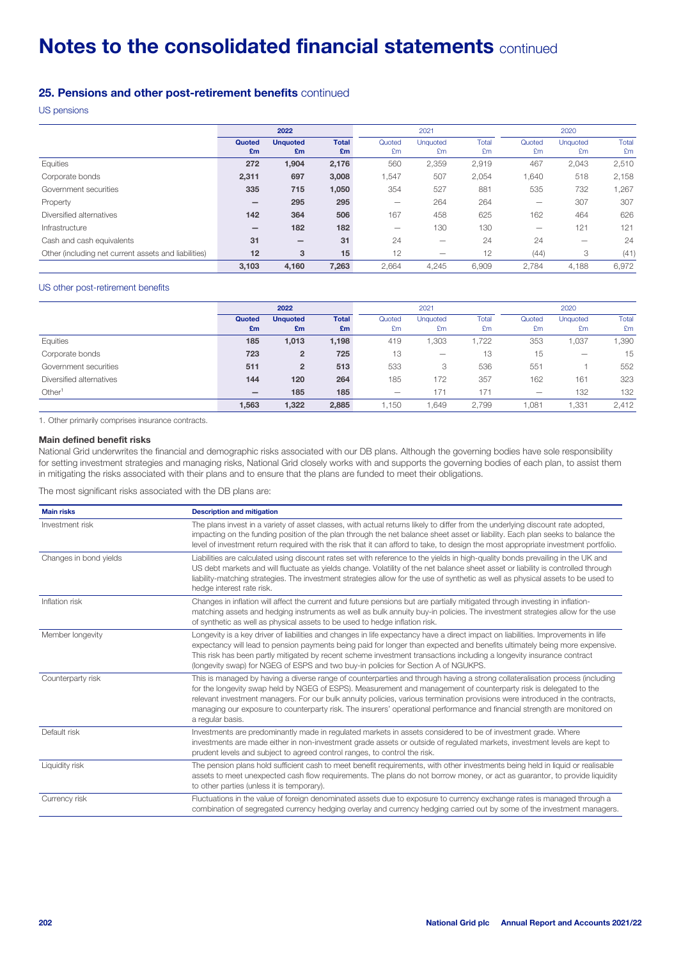## 25. Pensions and other post-retirement benefits continued

US pensions

|                                                      | 2022   |                   | 2021         |                          |                          | 2020  |                          |          |       |
|------------------------------------------------------|--------|-------------------|--------------|--------------------------|--------------------------|-------|--------------------------|----------|-------|
|                                                      | Quoted | <b>Unquoted</b>   | <b>Total</b> | Quoted                   | Unquoted                 | Total | Quoted                   | Unquoted | Total |
|                                                      | £m     | £m                | £m           | £m                       | £m                       | £m    | £m                       | £m       | £m    |
| Equities                                             | 272    | 1,904             | 2,176        | 560                      | 2,359                    | 2,919 | 467                      | 2,043    | 2,510 |
| Corporate bonds                                      | 2,311  | 697               | 3,008        | .547                     | 507                      | 2,054 | 640,                     | 518      | 2,158 |
| Government securities                                | 335    | 715               | 1,050        | 354                      | 527                      | 881   | 535                      | 732      | .267  |
| Property                                             | –      | 295               | 295          | $\overline{\phantom{a}}$ | 264                      | 264   | $\overline{\phantom{a}}$ | 307      | 307   |
| Diversified alternatives                             | 142    | 364               | 506          | 167                      | 458                      | 625   | 162                      | 464      | 626   |
| Infrastructure                                       |        | 182               | 182          | $\overline{\phantom{a}}$ | 130                      | 130   |                          | 121      | 121   |
| Cash and cash equivalents                            | 31     | $\qquad \qquad -$ | 31           | 24                       | $\overline{\phantom{0}}$ | 24    | 24                       |          | 24    |
| Other (including net current assets and liabilities) | 12     | 3                 | 15           | 12                       |                          | 12    | (44)                     | 3        | (41)  |
|                                                      | 3.103  | 4,160             | 7,263        | 2.664                    | 4,245                    | 6,909 | 2.784                    | 4,188    | 6.972 |

#### US other post-retirement benefits

|                          | 2022   |                 | 2021         |                          |                 | 2020  |                          |                          |       |
|--------------------------|--------|-----------------|--------------|--------------------------|-----------------|-------|--------------------------|--------------------------|-------|
|                          | Quoted | <b>Unquoted</b> | <b>Total</b> | Quoted                   | <b>Unquoted</b> | Total | Quoted                   | <b>Unquoted</b>          | Total |
|                          | £m     | £m              | £m           | £m                       | £m              | £m    | £m                       | £m                       | £m    |
| <b>Equities</b>          | 185    | 1,013           | 1,198        | 419                      | 1,303           | .722  | 353                      | ,037                     | .390  |
| Corporate bonds          | 723    | 2               | 725          | 13                       | -               | 13    | 15                       | $\overline{\phantom{0}}$ | 15    |
| Government securities    | 511    | $\overline{2}$  | 513          | 533                      | 3               | 536   | 551                      |                          | 552   |
| Diversified alternatives | 144    | 120             | 264          | 185                      | 172             | 357   | 162                      | 161                      | 323   |
| Other <sup>1</sup>       |        | 185             | 185          | $\overline{\phantom{a}}$ | 171             | 171   | $\overline{\phantom{a}}$ | 132                      | 132   |
|                          | 1,563  | 1,322           | 2,885        | 1,150                    | 1,649           | 2,799 | 1,081                    | ,331                     | 2,412 |

1. Other primarily comprises insurance contracts.

### Main defined benefit risks

National Grid underwrites the financial and demographic risks associated with our DB plans. Although the governing bodies have sole responsibility for setting investment strategies and managing risks, National Grid closely works with and supports the governing bodies of each plan, to assist them in mitigating the risks associated with their plans and to ensure that the plans are funded to meet their obligations.

The most significant risks associated with the DB plans are:

| <b>Main risks</b>      | <b>Description and mitigation</b>                                                                                                                                                                                                                                                                                                                                                                                                                                                                                                   |
|------------------------|-------------------------------------------------------------------------------------------------------------------------------------------------------------------------------------------------------------------------------------------------------------------------------------------------------------------------------------------------------------------------------------------------------------------------------------------------------------------------------------------------------------------------------------|
| Investment risk        | The plans invest in a variety of asset classes, with actual returns likely to differ from the underlying discount rate adopted,<br>impacting on the funding position of the plan through the net balance sheet asset or liability. Each plan seeks to balance the<br>level of investment return required with the risk that it can afford to take, to design the most appropriate investment portfolio.                                                                                                                             |
| Changes in bond yields | Liabilities are calculated using discount rates set with reference to the yields in high-quality bonds prevailing in the UK and<br>US debt markets and will fluctuate as yields change. Volatility of the net balance sheet asset or liability is controlled through<br>liability-matching strategies. The investment strategies allow for the use of synthetic as well as physical assets to be used to<br>hedge interest rate risk.                                                                                               |
| Inflation risk         | Changes in inflation will affect the current and future pensions but are partially mitigated through investing in inflation-<br>matching assets and hedging instruments as well as bulk annuity buy-in policies. The investment strategies allow for the use<br>of synthetic as well as physical assets to be used to hedge inflation risk.                                                                                                                                                                                         |
| Member longevity       | Longevity is a key driver of liabilities and changes in life expectancy have a direct impact on liabilities. Improvements in life<br>expectancy will lead to pension payments being paid for longer than expected and benefits ultimately being more expensive.<br>This risk has been partly mitigated by recent scheme investment transactions including a longevity insurance contract<br>(longevity swap) for NGEG of ESPS and two buy-in policies for Section A of NGUKPS.                                                      |
| Counterparty risk      | This is managed by having a diverse range of counterparties and through having a strong collateralisation process (including<br>for the longevity swap held by NGEG of ESPS). Measurement and management of counterparty risk is delegated to the<br>relevant investment managers. For our bulk annuity policies, various termination provisions were introduced in the contracts,<br>managing our exposure to counterparty risk. The insurers' operational performance and financial strength are monitored on<br>a regular basis. |
| Default risk           | Investments are predominantly made in regulated markets in assets considered to be of investment grade. Where<br>investments are made either in non-investment grade assets or outside of regulated markets, investment levels are kept to<br>prudent levels and subject to agreed control ranges, to control the risk.                                                                                                                                                                                                             |
| Liquidity risk         | The pension plans hold sufficient cash to meet benefit requirements, with other investments being held in liquid or realisable<br>assets to meet unexpected cash flow requirements. The plans do not borrow money, or act as quarantor, to provide liquidity<br>to other parties (unless it is temporary).                                                                                                                                                                                                                          |
| Currency risk          | Fluctuations in the value of foreign denominated assets due to exposure to currency exchange rates is managed through a<br>combination of segregated currency hedging overlay and currency hedging carried out by some of the investment managers.                                                                                                                                                                                                                                                                                  |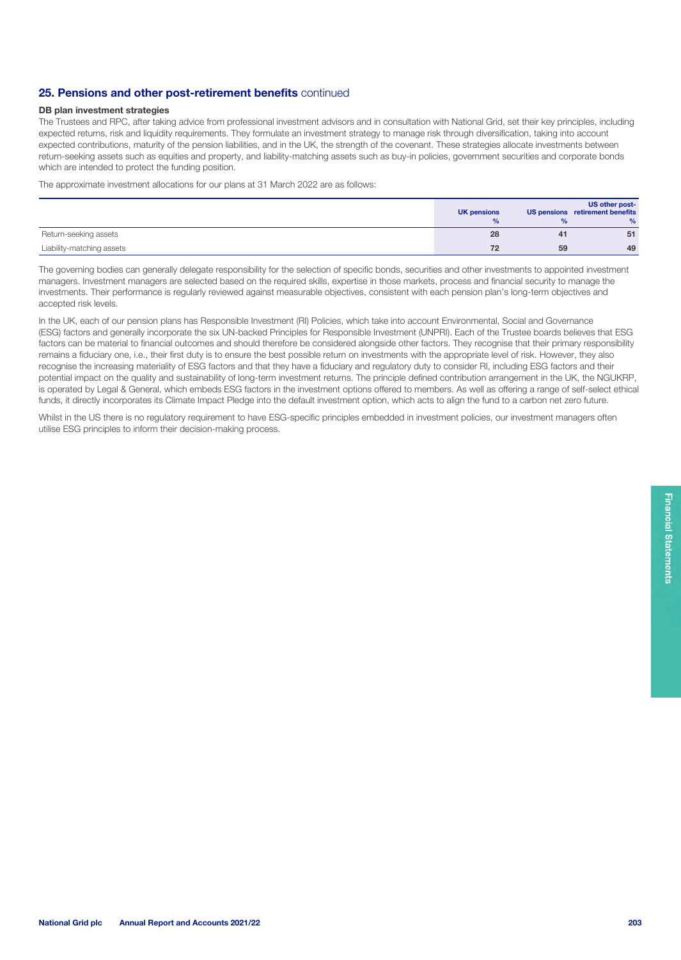## DB plan investment strategies

The Trustees and RPC, after taking advice from professional investment advisors and in consultation with National Grid, set their key principles, including expected returns, risk and liquidity requirements. They formulate an investment strategy to manage risk through diversification, taking into account expected contributions, maturity of the pension liabilities, and in the UK, the strength of the covenant. These strategies allocate investments between return-seeking assets such as equities and property, and liability-matching assets such as buy-in policies, government securities and corporate bonds which are intended to protect the funding position.

The approximate investment allocations for our plans at 31 March 2022 are as follows:

|                           | <b>UK pensions</b> |    | US other post-<br>US pensions retirement benefits |
|---------------------------|--------------------|----|---------------------------------------------------|
|                           | $\frac{9}{6}$      |    | $\%$                                              |
| Return-seeking assets     | 28                 | 41 | 51                                                |
| Liability-matching assets | 72                 | 59 | 49                                                |

The governing bodies can generally delegate responsibility for the selection of specific bonds, securities and other investments to appointed investment managers. Investment managers are selected based on the required skills, expertise in those markets, process and financial security to manage the investments. Their performance is regularly reviewed against measurable objectives, consistent with each pension plan's long-term objectives and accepted risk levels.

In the UK, each of our pension plans has Responsible Investment (RI) Policies, which take into account Environmental, Social and Governance (ESG) factors and generally incorporate the six UN-backed Principles for Responsible Investment (UNPRI). Each of the Trustee boards believes that ESG factors can be material to financial outcomes and should therefore be considered alongside other factors. They recognise that their primary responsibility remains a fiduciary one, i.e., their first duty is to ensure the best possible return on investments with the appropriate level of risk. However, they also recognise the increasing materiality of ESG factors and that they have a fiduciary and regulatory duty to consider RI, including ESG factors and their potential impact on the quality and sustainability of long-term investment returns. The principle defined contribution arrangement in the UK, the NGUKRP, is operated by Legal & General, which embeds ESG factors in the investment options offered to members. As well as offering a range of self-select ethical funds, it directly incorporates its Climate Impact Pledge into the default investment option, which acts to align the fund to a carbon net zero future.

Whilst in the US there is no regulatory requirement to have ESG-specific principles embedded in investment policies, our investment managers often utilise ESG principles to inform their decision-making process.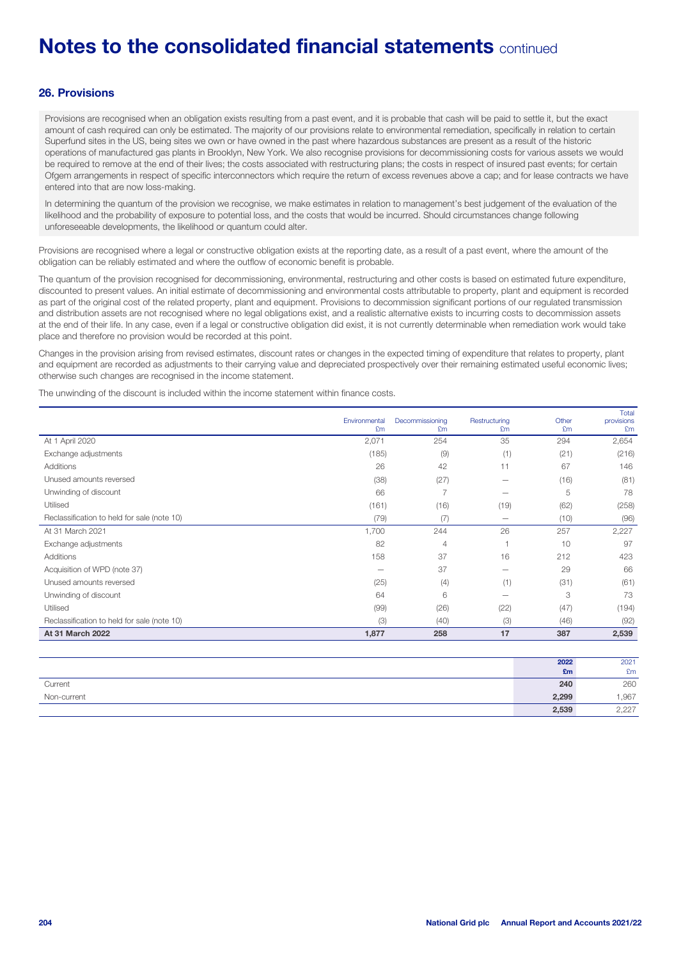# 26. Provisions

Provisions are recognised when an obligation exists resulting from a past event, and it is probable that cash will be paid to settle it, but the exact amount of cash required can only be estimated. The majority of our provisions relate to environmental remediation, specifically in relation to certain Superfund sites in the US, being sites we own or have owned in the past where hazardous substances are present as a result of the historic operations of manufactured gas plants in Brooklyn, New York. We also recognise provisions for decommissioning costs for various assets we would be required to remove at the end of their lives; the costs associated with restructuring plans; the costs in respect of insured past events; for certain Ofgem arrangements in respect of specific interconnectors which require the return of excess revenues above a cap; and for lease contracts we have entered into that are now loss-making.

In determining the quantum of the provision we recognise, we make estimates in relation to management's best judgement of the evaluation of the likelihood and the probability of exposure to potential loss, and the costs that would be incurred. Should circumstances change following unforeseeable developments, the likelihood or quantum could alter.

Provisions are recognised where a legal or constructive obligation exists at the reporting date, as a result of a past event, where the amount of the obligation can be reliably estimated and where the outflow of economic benefit is probable.

The quantum of the provision recognised for decommissioning, environmental, restructuring and other costs is based on estimated future expenditure, discounted to present values. An initial estimate of decommissioning and environmental costs attributable to property, plant and equipment is recorded as part of the original cost of the related property, plant and equipment. Provisions to decommission significant portions of our regulated transmission and distribution assets are not recognised where no legal obligations exist, and a realistic alternative exists to incurring costs to decommission assets at the end of their life. In any case, even if a legal or constructive obligation did exist, it is not currently determinable when remediation work would take place and therefore no provision would be recorded at this point.

Changes in the provision arising from revised estimates, discount rates or changes in the expected timing of expenditure that relates to property, plant and equipment are recorded as adjustments to their carrying value and depreciated prospectively over their remaining estimated useful economic lives; otherwise such changes are recognised in the income statement.

The unwinding of the discount is included within the income statement within finance costs.

|                                             | Environmental<br>£m | Decommissioning<br>£m | Restructuring<br>£m      | Other<br>£m | Total<br>provisions<br>£m |
|---------------------------------------------|---------------------|-----------------------|--------------------------|-------------|---------------------------|
| At 1 April 2020                             | 2,071               | 254                   | 35                       | 294         | 2,654                     |
| Exchange adjustments                        | (185)               | (9)                   | (1)                      | (21)        | (216)                     |
| Additions                                   | 26                  | 42                    | 11                       | 67          | 146                       |
| Unused amounts reversed                     | (38)                | (27)                  | $\overline{\phantom{0}}$ | (16)        | (81)                      |
| Unwinding of discount                       | 66                  | 7                     |                          | 5           | 78                        |
| Utilised                                    | (161)               | (16)                  | (19)                     | (62)        | (258)                     |
| Reclassification to held for sale (note 10) | (79)                | (7)                   | $\overline{\phantom{a}}$ | (10)        | (96)                      |
| At 31 March 2021                            | 1,700               | 244                   | 26                       | 257         | 2,227                     |
| Exchange adjustments                        | 82                  | $\overline{4}$        |                          | 10          | 97                        |
| Additions                                   | 158                 | 37                    | 16                       | 212         | 423                       |
| Acquisition of WPD (note 37)                |                     | 37                    | $\overline{\phantom{0}}$ | 29          | 66                        |
| Unused amounts reversed                     | (25)                | (4)                   | (1)                      | (31)        | (61)                      |
| Unwinding of discount                       | 64                  | 6                     | -                        | 3           | 73                        |
| Utilised                                    | (99)                | (26)                  | (22)                     | (47)        | (194)                     |
| Reclassification to held for sale (note 10) | (3)                 | (40)                  | (3)                      | (46)        | (92)                      |
| At 31 March 2022                            | 1,877               | 258                   | 17                       | 387         | 2,539                     |

|             | 2022  | 2021  |
|-------------|-------|-------|
|             | £m    | £m    |
| Current     | 240   | 260   |
| Non-current | 2,299 | ,967  |
|             | 2,539 | 2,227 |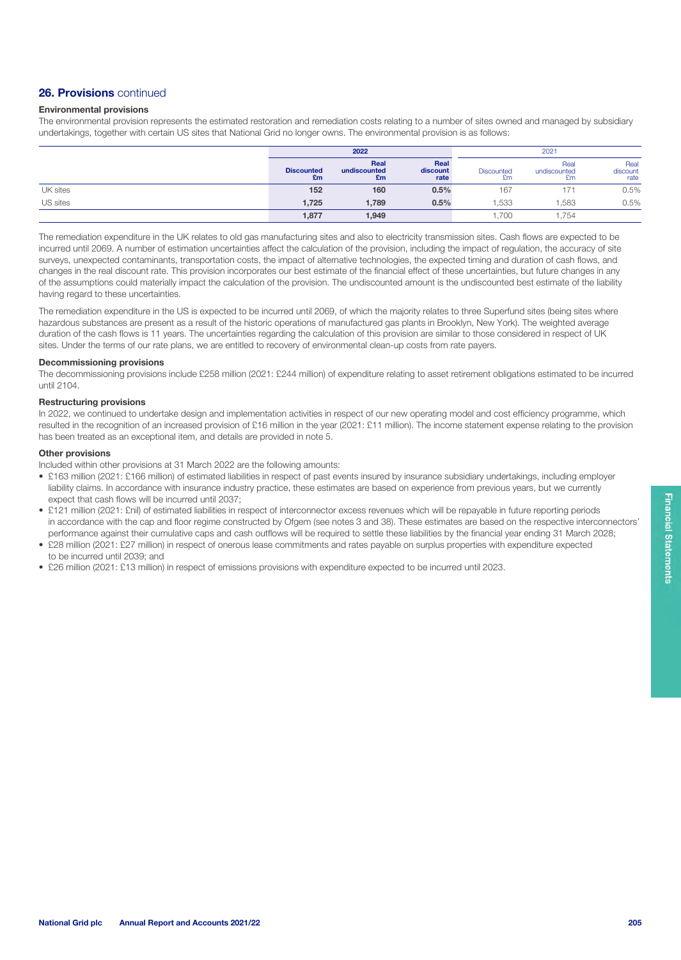# 26. Provisions continued

# Environmental provisions

The environmental provision represents the estimated restoration and remediation costs relating to a number of sites owned and managed by subsidiary undertakings, together with certain US sites that National Grid no longer owns. The environmental provision is as follows:

|          | 2022                    |                            |                          |                         | 2021                       |                          |
|----------|-------------------------|----------------------------|--------------------------|-------------------------|----------------------------|--------------------------|
|          | <b>Discounted</b><br>£m | Real<br>undiscounted<br>£m | Real<br>discount<br>rate | <b>Discounted</b><br>£m | Real<br>undiscounted<br>£m | Real<br>discount<br>rate |
| UK sites | 152                     | 160                        | 0.5%                     | 167                     | 171                        | 0.5%                     |
| US sites | 1,725                   | 1,789                      | 0.5%                     | .533                    | 1,583                      | 0.5%                     |
|          | 1,877                   | 1,949                      |                          | .700                    | .754ء                      |                          |

The remediation expenditure in the UK relates to old gas manufacturing sites and also to electricity transmission sites. Cash flows are expected to be incurred until 2069. A number of estimation uncertainties affect the calculation of the provision, including the impact of regulation, the accuracy of site surveys, unexpected contaminants, transportation costs, the impact of alternative technologies, the expected timing and duration of cash flows, and changes in the real discount rate. This provision incorporates our best estimate of the financial effect of these uncertainties, but future changes in any of the assumptions could materially impact the calculation of the provision. The undiscounted amount is the undiscounted best estimate of the liability having regard to these uncertainties.

The remediation expenditure in the US is expected to be incurred until 2069, of which the majority relates to three Superfund sites (being sites where hazardous substances are present as a result of the historic operations of manufactured gas plants in Brooklyn, New York). The weighted average duration of the cash flows is 11 years. The uncertainties regarding the calculation of this provision are similar to those considered in respect of UK sites. Under the terms of our rate plans, we are entitled to recovery of environmental clean-up costs from rate payers.

#### Decommissioning provisions

The decommissioning provisions include £258 million (2021: £244 million) of expenditure relating to asset retirement obligations estimated to be incurred until 2104.

#### Restructuring provisions

In 2022, we continued to undertake design and implementation activities in respect of our new operating model and cost efficiency programme, which resulted in the recognition of an increased provision of £16 million in the year (2021: £11 million). The income statement expense relating to the provision has been treated as an exceptional item, and details are provided in note 5.

#### Other provisions

Included within other provisions at 31 March 2022 are the following amounts:

- £163 million (2021: £166 million) of estimated liabilities in respect of past events insured by insurance subsidiary undertakings, including employer liability claims. In accordance with insurance industry practice, these estimates are based on experience from previous years, but we currently expect that cash flows will be incurred until 2037;
- £121 million (2021: £nil) of estimated liabilities in respect of interconnector excess revenues which will be repayable in future reporting periods in accordance with the cap and floor regime constructed by Ofgem (see notes 3 and 38). These estimates are based on the respective interconnectors' performance against their cumulative caps and cash outflows will be required to settle these liabilities by the financial year ending 31 March 2028;
- £28 million (2021: £27 million) in respect of onerous lease commitments and rates payable on surplus properties with expenditure expected to be incurred until 2039; and
- £26 million (2021: £13 million) in respect of emissions provisions with expenditure expected to be incurred until 2023.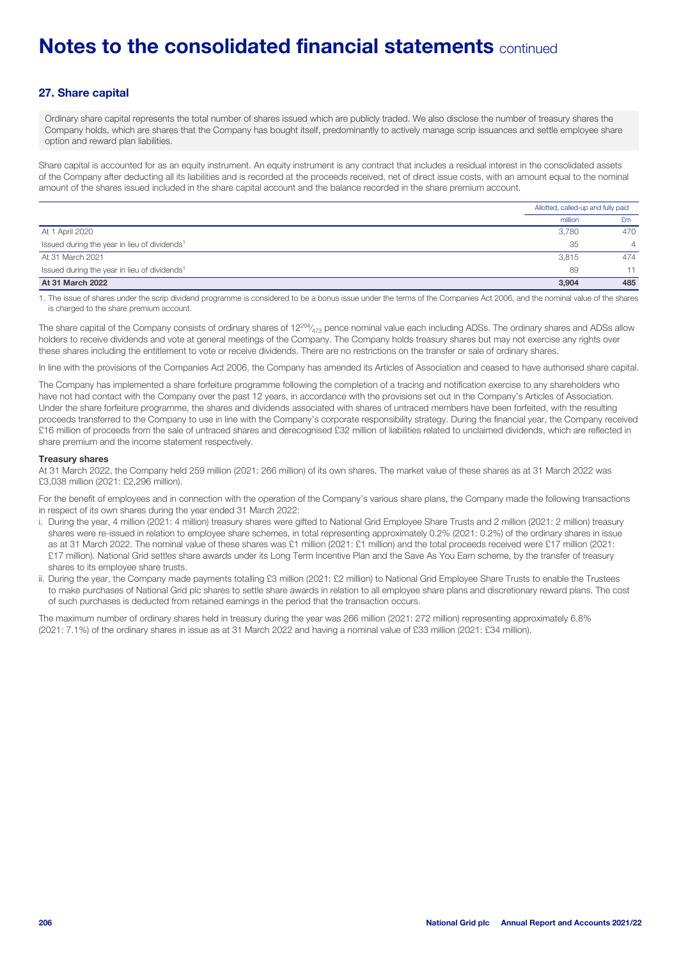# 27. Share capital

Ordinary share capital represents the total number of shares issued which are publicly traded. We also disclose the number of treasury shares the Company holds, which are shares that the Company has bought itself, predominantly to actively manage scrip issuances and settle employee share option and reward plan liabilities.

Share capital is accounted for as an equity instrument. An equity instrument is any contract that includes a residual interest in the consolidated assets of the Company after deducting all its liabilities and is recorded at the proceeds received, net of direct issue costs, with an amount equal to the nominal amount of the shares issued included in the share capital account and the balance recorded in the share premium account.

|                                                          | Allotted, called-up and fully paid |                |
|----------------------------------------------------------|------------------------------------|----------------|
|                                                          | million                            | £m             |
| At 1 April 2020                                          | 3,780                              | 470            |
| Issued during the year in lieu of dividends <sup>1</sup> | 35                                 | $\overline{4}$ |
| At 31 March 2021                                         | 3,815                              | 474            |
| Issued during the year in lieu of dividends <sup>1</sup> | 89                                 | 11             |
| At 31 March 2022                                         | 3.904                              | 485            |

1. The issue of shares under the scrip dividend programme is considered to be a bonus issue under the terms of the Companies Act 2006, and the nominal value of the shares is charged to the share premium account.

The share capital of the Company consists of ordinary shares of  $12^{204}$ <sub>473</sub> pence nominal value each including ADSs. The ordinary shares and ADSs allow holders to receive dividends and vote at general meetings of the Company. The Company holds treasury shares but may not exercise any rights over these shares including the entitlement to vote or receive dividends. There are no restrictions on the transfer or sale of ordinary shares.

In line with the provisions of the Companies Act 2006, the Company has amended its Articles of Association and ceased to have authorised share capital.

The Company has implemented a share forfeiture programme following the completion of a tracing and notification exercise to any shareholders who have not had contact with the Company over the past 12 years, in accordance with the provisions set out in the Company's Articles of Association. Under the share forfeiture programme, the shares and dividends associated with shares of untraced members have been forfeited, with the resulting proceeds transferred to the Company to use in line with the Company's corporate responsibility strategy. During the financial year, the Company received £16 million of proceeds from the sale of untraced shares and derecognised £32 million of liabilities related to unclaimed dividends, which are reflected in share premium and the income statement respectively.

### Treasury shares

At 31 March 2022, the Company held 259 million (2021: 266 million) of its own shares. The market value of these shares as at 31 March 2022 was £3,038 million (2021: £2,296 million).

For the benefit of employees and in connection with the operation of the Company's various share plans, the Company made the following transactions in respect of its own shares during the year ended 31 March 2022:

- i. During the year, 4 million (2021: 4 million) treasury shares were gifted to National Grid Employee Share Trusts and 2 million (2021: 2 million) treasury shares were re-issued in relation to employee share schemes, in total representing approximately 0.2% (2021: 0.2%) of the ordinary shares in issue as at 31 March 2022. The nominal value of these shares was £1 million (2021: £1 million) and the total proceeds received were £17 million (2021: £17 million). National Grid settles share awards under its Long Term Incentive Plan and the Save As You Earn scheme, by the transfer of treasury shares to its employee share trusts.
- ii. During the year, the Company made payments totalling £3 million (2021: £2 million) to National Grid Employee Share Trusts to enable the Trustees to make purchases of National Grid plc shares to settle share awards in relation to all employee share plans and discretionary reward plans. The cost of such purchases is deducted from retained earnings in the period that the transaction occurs.

The maximum number of ordinary shares held in treasury during the year was 266 million (2021: 272 million) representing approximately 6.8% (2021: 7.1%) of the ordinary shares in issue as at 31 March 2022 and having a nominal value of £33 million (2021: £34 million).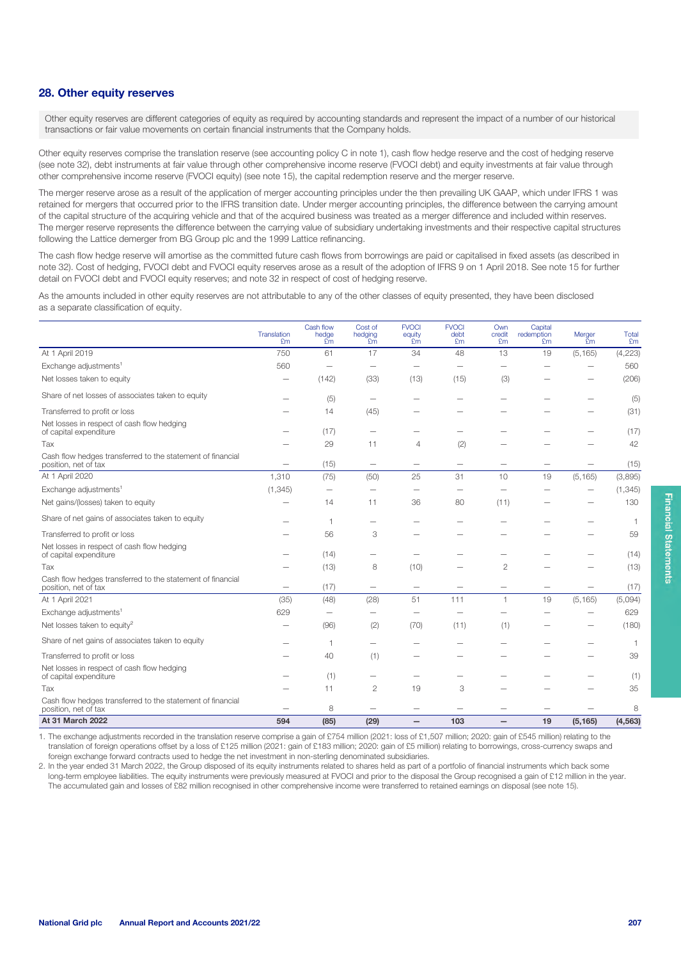# 28. Other equity reserves

Other equity reserves are different categories of equity as required by accounting standards and represent the impact of a number of our historical transactions or fair value movements on certain financial instruments that the Company holds.

Other equity reserves comprise the translation reserve (see accounting policy C in note 1), cash flow hedge reserve and the cost of hedging reserve (see note 32), debt instruments at fair value through other comprehensive income reserve (FVOCI debt) and equity investments at fair value through other comprehensive income reserve (FVOCI equity) (see note 15), the capital redemption reserve and the merger reserve.

The merger reserve arose as a result of the application of merger accounting principles under the then prevailing UK GAAP, which under IFRS 1 was retained for mergers that occurred prior to the IFRS transition date. Under merger accounting principles, the difference between the carrying amount of the capital structure of the acquiring vehicle and that of the acquired business was treated as a merger difference and included within reserves. The merger reserve represents the difference between the carrying value of subsidiary undertaking investments and their respective capital structures following the Lattice demerger from BG Group plc and the 1999 Lattice refinancing.

The cash flow hedge reserve will amortise as the committed future cash flows from borrowings are paid or capitalised in fixed assets (as described in note 32). Cost of hedging, FVOCI debt and FVOCI equity reserves arose as a result of the adoption of IFRS 9 on 1 April 2018. See note 15 for further detail on FVOCI debt and FVOCI equity reserves; and note 32 in respect of cost of hedging reserve.

As the amounts included in other equity reserves are not attributable to any of the other classes of equity presented, they have been disclosed as a separate classification of equity.

|                                                                                    | Translation<br>£m        | Cash flow<br>hedge<br>$E_{\rm m}$ | Cost of<br>hedging<br>£m | <b>FVOCI</b><br>equity<br>£m | <b>FVOCI</b><br>debt<br>£m | Own<br>credit<br>£m | Capital<br>redemption<br>£m | Merger<br>£m             | Total<br>£m  |
|------------------------------------------------------------------------------------|--------------------------|-----------------------------------|--------------------------|------------------------------|----------------------------|---------------------|-----------------------------|--------------------------|--------------|
| At 1 April 2019                                                                    | 750                      | 61                                | 17                       | 34                           | 48                         | 13                  | 19                          | (5, 165)                 | (4, 223)     |
| Exchange adjustments <sup>1</sup>                                                  | 560                      |                                   | $\overline{\phantom{0}}$ |                              |                            |                     |                             |                          | 560          |
| Net losses taken to equity                                                         | -                        | (142)                             | (33)                     | (13)                         | (15)                       | (3)                 |                             |                          | (206)        |
| Share of net losses of associates taken to equity                                  |                          | (5)                               |                          |                              |                            |                     |                             |                          | (5)          |
| Transferred to profit or loss                                                      |                          | 14                                | (45)                     |                              |                            |                     |                             |                          | (31)         |
| Net losses in respect of cash flow hedging<br>of capital expenditure               |                          | (17)                              |                          |                              |                            |                     |                             |                          | (17)         |
| Tax                                                                                |                          | 29                                | 11                       | $\overline{4}$               | (2)                        |                     |                             |                          | 42           |
| Cash flow hedges transferred to the statement of financial<br>position, net of tax |                          | (15)                              | ÷                        |                              | -                          |                     |                             |                          | (15)         |
| At 1 April 2020                                                                    | 1,310                    | (75)                              | (50)                     | 25                           | 31                         | 10                  | 19                          | (5, 165)                 | (3,895)      |
| Exchange adjustments <sup>1</sup>                                                  | (1, 345)                 | -                                 | -                        |                              | $\overline{\phantom{0}}$   | -                   |                             | $\overline{\phantom{0}}$ | (1, 345)     |
| Net gains/(losses) taken to equity                                                 |                          | 14                                | 11                       | 36                           | 80                         | (11)                |                             |                          | 130          |
| Share of net gains of associates taken to equity                                   |                          | $\mathbf{1}$                      | -                        |                              |                            |                     |                             |                          | $\mathbf{1}$ |
| Transferred to profit or loss                                                      |                          | 56                                | 3                        |                              |                            |                     |                             |                          | 59           |
| Net losses in respect of cash flow hedging<br>of capital expenditure               |                          | (14)                              |                          |                              |                            |                     |                             |                          | (14)         |
| Tax                                                                                |                          | (13)                              | 8                        | (10)                         |                            | $\mathbf{2}$        |                             |                          | (13)         |
| Cash flow hedges transferred to the statement of financial<br>position, net of tax | $\overline{\phantom{0}}$ | (17)                              | $\overline{\phantom{0}}$ | $\overline{\phantom{0}}$     | -                          | -                   |                             |                          | (17)         |
| At 1 April 2021                                                                    | (35)                     | (48)                              | (28)                     | 51                           | 111                        | $\mathbf{1}$        | 19                          | (5, 165)                 | (5,094)      |
| Exchange adjustments <sup>1</sup>                                                  | 629                      |                                   |                          |                              |                            |                     |                             |                          | 629          |
| Net losses taken to equity <sup>2</sup>                                            |                          | (96)                              | (2)                      | (70)                         | (11)                       | (1)                 |                             |                          | (180)        |
| Share of net gains of associates taken to equity                                   |                          | 1                                 | $\overline{\phantom{0}}$ |                              |                            |                     |                             |                          | $\mathbf{1}$ |
| Transferred to profit or loss                                                      |                          | 40                                | (1)                      |                              |                            |                     |                             |                          | 39           |
| Net losses in respect of cash flow hedging<br>of capital expenditure               |                          | (1)                               |                          |                              |                            |                     |                             |                          | (1)          |
| Tax                                                                                |                          | 11                                | $\mathbf{2}$             | 19                           | 3                          |                     |                             |                          | 35           |
| Cash flow hedges transferred to the statement of financial<br>position, net of tax |                          | 8                                 |                          | -                            | $\overline{\phantom{0}}$   |                     |                             |                          | 8            |
| At 31 March 2022                                                                   | 594                      | (85)                              | (29)                     | $\overline{\phantom{0}}$     | 103                        |                     | 19                          | (5, 165)                 | (4, 563)     |

1. The exchange adjustments recorded in the translation reserve comprise a gain of £754 million (2021: loss of £1,507 million; 2020: gain of £545 million) relating to the translation of foreign operations offset by a loss of £125 million (2021: gain of £183 million; 2020: gain of £5 million) relating to borrowings, cross-currency swaps and foreign exchange forward contracts used to hedge the net investment in non-sterling denominated subsidiaries.

2. In the year ended 31 March 2022, the Group disposed of its equity instruments related to shares held as part of a portfolio of financial instruments which back some long-term employee liabilities. The equity instruments were previously measured at FVOCI and prior to the disposal the Group recognised a gain of £12 million in the year. The accumulated gain and losses of £82 million recognised in other comprehensive income were transferred to retained earnings on disposal (see note 15).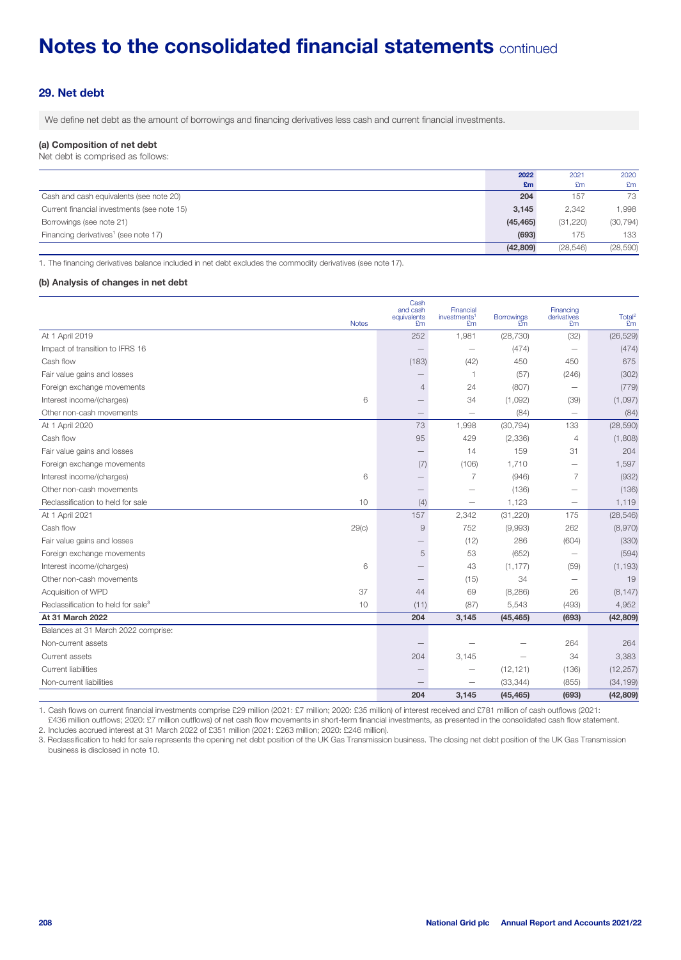# 29. Net debt

We define net debt as the amount of borrowings and financing derivatives less cash and current financial investments.

### (a) Composition of net debt

Net debt is comprised as follows:

|                                                  | 2022      | 2021      | 2020      |
|--------------------------------------------------|-----------|-----------|-----------|
|                                                  | £m        | £m        | £m        |
| Cash and cash equivalents (see note 20)          | 204       | 157       | 73        |
| Current financial investments (see note 15)      | 3,145     | 2.342     | 1,998     |
| Borrowings (see note 21)                         | (45, 465) | (31, 220) | (30, 794) |
| Financing derivatives <sup>1</sup> (see note 17) | (693)     | 175       | 133       |
|                                                  | (42, 809) | (28, 546) | (28, 590) |

1. The financing derivatives balance included in net debt excludes the commodity derivatives (see note 17).

#### (b) Analysis of changes in net debt

| <b>Notes</b>                                         | Cash<br>and cash<br>equivalents<br>£m | Financial<br>investments <sup>1</sup><br>£m | Borrowings<br><b>Fm</b> | Financing<br>derivatives<br>£m | Total <sup>2</sup><br>£m |
|------------------------------------------------------|---------------------------------------|---------------------------------------------|-------------------------|--------------------------------|--------------------------|
| At 1 April 2019                                      | 252                                   | 1,981                                       | (28, 730)               | (32)                           | (26, 529)                |
| Impact of transition to IFRS 16                      |                                       |                                             | (474)                   |                                | (474)                    |
| Cash flow                                            | (183)                                 | (42)                                        | 450                     | 450                            | 675                      |
| Fair value gains and losses                          | -                                     | 1                                           | (57)                    | (246)                          | (302)                    |
| Foreign exchange movements                           | $\overline{4}$                        | 24                                          | (807)                   | $\overline{\phantom{0}}$       | (779)                    |
| 6<br>Interest income/(charges)                       |                                       | 34                                          | (1,092)                 | (39)                           | (1,097)                  |
| Other non-cash movements                             |                                       | $\overline{\phantom{0}}$                    | (84)                    |                                | (84)                     |
| At 1 April 2020                                      | 73                                    | 1,998                                       | (30, 794)               | 133                            | (28, 590)                |
| Cash flow                                            | 95                                    | 429                                         | (2, 336)                | $\overline{4}$                 | (1,808)                  |
| Fair value gains and losses                          |                                       | 14                                          | 159                     | 31                             | 204                      |
| Foreign exchange movements                           | (7)                                   | (106)                                       | 1,710                   | -                              | 1,597                    |
| Interest income/(charges)<br>6                       |                                       | 7                                           | (946)                   | $\overline{7}$                 | (932)                    |
| Other non-cash movements                             |                                       |                                             | (136)                   | -                              | (136)                    |
| Reclassification to held for sale<br>10              | (4)                                   | -                                           | 1,123                   | -                              | 1,119                    |
| At 1 April 2021                                      | 157                                   | 2,342                                       | (31, 220)               | 175                            | (28, 546)                |
| Cash flow<br>29(c)                                   | $\overline{9}$                        | 752                                         | (9,993)                 | 262                            | (8,970)                  |
| Fair value gains and losses                          |                                       | (12)                                        | 286                     | (604)                          | (330)                    |
| Foreign exchange movements                           | 5                                     | 53                                          | (652)                   | -                              | (594)                    |
| Interest income/(charges)<br>6                       |                                       | 43                                          | (1, 177)                | (59)                           | (1, 193)                 |
| Other non-cash movements                             |                                       | (15)                                        | 34                      | -                              | 19                       |
| Acquisition of WPD<br>37                             | 44                                    | 69                                          | (8, 286)                | 26                             | (8, 147)                 |
| Reclassification to held for sale <sup>3</sup><br>10 | (11)                                  | (87)                                        | 5,543                   | (493)                          | 4,952                    |
| At 31 March 2022                                     | 204                                   | 3,145                                       | (45, 465)               | (693)                          | (42, 809)                |
| Balances at 31 March 2022 comprise:                  |                                       |                                             |                         |                                |                          |
| Non-current assets                                   |                                       |                                             |                         | 264                            | 264                      |
| Current assets                                       | 204                                   | 3,145                                       |                         | 34                             | 3,383                    |
| <b>Current liabilities</b>                           |                                       | $\overline{\phantom{0}}$                    | (12, 121)               | (136)                          | (12, 257)                |
| Non-current liabilities                              |                                       |                                             | (33, 344)               | (855)                          | (34, 199)                |
|                                                      | 204                                   | 3,145                                       | (45, 465)               | (693)                          | (42, 809)                |

1. Cash flows on current financial investments comprise £29 million (2021: £7 million; 2020: £35 million) of interest received and £781 million of cash outflows (2021:

£436 million outflows; 2020: £7 million outflows) of net cash flow movements in short-term financial investments, as presented in the consolidated cash flow statement. 2. Includes accrued interest at 31 March 2022 of £351 million (2021: £263 million; 2020: £246 million).

3. Reclassification to held for sale represents the opening net debt position of the UK Gas Transmission business. The closing net debt position of the UK Gas Transmission business is disclosed in note 10.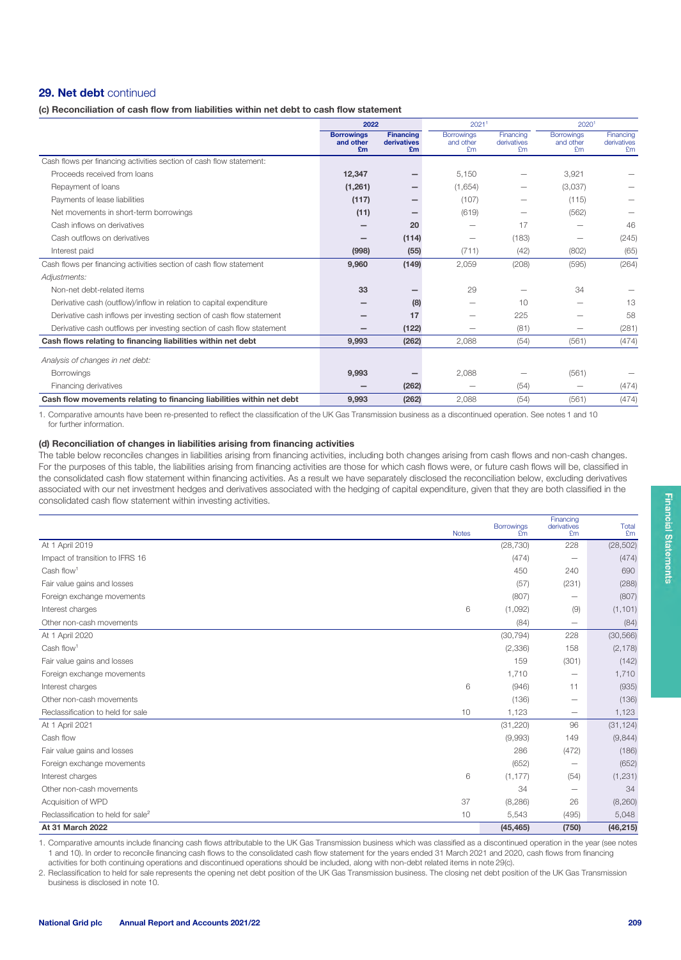# 29. Net debt continued

(c) Reconciliation of cash flow from liabilities within net debt to cash flow statement

|                                                                       | 2022                                 |                                       | 20211                                |                                | 20201                                |                                |
|-----------------------------------------------------------------------|--------------------------------------|---------------------------------------|--------------------------------------|--------------------------------|--------------------------------------|--------------------------------|
|                                                                       | <b>Borrowings</b><br>and other<br>£m | <b>Financing</b><br>derivatives<br>£m | <b>Borrowings</b><br>and other<br>£m | Financing<br>derivatives<br>£m | <b>Borrowings</b><br>and other<br>£m | Financing<br>derivatives<br>£m |
| Cash flows per financing activities section of cash flow statement:   |                                      |                                       |                                      |                                |                                      |                                |
| Proceeds received from loans                                          | 12,347                               |                                       | 5,150                                |                                | 3,921                                |                                |
| Repayment of loans                                                    | (1,261)                              |                                       | (1,654)                              |                                | (3,037)                              |                                |
| Payments of lease liabilities                                         | (117)                                |                                       | (107)                                |                                | (115)                                |                                |
| Net movements in short-term borrowings                                | (11)                                 |                                       | (619)                                |                                | (562)                                |                                |
| Cash inflows on derivatives                                           |                                      | 20                                    |                                      | 17                             |                                      | 46                             |
| Cash outflows on derivatives                                          |                                      | (114)                                 | $\overline{\phantom{0}}$             | (183)                          |                                      | (245)                          |
| Interest paid                                                         | (998)                                | (55)                                  | (711)                                | (42)                           | (802)                                | (65)                           |
| Cash flows per financing activities section of cash flow statement    | 9,960                                | (149)                                 | 2,059                                | (208)                          | (595)                                | (264)                          |
| Adjustments:                                                          |                                      |                                       |                                      |                                |                                      |                                |
| Non-net debt-related items                                            | 33                                   |                                       | 29                                   |                                | 34                                   |                                |
| Derivative cash (outflow)/inflow in relation to capital expenditure   |                                      | (8)                                   |                                      | 10                             |                                      | 13                             |
| Derivative cash inflows per investing section of cash flow statement  |                                      | 17                                    |                                      | 225                            |                                      | 58                             |
| Derivative cash outflows per investing section of cash flow statement |                                      | (122)                                 |                                      | (81)                           | $\overline{\phantom{0}}$             | (281)                          |
| Cash flows relating to financing liabilities within net debt          | 9,993                                | (262)                                 | 2,088                                | (54)                           | (561)                                | (474)                          |
| Analysis of changes in net debt:                                      |                                      |                                       |                                      |                                |                                      |                                |
| <b>Borrowings</b>                                                     | 9,993                                |                                       | 2,088                                |                                | (561)                                |                                |
| Financing derivatives                                                 |                                      | (262)                                 |                                      | (54)                           |                                      | (474)                          |
| Cash flow movements relating to financing liabilities within net debt | 9.993                                | (262)                                 | 2.088                                | (54)                           | (561)                                | (474)                          |

1. Comparative amounts have been re-presented to reflect the classification of the UK Gas Transmission business as a discontinued operation. See notes 1 and 10 for further information.

#### (d) Reconciliation of changes in liabilities arising from financing activities

The table below reconciles changes in liabilities arising from financing activities, including both changes arising from cash flows and non-cash changes. For the purposes of this table, the liabilities arising from financing activities are those for which cash flows were, or future cash flows will be, classified in the consolidated cash flow statement within financing activities. As a result we have separately disclosed the reconciliation below, excluding derivatives associated with our net investment hedges and derivatives associated with the hedging of capital expenditure, given that they are both classified in the consolidated cash flow statement within investing activities.

|                                                | <b>Notes</b> | <b>Borrowings</b><br>$E_{\rm m}$ | Financing<br>derivatives<br>£m  | Total<br>£m |
|------------------------------------------------|--------------|----------------------------------|---------------------------------|-------------|
| At 1 April 2019                                |              | (28, 730)                        | 228                             | (28, 502)   |
| Impact of transition to IFRS 16                |              | (474)                            | $\overline{\phantom{m}}$        | (474)       |
| Cash flow <sup>1</sup>                         |              | 450                              | 240                             | 690         |
| Fair value gains and losses                    |              | (57)                             | (231)                           | (288)       |
| Foreign exchange movements                     |              | (807)                            | $\overline{\phantom{a}}$        | (807)       |
| Interest charges                               | 6            | (1,092)                          | (9)                             | (1, 101)    |
| Other non-cash movements                       |              | (84)                             |                                 | (84)        |
| At 1 April 2020                                |              | (30, 794)                        | 228                             | (30, 566)   |
| Cash flow <sup>1</sup>                         |              | (2, 336)                         | 158                             | (2, 178)    |
| Fair value gains and losses                    |              | 159                              | (301)                           | (142)       |
| Foreign exchange movements                     |              | 1,710                            | $\qquad \qquad -$               | 1,710       |
| Interest charges                               | 6            | (946)                            | 11                              | (935)       |
| Other non-cash movements                       |              | (136)                            | $\overline{\phantom{a}}$        | (136)       |
| Reclassification to held for sale              | 10           | 1,123                            | $\qquad \qquad -$               | 1,123       |
| At 1 April 2021                                |              | (31, 220)                        | 96                              | (31, 124)   |
| Cash flow                                      |              | (9,993)                          | 149                             | (9,844)     |
| Fair value gains and losses                    |              | 286                              | (472)                           | (186)       |
| Foreign exchange movements                     |              | (652)                            | $\overline{\phantom{m}}$        | (652)       |
| Interest charges                               | 6            | (1, 177)                         | (54)                            | (1, 231)    |
| Other non-cash movements                       |              | 34                               | $\hspace{0.1mm}-\hspace{0.1mm}$ | 34          |
| Acquisition of WPD                             | 37           | (8, 286)                         | 26                              | (8, 260)    |
| Reclassification to held for sale <sup>2</sup> | 10           | 5,543                            | (495)                           | 5,048       |
| At 31 March 2022                               |              | (45, 465)                        | (750)                           | (46, 215)   |

1. Comparative amounts include financing cash flows attributable to the UK Gas Transmission business which was classified as a discontinued operation in the year (see notes 1 and 10). In order to reconcile financing cash flows to the consolidated cash flow statement for the years ended 31 March 2021 and 2020, cash flows from financing activities for both continuing operations and discontinued operations should be included, along with non-debt related items in note 29(c).

2. Reclassification to held for sale represents the opening net debt position of the UK Gas Transmission business. The closing net debt position of the UK Gas Transmission business is disclosed in note 10.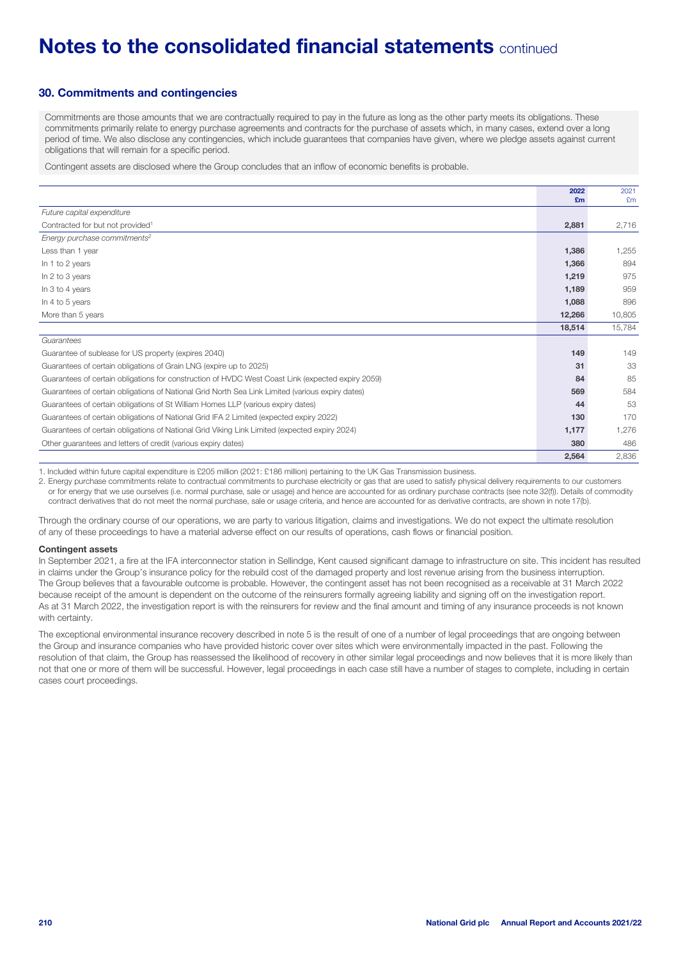# 30. Commitments and contingencies

Commitments are those amounts that we are contractually required to pay in the future as long as the other party meets its obligations. These commitments primarily relate to energy purchase agreements and contracts for the purchase of assets which, in many cases, extend over a long period of time. We also disclose any contingencies, which include guarantees that companies have given, where we pledge assets against current obligations that will remain for a specific period.

Contingent assets are disclosed where the Group concludes that an inflow of economic benefits is probable.

|                                                                                                   | 2022   | 2021   |
|---------------------------------------------------------------------------------------------------|--------|--------|
|                                                                                                   | £m     | £m     |
| Future capital expenditure                                                                        |        |        |
| Contracted for but not provided <sup>1</sup>                                                      | 2,881  | 2,716  |
| Energy purchase commitments <sup>2</sup>                                                          |        |        |
| Less than 1 year                                                                                  | 1,386  | 1,255  |
| In 1 to 2 years                                                                                   | 1,366  | 894    |
| In 2 to 3 years                                                                                   | 1,219  | 975    |
| In 3 to 4 years                                                                                   | 1,189  | 959    |
| In 4 to 5 years                                                                                   | 1,088  | 896    |
| More than 5 years                                                                                 | 12,266 | 10,805 |
|                                                                                                   | 18,514 | 15,784 |
| Guarantees                                                                                        |        |        |
| Guarantee of sublease for US property (expires 2040)                                              | 149    | 149    |
| Guarantees of certain obligations of Grain LNG (expire up to 2025)                                | 31     | 33     |
| Guarantees of certain obligations for construction of HVDC West Coast Link (expected expiry 2059) | 84     | 85     |
| Guarantees of certain obligations of National Grid North Sea Link Limited (various expiry dates)  | 569    | 584    |
| Guarantees of certain obligations of St William Homes LLP (various expiry dates)                  | 44     | 53     |
| Guarantees of certain obligations of National Grid IFA 2 Limited (expected expiry 2022)           | 130    | 170    |
| Guarantees of certain obligations of National Grid Viking Link Limited (expected expiry 2024)     | 1,177  | 1,276  |
| Other quarantees and letters of credit (various expiry dates)                                     | 380    | 486    |
|                                                                                                   | 2,564  | 2,836  |

1. Included within future capital expenditure is £205 million (2021: £186 million) pertaining to the UK Gas Transmission business.

2. Energy purchase commitments relate to contractual commitments to purchase electricity or gas that are used to satisfy physical delivery requirements to our customers or for energy that we use ourselves (i.e. normal purchase, sale or usage) and hence are accounted for as ordinary purchase contracts (see note 32(f)). Details of commodity contract derivatives that do not meet the normal purchase, sale or usage criteria, and hence are accounted for as derivative contracts, are shown in note 17(b).

Through the ordinary course of our operations, we are party to various litigation, claims and investigations. We do not expect the ultimate resolution of any of these proceedings to have a material adverse effect on our results of operations, cash flows or financial position.

#### Contingent assets

In September 2021, a fire at the IFA interconnector station in Sellindge, Kent caused significant damage to infrastructure on site. This incident has resulted in claims under the Group's insurance policy for the rebuild cost of the damaged property and lost revenue arising from the business interruption. The Group believes that a favourable outcome is probable. However, the contingent asset has not been recognised as a receivable at 31 March 2022 because receipt of the amount is dependent on the outcome of the reinsurers formally agreeing liability and signing off on the investigation report. As at 31 March 2022, the investigation report is with the reinsurers for review and the final amount and timing of any insurance proceeds is not known with certainty.

The exceptional environmental insurance recovery described in note 5 is the result of one of a number of legal proceedings that are ongoing between the Group and insurance companies who have provided historic cover over sites which were environmentally impacted in the past. Following the resolution of that claim, the Group has reassessed the likelihood of recovery in other similar legal proceedings and now believes that it is more likely than not that one or more of them will be successful. However, legal proceedings in each case still have a number of stages to complete, including in certain cases court proceedings.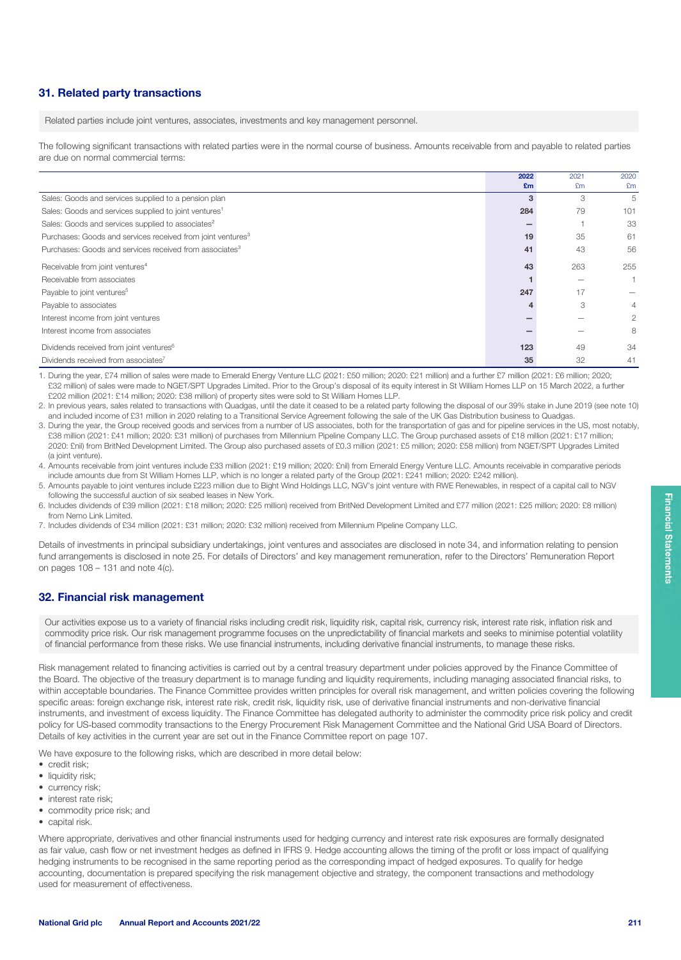# 31. Related party transactions

Related parties include joint ventures, associates, investments and key management personnel.

The following significant transactions with related parties were in the normal course of business. Amounts receivable from and payable to related parties are due on normal commercial terms:

|                                                                         | 2022 | 2021 | 2020           |
|-------------------------------------------------------------------------|------|------|----------------|
|                                                                         | £m   | £m   | £m             |
| Sales: Goods and services supplied to a pension plan                    | 3    | 3    | 5              |
| Sales: Goods and services supplied to joint ventures <sup>1</sup>       | 284  | 79   | 101            |
| Sales: Goods and services supplied to associates <sup>2</sup>           |      |      | 33             |
| Purchases: Goods and services received from joint ventures <sup>3</sup> | 19   | 35   | 61             |
| Purchases: Goods and services received from associates <sup>3</sup>     | 41   | 43   | 56             |
| Receivable from joint ventures <sup>4</sup>                             | 43   | 263  | 255            |
| Receivable from associates                                              |      |      |                |
| Payable to joint ventures <sup>5</sup>                                  | 247  | 17   |                |
| Payable to associates                                                   |      | 3    | $\overline{4}$ |
| Interest income from joint ventures                                     |      |      | 2              |
| Interest income from associates                                         |      |      | 8              |
| Dividends received from joint ventures <sup>6</sup>                     | 123  | 49   | 34             |
| Dividends received from associates <sup>7</sup>                         | 35   | 32   | 41             |

1. During the year, £74 million of sales were made to Emerald Energy Venture LLC (2021: £50 million; 2020: £21 million) and a further £7 million (2021: £6 million; 2020; £32 million) of sales were made to NGET/SPT Upgrades Limited. Prior to the Group's disposal of its equity interest in St William Homes LLP on 15 March 2022, a further £202 million (2021: £14 million; 2020: £38 million) of property sites were sold to St William Homes LLP.

2. In previous years, sales related to transactions with Quadgas, until the date it ceased to be a related party following the disposal of our 39% stake in June 2019 (see note 10) and included income of £31 million in 2020 relating to a Transitional Service Agreement following the sale of the UK Gas Distribution business to Quadgas.

3. During the year, the Group received goods and services from a number of US associates, both for the transportation of gas and for pipeline services in the US, most notably, £38 million (2021: £41 million; 2020: £31 million) of purchases from Millennium Pipeline Company LLC. The Group purchased assets of £18 million (2021: £17 million; 2020: £nil) from BritNed Development Limited. The Group also purchased assets of £0.3 million (2021: £5 million; 2020: £58 million) from NGET/SPT Upgrades Limited

(a joint venture). 4. Amounts receivable from joint ventures include £33 million (2021: £19 million; 2020: £nil) from Emerald Energy Venture LLC. Amounts receivable in comparative periods include amounts due from St William Homes LLP, which is no longer a related party of the Group (2021: £241 million; 2020: £242 million).

5. Amounts payable to joint ventures include £223 million due to Bight Wind Holdings LLC, NGV's joint venture with RWE Renewables, in respect of a capital call to NGV following the successful auction of six seabed leases in New York.

6. Includes dividends of £39 million (2021: £18 million; 2020: £25 million) received from BritNed Development Limited and £77 million (2021: £25 million; 2020: £8 million) from Nemo Link Limited.

7. Includes dividends of £34 million (2021: £31 million; 2020: £32 million) received from Millennium Pipeline Company LLC.

Details of investments in principal subsidiary undertakings, joint ventures and associates are disclosed in note 34, and information relating to pension fund arrangements is disclosed in note 25. For details of Directors' and key management remuneration, refer to the Directors' Remuneration Report on pages  $108 - 131$  and note  $4(c)$ .

# 32. Financial risk management

Our activities expose us to a variety of financial risks including credit risk, liquidity risk, capital risk, currency risk, interest rate risk, inflation risk and commodity price risk. Our risk management programme focuses on the unpredictability of financial markets and seeks to minimise potential volatility of financial performance from these risks. We use financial instruments, including derivative financial instruments, to manage these risks.

Risk management related to financing activities is carried out by a central treasury department under policies approved by the Finance Committee of the Board. The objective of the treasury department is to manage funding and liquidity requirements, including managing associated financial risks, to within acceptable boundaries. The Finance Committee provides written principles for overall risk management, and written policies covering the following specific areas: foreign exchange risk, interest rate risk, credit risk, liquidity risk, use of derivative financial instruments and non-derivative financial instruments, and investment of excess liquidity. The Finance Committee has delegated authority to administer the commodity price risk policy and credit policy for US-based commodity transactions to the Energy Procurement Risk Management Committee and the National Grid USA Board of Directors. Details of key activities in the current year are set out in the Finance Committee report on page 107.

We have exposure to the following risks, which are described in more detail below:

- credit risk;
- liquidity risk;
- currency risk;
- interest rate risk;
- commodity price risk; and
- capital risk.

Where appropriate, derivatives and other financial instruments used for hedging currency and interest rate risk exposures are formally designated as fair value, cash flow or net investment hedges as defined in IFRS 9. Hedge accounting allows the timing of the profit or loss impact of qualifying hedging instruments to be recognised in the same reporting period as the corresponding impact of hedged exposures. To qualify for hedge accounting, documentation is prepared specifying the risk management objective and strategy, the component transactions and methodology used for measurement of effectiveness.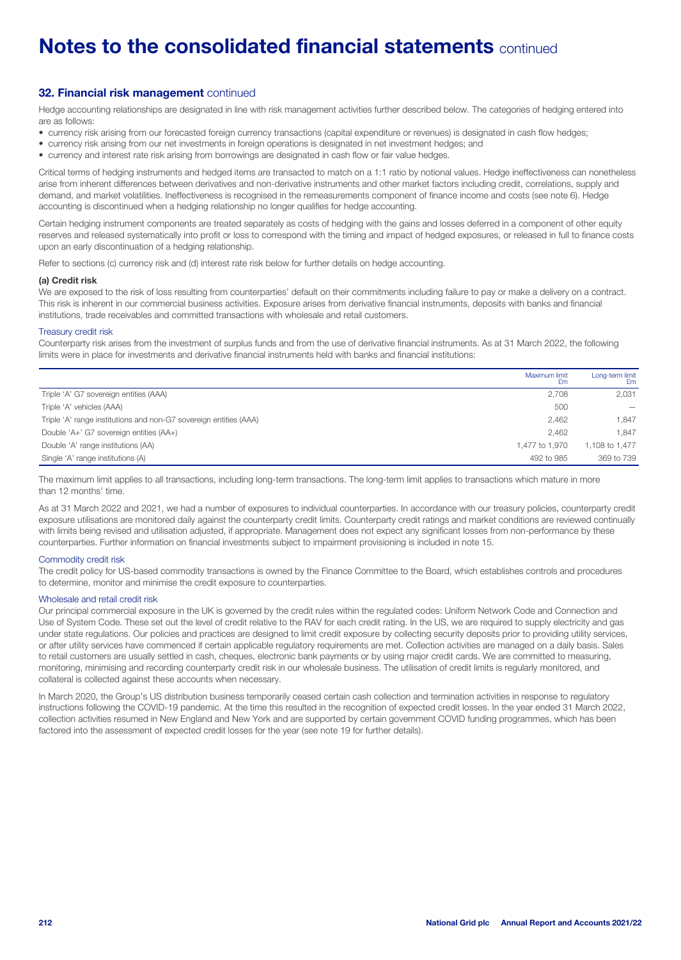# 32. Financial risk management continued

Hedge accounting relationships are designated in line with risk management activities further described below. The categories of hedging entered into are as follows:

- currency risk arising from our forecasted foreign currency transactions (capital expenditure or revenues) is designated in cash flow hedges;
- currency risk arising from our net investments in foreign operations is designated in net investment hedges; and
- currency and interest rate risk arising from borrowings are designated in cash flow or fair value hedges.

Critical terms of hedging instruments and hedged items are transacted to match on a 1:1 ratio by notional values. Hedge ineffectiveness can nonetheless arise from inherent differences between derivatives and non-derivative instruments and other market factors including credit, correlations, supply and demand, and market volatilities. Ineffectiveness is recognised in the remeasurements component of finance income and costs (see note 6). Hedge accounting is discontinued when a hedging relationship no longer qualifies for hedge accounting.

Certain hedging instrument components are treated separately as costs of hedging with the gains and losses deferred in a component of other equity reserves and released systematically into profit or loss to correspond with the timing and impact of hedged exposures, or released in full to finance costs upon an early discontinuation of a hedging relationship.

Refer to sections (c) currency risk and (d) interest rate risk below for further details on hedge accounting.

#### (a) Credit risk

We are exposed to the risk of loss resulting from counterparties' default on their commitments including failure to pay or make a delivery on a contract. This risk is inherent in our commercial business activities. Exposure arises from derivative financial instruments, deposits with banks and financial institutions, trade receivables and committed transactions with wholesale and retail customers.

#### Treasury credit risk

Counterparty risk arises from the investment of surplus funds and from the use of derivative financial instruments. As at 31 March 2022, the following limits were in place for investments and derivative financial instruments held with banks and financial institutions:

|                                                                   | Maximum limit<br>£m | Long-term limit<br>£m    |
|-------------------------------------------------------------------|---------------------|--------------------------|
| Triple 'A' G7 sovereign entities (AAA)                            | 2.708               | 2,031                    |
| Triple 'A' vehicles (AAA)                                         | 500                 | $\overline{\phantom{0}}$ |
| Triple 'A' range institutions and non-G7 sovereign entities (AAA) | 2.462               | 1.847                    |
| Double 'A+' G7 sovereign entities (AA+)                           | 2.462               | 1.847                    |
| Double 'A' range institutions (AA)                                | 1,477 to 1,970      | 1,108 to 1,477           |
| Single 'A' range institutions (A)                                 | 492 to 985          | 369 to 739               |

The maximum limit applies to all transactions, including long-term transactions. The long-term limit applies to transactions which mature in more than 12 months' time.

As at 31 March 2022 and 2021, we had a number of exposures to individual counterparties. In accordance with our treasury policies, counterparty credit exposure utilisations are monitored daily against the counterparty credit limits. Counterparty credit ratings and market conditions are reviewed continually with limits being revised and utilisation adjusted, if appropriate. Management does not expect any significant losses from non-performance by these counterparties. Further information on financial investments subject to impairment provisioning is included in note 15.

#### Commodity credit risk

The credit policy for US-based commodity transactions is owned by the Finance Committee to the Board, which establishes controls and procedures to determine, monitor and minimise the credit exposure to counterparties.

#### Wholesale and retail credit risk

Our principal commercial exposure in the UK is governed by the credit rules within the regulated codes: Uniform Network Code and Connection and Use of System Code. These set out the level of credit relative to the RAV for each credit rating. In the US, we are required to supply electricity and gas under state regulations. Our policies and practices are designed to limit credit exposure by collecting security deposits prior to providing utility services, or after utility services have commenced if certain applicable regulatory requirements are met. Collection activities are managed on a daily basis. Sales to retail customers are usually settled in cash, cheques, electronic bank payments or by using major credit cards. We are committed to measuring, monitoring, minimising and recording counterparty credit risk in our wholesale business. The utilisation of credit limits is regularly monitored, and collateral is collected against these accounts when necessary.

In March 2020, the Group's US distribution business temporarily ceased certain cash collection and termination activities in response to regulatory instructions following the COVID-19 pandemic. At the time this resulted in the recognition of expected credit losses. In the year ended 31 March 2022, collection activities resumed in New England and New York and are supported by certain government COVID funding programmes, which has been factored into the assessment of expected credit losses for the year (see note 19 for further details).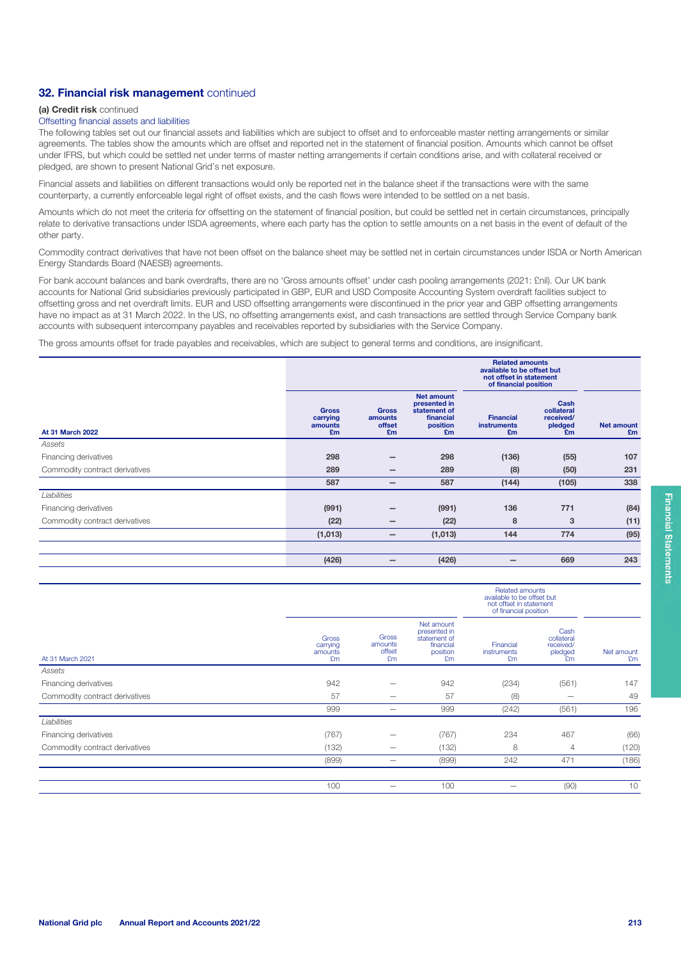# (a) Credit risk continued

#### Offsetting financial assets and liabilities

The following tables set out our financial assets and liabilities which are subject to offset and to enforceable master netting arrangements or similar agreements. The tables show the amounts which are offset and reported net in the statement of financial position. Amounts which cannot be offset under IFRS, but which could be settled net under terms of master netting arrangements if certain conditions arise, and with collateral received or pledged, are shown to present National Grid's net exposure.

Financial assets and liabilities on different transactions would only be reported net in the balance sheet if the transactions were with the same counterparty, a currently enforceable legal right of offset exists, and the cash flows were intended to be settled on a net basis.

Amounts which do not meet the criteria for offsetting on the statement of financial position, but could be settled net in certain circumstances, principally relate to derivative transactions under ISDA agreements, where each party has the option to settle amounts on a net basis in the event of default of the other party.

Commodity contract derivatives that have not been offset on the balance sheet may be settled net in certain circumstances under ISDA or North American Energy Standards Board (NAESB) agreements.

For bank account balances and bank overdrafts, there are no 'Gross amounts offset' under cash pooling arrangements (2021: £nil). Our UK bank accounts for National Grid subsidiaries previously participated in GBP, EUR and USD Composite Accounting System overdraft facilities subject to offsetting gross and net overdraft limits. EUR and USD offsetting arrangements were discontinued in the prior year and GBP offsetting arrangements have no impact as at 31 March 2022. In the US, no offsetting arrangements exist, and cash transactions are settled through Service Company bank accounts with subsequent intercompany payables and receivables reported by subsidiaries with the Service Company.

The gross amounts offset for trade payables and receivables, which are subject to general terms and conditions, are insignificant.

|                                |                                           |                                         |                                                                                  | <b>Related amounts</b><br>available to be offset but<br>not offset in statement<br>of financial position |                                                  |                  |  |
|--------------------------------|-------------------------------------------|-----------------------------------------|----------------------------------------------------------------------------------|----------------------------------------------------------------------------------------------------------|--------------------------------------------------|------------------|--|
| At 31 March 2022               | <b>Gross</b><br>carrying<br>amounts<br>£m | <b>Gross</b><br>amounts<br>offset<br>£m | <b>Net amount</b><br>presented in<br>statement of<br>financial<br>position<br>£m | <b>Financial</b><br><b>instruments</b><br>£m                                                             | Cash<br>collateral<br>received/<br>pledged<br>£m | Net amount<br>£m |  |
| Assets                         |                                           |                                         |                                                                                  |                                                                                                          |                                                  |                  |  |
| Financing derivatives          | 298                                       |                                         | 298                                                                              | (136)                                                                                                    | (55)                                             | 107              |  |
| Commodity contract derivatives | 289                                       |                                         | 289                                                                              | (8)                                                                                                      | (50)                                             | 231              |  |
|                                | 587                                       |                                         | 587                                                                              | (144)                                                                                                    | (105)                                            | 338              |  |
| Liabilities                    |                                           |                                         |                                                                                  |                                                                                                          |                                                  |                  |  |
| Financing derivatives          | (991)                                     |                                         | (991)                                                                            | 136                                                                                                      | 771                                              | (84)             |  |
| Commodity contract derivatives | (22)                                      |                                         | (22)                                                                             | 8                                                                                                        | 3                                                | (11)             |  |
|                                | (1,013)                                   | $\qquad \qquad$                         | (1,013)                                                                          | 144                                                                                                      | 774                                              | (95)             |  |
|                                |                                           |                                         |                                                                                  |                                                                                                          |                                                  |                  |  |
|                                | (426)                                     |                                         | (426)                                                                            | -                                                                                                        | 669                                              | 243              |  |

|                                |                                           |                                         |                                                                           | Related amounts<br>available to be offset but<br>not offset in statement<br>of financial position |                                                  |                  |
|--------------------------------|-------------------------------------------|-----------------------------------------|---------------------------------------------------------------------------|---------------------------------------------------------------------------------------------------|--------------------------------------------------|------------------|
| At 31 March 2021               | <b>Gross</b><br>carrying<br>amounts<br>£m | <b>Gross</b><br>amounts<br>offset<br>£m | Net amount<br>presented in<br>statement of<br>financial<br>position<br>£m | Financial<br>instruments<br>£m                                                                    | Cash<br>collateral<br>received/<br>pledged<br>£m | Net amount<br>£m |
| Assets                         |                                           |                                         |                                                                           |                                                                                                   |                                                  |                  |
| Financing derivatives          | 942                                       | $\overline{\phantom{0}}$                | 942                                                                       | (234)                                                                                             | (561)                                            | 147              |
| Commodity contract derivatives | 57                                        |                                         | 57                                                                        | (8)                                                                                               |                                                  | 49               |
|                                | 999                                       | -                                       | 999                                                                       | (242)                                                                                             | (561)                                            | 196              |
| Liabilities                    |                                           |                                         |                                                                           |                                                                                                   |                                                  |                  |
| Financing derivatives          | (767)                                     |                                         | (767)                                                                     | 234                                                                                               | 467                                              | (66)             |
| Commodity contract derivatives | (132)                                     | $\overline{\phantom{0}}$                | (132)                                                                     | 8                                                                                                 | $\overline{4}$                                   | (120)            |
|                                | (899)                                     |                                         | (899)                                                                     | 242                                                                                               | 471                                              | (186)            |
|                                | 100                                       | -                                       | 100                                                                       | -                                                                                                 | (90)                                             | 10               |
|                                |                                           |                                         |                                                                           |                                                                                                   |                                                  |                  |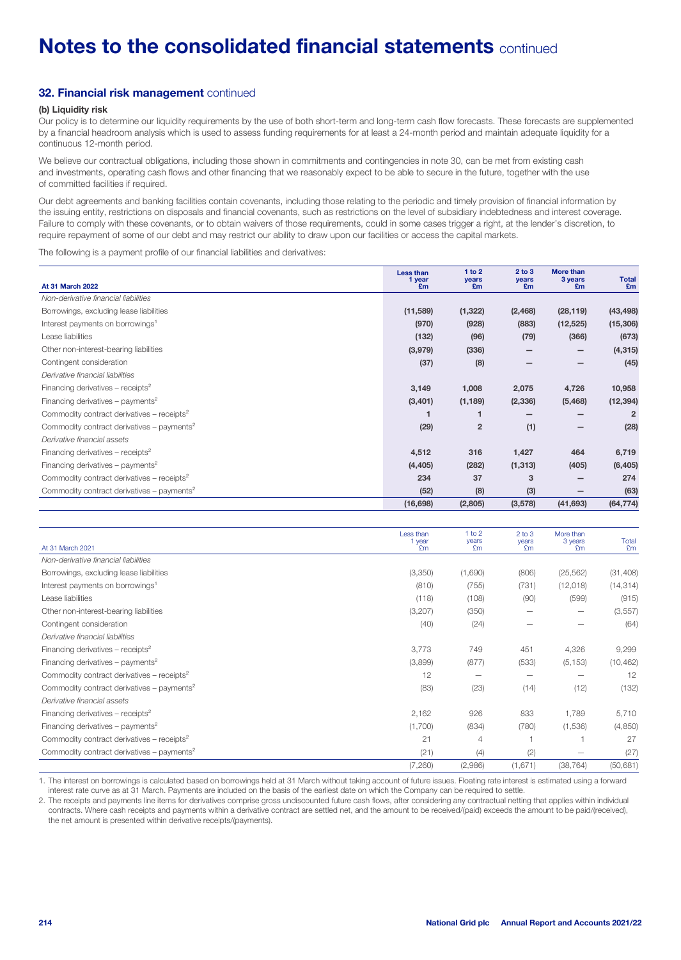# 32. Financial risk management continued

#### (b) Liquidity risk

Our policy is to determine our liquidity requirements by the use of both short-term and long-term cash flow forecasts. These forecasts are supplemented by a financial headroom analysis which is used to assess funding requirements for at least a 24-month period and maintain adequate liquidity for a continuous 12-month period.

We believe our contractual obligations, including those shown in commitments and contingencies in note 30, can be met from existing cash and investments, operating cash flows and other financing that we reasonably expect to be able to secure in the future, together with the use of committed facilities if required.

Our debt agreements and banking facilities contain covenants, including those relating to the periodic and timely provision of financial information by the issuing entity, restrictions on disposals and financial covenants, such as restrictions on the level of subsidiary indebtedness and interest coverage. Failure to comply with these covenants, or to obtain waivers of those requirements, could in some cases trigger a right, at the lender's discretion, to require repayment of some of our debt and may restrict our ability to draw upon our facilities or access the capital markets.

The following is a payment profile of our financial liabilities and derivatives:

|                                                        | Less than<br>1 year | 1 to 2<br>years | 2 to 3<br>years | More than<br>3 years | <b>Total</b>   |
|--------------------------------------------------------|---------------------|-----------------|-----------------|----------------------|----------------|
| <b>At 31 March 2022</b>                                | £m                  | £m              | £m              | £m                   | £m             |
| Non-derivative financial liabilities                   |                     |                 |                 |                      |                |
| Borrowings, excluding lease liabilities                | (11, 589)           | (1, 322)        | (2, 468)        | (28, 119)            | (43, 498)      |
| Interest payments on borrowings <sup>1</sup>           | (970)               | (928)           | (883)           | (12, 525)            | (15,306)       |
| Lease liabilities                                      | (132)               | (96)            | (79)            | (366)                | (673)          |
| Other non-interest-bearing liabilities                 | (3,979)             | (336)           |                 | —                    | (4, 315)       |
| Contingent consideration                               | (37)                | (8)             |                 |                      | (45)           |
| Derivative financial liabilities                       |                     |                 |                 |                      |                |
| Financing derivatives – receipts <sup>2</sup>          | 3,149               | 1,008           | 2,075           | 4,726                | 10,958         |
| Financing derivatives – payments <sup>2</sup>          | (3,401)             | (1, 189)        | (2, 336)        | (5, 468)             | (12, 394)      |
| Commodity contract derivatives – receipts <sup>2</sup> |                     |                 |                 |                      | $\overline{2}$ |
| Commodity contract derivatives – payments <sup>2</sup> | (29)                | $\overline{2}$  | (1)             | —                    | (28)           |
| Derivative financial assets                            |                     |                 |                 |                      |                |
| Financing derivatives – receipts <sup>2</sup>          | 4,512               | 316             | 1,427           | 464                  | 6,719          |
| Financing derivatives – payments <sup>2</sup>          | (4, 405)            | (282)           | (1, 313)        | (405)                | (6, 405)       |
| Commodity contract derivatives – receipts <sup>2</sup> | 234                 | 37              | 3               | —                    | 274            |
| Commodity contract derivatives – payments <sup>2</sup> | (52)                | (8)             | (3)             | —                    | (63)           |
|                                                        | (16, 698)           | (2,805)         | (3,578)         | (41, 693)            | (64, 774)      |

| At 31 March 2021                                       | Less than<br>1 year<br>£m | 1 to 2<br>years<br>£m | $2$ to $3$<br>years<br>£m | More than<br>3 years<br>£m | Total<br>£m |
|--------------------------------------------------------|---------------------------|-----------------------|---------------------------|----------------------------|-------------|
| Non-derivative financial liabilities                   |                           |                       |                           |                            |             |
| Borrowings, excluding lease liabilities                | (3,350)                   | (1,690)               | (806)                     | (25, 562)                  | (31, 408)   |
| Interest payments on borrowings <sup>1</sup>           | (810)                     | (755)                 | (731)                     | (12,018)                   | (14, 314)   |
| Lease liabilities                                      | (118)                     | (108)                 | (90)                      | (599)                      | (915)       |
| Other non-interest-bearing liabilities                 | (3,207)                   | (350)                 | -                         | -                          | (3, 557)    |
| Contingent consideration                               | (40)                      | (24)                  |                           |                            | (64)        |
| Derivative financial liabilities                       |                           |                       |                           |                            |             |
| Financing derivatives – receipts <sup>2</sup>          | 3,773                     | 749                   | 451                       | 4,326                      | 9,299       |
| Financing derivatives – payments <sup>2</sup>          | (3,899)                   | (877)                 | (533)                     | (5, 153)                   | (10, 462)   |
| Commodity contract derivatives – receipts <sup>2</sup> | 12                        |                       |                           |                            | 12          |
| Commodity contract derivatives – payments <sup>2</sup> | (83)                      | (23)                  | (14)                      | (12)                       | (132)       |
| Derivative financial assets                            |                           |                       |                           |                            |             |
| Financing derivatives – receipts <sup>2</sup>          | 2,162                     | 926                   | 833                       | 1,789                      | 5,710       |
| Financing derivatives - payments <sup>2</sup>          | (1,700)                   | (834)                 | (780)                     | (1,536)                    | (4,850)     |
| Commodity contract derivatives – receipts <sup>2</sup> | 21                        | 4                     |                           |                            | 27          |
| Commodity contract derivatives – payments <sup>2</sup> | (21)                      | (4)                   | (2)                       |                            | (27)        |
|                                                        | (7,260)                   | (2,986)               | (1,671)                   | (38, 764)                  | (50,681)    |

1. The interest on borrowings is calculated based on borrowings held at 31 March without taking account of future issues. Floating rate interest is estimated using a forward

interest rate curve as at 31 March. Payments are included on the basis of the earliest date on which the Company can be required to settle.

2. The receipts and payments line items for derivatives comprise gross undiscounted future cash flows, after considering any contractual netting that applies within individual contracts. Where cash receipts and payments within a derivative contract are settled net, and the amount to be received/(paid) exceeds the amount to be paid/(received), the net amount is presented within derivative receipts/(payments).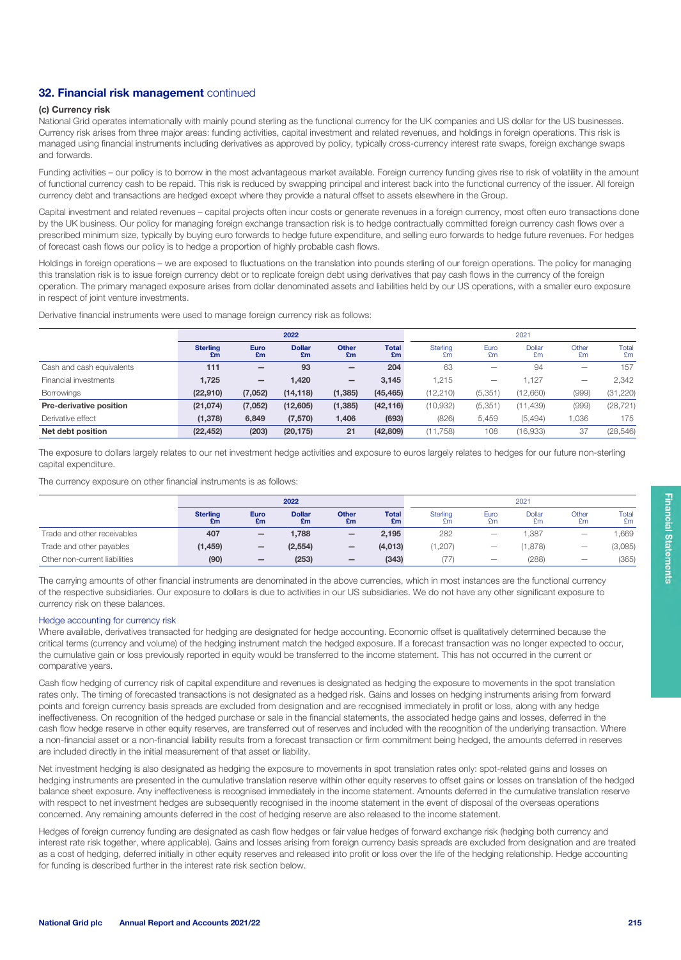### (c) Currency risk

National Grid operates internationally with mainly pound sterling as the functional currency for the UK companies and US dollar for the US businesses. Currency risk arises from three major areas: funding activities, capital investment and related revenues, and holdings in foreign operations. This risk is managed using financial instruments including derivatives as approved by policy, typically cross-currency interest rate swaps, foreign exchange swaps and forwards.

Funding activities – our policy is to borrow in the most advantageous market available. Foreign currency funding gives rise to risk of volatility in the amount of functional currency cash to be repaid. This risk is reduced by swapping principal and interest back into the functional currency of the issuer. All foreign currency debt and transactions are hedged except where they provide a natural offset to assets elsewhere in the Group.

Capital investment and related revenues – capital projects often incur costs or generate revenues in a foreign currency, most often euro transactions done by the UK business. Our policy for managing foreign exchange transaction risk is to hedge contractually committed foreign currency cash flows over a prescribed minimum size, typically by buying euro forwards to hedge future expenditure, and selling euro forwards to hedge future revenues. For hedges of forecast cash flows our policy is to hedge a proportion of highly probable cash flows.

Holdings in foreign operations – we are exposed to fluctuations on the translation into pounds sterling of our foreign operations. The policy for managing this translation risk is to issue foreign currency debt or to replicate foreign debt using derivatives that pay cash flows in the currency of the foreign operation. The primary managed exposure arises from dollar denominated assets and liabilities held by our US operations, with a smaller euro exposure in respect of joint venture investments.

Derivative financial instruments were used to manage foreign currency risk as follows:

|                           |                       | 2022                     |                     |                    |             | 2021           |                          |                     |                          |             |
|---------------------------|-----------------------|--------------------------|---------------------|--------------------|-------------|----------------|--------------------------|---------------------|--------------------------|-------------|
|                           | <b>Sterling</b><br>£m | <b>Euro</b><br>£m        | <b>Dollar</b><br>£m | <b>Other</b><br>£m | Total<br>£m | Sterling<br>£m | Euro<br>£m               | <b>Dollar</b><br>£m | Other<br>£m              | Total<br>£m |
| Cash and cash equivalents | 111                   | $\qquad \qquad -$        | 93                  | —                  | 204         | 63             | -                        | 94                  |                          | 157         |
| Financial investments     | 1.725                 | $\overline{\phantom{m}}$ | 1.420               | —                  | 3.145       | 1,215          | $\overline{\phantom{a}}$ | 1,127               | $\overline{\phantom{0}}$ | 2.342       |
| <b>Borrowings</b>         | (22, 910)             | (7,052)                  | (14, 118)           | (1, 385)           | (45, 465)   | (12, 210)      | (5, 351)                 | (12,660)            | (999)                    | (31, 220)   |
| Pre-derivative position   | (21, 074)             | (7,052)                  | (12,605)            | (1, 385)           | (42, 116)   | (10, 932)      | (5, 351)                 | (11, 439)           | (999)                    | (28, 721)   |
| Derivative effect         | (1, 378)              | 6,849                    | (7,570)             | 1,406              | (693)       | (826)          | 5,459                    | (5,494)             | ,036                     | 175         |
| Net debt position         | (22, 452)             | (203)                    | (20, 175)           | 21                 | (42, 809)   | (11, 758)      | 108                      | (16,933)            | 37                       | (28, 546)   |

The exposure to dollars largely relates to our net investment hedge activities and exposure to euros largely relates to hedges for our future non-sterling capital expenditure.

The currency exposure on other financial instruments is as follows:

|                               | 2022                  |            |                     |                          | 2021               |                       |            |                     |                                                                           |             |
|-------------------------------|-----------------------|------------|---------------------|--------------------------|--------------------|-----------------------|------------|---------------------|---------------------------------------------------------------------------|-------------|
|                               | <b>Sterling</b><br>£m | Euro<br>£m | <b>Dollar</b><br>£m | <b>Other</b><br>£m       | <b>Total</b><br>£m | <b>Sterling</b><br>£m | Euro<br>£m | <b>Dollar</b><br>£m | Other<br>£m                                                               | Total<br>£m |
| Trade and other receivables   | 407                   |            | 1,788               |                          | 2.195              | 282                   |            | .387                | $\hspace{1.0cm} \rule{1.5cm}{0.15cm} \hspace{1.0cm} \rule{1.5cm}{0.15cm}$ | .669        |
| Trade and other payables      | (1, 459)              | -          | (2, 554)            |                          | (4,013)            | (1, 207)              | -          | 1.878)              | $\overline{\phantom{a}}$                                                  | (3,085)     |
| Other non-current liabilities | (90)                  |            | (253)               | $\overline{\phantom{0}}$ | (343)              |                       | -          | (288)               | $\overline{\phantom{a}}$                                                  | (365)       |

The carrying amounts of other financial instruments are denominated in the above currencies, which in most instances are the functional currency of the respective subsidiaries. Our exposure to dollars is due to activities in our US subsidiaries. We do not have any other significant exposure to currency risk on these balances.

#### Hedge accounting for currency risk

Where available, derivatives transacted for hedging are designated for hedge accounting. Economic offset is qualitatively determined because the critical terms (currency and volume) of the hedging instrument match the hedged exposure. If a forecast transaction was no longer expected to occur, the cumulative gain or loss previously reported in equity would be transferred to the income statement. This has not occurred in the current or comparative years.

Cash flow hedging of currency risk of capital expenditure and revenues is designated as hedging the exposure to movements in the spot translation rates only. The timing of forecasted transactions is not designated as a hedged risk. Gains and losses on hedging instruments arising from forward points and foreign currency basis spreads are excluded from designation and are recognised immediately in profit or loss, along with any hedge ineffectiveness. On recognition of the hedged purchase or sale in the financial statements, the associated hedge gains and losses, deferred in the cash flow hedge reserve in other equity reserves, are transferred out of reserves and included with the recognition of the underlying transaction. Where a non-financial asset or a non-financial liability results from a forecast transaction or firm commitment being hedged, the amounts deferred in reserves are included directly in the initial measurement of that asset or liability.

Net investment hedging is also designated as hedging the exposure to movements in spot translation rates only: spot-related gains and losses on hedging instruments are presented in the cumulative translation reserve within other equity reserves to offset gains or losses on translation of the hedged balance sheet exposure. Any ineffectiveness is recognised immediately in the income statement. Amounts deferred in the cumulative translation reserve with respect to net investment hedges are subsequently recognised in the income statement in the event of disposal of the overseas operations concerned. Any remaining amounts deferred in the cost of hedging reserve are also released to the income statement.

Hedges of foreign currency funding are designated as cash flow hedges or fair value hedges of forward exchange risk (hedging both currency and interest rate risk together, where applicable). Gains and losses arising from foreign currency basis spreads are excluded from designation and are treated as a cost of hedging, deferred initially in other equity reserves and released into profit or loss over the life of the hedging relationship. Hedge accounting for funding is described further in the interest rate risk section below.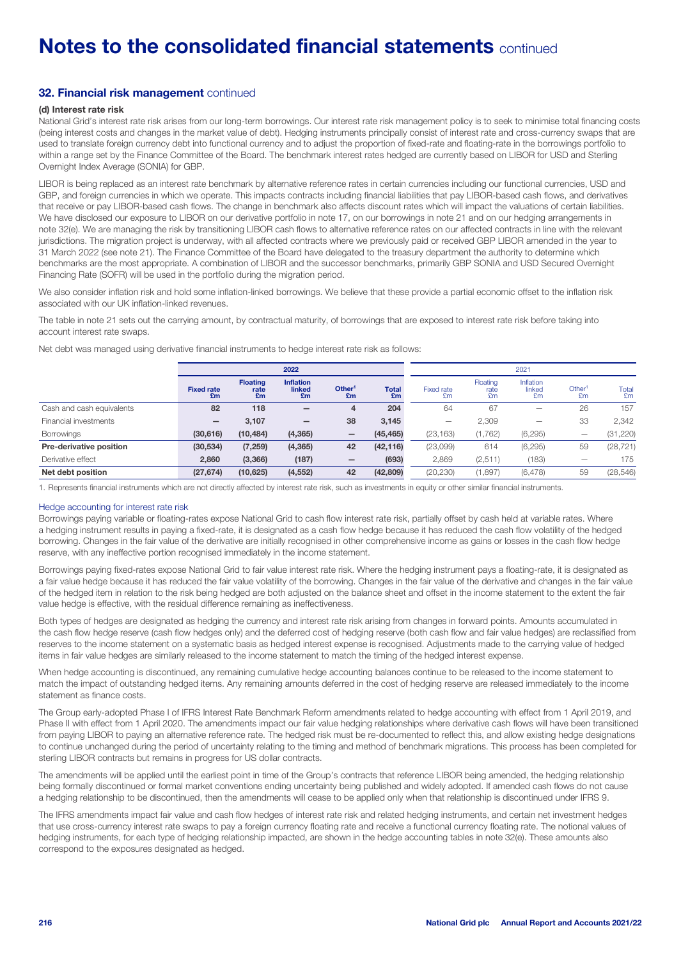# 32. Financial risk management continued

### (d) Interest rate risk

National Grid's interest rate risk arises from our long-term borrowings. Our interest rate risk management policy is to seek to minimise total financing costs (being interest costs and changes in the market value of debt). Hedging instruments principally consist of interest rate and cross-currency swaps that are used to translate foreign currency debt into functional currency and to adjust the proportion of fixed-rate and floating-rate in the borrowings portfolio to within a range set by the Finance Committee of the Board. The benchmark interest rates hedged are currently based on LIBOR for USD and Sterling Overnight Index Average (SONIA) for GBP.

LIBOR is being replaced as an interest rate benchmark by alternative reference rates in certain currencies including our functional currencies, USD and GBP, and foreign currencies in which we operate. This impacts contracts including financial liabilities that pay LIBOR-based cash flows, and derivatives that receive or pay LIBOR-based cash flows. The change in benchmark also affects discount rates which will impact the valuations of certain liabilities. We have disclosed our exposure to LIBOR on our derivative portfolio in note 17, on our borrowings in note 21 and on our hedging arrangements in note 32(e). We are managing the risk by transitioning LIBOR cash flows to alternative reference rates on our affected contracts in line with the relevant jurisdictions. The migration project is underway, with all affected contracts where we previously paid or received GBP LIBOR amended in the year to 31 March 2022 (see note 21). The Finance Committee of the Board have delegated to the treasury department the authority to determine which benchmarks are the most appropriate. A combination of LIBOR and the successor benchmarks, primarily GBP SONIA and USD Secured Overnight Financing Rate (SOFR) will be used in the portfolio during the migration period.

We also consider inflation risk and hold some inflation-linked borrowings. We believe that these provide a partial economic offset to the inflation risk associated with our UK inflation-linked revenues.

The table in note 21 sets out the carrying amount, by contractual maturity, of borrowings that are exposed to interest rate risk before taking into account interest rate swaps.

|                           |                         | 2022                          |                                  |                          |                    |                          |                        | 2021                      |                          |             |
|---------------------------|-------------------------|-------------------------------|----------------------------------|--------------------------|--------------------|--------------------------|------------------------|---------------------------|--------------------------|-------------|
|                           | <b>Fixed rate</b><br>£m | <b>Floating</b><br>rate<br>£m | <b>Inflation</b><br>linked<br>£m | Other <sup>1</sup><br>£m | <b>Total</b><br>£m | Fixed rate<br>£m         | Floating<br>rate<br>£m | Inflation<br>linked<br>£m | Other <sup>1</sup><br>£m | Total<br>£m |
| Cash and cash equivalents | 82                      | 118                           | —                                | 4                        | 204                | 64                       | 67                     | -                         | 26                       | 157         |
| Financial investments     |                         | 3,107                         |                                  | 38                       | 3.145              | $\overline{\phantom{a}}$ | 2.309                  |                           | 33                       | 2.342       |
| <b>Borrowings</b>         | (30, 616)               | (10, 484)                     | (4, 365)                         | —                        | (45, 465)          | (23, 163)                | (1,762)                | (6, 295)                  |                          | (31, 220)   |
| Pre-derivative position   | (30, 534)               | (7, 259)                      | (4, 365)                         | 42                       | (42, 116)          | (23,099)                 | 614                    | (6, 295)                  | 59                       | (28, 721)   |
| Derivative effect         | 2,860                   | (3,366)                       | (187)                            |                          | (693)              | 2,869                    | (2,511)                | (183)                     | -                        | 175         |
| Net debt position         | (27, 674)               | (10, 625)                     | (4, 552)                         | 42                       | (42, 809)          | (20, 230)                | (1, 897)               | (6, 478)                  | 59                       | (28, 546)   |

Net debt was managed using derivative financial instruments to hedge interest rate risk as follows:

1. Represents financial instruments which are not directly affected by interest rate risk, such as investments in equity or other similar financial instruments.

#### Hedge accounting for interest rate risk

Borrowings paying variable or floating-rates expose National Grid to cash flow interest rate risk, partially offset by cash held at variable rates. Where a hedging instrument results in paying a fixed-rate, it is designated as a cash flow hedge because it has reduced the cash flow volatility of the hedged borrowing. Changes in the fair value of the derivative are initially recognised in other comprehensive income as gains or losses in the cash flow hedge reserve, with any ineffective portion recognised immediately in the income statement.

Borrowings paying fixed-rates expose National Grid to fair value interest rate risk. Where the hedging instrument pays a floating-rate, it is designated as a fair value hedge because it has reduced the fair value volatility of the borrowing. Changes in the fair value of the derivative and changes in the fair value of the hedged item in relation to the risk being hedged are both adjusted on the balance sheet and offset in the income statement to the extent the fair value hedge is effective, with the residual difference remaining as ineffectiveness.

Both types of hedges are designated as hedging the currency and interest rate risk arising from changes in forward points. Amounts accumulated in the cash flow hedge reserve (cash flow hedges only) and the deferred cost of hedging reserve (both cash flow and fair value hedges) are reclassified from reserves to the income statement on a systematic basis as hedged interest expense is recognised. Adjustments made to the carrying value of hedged items in fair value hedges are similarly released to the income statement to match the timing of the hedged interest expense.

When hedge accounting is discontinued, any remaining cumulative hedge accounting balances continue to be released to the income statement to match the impact of outstanding hedged items. Any remaining amounts deferred in the cost of hedging reserve are released immediately to the income statement as finance costs.

The Group early-adopted Phase I of IFRS Interest Rate Benchmark Reform amendments related to hedge accounting with effect from 1 April 2019, and Phase II with effect from 1 April 2020. The amendments impact our fair value hedging relationships where derivative cash flows will have been transitioned from paying LIBOR to paying an alternative reference rate. The hedged risk must be re-documented to reflect this, and allow existing hedge designations to continue unchanged during the period of uncertainty relating to the timing and method of benchmark migrations. This process has been completed for sterling LIBOR contracts but remains in progress for US dollar contracts.

The amendments will be applied until the earliest point in time of the Group's contracts that reference LIBOR being amended, the hedging relationship being formally discontinued or formal market conventions ending uncertainty being published and widely adopted. If amended cash flows do not cause a hedging relationship to be discontinued, then the amendments will cease to be applied only when that relationship is discontinued under IFRS 9.

The IFRS amendments impact fair value and cash flow hedges of interest rate risk and related hedging instruments, and certain net investment hedges that use cross-currency interest rate swaps to pay a foreign currency floating rate and receive a functional currency floating rate. The notional values of hedging instruments, for each type of hedging relationship impacted, are shown in the hedge accounting tables in note 32(e). These amounts also correspond to the exposures designated as hedged.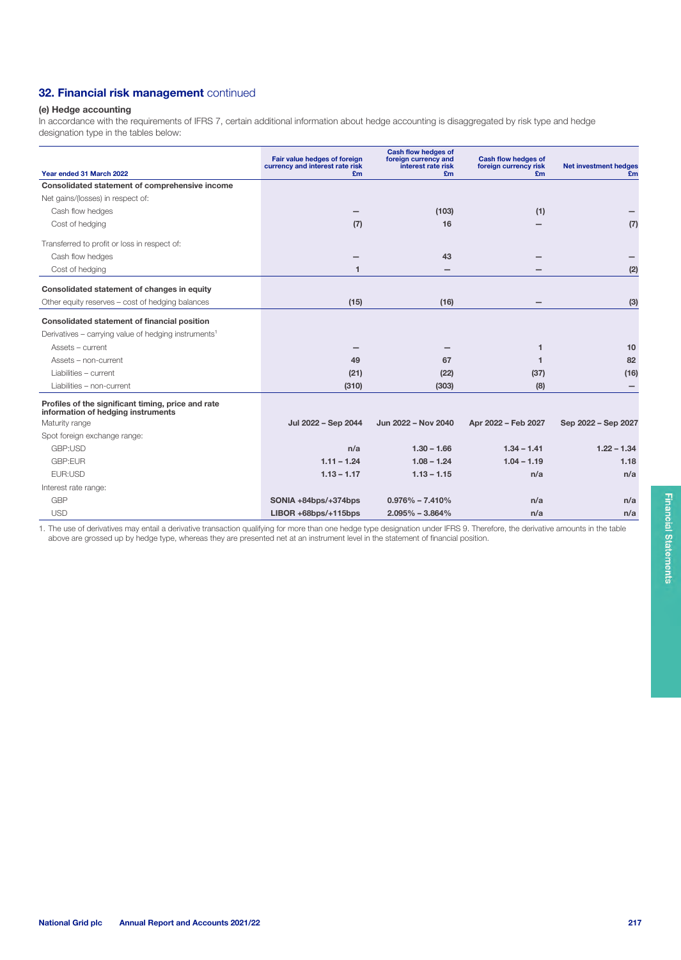# (e) Hedge accounting

In accordance with the requirements of IFRS 7, certain additional information about hedge accounting is disaggregated by risk type and hedge designation type in the tables below:

|                                                                                          | Fair value hedges of foreign<br>currency and interest rate risk | Cash flow hedges of<br>foreign currency and<br>interest rate risk | <b>Cash flow hedges of</b><br>foreign currency risk | <b>Net investment hedges</b> |
|------------------------------------------------------------------------------------------|-----------------------------------------------------------------|-------------------------------------------------------------------|-----------------------------------------------------|------------------------------|
| Year ended 31 March 2022                                                                 | £m                                                              | £m                                                                | £m                                                  | £m                           |
| Consolidated statement of comprehensive income                                           |                                                                 |                                                                   |                                                     |                              |
| Net gains/(losses) in respect of:                                                        |                                                                 |                                                                   |                                                     |                              |
| Cash flow hedges                                                                         |                                                                 | (103)                                                             | (1)                                                 |                              |
| Cost of hedging                                                                          | (7)                                                             | 16                                                                |                                                     | (7)                          |
| Transferred to profit or loss in respect of:                                             |                                                                 |                                                                   |                                                     |                              |
| Cash flow hedges                                                                         |                                                                 | 43                                                                |                                                     |                              |
| Cost of hedging                                                                          | $\overline{1}$                                                  |                                                                   |                                                     | (2)                          |
| Consolidated statement of changes in equity                                              |                                                                 |                                                                   |                                                     |                              |
| Other equity reserves - cost of hedging balances                                         | (15)                                                            | (16)                                                              |                                                     | (3)                          |
| Consolidated statement of financial position                                             |                                                                 |                                                                   |                                                     |                              |
| Derivatives – carrying value of hedging instruments <sup>1</sup>                         |                                                                 |                                                                   |                                                     |                              |
| Assets - current                                                                         |                                                                 |                                                                   | $\mathbf{1}$                                        | 10                           |
| Assets - non-current                                                                     | 49                                                              | 67                                                                | 1                                                   | 82                           |
| Liabilities - current                                                                    | (21)                                                            | (22)                                                              | (37)                                                | (16)                         |
| Liabilities - non-current                                                                | (310)                                                           | (303)                                                             | (8)                                                 |                              |
| Profiles of the significant timing, price and rate<br>information of hedging instruments |                                                                 |                                                                   |                                                     |                              |
| Maturity range                                                                           | Jul 2022 - Sep 2044                                             | Jun 2022 - Nov 2040                                               | Apr 2022 - Feb 2027                                 | Sep 2022 - Sep 2027          |
| Spot foreign exchange range:                                                             |                                                                 |                                                                   |                                                     |                              |
| GBP:USD                                                                                  | n/a                                                             | $1.30 - 1.66$                                                     | $1.34 - 1.41$                                       | $1.22 - 1.34$                |
| <b>GBP:EUR</b>                                                                           | $1.11 - 1.24$                                                   | $1.08 - 1.24$                                                     | $1.04 - 1.19$                                       | 1.18                         |
| EUR:USD                                                                                  | $1.13 - 1.17$                                                   | $1.13 - 1.15$                                                     | n/a                                                 | n/a                          |
| Interest rate range:                                                                     |                                                                 |                                                                   |                                                     |                              |
| GBP                                                                                      | SONIA +84bps/+374bps                                            | $0.976\% - 7.410\%$                                               | n/a                                                 | n/a                          |
| <b>USD</b>                                                                               | LIBOR +68bps/+115bps                                            | $2.095\% - 3.864\%$                                               | n/a                                                 | n/a                          |

1. The use of derivatives may entail a derivative transaction qualifying for more than one hedge type designation under IFRS 9. Therefore, the derivative amounts in the table above are grossed up by hedge type, whereas they are presented net at an instrument level in the statement of financial position.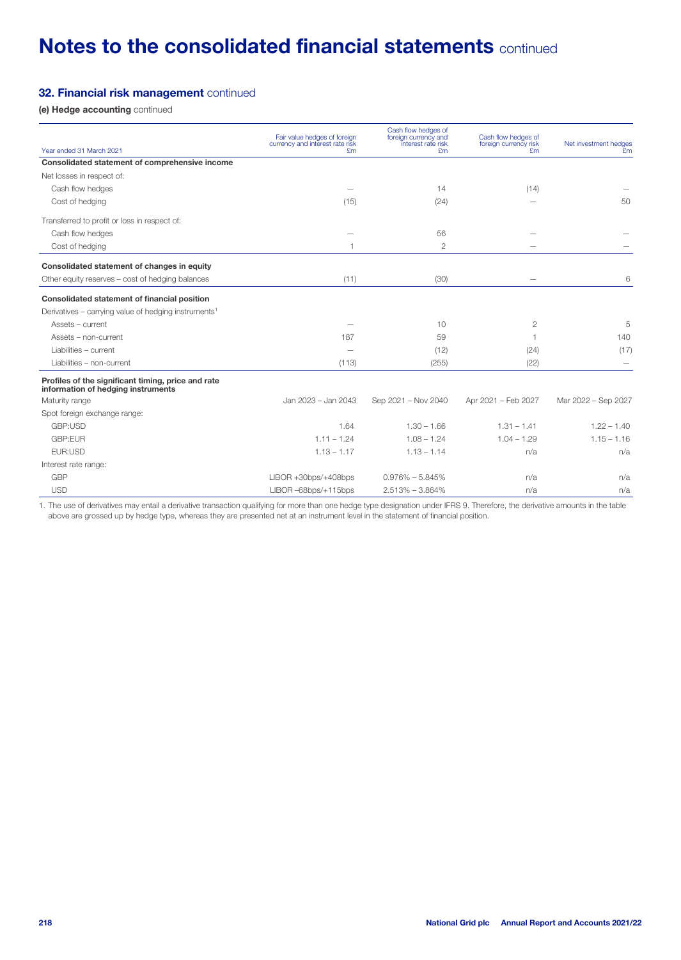# 32. Financial risk management continued

(e) Hedge accounting continued

|                                                                                          | Fair value hedges of foreign<br>currency and interest rate risk | Cash flow hedges of<br>foreign currency and<br>interest rate risk | Cash flow hedges of<br>foreign currency risk | Net investment hedges |
|------------------------------------------------------------------------------------------|-----------------------------------------------------------------|-------------------------------------------------------------------|----------------------------------------------|-----------------------|
| Year ended 31 March 2021                                                                 | F <sub>m</sub>                                                  | <b>f</b> m                                                        | F <sub>m</sub>                               | Ŧт                    |
| Consolidated statement of comprehensive income                                           |                                                                 |                                                                   |                                              |                       |
| Net losses in respect of:                                                                |                                                                 |                                                                   |                                              |                       |
| Cash flow hedges                                                                         |                                                                 | 14                                                                | (14)                                         |                       |
| Cost of hedging                                                                          | (15)                                                            | (24)                                                              |                                              | 50                    |
| Transferred to profit or loss in respect of:                                             |                                                                 |                                                                   |                                              |                       |
| Cash flow hedges                                                                         |                                                                 | 56                                                                |                                              |                       |
| Cost of hedging                                                                          | 1                                                               | $\overline{2}$                                                    |                                              |                       |
| Consolidated statement of changes in equity                                              |                                                                 |                                                                   |                                              |                       |
| Other equity reserves - cost of hedging balances                                         | (11)                                                            | (30)                                                              |                                              | 6                     |
| Consolidated statement of financial position                                             |                                                                 |                                                                   |                                              |                       |
| Derivatives - carrying value of hedging instruments <sup>1</sup>                         |                                                                 |                                                                   |                                              |                       |
| Assets - current                                                                         |                                                                 | 10                                                                | $\overline{2}$                               | 5                     |
| Assets - non-current                                                                     | 187                                                             | 59                                                                | 1                                            | 140                   |
| Liabilities - current                                                                    |                                                                 | (12)                                                              | (24)                                         | (17)                  |
| Liabilities - non-current                                                                | (113)                                                           | (255)                                                             | (22)                                         |                       |
| Profiles of the significant timing, price and rate<br>information of hedging instruments |                                                                 |                                                                   |                                              |                       |
| Maturity range                                                                           | Jan 2023 - Jan 2043                                             | Sep 2021 - Nov 2040                                               | Apr 2021 - Feb 2027                          | Mar 2022 - Sep 2027   |
| Spot foreign exchange range:                                                             |                                                                 |                                                                   |                                              |                       |
| GBP:USD                                                                                  | 1.64                                                            | $1.30 - 1.66$                                                     | $1.31 - 1.41$                                | $1.22 - 1.40$         |
| <b>GBP:FUR</b>                                                                           | $1.11 - 1.24$                                                   | $1.08 - 1.24$                                                     | $1.04 - 1.29$                                | $1.15 - 1.16$         |
| EUR:USD                                                                                  | $1.13 - 1.17$                                                   | $1.13 - 1.14$                                                     | n/a                                          | n/a                   |
| Interest rate range:                                                                     |                                                                 |                                                                   |                                              |                       |
| GBP                                                                                      | LIBOR +30bps/+408bps                                            | $0.976\% - 5.845\%$                                               | n/a                                          | n/a                   |
| <b>USD</b>                                                                               | LIBOR-68bps/+115bps                                             | $2.513\% - 3.864\%$                                               | n/a                                          | n/a                   |

1. The use of derivatives may entail a derivative transaction qualifying for more than one hedge type designation under IFRS 9. Therefore, the derivative amounts in the table above are grossed up by hedge type, whereas they are presented net at an instrument level in the statement of financial position.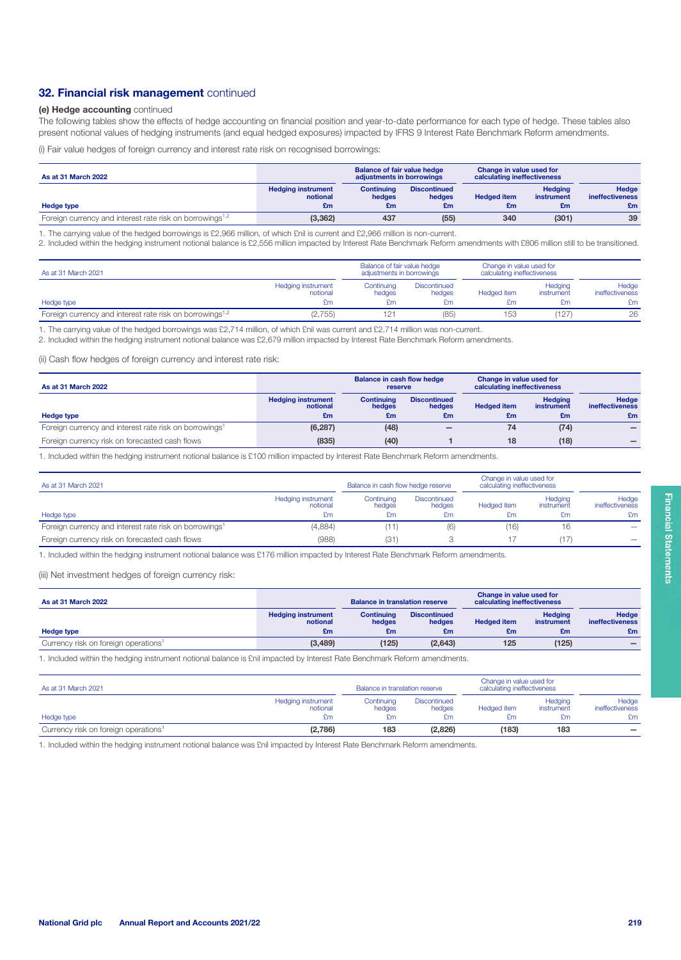### (e) Hedge accounting continued

The following tables show the effects of hedge accounting on financial position and year-to-date performance for each type of hedge. These tables also present notional values of hedging instruments (and equal hedged exposures) impacted by IFRS 9 Interest Rate Benchmark Reform amendments.

(i) Fair value hedges of foreign currency and interest rate risk on recognised borrowings:

| As at 31 March 2022                                                  |                                       | Balance of fair value hedge<br>adjustments in borrowings |                               | Change in value used for<br>calculating ineffectiveness |                              |                                        |
|----------------------------------------------------------------------|---------------------------------------|----------------------------------------------------------|-------------------------------|---------------------------------------------------------|------------------------------|----------------------------------------|
|                                                                      | <b>Hedging instrument</b><br>notional | <b>Continuing</b><br>hedges                              | <b>Discontinued</b><br>hedges | <b>Hedged item</b>                                      | <b>Hedaina</b><br>instrument | <b>Hedge</b><br><i>ineffectiveness</i> |
| <b>Hedge type</b>                                                    | £m                                    | £m                                                       | £m                            | £m                                                      | £m                           | £m                                     |
| Foreign currency and interest rate risk on borrowings <sup>1,2</sup> | (3, 362)                              | 437                                                      | (55)                          | 340                                                     | (301)                        | 39                                     |

1. The carrying value of the hedged borrowings is £2,966 million, of which £nil is current and £2,966 million is non-current.

2. Included within the hedging instrument notional balance is £2,556 million impacted by Interest Rate Benchmark Reform amendments with £806 million still to be transitioned.

| As at 31 March 2021                                                  |                                             | Balance of fair value hedge<br>adjustments in borrowings |                                     | Change in value used for<br>calculating ineffectiveness |                             |                                |
|----------------------------------------------------------------------|---------------------------------------------|----------------------------------------------------------|-------------------------------------|---------------------------------------------------------|-----------------------------|--------------------------------|
| Hedge type                                                           | <b>Hedging instrument</b><br>notional<br>£m | Continuing<br>hedges<br>£m                               | <b>Discontinued</b><br>hedges<br>£m | Hedged item<br>£m                                       | Hedging<br>instrument<br>£m | Hedge<br>ineffectiveness<br>£m |
|                                                                      |                                             |                                                          |                                     |                                                         |                             |                                |
| Foreign currency and interest rate risk on borrowings <sup>1,2</sup> | (2.755)                                     | 121                                                      | (85)                                | 153                                                     | (127)                       | 26                             |

1. The carrying value of the hedged borrowings was £2,714 million, of which £nil was current and £2,714 million was non-current.

2. Included within the hedging instrument notional balance was £2,679 million impacted by Interest Rate Benchmark Reform amendments.

(ii) Cash flow hedges of foreign currency and interest rate risk:

| As at 31 March 2022                                                |                                       | Balance in cash flow hedge<br>reserve |                               | Change in value used for<br>calculating ineffectiveness |                              |                                        |
|--------------------------------------------------------------------|---------------------------------------|---------------------------------------|-------------------------------|---------------------------------------------------------|------------------------------|----------------------------------------|
|                                                                    | <b>Hedging instrument</b><br>notional | <b>Continuing</b><br>hedges           | <b>Discontinued</b><br>hedges | <b>Hedged item</b>                                      | <b>Hedging</b><br>instrument | <b>Hedge</b><br><i>ineffectiveness</i> |
| <b>Hedge type</b>                                                  | £m                                    | £m                                    | £m                            | £m                                                      | £m                           | £m                                     |
| Foreign currency and interest rate risk on borrowings <sup>1</sup> | (6, 287)                              | (48)                                  |                               | 74                                                      | (74)                         |                                        |
| Foreign currency risk on forecasted cash flows                     | (835)                                 | (40)                                  |                               | 18                                                      | (18)                         |                                        |

1. Included within the hedging instrument notional balance is £100 million impacted by Interest Rate Benchmark Reform amendments.

| As at 31 March 2021                                                |                                      | Balance in cash flow hedge reserve |                                     | Change in value used for<br>calculating ineffectiveness |                             |                                |
|--------------------------------------------------------------------|--------------------------------------|------------------------------------|-------------------------------------|---------------------------------------------------------|-----------------------------|--------------------------------|
| Hedge type                                                         | Hedging instrument<br>notional<br>£m | Continuing<br>hedges<br>£m         | <b>Discontinued</b><br>hedges<br>£m | <b>Hedged</b> item<br>£m                                | Hedging<br>instrument<br>£m | Hedge<br>ineffectiveness<br>£m |
| Foreign currency and interest rate risk on borrowings <sup>1</sup> | (4.884)                              |                                    | (6)                                 | (16)                                                    | 16                          | $\overline{\phantom{0}}$       |
| Foreign currency risk on forecasted cash flows                     | (988)                                | (31)                               |                                     |                                                         | (17)                        | $-$                            |

1. Included within the hedging instrument notional balance was £176 million impacted by Interest Rate Benchmark Reform amendments.

(iii) Net investment hedges of foreign currency risk:

| As at 31 March 2022                              |                                       | <b>Balance in translation reserve</b> |                               | Change in value used for<br>calculating ineffectiveness |                              |                          |  |  |  |
|--------------------------------------------------|---------------------------------------|---------------------------------------|-------------------------------|---------------------------------------------------------|------------------------------|--------------------------|--|--|--|
|                                                  | <b>Hedging instrument</b><br>notional | <b>Continuing</b><br>hedges           | <b>Discontinued</b><br>hedges | <b>Hedged</b> item                                      | <b>Hedging</b><br>instrument | Hedge<br>ineffectiveness |  |  |  |
| <b>Hedge type</b>                                | £m                                    | £m                                    | £m                            | £m                                                      | £m                           | £m                       |  |  |  |
| Currency risk on foreign operations <sup>1</sup> | (3,489)                               | (125)                                 | (2,643)                       | 125                                                     | (125)                        |                          |  |  |  |
| $\sim$ $\sim$ $\sim$ $\sim$<br>.<br>$\sim$       |                                       |                                       |                               |                                                         |                              |                          |  |  |  |

1. Included within the hedging instrument notional balance is £nil impacted by Interest Rate Benchmark Reform amendments.

| As at 31 March 2021                              |                                | Balance in translation reserve |                               | Change in value used for<br>calculating ineffectiveness |                       |                          |
|--------------------------------------------------|--------------------------------|--------------------------------|-------------------------------|---------------------------------------------------------|-----------------------|--------------------------|
|                                                  | Hedging instrument<br>notional | Continuing<br>hedges           | <b>Discontinued</b><br>hedges | Hedged item                                             | Hedging<br>instrument | Hedge<br>ineffectiveness |
| Hedge type                                       | £m                             | £m                             | £m                            | £m                                                      | £m                    | £m                       |
| Currency risk on foreign operations <sup>1</sup> | (2,786)                        | 183                            | (2,826)                       | (183)                                                   | 183                   |                          |

1. Included within the hedging instrument notional balance was £nil impacted by Interest Rate Benchmark Reform amendments.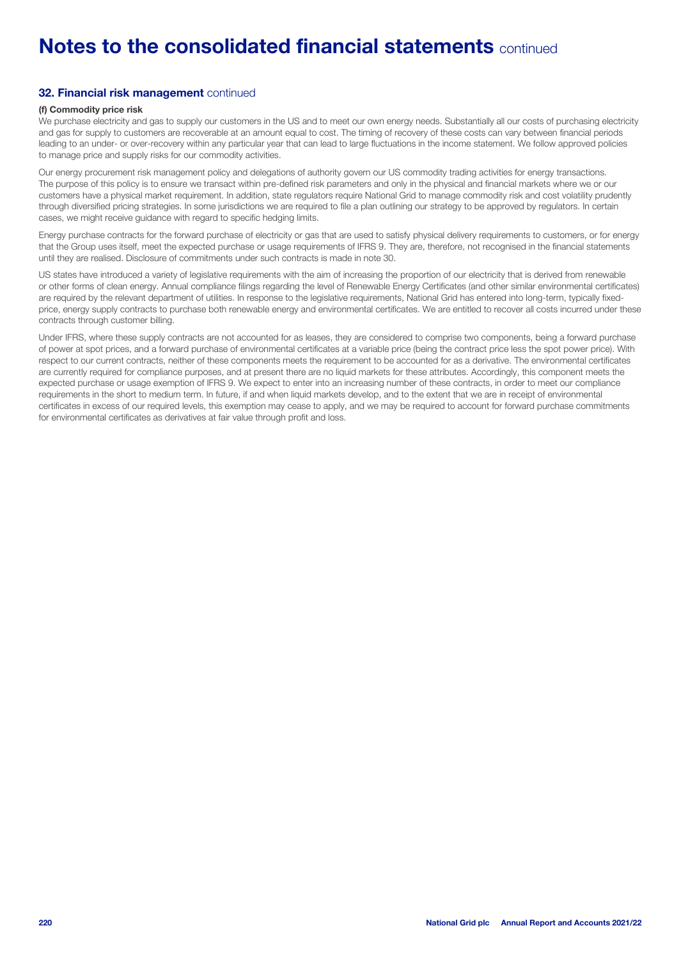# 32. Financial risk management continued

### (f) Commodity price risk

We purchase electricity and gas to supply our customers in the US and to meet our own energy needs. Substantially all our costs of purchasing electricity and gas for supply to customers are recoverable at an amount equal to cost. The timing of recovery of these costs can vary between financial periods leading to an under- or over-recovery within any particular year that can lead to large fluctuations in the income statement. We follow approved policies to manage price and supply risks for our commodity activities.

Our energy procurement risk management policy and delegations of authority govern our US commodity trading activities for energy transactions. The purpose of this policy is to ensure we transact within pre-defined risk parameters and only in the physical and financial markets where we or our customers have a physical market requirement. In addition, state regulators require National Grid to manage commodity risk and cost volatility prudently through diversified pricing strategies. In some jurisdictions we are required to file a plan outlining our strategy to be approved by regulators. In certain cases, we might receive guidance with regard to specific hedging limits.

Energy purchase contracts for the forward purchase of electricity or gas that are used to satisfy physical delivery requirements to customers, or for energy that the Group uses itself, meet the expected purchase or usage requirements of IFRS 9. They are, therefore, not recognised in the financial statements until they are realised. Disclosure of commitments under such contracts is made in note 30.

US states have introduced a variety of legislative requirements with the aim of increasing the proportion of our electricity that is derived from renewable or other forms of clean energy. Annual compliance filings regarding the level of Renewable Energy Certificates (and other similar environmental certificates) are required by the relevant department of utilities. In response to the legislative requirements, National Grid has entered into long-term, typically fixedprice, energy supply contracts to purchase both renewable energy and environmental certificates. We are entitled to recover all costs incurred under these contracts through customer billing.

Under IFRS, where these supply contracts are not accounted for as leases, they are considered to comprise two components, being a forward purchase of power at spot prices, and a forward purchase of environmental certificates at a variable price (being the contract price less the spot power price). With respect to our current contracts, neither of these components meets the requirement to be accounted for as a derivative. The environmental certificates are currently required for compliance purposes, and at present there are no liquid markets for these attributes. Accordingly, this component meets the expected purchase or usage exemption of IFRS 9. We expect to enter into an increasing number of these contracts, in order to meet our compliance requirements in the short to medium term. In future, if and when liquid markets develop, and to the extent that we are in receipt of environmental certificates in excess of our required levels, this exemption may cease to apply, and we may be required to account for forward purchase commitments for environmental certificates as derivatives at fair value through profit and loss.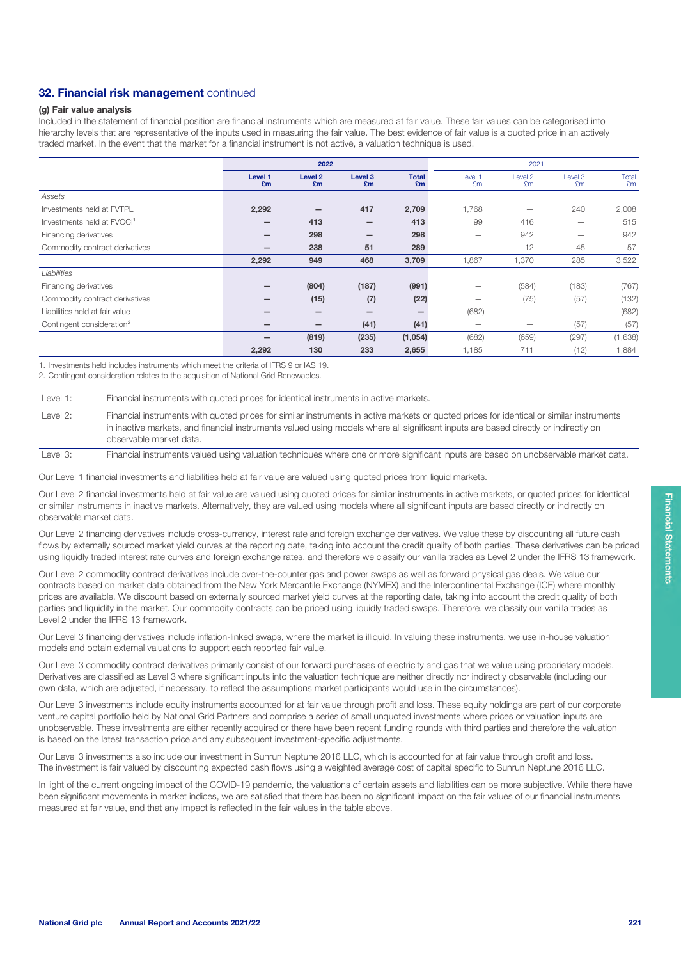### (g) Fair value analysis

Included in the statement of financial position are financial instruments which are measured at fair value. These fair values can be categorised into hierarchy levels that are representative of the inputs used in measuring the fair value. The best evidence of fair value is a quoted price in an actively traded market. In the event that the market for a financial instrument is not active, a valuation technique is used.

|                                        | 2022                     |                 |                          |                    |                          | 2021                     |                          |             |
|----------------------------------------|--------------------------|-----------------|--------------------------|--------------------|--------------------------|--------------------------|--------------------------|-------------|
|                                        | Level 1<br>£m            | Level 2<br>£m   | Level 3<br>£m            | <b>Total</b><br>£m | Level 1<br>£m            | Level 2<br>£m            | Level 3<br>£m            | Total<br>£m |
| Assets                                 |                          |                 |                          |                    |                          |                          |                          |             |
| Investments held at FVTPL              | 2,292                    |                 | 417                      | 2,709              | 1,768                    |                          | 240                      | 2,008       |
| Investments held at FVOCI <sup>1</sup> | —                        | 413             | $\overline{\phantom{0}}$ | 413                | 99                       | 416                      | $\overline{\phantom{0}}$ | 515         |
| Financing derivatives                  | $\overline{\phantom{0}}$ | 298             | $\overline{\phantom{0}}$ | 298                | -                        | 942                      | $\overline{\phantom{0}}$ | 942         |
| Commodity contract derivatives         | $\overline{\phantom{m}}$ | 238             | 51                       | 289                | $\overline{\phantom{a}}$ | 12                       | 45                       | 57          |
|                                        | 2,292                    | 949             | 468                      | 3,709              | 1,867                    | 1,370                    | 285                      | 3,522       |
| Liabilities                            |                          |                 |                          |                    |                          |                          |                          |             |
| Financing derivatives                  | $\overline{\phantom{m}}$ | (804)           | (187)                    | (991)              | -                        | (584)                    | (183)                    | (767)       |
| Commodity contract derivatives         | $\overline{\phantom{0}}$ | (15)            | (7)                      | (22)               |                          | (75)                     | (57)                     | (132)       |
| Liabilities held at fair value         |                          |                 | $\overline{\phantom{0}}$ |                    | (682)                    | -                        | $\overline{\phantom{0}}$ | (682)       |
| Contingent consideration <sup>2</sup>  |                          | $\qquad \qquad$ | (41)                     | (41)               | -                        | $\overline{\phantom{0}}$ | (57)                     | (57)        |
|                                        | —                        | (819)           | (235)                    | (1,054)            | (682)                    | (659)                    | (297)                    | (1,638)     |
|                                        | 2,292                    | 130             | 233                      | 2,655              | 1,185                    | 711                      | (12)                     | 884.        |

1. Investments held includes instruments which meet the criteria of IFRS 9 or IAS 19.

2. Contingent consideration relates to the acquisition of National Grid Renewables.

| Level 1: | Financial instruments with quoted prices for identical instruments in active markets.                                                                                                                                                                                                                      |
|----------|------------------------------------------------------------------------------------------------------------------------------------------------------------------------------------------------------------------------------------------------------------------------------------------------------------|
| Level 2: | Financial instruments with quoted prices for similar instruments in active markets or quoted prices for identical or similar instruments<br>in inactive markets, and financial instruments valued using models where all significant inputs are based directly or indirectly on<br>observable market data. |
| Level 3: | Financial instruments valued using valuation techniques where one or more significant inputs are based on unobservable market data.                                                                                                                                                                        |

Our Level 1 financial investments and liabilities held at fair value are valued using quoted prices from liquid markets.

Our Level 2 financial investments held at fair value are valued using quoted prices for similar instruments in active markets, or quoted prices for identical or similar instruments in inactive markets. Alternatively, they are valued using models where all significant inputs are based directly or indirectly on observable market data.

Our Level 2 financing derivatives include cross-currency, interest rate and foreign exchange derivatives. We value these by discounting all future cash flows by externally sourced market yield curves at the reporting date, taking into account the credit quality of both parties. These derivatives can be priced using liquidly traded interest rate curves and foreign exchange rates, and therefore we classify our vanilla trades as Level 2 under the IFRS 13 framework.

Our Level 2 commodity contract derivatives include over-the-counter gas and power swaps as well as forward physical gas deals. We value our contracts based on market data obtained from the New York Mercantile Exchange (NYMEX) and the Intercontinental Exchange (ICE) where monthly prices are available. We discount based on externally sourced market yield curves at the reporting date, taking into account the credit quality of both parties and liquidity in the market. Our commodity contracts can be priced using liquidly traded swaps. Therefore, we classify our vanilla trades as Level 2 under the IFRS 13 framework.

Our Level 3 financing derivatives include inflation-linked swaps, where the market is illiquid. In valuing these instruments, we use in-house valuation models and obtain external valuations to support each reported fair value.

Our Level 3 commodity contract derivatives primarily consist of our forward purchases of electricity and gas that we value using proprietary models. Derivatives are classified as Level 3 where significant inputs into the valuation technique are neither directly nor indirectly observable (including our own data, which are adjusted, if necessary, to reflect the assumptions market participants would use in the circumstances).

Our Level 3 investments include equity instruments accounted for at fair value through profit and loss. These equity holdings are part of our corporate venture capital portfolio held by National Grid Partners and comprise a series of small unquoted investments where prices or valuation inputs are unobservable. These investments are either recently acquired or there have been recent funding rounds with third parties and therefore the valuation is based on the latest transaction price and any subsequent investment-specific adjustments.

Our Level 3 investments also include our investment in Sunrun Neptune 2016 LLC, which is accounted for at fair value through profit and loss. The investment is fair valued by discounting expected cash flows using a weighted average cost of capital specific to Sunrun Neptune 2016 LLC.

In light of the current ongoing impact of the COVID-19 pandemic, the valuations of certain assets and liabilities can be more subjective. While there have been significant movements in market indices, we are satisfied that there has been no significant impact on the fair values of our financial instruments measured at fair value, and that any impact is reflected in the fair values in the table above.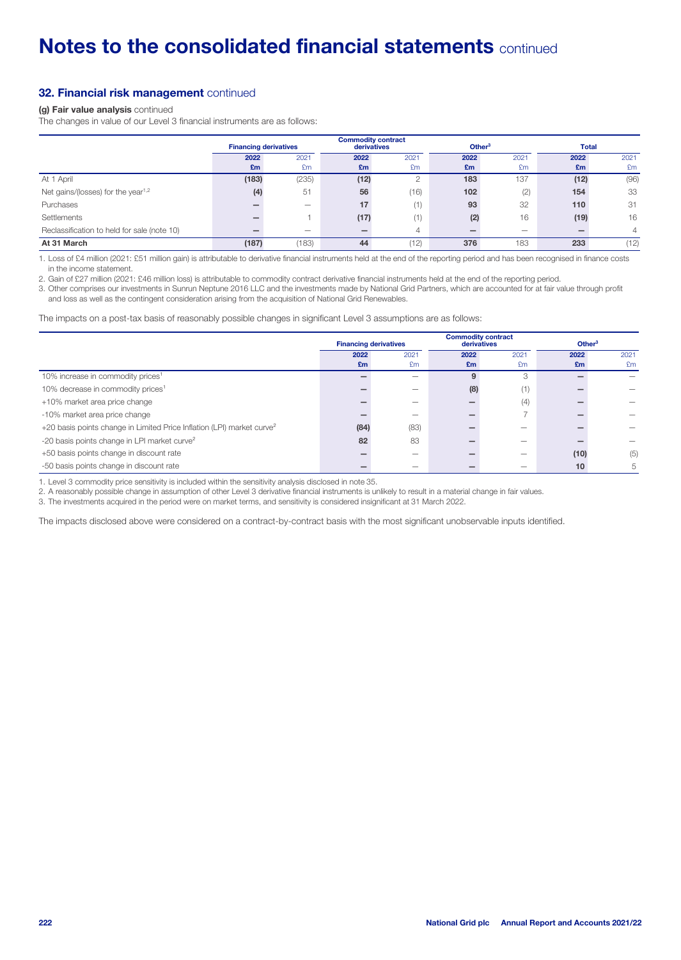(g) Fair value analysis continued

The changes in value of our Level 3 financial instruments are as follows:

|                                                | <b>Financing derivatives</b> |       | <b>Commodity contract</b><br>derivatives |      | Other <sup>3</sup> |      | <b>Total</b> |                |
|------------------------------------------------|------------------------------|-------|------------------------------------------|------|--------------------|------|--------------|----------------|
|                                                | 2022                         | 2021  | 2022                                     | 2021 | 2022               | 2021 | 2022         | 2021           |
|                                                | £m                           | £m    | £m                                       | £m   | £m                 | £m   | £m           | £m             |
| At 1 April                                     | (183)                        | (235) | (12)                                     |      | 183                | 137  | (12)         | (96)           |
| Net gains/(losses) for the year <sup>1,2</sup> | (4)                          | 51    | 56                                       | (16) | 102                | (2)  | 154          | 33             |
| Purchases                                      |                              | -     | 17                                       | (1)  | 93                 | 32   | 110          | 31             |
| Settlements                                    |                              |       | (17)                                     | (1)  | (2)                | 16   | (19)         | 16             |
| Reclassification to held for sale (note 10)    |                              | -     |                                          | 4    |                    | -    |              | $\overline{4}$ |
| At 31 March                                    | (187)                        | (183) | 44                                       | (12) | 376                | 183  | 233          | (12)           |

1. Loss of £4 million (2021: £51 million gain) is attributable to derivative financial instruments held at the end of the reporting period and has been recognised in finance costs in the income statement.

2. Gain of £27 million (2021: £46 million loss) is attributable to commodity contract derivative financial instruments held at the end of the reporting period.

3. Other comprises our investments in Sunrun Neptune 2016 LLC and the investments made by National Grid Partners, which are accounted for at fair value through profit and loss as well as the contingent consideration arising from the acquisition of National Grid Renewables.

The impacts on a post-tax basis of reasonably possible changes in significant Level 3 assumptions are as follows:

|                                                                                    |      | <b>Financing derivatives</b> |      | <b>Commodity contract</b><br>derivatives | Other <sup>3</sup> |      |
|------------------------------------------------------------------------------------|------|------------------------------|------|------------------------------------------|--------------------|------|
|                                                                                    | 2022 | 2021                         | 2022 | 2021                                     | 2022               | 2021 |
|                                                                                    | £m   | £m                           | £m   | £m                                       | £m                 | £m   |
| 10% increase in commodity prices <sup>1</sup>                                      |      |                              | 9    | 3                                        |                    |      |
| 10% decrease in commodity prices <sup>1</sup>                                      |      |                              | (8)  | (1)                                      |                    |      |
| +10% market area price change                                                      |      |                              |      | (4)                                      |                    |      |
| -10% market area price change                                                      |      |                              |      |                                          |                    |      |
| +20 basis points change in Limited Price Inflation (LPI) market curve <sup>2</sup> | (84) | (83)                         |      |                                          |                    |      |
| -20 basis points change in LPI market curve <sup>2</sup>                           | 82   | 83                           |      |                                          |                    |      |
| +50 basis points change in discount rate                                           |      |                              |      |                                          | (10)               | (5)  |
| -50 basis points change in discount rate                                           |      |                              |      |                                          | 10                 | 5    |

1. Level 3 commodity price sensitivity is included within the sensitivity analysis disclosed in note 35.

2. A reasonably possible change in assumption of other Level 3 derivative financial instruments is unlikely to result in a material change in fair values.

3. The investments acquired in the period were on market terms, and sensitivity is considered insignificant at 31 March 2022.

The impacts disclosed above were considered on a contract-by-contract basis with the most significant unobservable inputs identified.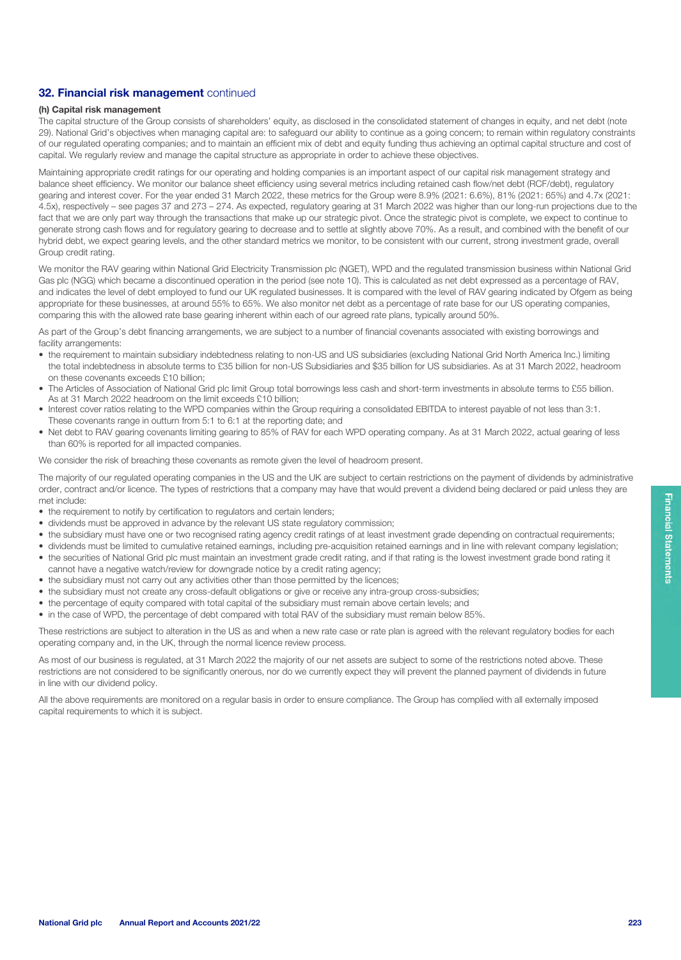### (h) Capital risk management

The capital structure of the Group consists of shareholders' equity, as disclosed in the consolidated statement of changes in equity, and net debt (note 29). National Grid's objectives when managing capital are: to safeguard our ability to continue as a going concern; to remain within regulatory constraints of our regulated operating companies; and to maintain an efficient mix of debt and equity funding thus achieving an optimal capital structure and cost of capital. We regularly review and manage the capital structure as appropriate in order to achieve these objectives.

Maintaining appropriate credit ratings for our operating and holding companies is an important aspect of our capital risk management strategy and balance sheet efficiency. We monitor our balance sheet efficiency using several metrics including retained cash flow/net debt (RCF/debt), regulatory gearing and interest cover. For the year ended 31 March 2022, these metrics for the Group were 8.9% (2021: 6.6%), 81% (2021: 65%) and 4.7x (2021: 4.5x), respectively – see pages 37 and 273 – 274. As expected, regulatory gearing at 31 March 2022 was higher than our long-run projections due to the fact that we are only part way through the transactions that make up our strategic pivot. Once the strategic pivot is complete, we expect to continue to generate strong cash flows and for regulatory gearing to decrease and to settle at slightly above 70%. As a result, and combined with the benefit of our hybrid debt, we expect gearing levels, and the other standard metrics we monitor, to be consistent with our current, strong investment grade, overall Group credit rating.

We monitor the RAV gearing within National Grid Electricity Transmission plc (NGET), WPD and the regulated transmission business within National Grid Gas plc (NGG) which became a discontinued operation in the period (see note 10). This is calculated as net debt expressed as a percentage of RAV, and indicates the level of debt employed to fund our UK regulated businesses. It is compared with the level of RAV gearing indicated by Ofgem as being appropriate for these businesses, at around 55% to 65%. We also monitor net debt as a percentage of rate base for our US operating companies, comparing this with the allowed rate base gearing inherent within each of our agreed rate plans, typically around 50%.

As part of the Group's debt financing arrangements, we are subject to a number of financial covenants associated with existing borrowings and facility arrangements:

- the requirement to maintain subsidiary indebtedness relating to non-US and US subsidiaries (excluding National Grid North America Inc.) limiting the total indebtedness in absolute terms to £35 billion for non-US Subsidiaries and \$35 billion for US subsidiaries. As at 31 March 2022, headroom on these covenants exceeds £10 billion;
- The Articles of Association of National Grid plc limit Group total borrowings less cash and short-term investments in absolute terms to £55 billion. As at 31 March 2022 headroom on the limit exceeds £10 billion;
- Interest cover ratios relating to the WPD companies within the Group requiring a consolidated EBITDA to interest payable of not less than 3:1. These covenants range in outturn from 5:1 to 6:1 at the reporting date; and
- Net debt to RAV gearing covenants limiting gearing to 85% of RAV for each WPD operating company. As at 31 March 2022, actual gearing of less than 60% is reported for all impacted companies.

We consider the risk of breaching these covenants as remote given the level of headroom present.

The majority of our regulated operating companies in the US and the UK are subject to certain restrictions on the payment of dividends by administrative order, contract and/or licence. The types of restrictions that a company may have that would prevent a dividend being declared or paid unless they are met include:

- the requirement to notify by certification to regulators and certain lenders;
- dividends must be approved in advance by the relevant US state regulatory commission;
- the subsidiary must have one or two recognised rating agency credit ratings of at least investment grade depending on contractual requirements;
- dividends must be limited to cumulative retained earnings, including pre-acquisition retained earnings and in line with relevant company legislation;
- the securities of National Grid plc must maintain an investment grade credit rating, and if that rating is the lowest investment grade bond rating it cannot have a negative watch/review for downgrade notice by a credit rating agency;
- the subsidiary must not carry out any activities other than those permitted by the licences:
- the subsidiary must not create any cross-default obligations or give or receive any intra-group cross-subsidies;
- the percentage of equity compared with total capital of the subsidiary must remain above certain levels; and
- in the case of WPD, the percentage of debt compared with total RAV of the subsidiary must remain below 85%.

These restrictions are subject to alteration in the US as and when a new rate case or rate plan is agreed with the relevant regulatory bodies for each operating company and, in the UK, through the normal licence review process.

As most of our business is regulated, at 31 March 2022 the majority of our net assets are subject to some of the restrictions noted above. These restrictions are not considered to be significantly onerous, nor do we currently expect they will prevent the planned payment of dividends in future in line with our dividend policy.

All the above requirements are monitored on a regular basis in order to ensure compliance. The Group has complied with all externally imposed capital requirements to which it is subject.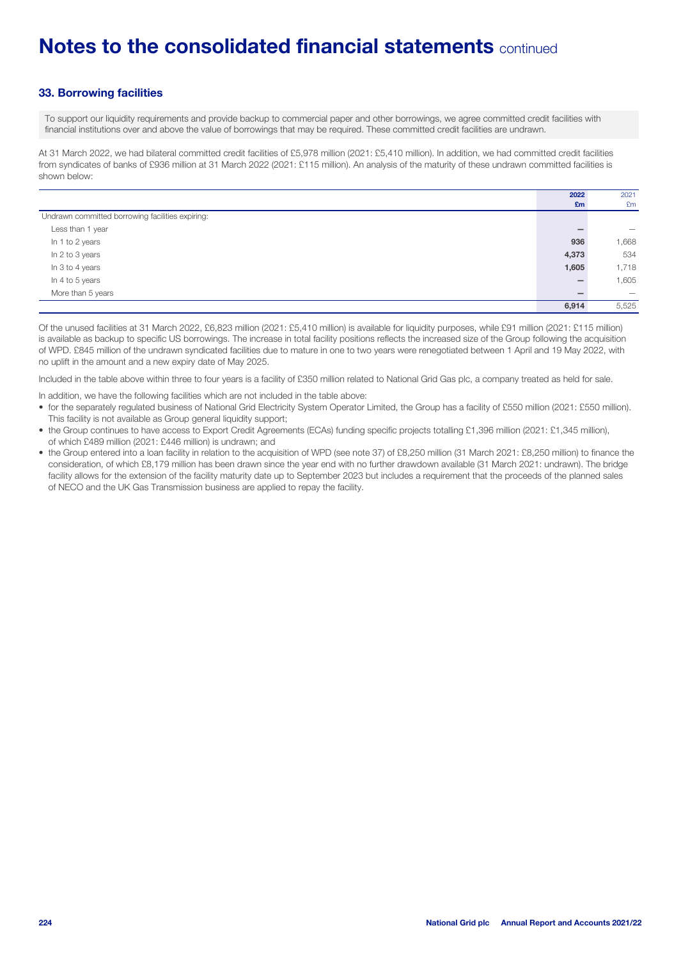# 33. Borrowing facilities

To support our liquidity requirements and provide backup to commercial paper and other borrowings, we agree committed credit facilities with financial institutions over and above the value of borrowings that may be required. These committed credit facilities are undrawn.

At 31 March 2022, we had bilateral committed credit facilities of £5,978 million (2021: £5,410 million). In addition, we had committed credit facilities from syndicates of banks of £936 million at 31 March 2022 (2021: £115 million). An analysis of the maturity of these undrawn committed facilities is shown below:

|                                                  | 2022  | 2021                     |
|--------------------------------------------------|-------|--------------------------|
|                                                  | £m    | £m                       |
| Undrawn committed borrowing facilities expiring: |       |                          |
| Less than 1 year                                 |       | $\overline{\phantom{a}}$ |
| In 1 to 2 years                                  | 936   | 1,668                    |
| In 2 to 3 years                                  | 4,373 | 534                      |
| In 3 to 4 years                                  | 1,605 | 1,718                    |
| In 4 to 5 years                                  |       | 1,605                    |
| More than 5 years                                |       | $\sim$                   |
|                                                  | 6,914 | 5,525                    |

Of the unused facilities at 31 March 2022, £6,823 million (2021: £5,410 million) is available for liquidity purposes, while £91 million (2021: £115 million) is available as backup to specific US borrowings. The increase in total facility positions reflects the increased size of the Group following the acquisition of WPD. £845 million of the undrawn syndicated facilities due to mature in one to two years were renegotiated between 1 April and 19 May 2022, with no uplift in the amount and a new expiry date of May 2025.

Included in the table above within three to four years is a facility of £350 million related to National Grid Gas plc, a company treated as held for sale.

- In addition, we have the following facilities which are not included in the table above:
- for the separately regulated business of National Grid Electricity System Operator Limited, the Group has a facility of £550 million (2021: £550 million). This facility is not available as Group general liquidity support;
- the Group continues to have access to Export Credit Agreements (ECAs) funding specific projects totalling £1,396 million (2021: £1,345 million), of which £489 million (2021: £446 million) is undrawn; and
- the Group entered into a loan facility in relation to the acquisition of WPD (see note 37) of £8,250 million (31 March 2021: £8,250 million) to finance the consideration, of which £8,179 million has been drawn since the year end with no further drawdown available (31 March 2021: undrawn). The bridge facility allows for the extension of the facility maturity date up to September 2023 but includes a requirement that the proceeds of the planned sales of NECO and the UK Gas Transmission business are applied to repay the facility.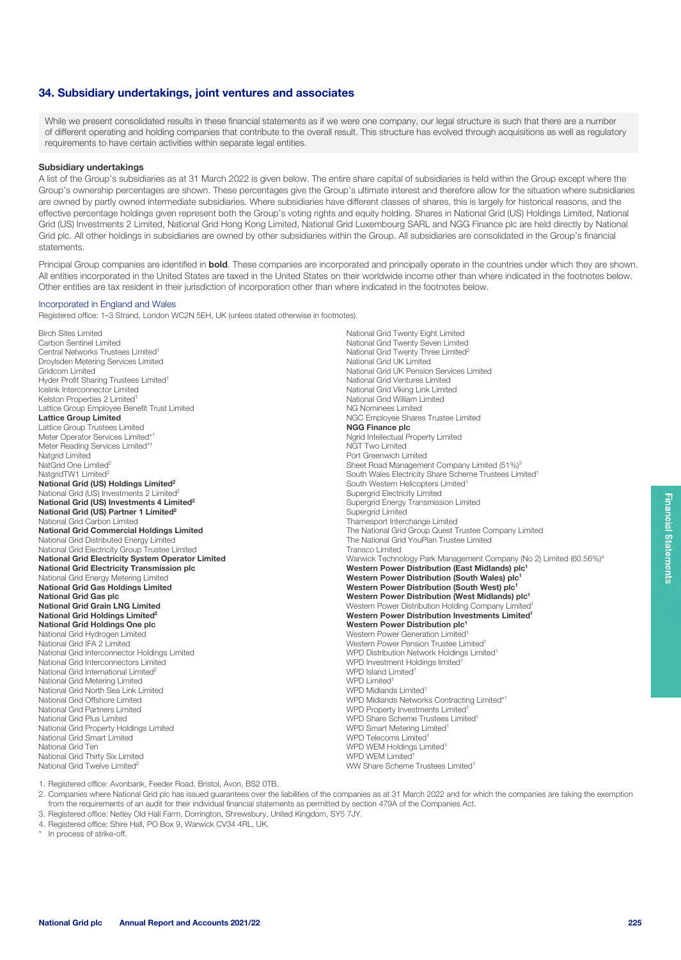### 34. Subsidiary undertakings, joint ventures and associates

While we present consolidated results in these financial statements as if we were one company, our legal structure is such that there are a number of different operating and holding companies that contribute to the overall result. This structure has evolved through acquisitions as well as regulatory requirements to have certain activities within separate legal entities.

#### Subsidiary undertakings

A list of the Group's subsidiaries as at 31 March 2022 is given below. The entire share capital of subsidiaries is held within the Group except where the Group's ownership percentages are shown. These percentages give the Group's ultimate interest and therefore allow for the situation where subsidiaries are owned by partly owned intermediate subsidiaries. Where subsidiaries have different classes of shares, this is largely for historical reasons, and the effective percentage holdings given represent both the Group's voting rights and equity holding. Shares in National Grid (US) Holdings Limited, National Grid (US) Investments 2 Limited, National Grid Hong Kong Limited, National Grid Luxembourg SARL and NGG Finance plc are held directly by National Grid plc. All other holdings in subsidiaries are owned by other subsidiaries within the Group. All subsidiaries are consolidated in the Group's financial statements.

Principal Group companies are identified in **bold**. These companies are incorporated and principally operate in the countries under which they are shown. All entities incorporated in the United States are taxed in the United States on their worldwide income other than where indicated in the footnotes below. Other entities are tax resident in their jurisdiction of incorporation other than where indicated in the footnotes below.

#### Incorporated in England and Wales

Registered office: 1–3 Strand, London WC2N 5EH, UK (unless stated otherwise in footnotes).

Birch Sites Limited Carbon Sentinel Limited Central Networks Trustees Limited<sup>1</sup> Droylsden Metering Services Limited Gridcom Limited Hyder Profit Sharing Trustees Limited<sup>1</sup> Icelink Interconnector Limited Kelston Properties 2 Limited<sup>1</sup> Lattice Group Employee Benefit Trust Limited Lattice Group Limited Lattice Group Trustees Limited Meter Operator Services Limited\*<sup>1</sup> Meter Reading Services Limited\* Natgrid Limited NatGrid One Limited<sup>2</sup> NatgridTW1 Limited<sup>2</sup> National Grid (US) Holdings Limited<sup>2</sup> National Grid (US) Investments 2 Limited<sup>2</sup> National Grid (US) Investments 4 Limited<sup>2</sup> National Grid (US) Partner 1 Limited<sup>2</sup> National Grid Carbon Limited National Grid Commercial Holdings Limited National Grid Distributed Energy Limited National Grid Electricity Group Trustee Limited National Grid Electricity System Operator Limited National Grid Electricity Transmission plc National Grid Energy Metering Limited National Grid Gas Holdings Limited National Grid Gas plc National Grid Grain LNG Limited National Grid Holdings Limited<sup>2</sup> National Grid Holdings One plc National Grid Hydrogen Limited National Grid IFA 2 Limited National Grid Interconnector Holdings Limited National Grid Interconnectors Limited National Grid International Limited<sup>2</sup> National Grid Metering Limited National Grid North Sea Link Limited National Grid Offshore Limited National Grid Partners Limited National Grid Plus Limited National Grid Property Holdings Limited National Grid Smart Limited National Grid Ten National Grid Thirty Six Limited National Grid Twelve Limited<sup>2</sup>

National Grid Twenty Eight Limited National Grid Twenty Seven Limited National Grid Twenty Three Limited<sup>2</sup> National Grid UK Limited National Grid UK Pension Services Limited National Grid Ventures Limited National Grid Viking Link Limited National Grid William Limited NG Nominees Limited NGC Employee Shares Trustee Limited NGG Finance plc Ngrid Intellectual Property Limited NGT Two Limited Port Greenwich Limited Sheet Road Management Company Limited (51%)<sup>3</sup> South Wales Electricity Share Scheme Trustees Limited<sup>1</sup> South Western Helicopters Limited<sup>1</sup> Supergrid Electricity Limited Supergrid Energy Transmission Limited Supergrid Limited Thamesport Interchange Limited The National Grid Group Quest Trustee Company Limited The National Grid YouPlan Trustee Limited Transco Limited Warwick Technology Park Management Company (No 2) Limited (60.56%)<sup>4</sup> Western Power Distribution (East Midlands) plc<sup>1</sup> Western Power Distribution (South Wales) plc<sup>1</sup> Western Power Distribution (South West) plc1 Western Power Distribution (West Midlands) plc<sup>1</sup> Western Power Distribution Holding Company Limited<sup>1</sup> Western Power Distribution Investments Limited<sup>1</sup> Western Power Distribution plc<sup>1</sup> Western Power Generation Limited<sup>1</sup> Western Power Pension Trustee Limited1 WPD Distribution Network Holdings Limited<sup>1</sup> WPD Investment Holdings limited<sup>1</sup> WPD Island Limited<sup>1</sup> WPD Limited<sup>1</sup> WPD Midlands Limited<sup>1</sup> WPD Midlands Networks Contracting Limited\*<sup>1</sup> WPD Property Investments Limited<sup>1</sup> WPD Share Scheme Trustees Limited1 WPD Smart Metering Limited<sup>1</sup> WPD Telecoms Limited<sup>1</sup> WPD WEM Holdings Limited1 WPD WFM Limited<sup>1</sup> WW Share Scheme Trustees Limited<sup>1</sup>

1. Registered office: Avonbank, Feeder Road, Bristol, Avon, BS2 0TB.

- 2. Companies where National Grid plc has issued guarantees over the liabilities of the companies as at 31 March 2022 and for which the companies are taking the exemption from the requirements of an audit for their individual financial statements as permitted by section 479A of the Companies Act.
- 3. Registered office: Netley Old Hall Farm, Dorrington, Shrewsbury, United Kingdom, SY5 7JY.

4. Registered office: Shire Hall, PO Box 9, Warwick CV34 4RL, UK.

\* In process of strike-off.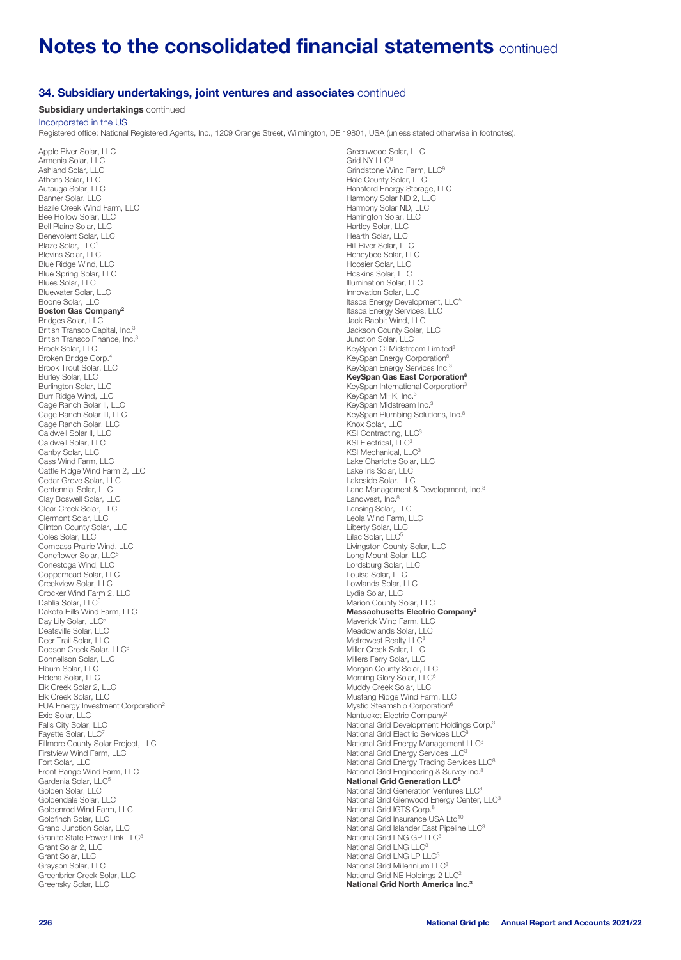### 34. Subsidiary undertakings, joint ventures and associates continued

**Subsidiary undertakings continued** 

Incorporated in the US

Registered office: National Registered Agents, Inc., 1209 Orange Street, Wilmington, DE 19801, USA (unless stated otherwise in footnotes).

Apple River Solar, LLC Armenia Solar, LLC Ashland Solar, LLC Athens Solar, LLC Autauga Solar, LLC Banner Solar, LLC Bazile Creek Wind Farm, LLC Bee Hollow Solar, LLC Bell Plaine Solar, LLC Benevolent Solar, LLC Blaze Solar, LLC<sup>1</sup> Blevins Solar, LLC Blue Ridge Wind, LLC Blue Spring Solar, LLC Blues Solar, LLC Bluewater Solar, LLC Boone Solar, LLC Boston Gas Company<sup>2</sup> Bridges Solar, LLC British Transco Capital, Inc.<sup>3</sup> British Transco Finance, Inc.<sup>3</sup> Brock Solar, LLC Broken Bridge Corp.<sup>4</sup> Brook Trout Solar, LLC Burley Solar, LLC Burlington Solar, LLC Burr Ridge Wind, LLC Cage Ranch Solar II, LLC Cage Ranch Solar III, LLC Cage Ranch Solar, LLC Caldwell Solar II, LLC Caldwell Solar, LLC Canby Solar, LLC Cass Wind Farm, LLC Cattle Ridge Wind Farm 2, LLC Cedar Grove Solar, LLC Centennial Solar, LLC Clay Boswell Solar, LLC Clear Creek Solar, LLC Clermont Solar, LLC Clinton County Solar, LLC Coles Solar, LLC Compass Prairie Wind, LLC Coneflower Solar, LLC<sup>5</sup> Conestoga Wind, LLC Copperhead Solar, LLC Creekview Solar, LLC Crocker Wind Farm 2, LLC Dahlia Solar, LLC<sup>6</sup> Dakota Hills Wind Farm, LLC Day Lily Solar, LLC<sup>5</sup> Deatsville Solar, LLC Deer Trail Solar, LLC Dodson Creek Solar, LLC<sup>6</sup> Donnellson Solar, LLC Elburn Solar, LLC Eldena Solar, LLC Elk Creek Solar 2, LLC Elk Creek Solar, LLC EUA Energy Investment Corporation<sup>2</sup> Exie Solar, LLC Falls City Solar, LLC Fayette Solar, LLC<sup>7</sup> Fillmore County Solar Project, LLC Firstview Wind Farm, LLC Fort Solar, LLC Front Range Wind Farm, LLC Gardenia Solar, LLC<sup>6</sup> Golden Solar, LLC Goldendale Solar, LLC Goldenrod Wind Farm, LLC Goldfinch Solar, LLC Grand Junction Solar, LLC Granite State Power Link LLC<sup>3</sup> Grant Solar 2, LLC Grant Solar, LLC Grayson Solar, LLC Greenbrier Creek Solar, LLC Greensky Solar, LLC

Greenwood Solar, LLC Grid NY LLC<sup>8</sup> Grindstone Wind Farm, LLC<sup>9</sup> Hale County Solar, LLC Hansford Energy Storage, LLC Harmony Solar ND 2, LLC Harmony Solar ND, LLC Harrington Solar, LLC Hartley Solar, LLC Hearth Solar, LLC Hill River Solar, LLC Honeybee Solar, LLC Hoosier Solar, LLC Hoskins Solar, LLC Illumination Solar, LLC Innovation Solar, LLC Itasca Energy Development, LLC<sup>5</sup> Itasca Energy Services, LLC Jack Rabbit Wind, LLC Jackson County Solar, LLC Junction Solar, LLC KeySpan CI Midstream Limited<sup>3</sup> KeySpan Energy Corporation<sup>8</sup> KeySpan Energy Services Inc.<sup>3</sup> KeySpan Gas East Corporation<sup>8</sup> KeySpan International Corporation<sup>3</sup> KeySpan MHK, Inc.<sup>3</sup> KeySpan Midstream Inc.<sup>3</sup> KeySpan Plumbing Solutions, Inc.<sup>8</sup> Knox Solar, LLC KSI Contracting, LLC<sup>3</sup> KSI Electrical, LLC3 KSI Mechanical, LLC3 Lake Charlotte Solar, LLC Lake Iris Solar, LLC Lakeside Solar, LLC Land Management & Development, Inc.<sup>8</sup> Landwest, Inc.<sup>8</sup> Lansing Solar, LLC Leola Wind Farm, LLC Liberty Solar, LLC Lilac Solar, LLC<sup>5</sup> Livingston County Solar, LLC Long Mount Solar, LLC Lordsburg Solar, LLC Louisa Solar, LLC Lowlands Solar, LLC Lydia Solar, LLC Marion County Solar, LLC Massachusetts Electric Company<sup>2</sup> Maverick Wind Farm, LLC Meadowlands Solar, LLC Metrowest Realty LLC Miller Creek Solar, LLC Millers Ferry Solar, LLC Morgan County Solar, LLC Morning Glory Solar, LLC<sup>5</sup> Muddy Creek Solar, LLC Mustang Ridge Wind Farm, LLC Mystic Steamship Corporation<sup>6</sup> Nantucket Electric Company<sup>2</sup> National Grid Development Holdings Corp.<sup>3</sup> National Grid Electric Services LLC National Grid Energy Management LLC<sup>3</sup> National Grid Energy Services LLC<sup>3</sup> National Grid Energy Trading Services LLC<sup>8</sup> National Grid Engineering & Survey Inc.<sup>8</sup> National Grid Generation LLC<sup>8</sup> National Grid Generation Ventures LLC<sup>8</sup> National Grid Glenwood Energy Center, LLC<sup>3</sup> National Grid IGTS Corp.<sup>8</sup> National Grid Insurance USA Ltd<sup>10</sup> National Grid Islander East Pipeline LLC<sup>3</sup> National Grid LNG GP LLC<sup>3</sup> National Grid LNG LLC<sup>3</sup> National Grid LNG LP LLC<sup>3</sup> National Grid Millennium LLC<sup>3</sup> National Grid NE Holdings 2 LLC<sup>2</sup> National Grid North America Inc.<sup>3</sup>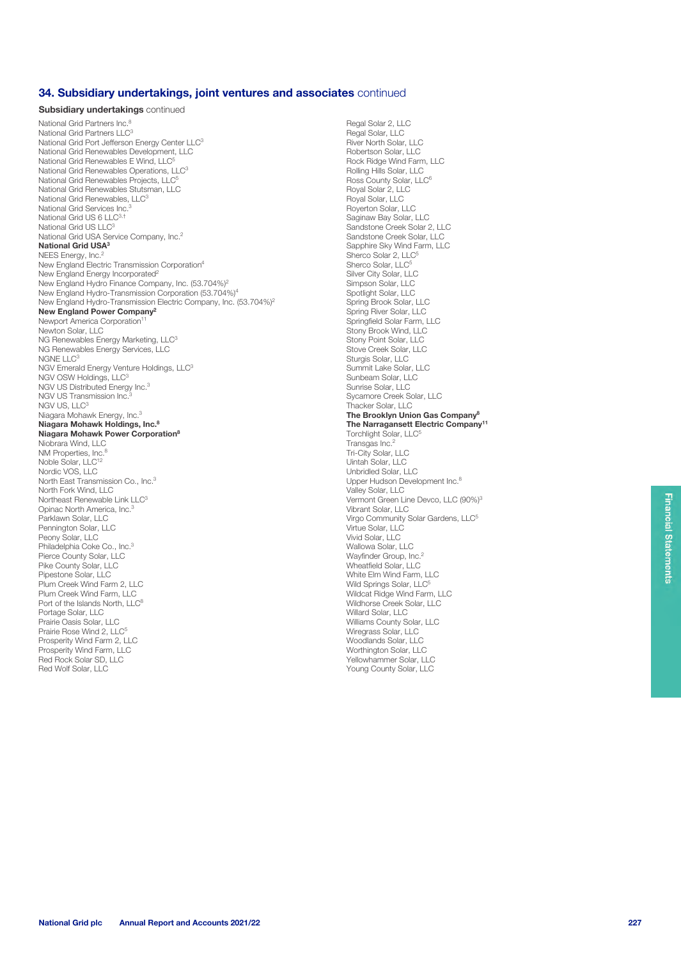# 34. Subsidiary undertakings, joint ventures and associates continued

**Subsidiary undertakings continued** 

National Grid Partners Inc.<sup>8</sup> National Grid Partners LLC<sup>3</sup> National Grid Port Jefferson Energy Center LLC<sup>3</sup> National Grid Renewables Development, LLC National Grid Renewables E Wind, LLC<sup>5</sup> National Grid Renewables Operations, LLC<sup>3</sup> National Grid Renewables Projects, LLC<sup>6</sup> National Grid Renewables Stutsman, LLC National Grid Renewables, LLC<sup>3</sup> National Grid Services Inc.<sup>3</sup> National Grid US 6 LLC3,† National Grid US LLC<sup>3</sup> National Grid USA Service Company, Inc.<sup>2</sup> National Grid USA<sup>3</sup> NEES Energy, Inc.<sup>2</sup> New England Electric Transmission Corporation<sup>4</sup> New England Energy Incorporated<sup>2</sup> New England Hydro Finance Company, Inc. (53.704%)<sup>2</sup> New England Hydro-Transmission Corporation (53.704%)<sup>4</sup> New England Hydro-Transmission Electric Company, Inc. (53.704%)<sup>2</sup> New England Power Company<sup>2</sup> not England Portor Company<br>Newport America Corporation<sup>1</sup> Newton Solar, LLC NG Renewables Energy Marketing, LLC<sup>3</sup> NG Renewables Energy Services, LLC NGNE LLC<sup>3</sup> NGV Emerald Energy Venture Holdings, LLC<sup>3</sup> NGV OSW Holdings, LLC<sup>3</sup> NGV US Distributed Energy Inc.<sup>3</sup> NGV US Transmission Inc. NGV US, LLC<sup>3</sup> Niagara Mohawk Energy, Inc.<sup>3</sup> Niagara Mohawk Holdings, Inc.<sup>8</sup> Niagara Mohawk Power Corporation<sup>8</sup> Niobrara Wind, LLC NM Properties, Inc.<sup>8</sup> Noble Solar, LLC<sup>12</sup> Nordic VOS, LLC North East Transmission Co., Inc.<sup>3</sup> North Fork Wind, LLC Northeast Renewable Link LLC<sup>3</sup> Opinac North America, Inc.<sup>3</sup> Parklawn Solar, LLC Pennington Solar, LLC Peony Solar, LLC Philadelphia Coke Co., Inc.<sup>3</sup> Pierce County Solar, LLC Pike County Solar, LLC Pipestone Solar, LLC Plum Creek Wind Farm 2, LLC Plum Creek Wind Farm, LLC Port of the Islands North,  $LLC^8$ Portage Solar, LLC Prairie Oasis Solar, LLC Prairie Rose Wind 2, LLC<sup>5</sup> Prosperity Wind Farm 2, LLC Prosperity Wind Farm, LLC Red Rock Solar SD, LLC Red Wolf Solar, LLC

Regal Solar 2, LLC Regal Solar, LLC River North Solar, LLC Robertson Solar, LLC Rock Ridge Wind Farm, LLC Rolling Hills Solar, LLC Ross County Solar, LLC<sup>6</sup> Royal Solar 2, LLC Royal Solar, LLC Royerton Solar, LLC Saginaw Bay Solar, LLC Sandstone Creek Solar 2, LLC Sandstone Creek Solar, LLC Sapphire Sky Wind Farm, LLC Sherco Solar 2, LLC<sup>5</sup> Sherco Solar, LLC5 Silver City Solar, LLC Simpson Solar, LLC Spotlight Solar, LLC Spring Brook Solar, LLC Spring Brook Bolar, LLC<br>Spring River Solar, LLC Spring music Solar, LLC<br>Springfield Solar Farm, LLC Stony Brook Wind, LLC Stony Point Solar, LLC Stove Creek Solar, LLC Sturgis Solar, LLC Summit Lake Solar, LLC Sunbeam Solar, LLC Sunrise Solar, LLC Sycamore Creek Solar, LLC Thacker Solar, LLC The Brooklyn Union Gas Company<sup>8</sup> The Narragansett Electric Company<sup>11</sup> Torchlight Solar, LLC<sup>5</sup> Transgas Inc.<sup>2</sup> Tri-City Solar, LLC Uintah Solar, LLC Unbridled Solar, LLC Upper Hudson Development Inc.<sup>8</sup> Valley Solar, LLC Vermont Green Line Devco, LLC (90%)<sup>3</sup> Vibrant Solar, LLC Virgo Community Solar Gardens, LLC<sup>5</sup> Virtue Solar, LLC Vivid Solar, LLC Wallowa Solar, LLC Wayfinder Group, Inc.<sup>2</sup> Wheatfield Solar, LLC White Elm Wind Farm, LLC Wild Springs Solar, LLC<sup>5</sup> Wildcat Ridge Wind Farm, LLC Wildhorse Creek Solar, LLC Willard Solar, LLC Williams County Solar, LLC Wiregrass Solar, LLC Woodlands Solar, LLC Worthington Solar, LLC Yellowhammer Solar, LLC Young County Solar, LLC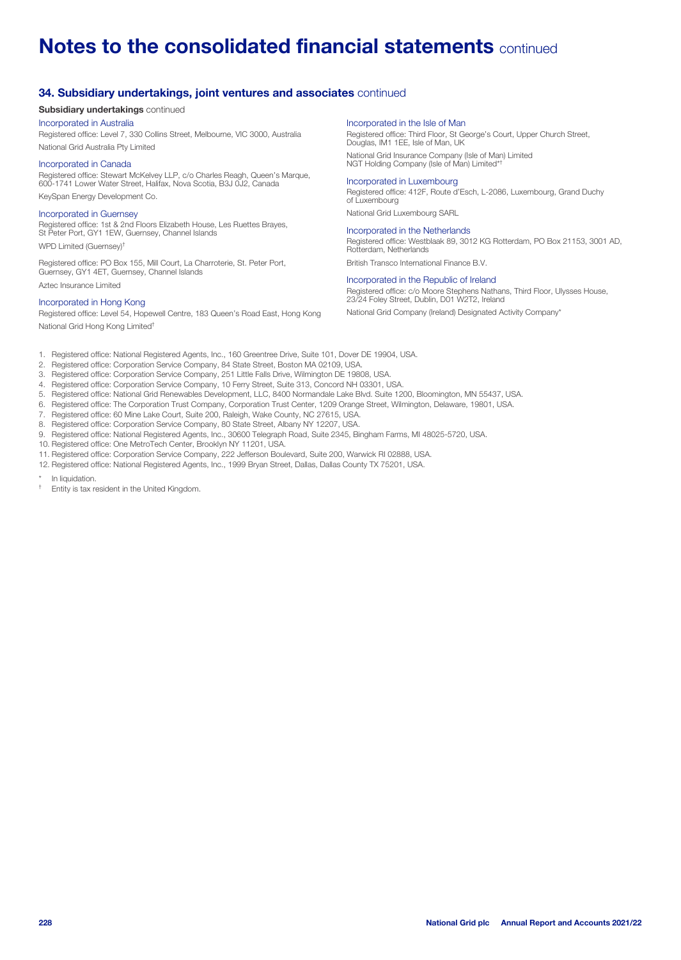# 34. Subsidiary undertakings, joint ventures and associates continued

### **Subsidiary undertakings continued**

#### Incorporated in Australia

Registered office: Level 7, 330 Collins Street, Melbourne, VIC 3000, Australia National Grid Australia Pty Limited

#### Incorporated in Canada

Registered office: Stewart McKelvey LLP, c/o Charles Reagh, Queen's Marque, 600-1741 Lower Water Street, Halifax, Nova Scotia, B3J 0J2, Canada KeySpan Energy Development Co.

#### Incorporated in Guernsey

Registered office: 1st & 2nd Floors Elizabeth House, Les Ruettes Brayes, St Peter Port, GY1 1EW, Guernsey, Channel Islands

WPD Limited (Guernsey)†

Registered office: PO Box 155, Mill Court, La Charroterie, St. Peter Port, Guernsey, GY1 4ET, Guernsey, Channel Islands Aztec Insurance Limited

#### Incorporated in Hong Kong

Registered office: Level 54, Hopewell Centre, 183 Queen's Road East, Hong Kong National Grid Hong Kong Limited†

Incorporated in the Isle of Man

Registered office: Third Floor, St George's Court, Upper Church Street, Douglas, IM1 1EE, Isle of Man, UK National Grid Insurance Company (Isle of Man) Limited NGT Holding Company (Isle of Man) Limited\*†

#### Incorporated in Luxembourg Registered office: 412F, Route d'Esch, L-2086, Luxembourg, Grand Duchy of Luxembourg National Grid Luxembourg SARL

### Incorporated in the Netherlands

Registered office: Westblaak 89, 3012 KG Rotterdam, PO Box 21153, 3001 AD, Rotterdam, Netherlands British Transco International Finance B.V.

#### Incorporated in the Republic of Ireland

Registered office: c/o Moore Stephens Nathans, Third Floor, Ulysses House, 23/24 Foley Street, Dublin, D01 W2T2, Ireland National Grid Company (Ireland) Designated Activity Company\*

- 1. Registered office: National Registered Agents, Inc., 160 Greentree Drive, Suite 101, Dover DE 19904, USA.<br>2. Registered office: Corporation Service Company, 84 State Street, Boston MA 02109, USA.
- 2. Registered office: Corporation Service Company, 84 State Street, Boston MA 02109, USA.
- 3. Registered office: Corporation Service Company, 251 Little Falls Drive, Wilmington DE 19808, USA.
- 4. Registered office: Corporation Service Company, 10 Ferry Street, Suite 313, Concord NH 03301, USA.
- 5. Registered office: National Grid Renewables Development, LLC, 8400 Normandale Lake Blvd. Suite 1200, Bloomington, MN 55437, USA.
- 6. Registered office: The Corporation Trust Company, Corporation Trust Center, 1209 Orange Street, Wilmington, Delaware, 19801, USA.
- Registered office: 60 Mine Lake Court, Suite 200, Raleigh, Wake County, NC 27615, USA.
- 
- 8. Registered office: Corporation Service Company, 80 State Street, Albany NY 12207, USA.<br>9. Registered office: National Registered Agents, Inc., 30600 Telegraph Road, Suite 2345, B 9. Registered office: National Registered Agents, Inc., 30600 Telegraph Road, Suite 2345, Bingham Farms, MI 48025-5720, USA.
- 10. Registered office: One MetroTech Center, Brooklyn NY 11201, USA.
- 11. Registered office: Corporation Service Company, 222 Jefferson Boulevard, Suite 200, Warwick RI 02888, USA.
- 12. Registered office: National Registered Agents, Inc., 1999 Bryan Street, Dallas, Dallas County TX 75201, USA.

In liquidation.

† Entity is tax resident in the United Kingdom.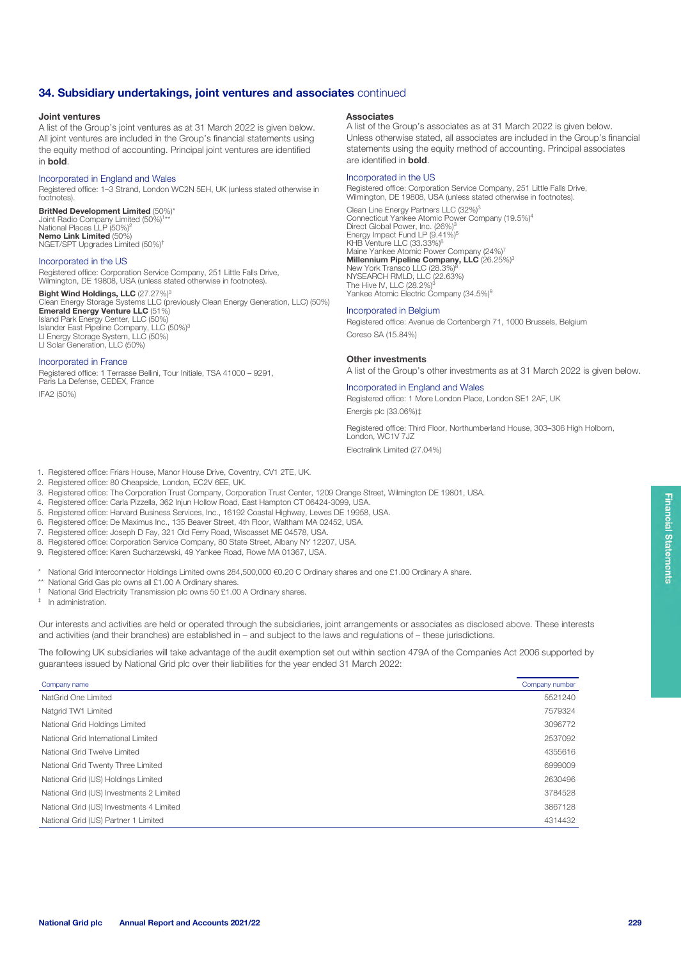# 34. Subsidiary undertakings, joint ventures and associates continued

### **Joint ventures Associates** Associates Associates Associates Associates Associates Associates Associates Associates Associates Associates Associates Associates Associates Associates Associates Associates Associates Associa

A list of the Group's joint ventures as at 31 March 2022 is given below. All joint ventures are included in the Group's financial statements using the equity method of accounting. Principal joint ventures are identified in bold.

#### Incorporated in England and Wales

Registered office: 1–3 Strand, London WC2N 5EH, UK (unless stated otherwise in footnotes).

### BritNed Development Limited (50%)\*

Joint Radio Company Limited (50%)<sup>1\*\*</sup><br>National Places LLP (50%)<sup>2</sup> Nemo Link Limited (50%) NGET/SPT Upgrades Limited (50%)†

#### Incorporated in the US

Registered office: Corporation Service Company, 251 Little Falls Drive, Wilmington, DE 19808, USA (unless stated otherwise in footnotes).

# **Bight Wind Holdings, LLC** (27.27%)<sup>3</sup><br>Clean Energy Storage Systems LLC (previously Clean Energy Generation, LLC) (50%)<br>**Emerald Energy Venture LLC** (51%) Island Park Energy Center, LLC (50%)<br>Islander East Pipeline Company, LLC (50%)<sup>3</sup><br>LI Energy Storage System, LLC (50%)

LI Solar Generation, LLC (50%)

### Incorporated in France

Registered office: 1 Terrasse Bellini, Tour Initiale, TSA 41000 – 9291, Paris La Defense, CEDEX, France IFA2 (50%)

A list of the Group's associates as at 31 March 2022 is given below. Unless otherwise stated, all associates are included in the Group's financial statements using the equity method of accounting. Principal associates are identified in bold.

#### Incorporated in the US

Registered office: Corporation Service Company, 251 Little Falls Drive, Wilmington, DE 19808, USA (unless stated otherwise in footnotes).

Clean Line Energy Partners LLC (32%)<sup>3</sup> Connecticut Yankee Atomic Power Company (19.5%)<sup>4</sup> Direct Global Power, Inc. (26%)<sup>3</sup><br>Energy Impact Fund LP (9.41%)<sup>5</sup> KHB Venture LLC (33.33%)<sup>6</sup> Maine Yankee Atomic Power Company (24%)<sup>7</sup><br>**Millennium Pipeline Company, LLC** (26.25%)<sup>3</sup> New York Transco LLC (28.3%)<sup>8</sup><br>NYSEARCH RMLD, LLC <u>(</u>22.63%) The Hive IV, LLC (28.2%) Yankee Atomic Electric Company (34.5%)<sup>9</sup>

#### Incorporated in Belgium

Registered office: Avenue de Cortenbergh 71, 1000 Brussels, Belgium Coreso SA (15.84%)

#### Other investments

A list of the Group's other investments as at 31 March 2022 is given below.

#### Incorporated in England and Wales

Registered office: 1 More London Place, London SE1 2AF, UK Energis plc (33.06%)‡

Registered office: Third Floor, Northumberland House, 303–306 High Holborn, London, WC1V 7JZ

Electralink Limited (27.04%)

- 1. Registered office: Friars House, Manor House Drive, Coventry, CV1 2TE, UK.
- 2. Registered office: 80 Cheapside, London, EC2V 6EE, UK.
- 3. Registered office: The Corporation Trust Company, Corporation Trust Center, 1209 Orange Street, Wilmington DE 19801, USA.
- 4. Registered office: Carla Pizzella, 362 Injun Hollow Road, East Hampton CT 06424-3099, USA.
- 5. Registered office: Harvard Business Services, Inc., 16192 Coastal Highway, Lewes DE 19958, USA.
- 6. Registered office: De Maximus Inc., 135 Beaver Street, 4th Floor, Waltham MA 02452, USA.
- 7. Registered office: Joseph D Fay, 321 Old Ferry Road, Wiscasset ME 04578, USA.
- 8. Registered office: Corporation Service Company, 80 State Street, Albany NY 12207, USA.
- 9. Registered office: Karen Sucharzewski, 49 Yankee Road, Rowe MA 01367, USA.

\* National Grid Interconnector Holdings Limited owns 284,500,000 €0.20 C Ordinary shares and one £1.00 Ordinary A share.

- \*\* National Grid Gas plc owns all £1.00 A Ordinary shares.
- † National Grid Electricity Transmission plc owns 50 £1.00 A Ordinary shares.
- ‡ In administration.

Our interests and activities are held or operated through the subsidiaries, joint arrangements or associates as disclosed above. These interests and activities (and their branches) are established in – and subject to the laws and regulations of – these jurisdictions.

The following UK subsidiaries will take advantage of the audit exemption set out within section 479A of the Companies Act 2006 supported by guarantees issued by National Grid plc over their liabilities for the year ended 31 March 2022:

| Company name                             | Company number |
|------------------------------------------|----------------|
| NatGrid One Limited                      | 5521240        |
| Natgrid TW1 Limited                      | 7579324        |
| National Grid Holdings Limited           | 3096772        |
| National Grid International Limited      | 2537092        |
| National Grid Twelve Limited             | 4355616        |
| National Grid Twenty Three Limited       | 6999009        |
| National Grid (US) Holdings Limited      | 2630496        |
| National Grid (US) Investments 2 Limited | 3784528        |
| National Grid (US) Investments 4 Limited | 3867128        |
| National Grid (US) Partner 1 Limited     | 4314432        |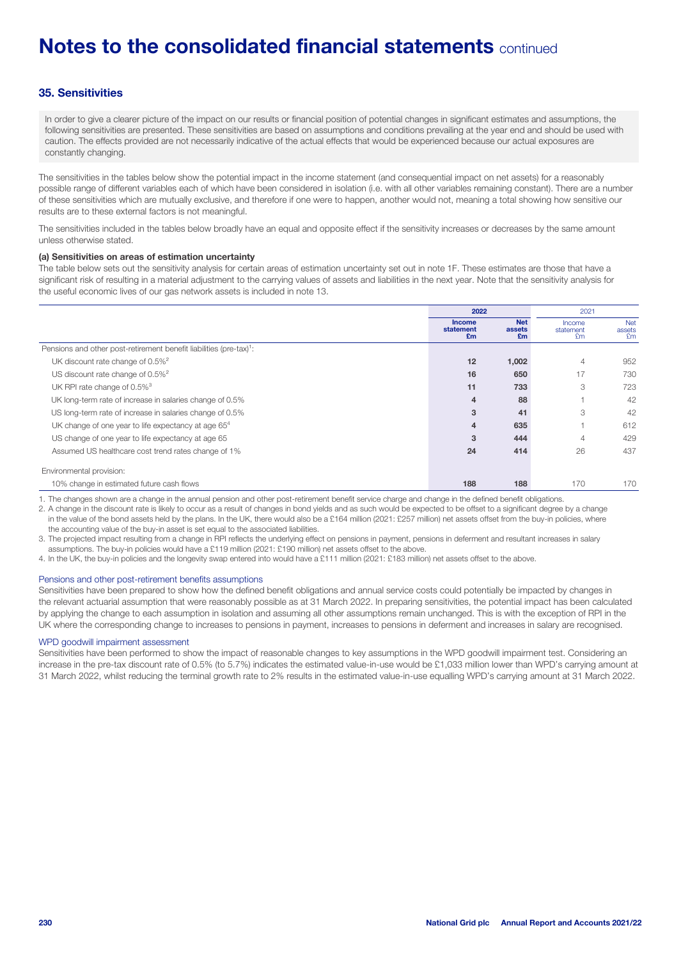# 35. Sensitivities

In order to give a clearer picture of the impact on our results or financial position of potential changes in significant estimates and assumptions, the following sensitivities are presented. These sensitivities are based on assumptions and conditions prevailing at the year end and should be used with caution. The effects provided are not necessarily indicative of the actual effects that would be experienced because our actual exposures are constantly changing.

The sensitivities in the tables below show the potential impact in the income statement (and consequential impact on net assets) for a reasonably possible range of different variables each of which have been considered in isolation (i.e. with all other variables remaining constant). There are a number of these sensitivities which are mutually exclusive, and therefore if one were to happen, another would not, meaning a total showing how sensitive our results are to these external factors is not meaningful.

The sensitivities included in the tables below broadly have an equal and opposite effect if the sensitivity increases or decreases by the same amount unless otherwise stated.

#### (a) Sensitivities on areas of estimation uncertainty

The table below sets out the sensitivity analysis for certain areas of estimation uncertainty set out in note 1F. These estimates are those that have a significant risk of resulting in a material adjustment to the carrying values of assets and liabilities in the next year. Note that the sensitivity analysis for the useful economic lives of our gas network assets is included in note 13.

|                                                                                 | 2022                             |                            | 2021                      |                     |
|---------------------------------------------------------------------------------|----------------------------------|----------------------------|---------------------------|---------------------|
|                                                                                 | <b>Income</b><br>statement<br>£m | <b>Net</b><br>assets<br>£m | Income<br>statement<br>£m | Net<br>assets<br>Em |
| Pensions and other post-retirement benefit liabilities (pre-tax) <sup>1</sup> : |                                  |                            |                           |                     |
| UK discount rate change of 0.5% <sup>2</sup>                                    | 12                               | 1,002                      | 4                         | 952                 |
| US discount rate change of 0.5% <sup>2</sup>                                    | 16                               | 650                        | 17                        | 730                 |
| UK RPI rate change of $0.5\%$ <sup>3</sup>                                      | 11                               | 733                        | 3                         | 723                 |
| UK long-term rate of increase in salaries change of 0.5%                        | $\overline{4}$                   | 88                         |                           | 42                  |
| US long-term rate of increase in salaries change of 0.5%                        | 3                                | 41                         | 3                         | 42                  |
| UK change of one year to life expectancy at age 65 <sup>4</sup>                 | $\overline{4}$                   | 635                        |                           | 612                 |
| US change of one year to life expectancy at age 65                              | 3                                | 444                        | 4                         | 429                 |
| Assumed US healthcare cost trend rates change of 1%                             | 24                               | 414                        | 26                        | 437                 |
| Environmental provision:                                                        |                                  |                            |                           |                     |
| 10% change in estimated future cash flows                                       | 188                              | 188                        | 170                       | 170                 |

1. The changes shown are a change in the annual pension and other post-retirement benefit service charge and change in the defined benefit obligations.

2. A change in the discount rate is likely to occur as a result of changes in bond yields and as such would be expected to be offset to a significant degree by a change in the value of the bond assets held by the plans. In the UK, there would also be a £164 million (2021: £257 million) net assets offset from the buy-in policies, where the accounting value of the buy-in asset is set equal to the associated liabilities.

3. The projected impact resulting from a change in RPI reflects the underlying effect on pensions in payment, pensions in deferment and resultant increases in salary assumptions. The buy-in policies would have a £119 million (2021: £190 million) net assets offset to the above.

4. In the UK, the buy-in policies and the longevity swap entered into would have a £111 million (2021: £183 million) net assets offset to the above.

#### Pensions and other post-retirement benefits assumptions

Sensitivities have been prepared to show how the defined benefit obligations and annual service costs could potentially be impacted by changes in the relevant actuarial assumption that were reasonably possible as at 31 March 2022. In preparing sensitivities, the potential impact has been calculated by applying the change to each assumption in isolation and assuming all other assumptions remain unchanged. This is with the exception of RPI in the UK where the corresponding change to increases to pensions in payment, increases to pensions in deferment and increases in salary are recognised.

#### WPD goodwill impairment assessment

Sensitivities have been performed to show the impact of reasonable changes to key assumptions in the WPD goodwill impairment test. Considering an increase in the pre-tax discount rate of 0.5% (to 5.7%) indicates the estimated value-in-use would be £1,033 million lower than WPD's carrying amount at 31 March 2022, whilst reducing the terminal growth rate to 2% results in the estimated value-in-use equalling WPD's carrying amount at 31 March 2022.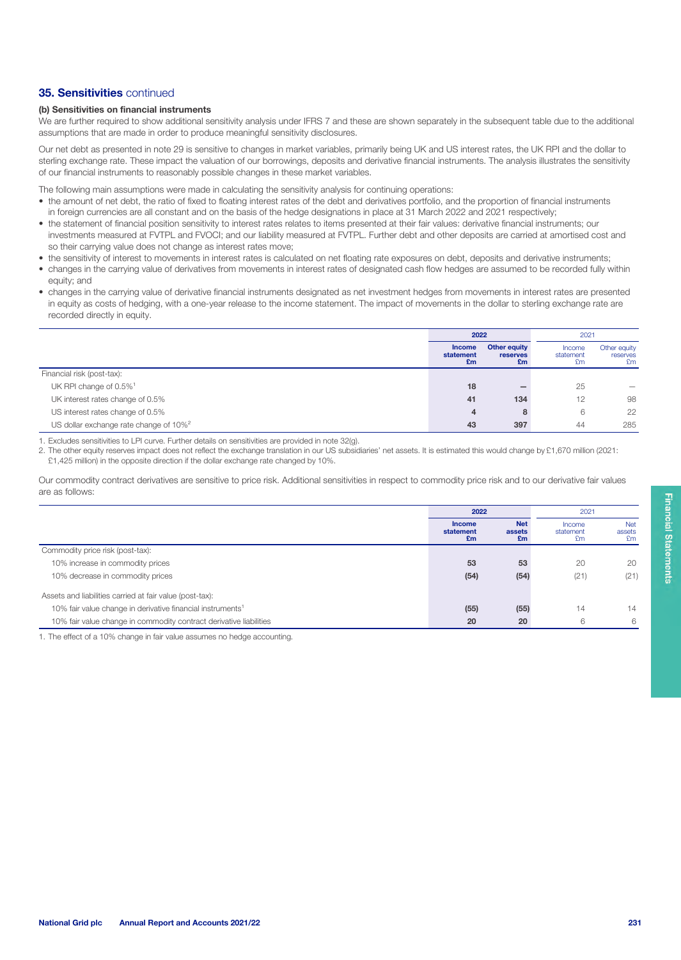# **35. Sensitivities continued**

# (b) Sensitivities on financial instruments

We are further required to show additional sensitivity analysis under IFRS 7 and these are shown separately in the subsequent table due to the additional assumptions that are made in order to produce meaningful sensitivity disclosures.

Our net debt as presented in note 29 is sensitive to changes in market variables, primarily being UK and US interest rates, the UK RPI and the dollar to sterling exchange rate. These impact the valuation of our borrowings, deposits and derivative financial instruments. The analysis illustrates the sensitivity of our financial instruments to reasonably possible changes in these market variables.

The following main assumptions were made in calculating the sensitivity analysis for continuing operations:

- the amount of net debt, the ratio of fixed to floating interest rates of the debt and derivatives portfolio, and the proportion of financial instruments in foreign currencies are all constant and on the basis of the hedge designations in place at 31 March 2022 and 2021 respectively;
- the statement of financial position sensitivity to interest rates relates to items presented at their fair values: derivative financial instruments; our investments measured at FVTPL and FVOCI; and our liability measured at FVTPL. Further debt and other deposits are carried at amortised cost and so their carrying value does not change as interest rates move;
- the sensitivity of interest to movements in interest rates is calculated on net floating rate exposures on debt, deposits and derivative instruments;
- changes in the carrying value of derivatives from movements in interest rates of designated cash flow hedges are assumed to be recorded fully within equity; and
- changes in the carrying value of derivative financial instruments designated as net investment hedges from movements in interest rates are presented in equity as costs of hedging, with a one-year release to the income statement. The impact of movements in the dollar to sterling exchange rate are recorded directly in equity.

|                                                    | 2022                             |                                | 2021                      |                                |
|----------------------------------------------------|----------------------------------|--------------------------------|---------------------------|--------------------------------|
|                                                    | <b>Income</b><br>statement<br>£m | Other equity<br>reserves<br>£m | Income<br>statement<br>£m | Other equity<br>reserves<br>£m |
| Financial risk (post-tax):                         |                                  |                                |                           |                                |
| UK RPI change of 0.5% <sup>1</sup>                 | 18                               | —                              | 25                        |                                |
| UK interest rates change of 0.5%                   | 41                               | 134                            | 12                        | 98                             |
| US interest rates change of 0.5%                   | 4                                | 8                              | 6                         | 22                             |
| US dollar exchange rate change of 10% <sup>2</sup> | 43                               | 397                            | 44                        | 285                            |

1. Excludes sensitivities to LPI curve. Further details on sensitivities are provided in note 32(g).

2. The other equity reserves impact does not reflect the exchange translation in our US subsidiaries' net assets. It is estimated this would change by £1,670 million (2021: £1,425 million) in the opposite direction if the dollar exchange rate changed by 10%.

Our commodity contract derivatives are sensitive to price risk. Additional sensitivities in respect to commodity price risk and to our derivative fair values are as follows:

|                                                                        | 2022                             |                            | 2021                      |                            |
|------------------------------------------------------------------------|----------------------------------|----------------------------|---------------------------|----------------------------|
|                                                                        | <b>Income</b><br>statement<br>£m | <b>Net</b><br>assets<br>£m | Income<br>statement<br>£m | <b>Net</b><br>assets<br>£m |
| Commodity price risk (post-tax):                                       |                                  |                            |                           |                            |
| 10% increase in commodity prices                                       | 53                               | 53                         | 20                        | 20                         |
| 10% decrease in commodity prices                                       | (54)                             | (54)                       | (21)                      | (21)                       |
| Assets and liabilities carried at fair value (post-tax):               |                                  |                            |                           |                            |
| 10% fair value change in derivative financial instruments <sup>1</sup> | (55)                             | (55)                       | 14                        | 14                         |
| 10% fair value change in commodity contract derivative liabilities     | 20                               | 20                         | 6                         | 6                          |

1. The effect of a 10% change in fair value assumes no hedge accounting.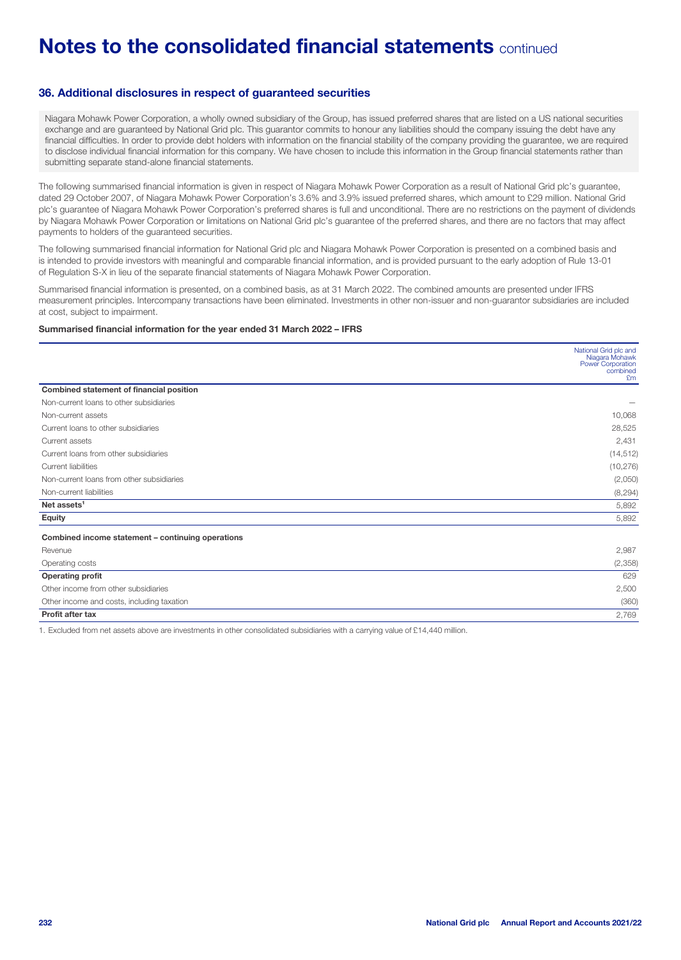### 36. Additional disclosures in respect of guaranteed securities

Niagara Mohawk Power Corporation, a wholly owned subsidiary of the Group, has issued preferred shares that are listed on a US national securities exchange and are guaranteed by National Grid plc. This guarantor commits to honour any liabilities should the company issuing the debt have any financial difficulties. In order to provide debt holders with information on the financial stability of the company providing the guarantee, we are required to disclose individual financial information for this company. We have chosen to include this information in the Group financial statements rather than submitting separate stand-alone financial statements.

The following summarised financial information is given in respect of Niagara Mohawk Power Corporation as a result of National Grid plc's guarantee, dated 29 October 2007, of Niagara Mohawk Power Corporation's 3.6% and 3.9% issued preferred shares, which amount to £29 million. National Grid plc's guarantee of Niagara Mohawk Power Corporation's preferred shares is full and unconditional. There are no restrictions on the payment of dividends by Niagara Mohawk Power Corporation or limitations on National Grid plc's guarantee of the preferred shares, and there are no factors that may affect payments to holders of the guaranteed securities.

The following summarised financial information for National Grid plc and Niagara Mohawk Power Corporation is presented on a combined basis and is intended to provide investors with meaningful and comparable financial information, and is provided pursuant to the early adoption of Rule 13-01 of Regulation S-X in lieu of the separate financial statements of Niagara Mohawk Power Corporation.

Summarised financial information is presented, on a combined basis, as at 31 March 2022. The combined amounts are presented under IFRS measurement principles. Intercompany transactions have been eliminated. Investments in other non-issuer and non-guarantor subsidiaries are included at cost, subject to impairment.

#### Summarised financial information for the year ended 31 March 2022 – IFRS

|                                                   | National Grid plc and<br>Niagara Mohawk<br>Power Corporation<br>combined<br>£m |
|---------------------------------------------------|--------------------------------------------------------------------------------|
| Combined statement of financial position          |                                                                                |
| Non-current loans to other subsidiaries           |                                                                                |
| Non-current assets                                | 10,068                                                                         |
| Current loans to other subsidiaries               | 28,525                                                                         |
| Current assets                                    | 2,431                                                                          |
| Current loans from other subsidiaries             | (14, 512)                                                                      |
| <b>Current liabilities</b>                        | (10, 276)                                                                      |
| Non-current loans from other subsidiaries         | (2,050)                                                                        |
| Non-current liabilities                           | (8, 294)                                                                       |
| Net assets <sup>1</sup>                           | 5,892                                                                          |
| <b>Equity</b>                                     | 5,892                                                                          |
| Combined income statement - continuing operations |                                                                                |
| Revenue                                           | 2,987                                                                          |
| Operating costs                                   | (2,358)                                                                        |
| <b>Operating profit</b>                           | 629                                                                            |
| Other income from other subsidiaries              | 2,500                                                                          |
| Other income and costs, including taxation        | (360)                                                                          |
| <b>Profit after tax</b>                           | 2,769                                                                          |

1. Excluded from net assets above are investments in other consolidated subsidiaries with a carrying value of £14,440 million.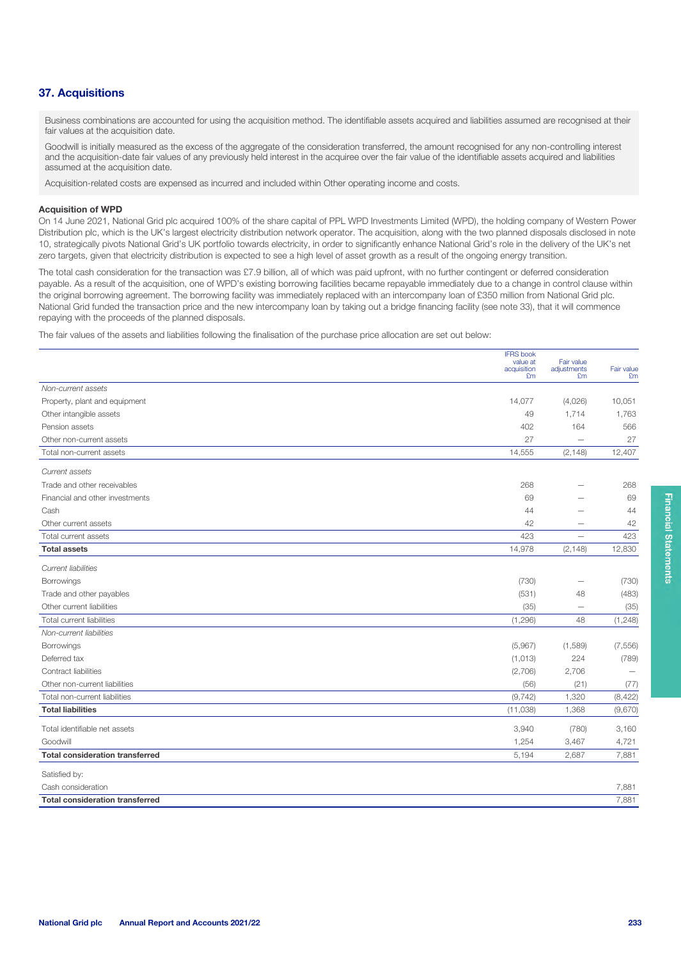# 37. Acquisitions

Business combinations are accounted for using the acquisition method. The identifiable assets acquired and liabilities assumed are recognised at their fair values at the acquisition date.

Goodwill is initially measured as the excess of the aggregate of the consideration transferred, the amount recognised for any non-controlling interest and the acquisition-date fair values of any previously held interest in the acquiree over the fair value of the identifiable assets acquired and liabilities assumed at the acquisition date.

Acquisition-related costs are expensed as incurred and included within Other operating income and costs.

#### Acquisition of WPD

On 14 June 2021, National Grid plc acquired 100% of the share capital of PPL WPD Investments Limited (WPD), the holding company of Western Power Distribution plc, which is the UK's largest electricity distribution network operator. The acquisition, along with the two planned disposals disclosed in note 10, strategically pivots National Grid's UK portfolio towards electricity, in order to significantly enhance National Grid's role in the delivery of the UK's net zero targets, given that electricity distribution is expected to see a high level of asset growth as a result of the ongoing energy transition.

The total cash consideration for the transaction was £7.9 billion, all of which was paid upfront, with no further contingent or deferred consideration payable. As a result of the acquisition, one of WPD's existing borrowing facilities became repayable immediately due to a change in control clause within the original borrowing agreement. The borrowing facility was immediately replaced with an intercompany loan of £350 million from National Grid plc. National Grid funded the transaction price and the new intercompany loan by taking out a bridge financing facility (see note 33), that it will commence repaying with the proceeds of the planned disposals.

The fair values of the assets and liabilities following the finalisation of the purchase price allocation are set out below:

|                                        | <b>IFRS book</b><br>value at<br>acquisition<br>£m | Fair value<br>adjustments<br>£m | Fair value<br>£m |
|----------------------------------------|---------------------------------------------------|---------------------------------|------------------|
| Non-current assets                     |                                                   |                                 |                  |
| Property, plant and equipment          | 14,077                                            | (4,026)                         | 10,051           |
| Other intangible assets                | 49                                                | 1,714                           | 1,763            |
| Pension assets                         | 402                                               | 164                             | 566              |
| Other non-current assets               | 27                                                | $\overline{\phantom{0}}$        | 27               |
| Total non-current assets               | 14,555                                            | (2, 148)                        | 12,407           |
| Current assets                         |                                                   |                                 |                  |
| Trade and other receivables            | 268                                               |                                 | 268              |
| Financial and other investments        | 69                                                |                                 | 69               |
| Cash                                   | 44                                                |                                 | 44               |
| Other current assets                   | 42                                                |                                 | 42               |
| Total current assets                   | 423                                               |                                 | 423              |
| <b>Total assets</b>                    | 14,978                                            | (2, 148)                        | 12,830           |
| <b>Current liabilities</b>             |                                                   |                                 |                  |
| Borrowings                             | (730)                                             | -                               | (730)            |
| Trade and other payables               | (531)                                             | 48                              | (483)            |
| Other current liabilities              | (35)                                              | $\overline{\phantom{0}}$        | (35)             |
| Total current liabilities              | (1, 296)                                          | 48                              | (1, 248)         |
| Non-current liabilities                |                                                   |                                 |                  |
| Borrowings                             | (5,967)                                           | (1,589)                         | (7, 556)         |
| Deferred tax                           | (1, 013)                                          | 224                             | (789)            |
| Contract liabilities                   | (2,706)                                           | 2,706                           |                  |
| Other non-current liabilities          | (56)                                              | (21)                            | (77)             |
| Total non-current liabilities          | (9, 742)                                          | 1,320                           | (8, 422)         |
| <b>Total liabilities</b>               | (11,038)                                          | 1,368                           | (9,670)          |
| Total identifiable net assets          | 3,940                                             | (780)                           | 3,160            |
| Goodwill                               | 1,254                                             | 3,467                           | 4,721            |
| <b>Total consideration transferred</b> | 5,194                                             | 2,687                           | 7,881            |
| Satisfied by:                          |                                                   |                                 |                  |
| Cash consideration                     |                                                   |                                 | 7,881            |
| <b>Total consideration transferred</b> |                                                   |                                 | 7,881            |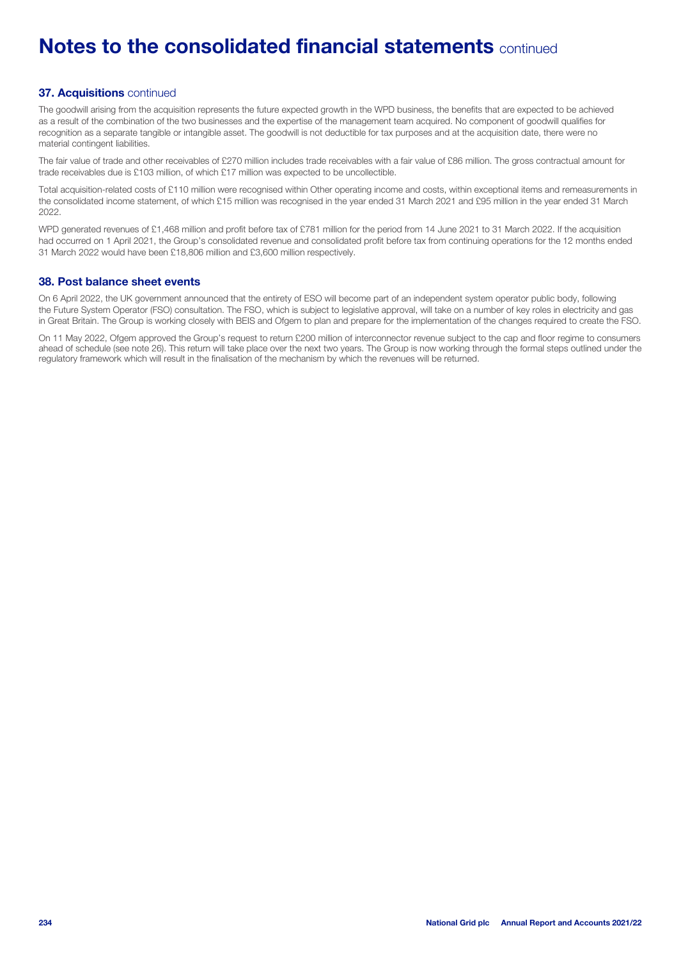# **37. Acquisitions continued**

The goodwill arising from the acquisition represents the future expected growth in the WPD business, the benefits that are expected to be achieved as a result of the combination of the two businesses and the expertise of the management team acquired. No component of goodwill qualifies for recognition as a separate tangible or intangible asset. The goodwill is not deductible for tax purposes and at the acquisition date, there were no material contingent liabilities.

The fair value of trade and other receivables of £270 million includes trade receivables with a fair value of £86 million. The gross contractual amount for trade receivables due is £103 million, of which £17 million was expected to be uncollectible.

Total acquisition-related costs of £110 million were recognised within Other operating income and costs, within exceptional items and remeasurements in the consolidated income statement, of which £15 million was recognised in the year ended 31 March 2021 and £95 million in the year ended 31 March 2022.

WPD generated revenues of £1,468 million and profit before tax of £781 million for the period from 14 June 2021 to 31 March 2022. If the acquisition had occurred on 1 April 2021, the Group's consolidated revenue and consolidated profit before tax from continuing operations for the 12 months ended 31 March 2022 would have been £18,806 million and £3,600 million respectively.

# 38. Post balance sheet events

On 6 April 2022, the UK government announced that the entirety of ESO will become part of an independent system operator public body, following the Future System Operator (FSO) consultation. The FSO, which is subject to legislative approval, will take on a number of key roles in electricity and gas in Great Britain. The Group is working closely with BEIS and Ofgem to plan and prepare for the implementation of the changes required to create the FSO.

On 11 May 2022, Ofgem approved the Group's request to return £200 million of interconnector revenue subject to the cap and floor regime to consumers ahead of schedule (see note 26). This return will take place over the next two years. The Group is now working through the formal steps outlined under the regulatory framework which will result in the finalisation of the mechanism by which the revenues will be returned.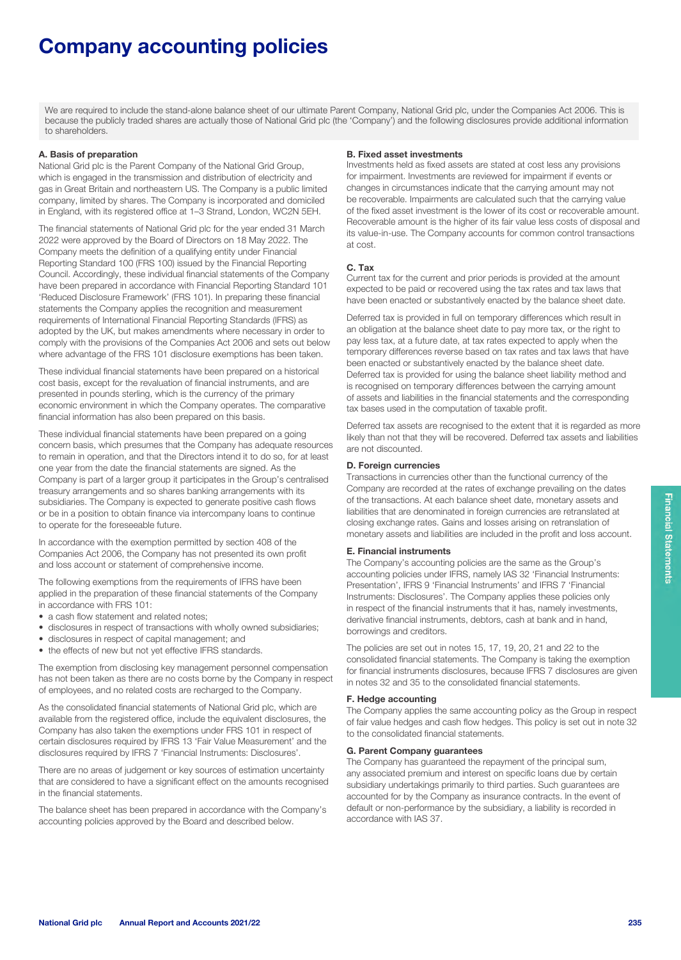# Company accounting policies

We are required to include the stand-alone balance sheet of our ultimate Parent Company, National Grid plc, under the Companies Act 2006. This is because the publicly traded shares are actually those of National Grid plc (the 'Company') and the following disclosures provide additional information to shareholders.

#### A. Basis of preparation

National Grid plc is the Parent Company of the National Grid Group, which is engaged in the transmission and distribution of electricity and gas in Great Britain and northeastern US. The Company is a public limited company, limited by shares. The Company is incorporated and domiciled in England, with its registered office at 1–3 Strand, London, WC2N 5EH.

The financial statements of National Grid plc for the year ended 31 March 2022 were approved by the Board of Directors on 18 May 2022. The Company meets the definition of a qualifying entity under Financial Reporting Standard 100 (FRS 100) issued by the Financial Reporting Council. Accordingly, these individual financial statements of the Company have been prepared in accordance with Financial Reporting Standard 101 'Reduced Disclosure Framework' (FRS 101). In preparing these financial statements the Company applies the recognition and measurement requirements of International Financial Reporting Standards (IFRS) as adopted by the UK, but makes amendments where necessary in order to comply with the provisions of the Companies Act 2006 and sets out below where advantage of the FRS 101 disclosure exemptions has been taken.

These individual financial statements have been prepared on a historical cost basis, except for the revaluation of financial instruments, and are presented in pounds sterling, which is the currency of the primary economic environment in which the Company operates. The comparative financial information has also been prepared on this basis.

These individual financial statements have been prepared on a going concern basis, which presumes that the Company has adequate resources to remain in operation, and that the Directors intend it to do so, for at least one year from the date the financial statements are signed. As the Company is part of a larger group it participates in the Group's centralised treasury arrangements and so shares banking arrangements with its subsidiaries. The Company is expected to generate positive cash flows or be in a position to obtain finance via intercompany loans to continue to operate for the foreseeable future.

In accordance with the exemption permitted by section 408 of the Companies Act 2006, the Company has not presented its own profit and loss account or statement of comprehensive income.

The following exemptions from the requirements of IFRS have been applied in the preparation of these financial statements of the Company in accordance with FRS 101:

- a cash flow statement and related notes;
- disclosures in respect of transactions with wholly owned subsidiaries;
- disclosures in respect of capital management; and
- the effects of new but not yet effective IFRS standards.

The exemption from disclosing key management personnel compensation has not been taken as there are no costs borne by the Company in respect of employees, and no related costs are recharged to the Company.

As the consolidated financial statements of National Grid plc, which are available from the registered office, include the equivalent disclosures, the Company has also taken the exemptions under FRS 101 in respect of certain disclosures required by IFRS 13 'Fair Value Measurement' and the disclosures required by IFRS 7 'Financial Instruments: Disclosures'.

There are no areas of judgement or key sources of estimation uncertainty that are considered to have a significant effect on the amounts recognised in the financial statements.

The balance sheet has been prepared in accordance with the Company's accounting policies approved by the Board and described below.

#### B. Fixed asset investments

Investments held as fixed assets are stated at cost less any provisions for impairment. Investments are reviewed for impairment if events or changes in circumstances indicate that the carrying amount may not be recoverable. Impairments are calculated such that the carrying value of the fixed asset investment is the lower of its cost or recoverable amount. Recoverable amount is the higher of its fair value less costs of disposal and its value-in-use. The Company accounts for common control transactions at cost.

### C. Tax

Current tax for the current and prior periods is provided at the amount expected to be paid or recovered using the tax rates and tax laws that have been enacted or substantively enacted by the balance sheet date.

Deferred tax is provided in full on temporary differences which result in an obligation at the balance sheet date to pay more tax, or the right to pay less tax, at a future date, at tax rates expected to apply when the temporary differences reverse based on tax rates and tax laws that have been enacted or substantively enacted by the balance sheet date. Deferred tax is provided for using the balance sheet liability method and is recognised on temporary differences between the carrying amount of assets and liabilities in the financial statements and the corresponding tax bases used in the computation of taxable profit.

Deferred tax assets are recognised to the extent that it is regarded as more likely than not that they will be recovered. Deferred tax assets and liabilities are not discounted.

#### D. Foreign currencies

Transactions in currencies other than the functional currency of the Company are recorded at the rates of exchange prevailing on the dates of the transactions. At each balance sheet date, monetary assets and liabilities that are denominated in foreign currencies are retranslated at closing exchange rates. Gains and losses arising on retranslation of monetary assets and liabilities are included in the profit and loss account.

### E. Financial instruments

The Company's accounting policies are the same as the Group's accounting policies under IFRS, namely IAS 32 'Financial Instruments: Presentation', IFRS 9 'Financial Instruments' and IFRS 7 'Financial Instruments: Disclosures'. The Company applies these policies only in respect of the financial instruments that it has, namely investments, derivative financial instruments, debtors, cash at bank and in hand, borrowings and creditors.

The policies are set out in notes 15, 17, 19, 20, 21 and 22 to the consolidated financial statements. The Company is taking the exemption for financial instruments disclosures, because IFRS 7 disclosures are given in notes 32 and 35 to the consolidated financial statements.

#### F. Hedge accounting

The Company applies the same accounting policy as the Group in respect of fair value hedges and cash flow hedges. This policy is set out in note 32 to the consolidated financial statements.

#### G. Parent Company guarantees

The Company has guaranteed the repayment of the principal sum, any associated premium and interest on specific loans due by certain subsidiary undertakings primarily to third parties. Such guarantees are accounted for by the Company as insurance contracts. In the event of default or non-performance by the subsidiary, a liability is recorded in accordance with IAS 37.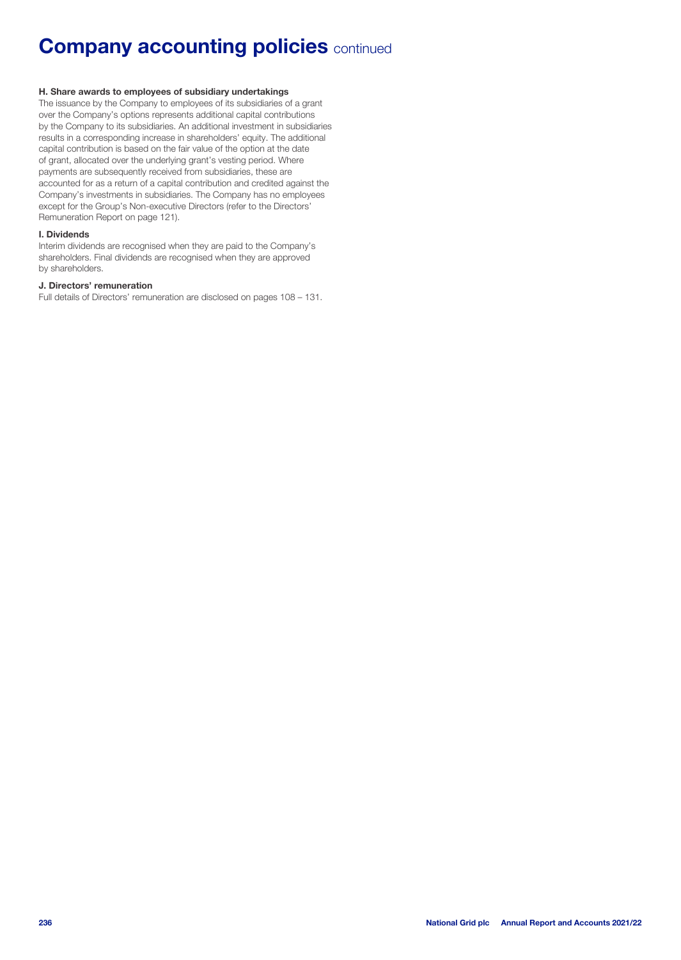# **Company accounting policies continued**

#### H. Share awards to employees of subsidiary undertakings

The issuance by the Company to employees of its subsidiaries of a grant over the Company's options represents additional capital contributions by the Company to its subsidiaries. An additional investment in subsidiaries results in a corresponding increase in shareholders' equity. The additional capital contribution is based on the fair value of the option at the date of grant, allocated over the underlying grant's vesting period. Where payments are subsequently received from subsidiaries, these are accounted for as a return of a capital contribution and credited against the Company's investments in subsidiaries. The Company has no employees except for the Group's Non-executive Directors (refer to the Directors' Remuneration Report on page 121).

### I. Dividends

Interim dividends are recognised when they are paid to the Company's shareholders. Final dividends are recognised when they are approved by shareholders.

### J. Directors' remuneration

Full details of Directors' remuneration are disclosed on pages 108 – 131.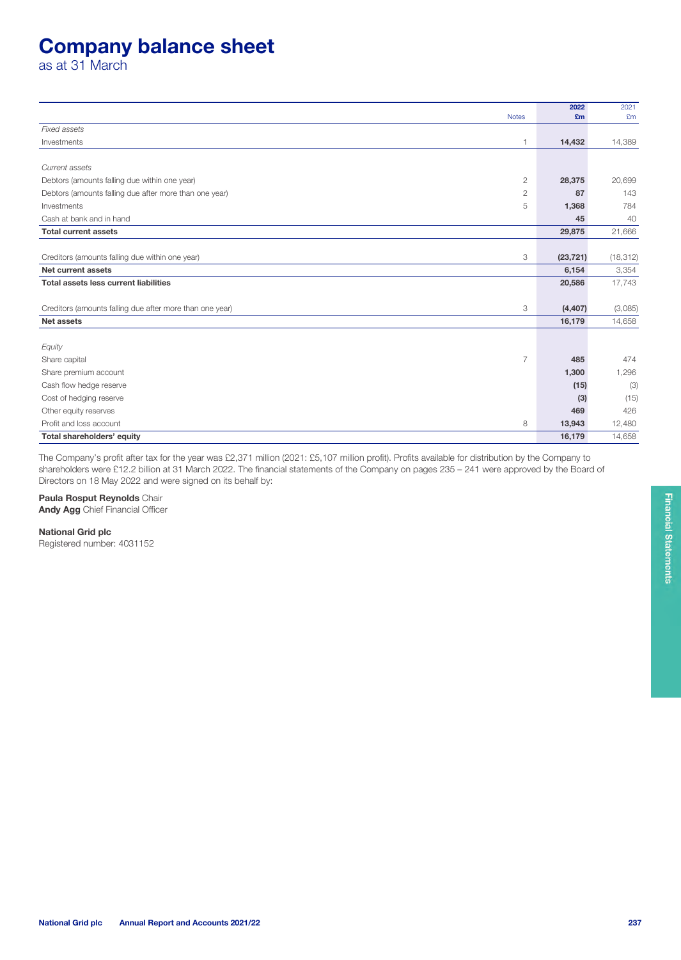# Company balance sheet

as at 31 March

|                                                          |                | 2022      | 2021      |
|----------------------------------------------------------|----------------|-----------|-----------|
|                                                          | <b>Notes</b>   | £m        | £m        |
| Fixed assets                                             |                |           |           |
| Investments                                              | $\overline{1}$ | 14,432    | 14,389    |
|                                                          |                |           |           |
| Current assets                                           |                |           |           |
| Debtors (amounts falling due within one year)            | $\overline{2}$ | 28,375    | 20,699    |
| Debtors (amounts falling due after more than one year)   | $\overline{c}$ | 87        | 143       |
| Investments                                              | 5              | 1,368     | 784       |
| Cash at bank and in hand                                 |                | 45        | 40        |
| <b>Total current assets</b>                              |                | 29,875    | 21,666    |
|                                                          |                |           |           |
| Creditors (amounts falling due within one year)          | 3              | (23, 721) | (18, 312) |
| Net current assets                                       |                | 6,154     | 3,354     |
| Total assets less current liabilities                    |                | 20,586    | 17,743    |
|                                                          |                |           |           |
| Creditors (amounts falling due after more than one year) | 3              | (4, 407)  | (3,085)   |
| Net assets                                               |                | 16,179    | 14,658    |
|                                                          |                |           |           |
| Equity                                                   |                |           |           |
| Share capital                                            | $\overline{7}$ | 485       | 474       |
| Share premium account                                    |                | 1,300     | 1,296     |
| Cash flow hedge reserve                                  |                | (15)      | (3)       |
| Cost of hedging reserve                                  |                | (3)       | (15)      |
| Other equity reserves                                    |                | 469       | 426       |
| Profit and loss account                                  | 8              | 13,943    | 12,480    |
| Total shareholders' equity                               |                | 16,179    | 14,658    |

The Company's profit after tax for the year was £2,371 million (2021: £5,107 million profit). Profits available for distribution by the Company to shareholders were £12.2 billion at 31 March 2022. The financial statements of the Company on pages 235 – 241 were approved by the Board of Directors on 18 May 2022 and were signed on its behalf by:

# Paula Rosput Reynolds Chair

Andy Agg Chief Financial Officer

### National Grid plc

Registered number: 4031152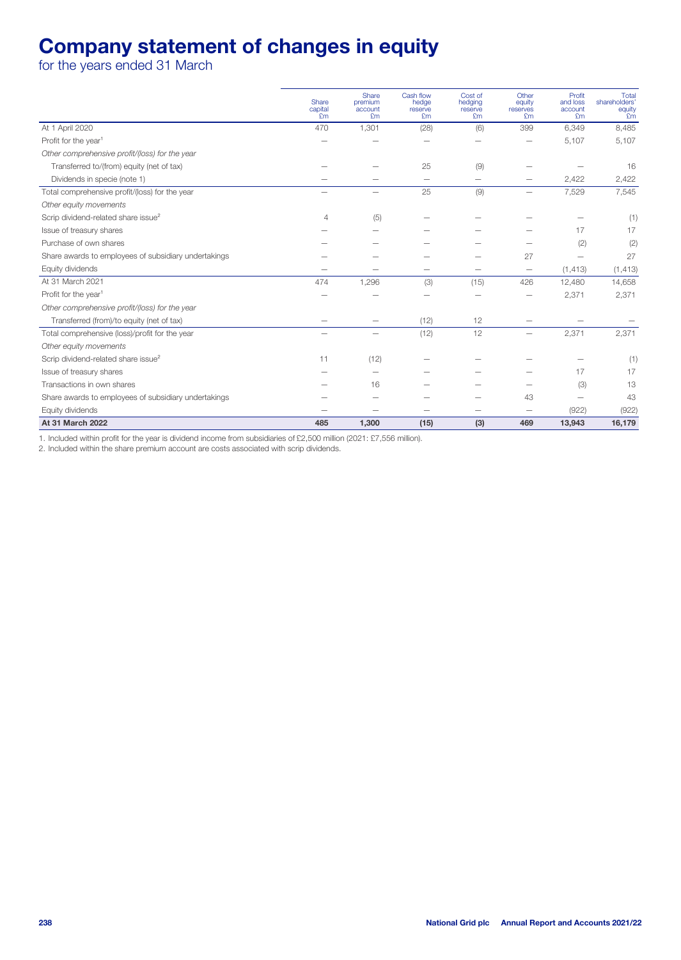# Company statement of changes in equity

for the years ended 31 March

|                                                      | Share<br>capital<br>Em | Share<br>premium<br>account<br>£m | Cash flow<br>hedge<br>reserve<br>£m | Cost of<br>hedging<br>reserve<br>£m | Other<br>equity<br>reserves<br>£m | Profit<br>and loss<br>account<br>£m | Total<br>shareholders'<br>equity<br>£m |
|------------------------------------------------------|------------------------|-----------------------------------|-------------------------------------|-------------------------------------|-----------------------------------|-------------------------------------|----------------------------------------|
| At 1 April 2020                                      | 470                    | 1,301                             | (28)                                | (6)                                 | 399                               | 6,349                               | 8.485                                  |
| Profit for the year <sup>1</sup>                     |                        |                                   |                                     |                                     |                                   | 5,107                               | 5,107                                  |
| Other comprehensive profit/(loss) for the year       |                        |                                   |                                     |                                     |                                   |                                     |                                        |
| Transferred to/(from) equity (net of tax)            |                        |                                   | 25                                  | (9)                                 |                                   |                                     | 16                                     |
| Dividends in specie (note 1)                         |                        |                                   |                                     |                                     |                                   | 2,422                               | 2,422                                  |
| Total comprehensive profit/(loss) for the year       |                        |                                   | 25                                  | (9)                                 | -                                 | 7,529                               | 7,545                                  |
| Other equity movements                               |                        |                                   |                                     |                                     |                                   |                                     |                                        |
| Scrip dividend-related share issue <sup>2</sup>      | $\overline{4}$         | (5)                               |                                     |                                     |                                   |                                     | (1)                                    |
| Issue of treasury shares                             |                        |                                   |                                     |                                     |                                   | 17                                  | 17                                     |
| Purchase of own shares                               |                        |                                   |                                     |                                     |                                   | (2)                                 | (2)                                    |
| Share awards to employees of subsidiary undertakings |                        |                                   |                                     |                                     | 27                                | -                                   | 27                                     |
| Equity dividends                                     |                        |                                   |                                     |                                     |                                   | (1, 413)                            | (1, 413)                               |
| At 31 March 2021                                     | 474                    | 1,296                             | (3)                                 | (15)                                | 426                               | 12,480                              | 14,658                                 |
| Profit for the year <sup>1</sup>                     |                        |                                   |                                     |                                     |                                   | 2,371                               | 2,371                                  |
| Other comprehensive profit/(loss) for the year       |                        |                                   |                                     |                                     |                                   |                                     |                                        |
| Transferred (from)/to equity (net of tax)            |                        |                                   | (12)                                | 12                                  |                                   |                                     |                                        |
| Total comprehensive (loss)/profit for the year       |                        |                                   | (12)                                | 12                                  | -                                 | 2,371                               | 2,371                                  |
| Other equity movements                               |                        |                                   |                                     |                                     |                                   |                                     |                                        |
| Scrip dividend-related share issue <sup>2</sup>      | 11                     | (12)                              |                                     |                                     |                                   |                                     | (1)                                    |
| Issue of treasury shares                             |                        |                                   |                                     |                                     |                                   | 17                                  | 17                                     |
| Transactions in own shares                           |                        | 16                                |                                     |                                     |                                   | (3)                                 | 13                                     |
| Share awards to employees of subsidiary undertakings |                        |                                   |                                     |                                     | 43                                |                                     | 43                                     |
| Equity dividends                                     |                        |                                   |                                     |                                     |                                   | (922)                               | (922)                                  |
| At 31 March 2022                                     | 485                    | 1,300                             | (15)                                | (3)                                 | 469                               | 13,943                              | 16,179                                 |

1. Included within profit for the year is dividend income from subsidiaries of £2,500 million (2021: £7,556 million).

2. Included within the share premium account are costs associated with scrip dividends.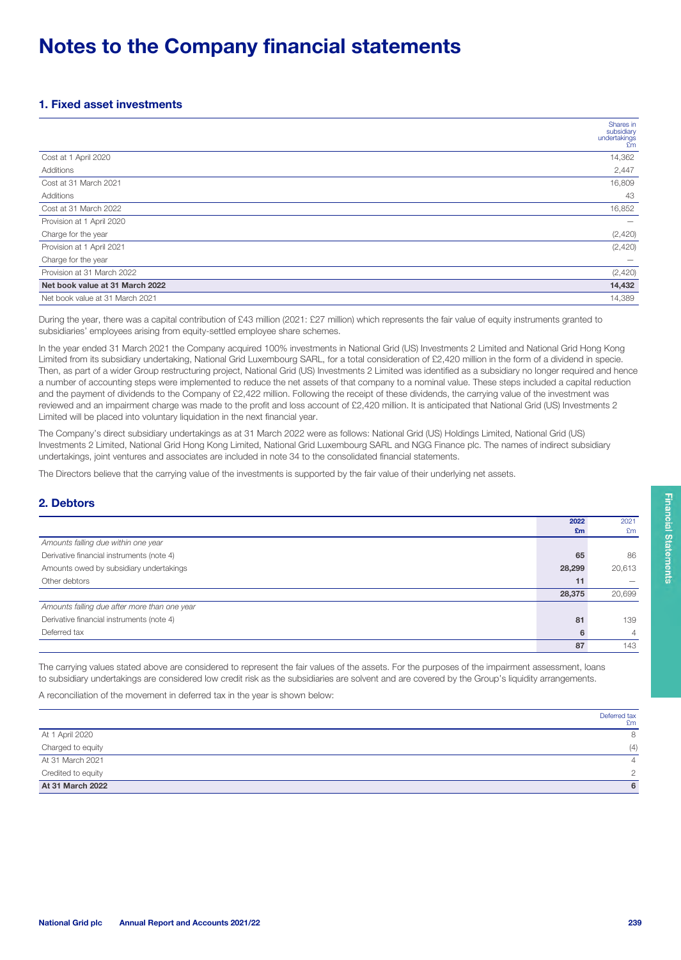# Notes to the Company financial statements

# 1. Fixed asset investments

|                                 | Shares in<br>subsidiary<br>undertakings<br>£m |
|---------------------------------|-----------------------------------------------|
| Cost at 1 April 2020            | 14,362                                        |
| Additions                       | 2,447                                         |
| Cost at 31 March 2021           | 16,809                                        |
| Additions                       | 43                                            |
| Cost at 31 March 2022           | 16,852                                        |
| Provision at 1 April 2020       |                                               |
| Charge for the year             | (2,420)                                       |
| Provision at 1 April 2021       | (2,420)                                       |
| Charge for the year             |                                               |
| Provision at 31 March 2022      | (2,420)                                       |
| Net book value at 31 March 2022 | 14,432                                        |
| Net book value at 31 March 2021 | 14,389                                        |

During the year, there was a capital contribution of £43 million (2021: £27 million) which represents the fair value of equity instruments granted to subsidiaries' employees arising from equity-settled employee share schemes.

In the year ended 31 March 2021 the Company acquired 100% investments in National Grid (US) Investments 2 Limited and National Grid Hong Kong Limited from its subsidiary undertaking, National Grid Luxembourg SARL, for a total consideration of £2,420 million in the form of a dividend in specie. Then, as part of a wider Group restructuring project, National Grid (US) Investments 2 Limited was identified as a subsidiary no longer required and hence a number of accounting steps were implemented to reduce the net assets of that company to a nominal value. These steps included a capital reduction and the payment of dividends to the Company of £2,422 million. Following the receipt of these dividends, the carrying value of the investment was reviewed and an impairment charge was made to the profit and loss account of £2,420 million. It is anticipated that National Grid (US) Investments 2 Limited will be placed into voluntary liquidation in the next financial year.

The Company's direct subsidiary undertakings as at 31 March 2022 were as follows: National Grid (US) Holdings Limited, National Grid (US) Investments 2 Limited, National Grid Hong Kong Limited, National Grid Luxembourg SARL and NGG Finance plc. The names of indirect subsidiary undertakings, joint ventures and associates are included in note 34 to the consolidated financial statements.

The Directors believe that the carrying value of the investments is supported by the fair value of their underlying net assets.

# 2. Debtors

|                                              | 2022   | 2021           |
|----------------------------------------------|--------|----------------|
|                                              | £m     | Em             |
| Amounts falling due within one year          |        |                |
| Derivative financial instruments (note 4)    | 65     | 86             |
| Amounts owed by subsidiary undertakings      | 28,299 | 20,613         |
| Other debtors                                | 11     |                |
|                                              | 28,375 | 20,699         |
| Amounts falling due after more than one year |        |                |
| Derivative financial instruments (note 4)    | 81     | 139            |
| Deferred tax                                 | 6      | $\overline{4}$ |
|                                              | 87     | 143            |

The carrying values stated above are considered to represent the fair values of the assets. For the purposes of the impairment assessment, loans to subsidiary undertakings are considered low credit risk as the subsidiaries are solvent and are covered by the Group's liquidity arrangements.

A reconciliation of the movement in deferred tax in the year is shown below:

|                    | Deferred tax<br>£m |
|--------------------|--------------------|
| At 1 April 2020    | 8                  |
| Charged to equity  | (4)                |
| At 31 March 2021   | $\overline{4}$     |
| Credited to equity | $\circ$            |
| At 31 March 2022   | 6                  |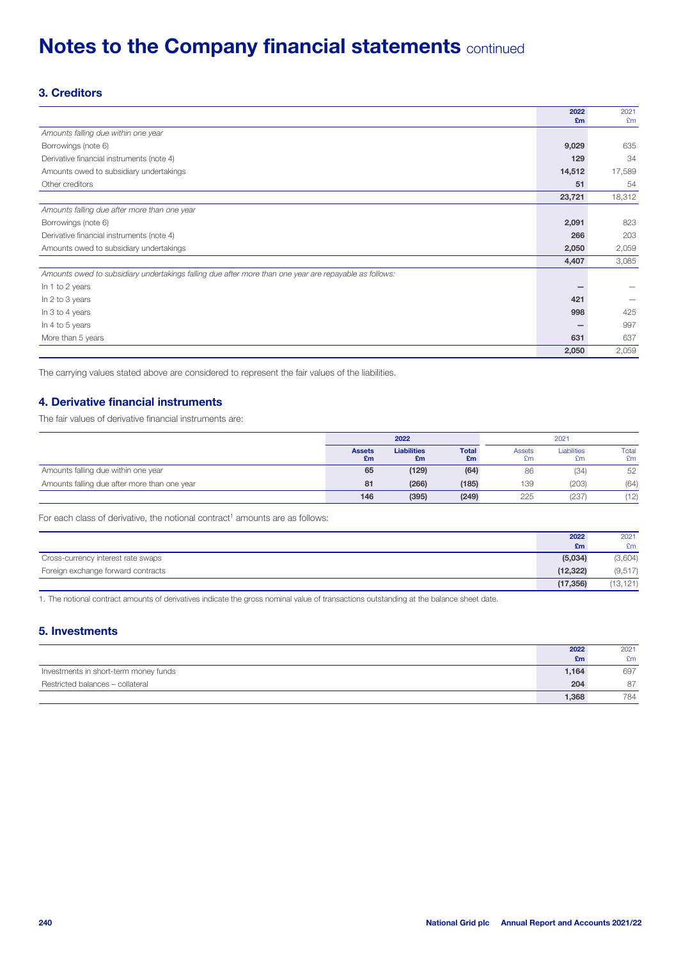# Notes to the Company financial statements continued

## 3. Creditors

|                                                                                                        | 2022   | 2021   |
|--------------------------------------------------------------------------------------------------------|--------|--------|
|                                                                                                        | £m     | £m     |
| Amounts falling due within one year                                                                    |        |        |
| Borrowings (note 6)                                                                                    | 9,029  | 635    |
| Derivative financial instruments (note 4)                                                              | 129    | 34     |
| Amounts owed to subsidiary undertakings                                                                | 14,512 | 17,589 |
| Other creditors                                                                                        | 51     | 54     |
|                                                                                                        | 23,721 | 18,312 |
| Amounts falling due after more than one year                                                           |        |        |
| Borrowings (note 6)                                                                                    | 2,091  | 823    |
| Derivative financial instruments (note 4)                                                              | 266    | 203    |
| Amounts owed to subsidiary undertakings                                                                | 2,050  | 2,059  |
|                                                                                                        | 4,407  | 3,085  |
| Amounts owed to subsidiary undertakings falling due after more than one year are repayable as follows: |        |        |
| In 1 to 2 years                                                                                        |        |        |
| In 2 to 3 years                                                                                        | 421    |        |
| In 3 to 4 years                                                                                        | 998    | 425    |
| In 4 to 5 years                                                                                        |        | 997    |
| More than 5 years                                                                                      | 631    | 637    |
|                                                                                                        | 2,050  | 2,059  |

The carrying values stated above are considered to represent the fair values of the liabilities.

#### 4. Derivative financial instruments

The fair values of derivative financial instruments are:

|                                              | 2022                |                          |                    | 2021         |                          |             |
|----------------------------------------------|---------------------|--------------------------|--------------------|--------------|--------------------------|-------------|
|                                              | <b>Assets</b><br>£m | <b>Liabilities</b><br>£m | <b>Total</b><br>£m | Assets<br>£m | <b>Liabilities</b><br>£m | Total<br>£m |
| Amounts falling due within one year          | 65                  | (129)                    | (64)               | 86           | (34)                     | 52          |
| Amounts falling due after more than one year | 81                  | (266)                    | (185)              | 139          | (203)                    | (64)        |
|                                              | 146                 | (395)                    | (249)              | 225          | (237                     | (12)        |

For each class of derivative, the notional contract $^1$  amounts are as follows:

|                                    | 2022      | 2021      |
|------------------------------------|-----------|-----------|
|                                    | £m        | £m        |
| Cross-currency interest rate swaps | (5,034)   | (3,604)   |
| Foreign exchange forward contracts | (12, 322) | (9, 517)  |
|                                    | (17, 356) | (13, 121) |

1. The notional contract amounts of derivatives indicate the gross nominal value of transactions outstanding at the balance sheet date.

## 5. Investments

|                                       | 2022  | 2021 |
|---------------------------------------|-------|------|
|                                       | £m    | £m   |
| Investments in short-term money funds | 1,164 | 697  |
| Restricted balances - collateral      | 204   | 87   |
|                                       | 1,368 | 784  |